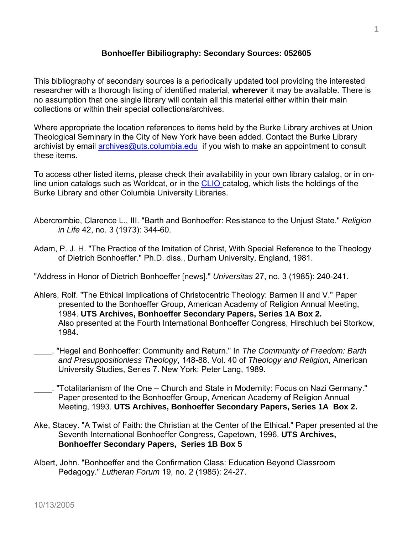## **Bonhoeffer Bibiliography: Secondary Sources: 052605**

This bibliography of secondary sources is a periodically updated tool providing the interested researcher with a thorough listing of identified material, **wherever** it may be available. There is no assumption that one single library will contain all this material either within their main collections or within their special collections/archives.

Where appropriate the location references to items held by the Burke Library archives at Union Theological Seminary in the City of New York have been added. Contact the Burke Library archivist by email [archives@uts.columbia.edu](mailto:archives@uts.columbia.edu) if you wish to make an appointment to consult these items.

To access other listed items, please check their availability in your own library catalog, or in online union catalogs such as Worldcat, or in the [CLIO c](http://www.columbia.edu/cu/lweb/indiv/burke/index.html)atalog, which lists the holdings of the Burke Library and other Columbia University Libraries.

- Abercrombie, Clarence L., III. "Barth and Bonhoeffer: Resistance to the Unjust State." *Religion in Life* 42, no. 3 (1973): 344-60.
- Adam, P. J. H. "The Practice of the Imitation of Christ, With Special Reference to the Theology of Dietrich Bonhoeffer." Ph.D. diss., Durham University, England, 1981.

"Address in Honor of Dietrich Bonhoeffer [news]." *Universitas* 27, no. 3 (1985): 240-241.

- Ahlers, Rolf. "The Ethical Implications of Christocentric Theology: Barmen II and V." Paper presented to the Bonhoeffer Group, American Academy of Religion Annual Meeting, 1984. **UTS Archives, Bonhoeffer Secondary Papers, Series 1A Box 2.**  Also presented at the Fourth International Bonhoeffer Congress, Hirschluch bei Storkow, 1984**.**
- \_\_\_\_. "Hegel and Bonhoeffer: Community and Return." In *The Community of Freedom: Barth and Presuppositionless Theology*, 148-88. Vol. 40 of *Theology and Religion*, American University Studies, Series 7. New York: Peter Lang, 1989.
- \_\_\_\_. "Totalitarianism of the One Church and State in Modernity: Focus on Nazi Germany." Paper presented to the Bonhoeffer Group, American Academy of Religion Annual Meeting, 1993. **UTS Archives, Bonhoeffer Secondary Papers, Series 1A Box 2.**
- Ake, Stacey. "A Twist of Faith: the Christian at the Center of the Ethical." Paper presented at the Seventh International Bonhoeffer Congress, Capetown, 1996. **UTS Archives, Bonhoeffer Secondary Papers, Series 1B Box 5**
- Albert, John. "Bonhoeffer and the Confirmation Class: Education Beyond Classroom Pedagogy." *Lutheran Forum* 19, no. 2 (1985): 24-27.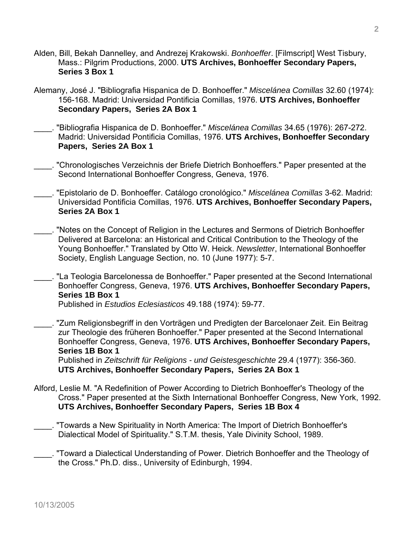- Alden, Bill, Bekah Dannelley, and Andrezej Krakowski. *Bonhoeffer*. [Filmscript] West Tisbury, Mass.: Pilgrim Productions, 2000. **UTS Archives, Bonhoeffer Secondary Papers, Series 3 Box 1**
- Alemany, José J. "Bibliografia Hispanica de D. Bonhoeffer." *Miscelánea Comillas* 32.60 (1974): 156-168. Madrid: Universidad Pontificia Comillas, 1976. **UTS Archives, Bonhoeffer Secondary Papers, Series 2A Box 1**
- \_\_\_\_. "Bibliografia Hispanica de D. Bonhoeffer." *Miscelánea Comillas* 34.65 (1976): 267-272. Madrid: Universidad Pontificia Comillas, 1976. **UTS Archives, Bonhoeffer Secondary Papers, Series 2A Box 1**
- \_\_\_\_. "Chronologisches Verzeichnis der Briefe Dietrich Bonhoeffers." Paper presented at the Second International Bonhoeffer Congress, Geneva, 1976.
- \_\_\_\_. "Epistolario de D. Bonhoeffer. Catálogo cronológico." *Miscelánea Comillas* 3-62. Madrid: Universidad Pontificia Comillas, 1976. **UTS Archives, Bonhoeffer Secondary Papers, Series 2A Box 1**
- \_\_\_\_. "Notes on the Concept of Religion in the Lectures and Sermons of Dietrich Bonhoeffer Delivered at Barcelona: an Historical and Critical Contribution to the Theology of the Young Bonhoeffer." Translated by Otto W. Heick. *Newsletter*, International Bonhoeffer Society, English Language Section, no. 10 (June 1977): 5-7.
- \_\_\_\_. "La Teologia Barcelonessa de Bonhoeffer." Paper presented at the Second International Bonhoeffer Congress, Geneva, 1976. **UTS Archives, Bonhoeffer Secondary Papers, Series 1B Box 1**

Published in *Estudios Eclesiasticos* 49.188 (1974): 59-77.

\_\_\_\_. "Zum Religionsbegriff in den Vorträgen und Predigten der Barcelonaer Zeit. Ein Beitrag zur Theologie des früheren Bonhoeffer." Paper presented at the Second International Bonhoeffer Congress, Geneva, 1976. **UTS Archives, Bonhoeffer Secondary Papers, Series 1B Box 1**

 Published in *Zeitschrift für Religions - und Geistesgeschichte* 29.4 (1977): 356-360. **UTS Archives, Bonhoeffer Secondary Papers, Series 2A Box 1**

- Alford, Leslie M. "A Redefinition of Power According to Dietrich Bonhoeffer's Theology of the Cross." Paper presented at the Sixth International Bonhoeffer Congress, New York, 1992. **UTS Archives, Bonhoeffer Secondary Papers, Series 1B Box 4**
- \_\_\_\_. "Towards a New Spirituality in North America: The Import of Dietrich Bonhoeffer's Dialectical Model of Spirituality." S.T.M. thesis, Yale Divinity School, 1989.
- \_\_\_\_. "Toward a Dialectical Understanding of Power. Dietrich Bonhoeffer and the Theology of the Cross." Ph.D. diss., University of Edinburgh, 1994.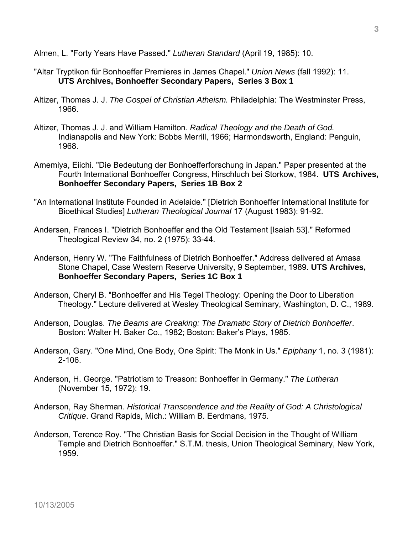Almen, L. "Forty Years Have Passed." *Lutheran Standard* (April 19, 1985): 10.

- "Altar Tryptikon für Bonhoeffer Premieres in James Chapel." *Union News* (fall 1992): 11. **UTS Archives, Bonhoeffer Secondary Papers, Series 3 Box 1**
- Altizer, Thomas J. J. *The Gospel of Christian Atheism.* Philadelphia: The Westminster Press, 1966.
- Altizer, Thomas J. J. and William Hamilton. *Radical Theology and the Death of God.* Indianapolis and New York: Bobbs Merrill, 1966; Harmondsworth, England: Penguin, 1968.
- Amemiya, Eiichi. "Die Bedeutung der Bonhoefferforschung in Japan." Paper presented at the Fourth International Bonhoeffer Congress, Hirschluch bei Storkow, 1984. **UTS Archives, Bonhoeffer Secondary Papers, Series 1B Box 2**
- "An International Institute Founded in Adelaide." [Dietrich Bonhoeffer International Institute for Bioethical Studies] *Lutheran Theological Journal* 17 (August 1983): 91-92.
- Andersen, Frances I. "Dietrich Bonhoeffer and the Old Testament [Isaiah 53]." Reformed Theological Review 34, no. 2 (1975): 33-44.
- Anderson, Henry W. "The Faithfulness of Dietrich Bonhoeffer." Address delivered at Amasa Stone Chapel, Case Western Reserve University, 9 September, 1989. **UTS Archives, Bonhoeffer Secondary Papers, Series 1C Box 1**
- Anderson, Cheryl B. "Bonhoeffer and His Tegel Theology: Opening the Door to Liberation Theology." Lecture delivered at Wesley Theological Seminary, Washington, D. C., 1989.
- Anderson, Douglas. *The Beams are Creaking: The Dramatic Story of Dietrich Bonhoeffer*. Boston: Walter H. Baker Co., 1982; Boston: Baker's Plays, 1985.
- Anderson, Gary. "One Mind, One Body, One Spirit: The Monk in Us." *Epiphany* 1, no. 3 (1981): 2-106.
- Anderson, H. George. "Patriotism to Treason: Bonhoeffer in Germany." *The Lutheran* (November 15, 1972): 19.
- Anderson, Ray Sherman. *Historical Transcendence and the Reality of God: A Christological Critique*. Grand Rapids, Mich.: William B. Eerdmans, 1975.
- Anderson, Terence Roy. "The Christian Basis for Social Decision in the Thought of William Temple and Dietrich Bonhoeffer." S.T.M. thesis, Union Theological Seminary, New York, 1959.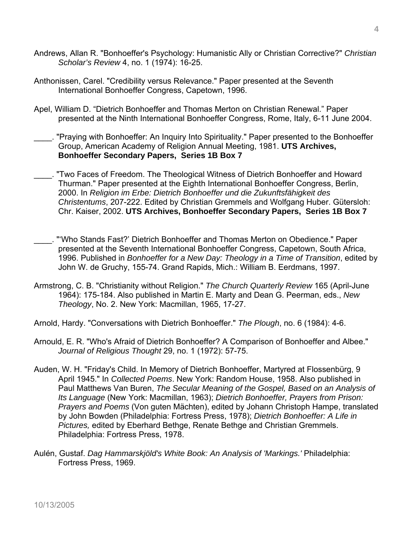- Andrews, Allan R. "Bonhoeffer's Psychology: Humanistic Ally or Christian Corrective?" *Christian Scholar's Review* 4, no. 1 (1974): 16-25.
- Anthonissen, Carel. "Credibility versus Relevance." Paper presented at the Seventh International Bonhoeffer Congress, Capetown, 1996.
- Apel, William D. "Dietrich Bonhoeffer and Thomas Merton on Christian Renewal." Paper presented at the Ninth International Bonhoeffer Congress, Rome, Italy, 6-11 June 2004.
- \_\_\_\_. "Praying with Bonhoeffer: An Inquiry Into Spirituality." Paper presented to the Bonhoeffer Group, American Academy of Religion Annual Meeting, 1981. **UTS Archives, Bonhoeffer Secondary Papers, Series 1B Box 7**
- "Two Faces of Freedom. The Theological Witness of Dietrich Bonhoeffer and Howard Thurman." Paper presented at the Eighth International Bonhoeffer Congress, Berlin, 2000. In *Religion im Erbe: Dietrich Bonhoeffer und die Zukunftsfähigkeit des Christentums*, 207-222. Edited by Christian Gremmels and Wolfgang Huber. Gütersloh: Chr. Kaiser, 2002. **UTS Archives, Bonhoeffer Secondary Papers, Series 1B Box 7**
- \_\_\_\_. "'Who Stands Fast?' Dietrich Bonhoeffer and Thomas Merton on Obedience." Paper presented at the Seventh International Bonhoeffer Congress, Capetown, South Africa, 1996. Published in *Bonhoeffer for a New Day: Theology in a Time of Transition*, edited by John W. de Gruchy, 155-74. Grand Rapids, Mich.: William B. Eerdmans, 1997.
- Armstrong, C. B. "Christianity without Religion." *The Church Quarterly Review* 165 (April-June 1964): 175-184. Also published in Martin E. Marty and Dean G. Peerman, eds., *New Theology*, No. 2. New York: Macmillan, 1965, 17-27.
- Arnold, Hardy. "Conversations with Dietrich Bonhoeffer." *The Plough*, no. 6 (1984): 4-6.
- Arnould, E. R. "Who's Afraid of Dietrich Bonhoeffer? A Comparison of Bonhoeffer and Albee." *Journal of Religious Thought* 29, no. 1 (1972): 57-75.
- Auden, W. H. "Friday's Child. In Memory of Dietrich Bonhoeffer, Martyred at Flossenbürg, 9 April 1945." In *Collected Poems*. New York: Random House, 1958. Also published in Paul Matthews Van Buren, *The Secular Meaning of the Gospel, Based on an Analysis of Its Language* (New York: Macmillan, 1963); *Dietrich Bonhoeffer, Prayers from Prison: Prayers and Poems* (Von guten Mächten), edited by Johann Christoph Hampe, translated by John Bowden (Philadelphia: Fortress Press, 1978); *Dietrich Bonhoeffer: A Life in Pictures,* edited by Eberhard Bethge, Renate Bethge and Christian Gremmels. Philadelphia: Fortress Press, 1978.
- Aulén, Gustaf. *Dag Hammarskjöld's White Book: An Analysis of 'Markings.'* Philadelphia: Fortress Press, 1969.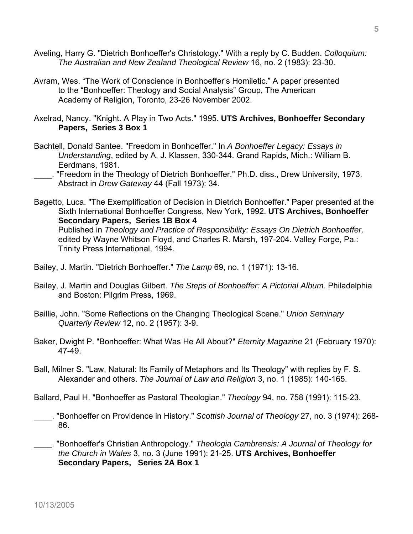- Aveling, Harry G. "Dietrich Bonhoeffer's Christology." With a reply by C. Budden. *Colloquium: The Australian and New Zealand Theological Review* 16, no. 2 (1983): 23-30.
- Avram, Wes. "The Work of Conscience in Bonhoeffer's Homiletic." A paper presented to the "Bonhoeffer: Theology and Social Analysis" Group, The American Academy of Religion, Toronto, 23-26 November 2002.
- Axelrad, Nancy. "Knight. A Play in Two Acts." 1995. **UTS Archives, Bonhoeffer Secondary Papers, Series 3 Box 1**
- Bachtell, Donald Santee. "Freedom in Bonhoeffer." In *A Bonhoeffer Legacy: Essays in Understanding*, edited by A. J. Klassen, 330-344. Grand Rapids, Mich.: William B. Eerdmans, 1981.
	- \_\_\_\_. "Freedom in the Theology of Dietrich Bonhoeffer." Ph.D. diss., Drew University, 1973. Abstract in *Drew Gateway* 44 (Fall 1973): 34.
- Bagetto, Luca. "The Exemplification of Decision in Dietrich Bonhoeffer." Paper presented at the Sixth International Bonhoeffer Congress, New York, 1992. **UTS Archives, Bonhoeffer Secondary Papers, Series 1B Box 4**  Published in *Theology and Practice of Responsibility: Essays On Dietrich Bonhoeffer,*  edited by Wayne Whitson Floyd, and Charles R. Marsh, 197-204. Valley Forge, Pa.: Trinity Press International, 1994.
- Bailey, J. Martin. "Dietrich Bonhoeffer." *The Lamp* 69, no. 1 (1971): 13-16.
- Bailey, J. Martin and Douglas Gilbert. *The Steps of Bonhoeffer: A Pictorial Album*. Philadelphia and Boston: Pilgrim Press, 1969.
- Baillie, John. "Some Reflections on the Changing Theological Scene." *Union Seminary Quarterly Review* 12, no. 2 (1957): 3-9.
- Baker, Dwight P. "Bonhoeffer: What Was He All About?" *Eternity Magazine* 21 (February 1970): 47-49.
- Ball, Milner S. "Law, Natural: Its Family of Metaphors and Its Theology" with replies by F. S. Alexander and others. *The Journal of Law and Religion* 3, no. 1 (1985): 140-165.

Ballard, Paul H. "Bonhoeffer as Pastoral Theologian." *Theology* 94, no. 758 (1991): 115-23.

- \_\_\_\_. "Bonhoeffer on Providence in History." *Scottish Journal of Theology* 27, no. 3 (1974): 268- 86.
- \_\_\_\_. "Bonhoeffer's Christian Anthropology." *Theologia Cambrensis: A Journal of Theology for the Church in Wales* 3, no. 3 (June 1991): 21-25. **UTS Archives, Bonhoeffer Secondary Papers, Series 2A Box 1**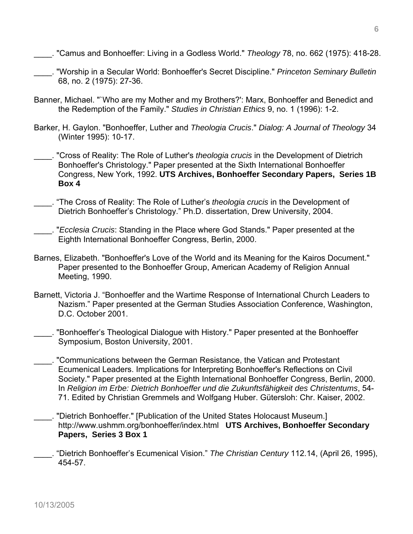- \_\_\_\_. "Camus and Bonhoeffer: Living in a Godless World." *Theology* 78, no. 662 (1975): 418-28.
- \_\_\_\_. "Worship in a Secular World: Bonhoeffer's Secret Discipline." *Princeton Seminary Bulletin* 68, no. 2 (1975): 27-36.
- Banner, Michael. "`Who are my Mother and my Brothers?': Marx, Bonhoeffer and Benedict and the Redemption of the Family." *Studies in Christian Ethics* 9, no. 1 (1996): 1-2.
- Barker, H. Gaylon. "Bonhoeffer, Luther and *Theologia Crucis*." *Dialog: A Journal of Theology* 34 (Winter 1995): 10-17.
- \_\_\_\_. "Cross of Reality: The Role of Luther's *theologia crucis* in the Development of Dietrich Bonhoeffer's Christology." Paper presented at the Sixth International Bonhoeffer Congress, New York, 1992. **UTS Archives, Bonhoeffer Secondary Papers, Series 1B Box 4**
- \_\_\_\_. "The Cross of Reality: The Role of Luther's *theologia crucis* in the Development of Dietrich Bonhoeffer's Christology." Ph.D. dissertation, Drew University, 2004.
- \_\_\_\_. "*Ecclesia Crucis*: Standing in the Place where God Stands." Paper presented at the Eighth International Bonhoeffer Congress, Berlin, 2000.
- Barnes, Elizabeth. "Bonhoeffer's Love of the World and its Meaning for the Kairos Document." Paper presented to the Bonhoeffer Group, American Academy of Religion Annual Meeting, 1990.
- Barnett, Victoria J. "Bonhoeffer and the Wartime Response of International Church Leaders to Nazism." Paper presented at the German Studies Association Conference, Washington, D.C. October 2001.
- \_\_\_\_. "Bonhoeffer's Theological Dialogue with History." Paper presented at the Bonhoeffer Symposium, Boston University, 2001.
- \_\_\_\_. "Communications between the German Resistance, the Vatican and Protestant Ecumenical Leaders. Implications for Interpreting Bonhoeffer's Reflections on Civil Society." Paper presented at the Eighth International Bonhoeffer Congress, Berlin, 2000. In *Religion im Erbe: Dietrich Bonhoeffer und die Zukunftsfähigkeit des Christentums*, 54- 71. Edited by Christian Gremmels and Wolfgang Huber. Gütersloh: Chr. Kaiser, 2002.
- \_\_\_\_. "Dietrich Bonhoeffer." [Publication of the United States Holocaust Museum.] http://www.ushmm.org/bonhoeffer/index.html **UTS Archives, Bonhoeffer Secondary Papers, Series 3 Box 1**
- \_\_\_\_. "Dietrich Bonhoeffer's Ecumenical Vision." *The Christian Century* 112.14, (April 26, 1995), 454-57.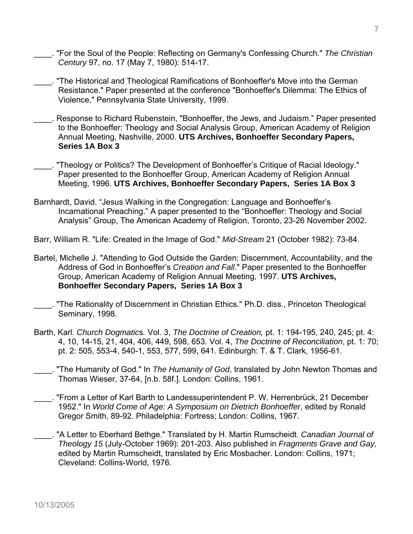- \_\_\_\_. "For the Soul of the People: Reflecting on Germany's Confessing Church." *The Christian Century* 97, no. 17 (May 7, 1980): 514-17.
- "The Historical and Theological Ramifications of Bonhoeffer's Move into the German Resistance." Paper presented at the conference "Bonhoeffer's Dilemma: The Ethics of Violence," Pennsylvania State University, 1999.
- \_\_\_\_. Response to Richard Rubenstein, "Bonhoeffer, the Jews, and Judaism." Paper presented to the Bonhoeffer: Theology and Social Analysis Group, American Academy of Religion Annual Meeting, Nashville, 2000. **UTS Archives, Bonhoeffer Secondary Papers, Series 1A Box 3**
- \_\_\_\_. "Theology or Politics? The Development of Bonhoeffer's Critique of Racial Ideology." Paper presented to the Bonhoeffer Group, American Academy of Religion Annual Meeting, 1996. **UTS Archives, Bonhoeffer Secondary Papers, Series 1A Box 3**
- Barnhardt, David. "Jesus Walking in the Congregation: Language and Bonhoeffer's Incarnational Preaching." A paper presented to the "Bonhoeffer: Theology and Social Analysis" Group, The American Academy of Religion, Toronto, 23-26 November 2002.
- Barr, William R. "Life: Created in the Image of God." *Mid-Stream* 21 (October 1982): 73-84.
- Bartel, Michelle J. "Attending to God Outside the Garden: Discernment, Accountability, and the Address of God in Bonhoeffer's *Creation and Fall*." Paper presented to the Bonhoeffer Group, American Academy of Religion Annual Meeting, 1997. **UTS Archives, Bonhoeffer Secondary Papers, Series 1A Box 3**
- "The Rationality of Discernment in Christian Ethics." Ph.D. diss., Princeton Theological Seminary, 1998.
- Barth, Karl. *Church Dogmatic*s*.* Vol. 3, *The Doctrine of Creation,* pt. 1: 194-195, 240, 245; pt. 4: 4, 10, 14-15, 21, 404, 406, 449, 598, 653. Vol. 4, *The Doctrine of Reconciliation*, pt. 1: 70; pt. 2: 505, 553-4, 540-1, 553, 577, 599, 641. Edinburgh: T. & T. Clark, 1956-61.
- \_\_\_\_. "The Humanity of God." In *The Humanity of God*, translated by John Newton Thomas and Thomas Wieser, 37-64, [n.b. 58f.]. London: Collins, 1961.
- \_\_\_\_. "From a Letter of Karl Barth to Landessuperintendent P. W. Herrenbrück, 21 December 1952." In *World Come of Age: A Symposium on Dietrich Bonhoeffer*, edited by Ronald Gregor Smith, 89-92. Philadelphia: Fortress; London: Collins, 1967.
- \_\_\_\_. "A Letter to Eberhard Bethge." Translated by H. Martin Rumscheidt. *Canadian Journal of Theology 15* (July-October 1969): 201-203. Also published in *Fragments Grave and Gay,*  edited by Martin Rumscheidt, translated by Eric Mosbacher. London: Collins, 1971; Cleveland: Collins-World, 1976.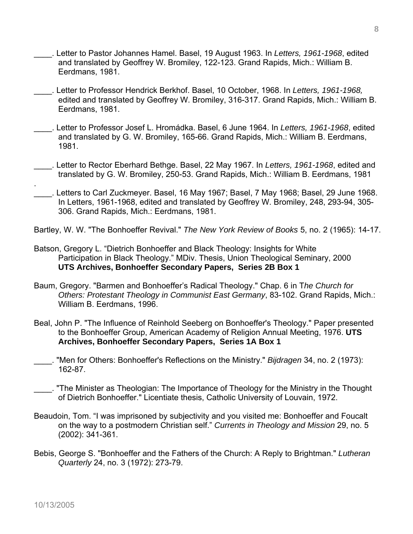- \_\_\_\_. Letter to Pastor Johannes Hamel. Basel, 19 August 1963. In *Letters, 1961-1968*, edited and translated by Geoffrey W. Bromiley, 122-123. Grand Rapids, Mich.: William B. Eerdmans, 1981.
- \_\_\_\_. Letter to Professor Hendrick Berkhof. Basel, 10 October, 1968. In *Letters, 1961-1968,* edited and translated by Geoffrey W. Bromiley, 316-317. Grand Rapids, Mich.: William B. Eerdmans, 1981.
- \_\_\_\_. Letter to Professor Josef L. Hromádka. Basel, 6 June 1964. In *Letters, 1961-1968*, edited and translated by G. W. Bromiley, 165-66. Grand Rapids, Mich.: William B. Eerdmans, 1981.
- \_\_\_\_. Letter to Rector Eberhard Bethge. Basel, 22 May 1967. In *Letters, 1961-1968*, edited and translated by G. W. Bromiley, 250-53. Grand Rapids, Mich.: William B. Eerdmans, 1981
- \_\_\_\_. Letters to Carl Zuckmeyer. Basel, 16 May 1967; Basel, 7 May 1968; Basel, 29 June 1968. In Letters, 1961-1968, edited and translated by Geoffrey W. Bromiley, 248, 293-94, 305- 306. Grand Rapids, Mich.: Eerdmans, 1981.
- Bartley, W. W. "The Bonhoeffer Revival." *The New York Review of Books* 5, no. 2 (1965): 14-17.
- Batson, Gregory L. "Dietrich Bonhoeffer and Black Theology: Insights for White Participation in Black Theology." MDiv. Thesis, Union Theological Seminary, 2000 **UTS Archives, Bonhoeffer Secondary Papers, Series 2B Box 1**
- Baum, Gregory. "Barmen and Bonhoeffer's Radical Theology." Chap. 6 in T*he Church for Others: Protestant Theology in Communist East Germany*, 83-102. Grand Rapids, Mich.: William B. Eerdmans, 1996.
- Beal, John P. "The Influence of Reinhold Seeberg on Bonhoeffer's Theology." Paper presented to the Bonhoeffer Group, American Academy of Religion Annual Meeting, 1976. **UTS Archives, Bonhoeffer Secondary Papers, Series 1A Box 1**
- \_\_\_\_. "Men for Others: Bonhoeffer's Reflections on the Ministry." *Bijdragen* 34, no. 2 (1973): 162-87.
- \_\_\_\_. "The Minister as Theologian: The Importance of Theology for the Ministry in the Thought of Dietrich Bonhoeffer." Licentiate thesis, Catholic University of Louvain, 1972.
- Beaudoin, Tom. "I was imprisoned by subjectivity and you visited me: Bonhoeffer and Foucalt on the way to a postmodern Christian self." *Currents in Theology and Mission* 29, no. 5 (2002): 341-361.
- Bebis, George S. "Bonhoeffer and the Fathers of the Church: A Reply to Brightman." *Lutheran Quarterly* 24, no. 3 (1972): 273-79.

.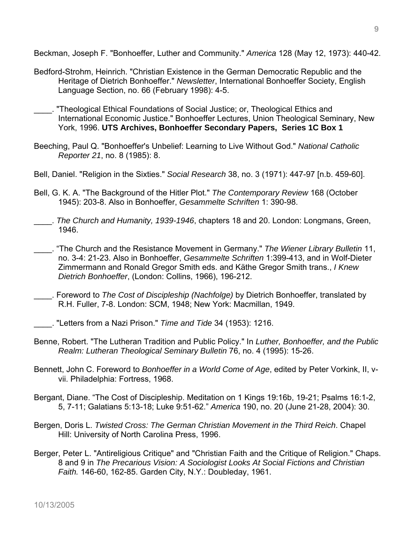Beckman, Joseph F. "Bonhoeffer, Luther and Community." *America* 128 (May 12, 1973): 440-42.

- Bedford-Strohm, Heinrich. "Christian Existence in the German Democratic Republic and the Heritage of Dietrich Bonhoeffer." *Newsletter*, International Bonhoeffer Society, English Language Section, no. 66 (February 1998): 4-5.
- \_\_\_\_. "Theological Ethical Foundations of Social Justice; or, Theological Ethics and International Economic Justice." Bonhoeffer Lectures, Union Theological Seminary, New York, 1996. **UTS Archives, Bonhoeffer Secondary Papers, Series 1C Box 1**
- Beeching, Paul Q. "Bonhoeffer's Unbelief: Learning to Live Without God." *National Catholic Reporter 21*, no. 8 (1985): 8.
- Bell, Daniel. "Religion in the Sixties." *Social Research* 38, no. 3 (1971): 447-97 [n.b. 459-60].
- Bell, G. K. A. "The Background of the Hitler Plot." *The Contemporary Review* 168 (October 1945): 203-8. Also in Bonhoeffer, *Gesammelte Schriften* 1: 390-98.
- \_\_\_\_. *The Church and Humanity, 1939-1946*, chapters 18 and 20. London: Longmans, Green, 1946.
- \_\_\_\_. "The Church and the Resistance Movement in Germany." *The Wiener Library Bulletin* 11, no. 3-4: 21-23. Also in Bonhoeffer, *Gesammelte Schriften* 1:399-413, and in Wolf-Dieter Zimmermann and Ronald Gregor Smith eds. and Käthe Gregor Smith trans., *I Knew Dietrich Bonhoeffer*, (London: Collins, 1966), 196-212.
- \_\_\_\_. Foreword to *The Cost of Discipleship (Nachfolge)* by Dietrich Bonhoeffer, translated by R.H. Fuller, 7-8. London: SCM, 1948; New York: Macmillan, 1949.
- \_\_\_\_. "Letters from a Nazi Prison." *Time and Tide* 34 (1953): 1216.
- Benne, Robert. "The Lutheran Tradition and Public Policy." In *Luther, Bonhoeffer, and the Public Realm: Lutheran Theological Seminary Bulletin* 76, no. 4 (1995): 15-26.
- Bennett, John C. Foreword to *Bonhoeffer in a World Come of Age*, edited by Peter Vorkink, II, vvii. Philadelphia: Fortress, 1968.
- Bergant, Diane. "The Cost of Discipleship. Meditation on 1 Kings 19:16b, 19-21; Psalms 16:1-2, 5, 7-11; Galatians 5:13-18; Luke 9:51-62." *America* 190, no. 20 (June 21-28, 2004): 30.
- Bergen, Doris L. *Twisted Cross: The German Christian Movement in the Third Reich*. Chapel Hill: University of North Carolina Press, 1996.
- Berger, Peter L. "Antireligious Critique" and "Christian Faith and the Critique of Religion." Chaps. 8 and 9 in *The Precarious Vision: A Sociologist Looks At Social Fictions and Christian Faith.* 146-60, 162-85. Garden City, N.Y.: Doubleday, 1961.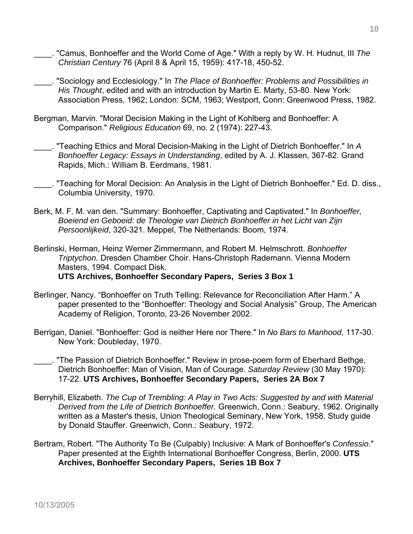- \_\_\_\_. "Camus, Bonhoeffer and the World Come of Age." With a reply by W. H. Hudnut, III *The Christian Century* 76 (April 8 & April 15, 1959): 417-18, 450-52.
- \_\_\_\_. "Sociology and Ecclesiology." In *The Place of Bonhoeffer: Problems and Possibilities in His Thought*, edited and with an introduction by Martin E. Marty, 53-80. New York: Association Press, 1962; London: SCM, 1963; Westport, Conn: Greenwood Press, 1982.
- Bergman, Marvin. "Moral Decision Making in the Light of Kohlberg and Bonhoeffer: A Comparison." *Religious Education* 69, no. 2 (1974): 227-43.
- \_\_\_\_. "Teaching Ethics and Moral Decision-Making in the Light of Dietrich Bonhoeffer." In *A Bonhoeffer Legacy: Essays in Understanding*, edited by A. J. Klassen, 367-82. Grand Rapids, Mich.: William B. Eerdmans, 1981.
- \_\_\_\_. "Teaching for Moral Decision: An Analysis in the Light of Dietrich Bonhoeffer." Ed. D. diss., Columbia University, 1970.
- Berk, M. F. M. van den. "Summary: Bonhoeffer, Captivating and Captivated." In *Bonhoeffer, Boeiend en Geboeid: de Theologie van Dietrich Bonhoeffer in het Licht van Zijn Persoonlijkeid*, 320-321. Meppel, The Netherlands: Boom, 1974.
- Berlinski, Herman, Heinz Werner Zimmermann, and Robert M. Helmschrott. *Bonhoeffer Triptychon.* Dresden Chamber Choir. Hans-Christoph Rademann. Vienna Modern Masters, 1994. Compact Disk.
	- **UTS Archives, Bonhoeffer Secondary Papers, Series 3 Box 1**
- Berlinger, Nancy. "Bonhoeffer on Truth Telling: Relevance for Reconciliation After Harm." A paper presented to the "Bonhoeffer: Theology and Social Analysis" Group, The American Academy of Religion, Toronto, 23-26 November 2002.
- Berrigan, Daniel. "Bonhoeffer: God is neither Here nor There." In *No Bars to Manhood*, 117-30. New York: Doubleday, 1970.
- . "The Passion of Dietrich Bonhoeffer." Review in prose-poem form of Eberhard Bethge, Dietrich Bonhoeffer: Man of Vision, Man of Courage. *Saturday Review* (30 May 1970): 17-22. **UTS Archives, Bonhoeffer Secondary Papers, Series 2A Box 7**
- Berryhill, Elizabeth. *The Cup of Trembling: A Play in Two Acts: Suggested by and with Material Derived from the Life of Dietrich Bonhoeffer.* Greenwich, Conn.: Seabury, 1962. Originally written as a Master's thesis, Union Theological Seminary, New York, 1958. Study guide by Donald Stauffer. Greenwich, Conn.: Seabury, 1972.
- Bertram, Robert. "The Authority To Be (Culpably) Inclusive: A Mark of Bonhoeffer's *Confessio*." Paper presented at the Eighth International Bonhoeffer Congress, Berlin, 2000. **UTS Archives, Bonhoeffer Secondary Papers, Series 1B Box 7**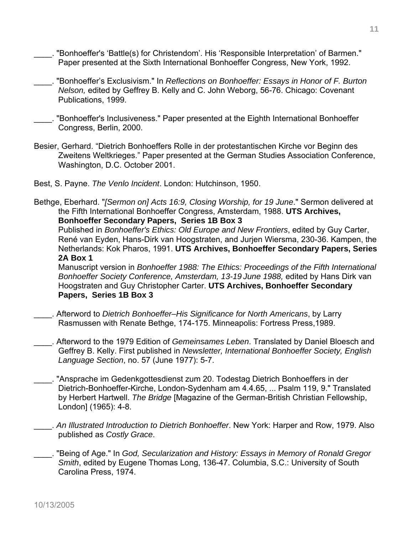- \_\_\_\_. "Bonhoeffer's 'Battle(s) for Christendom'. His 'Responsible Interpretation' of Barmen." Paper presented at the Sixth International Bonhoeffer Congress, New York, 1992.
- \_\_\_\_. "Bonhoeffer's Exclusivism." In *Reflections on Bonhoeffer: Essays in Honor of F. Burton Nelson,* edited by Geffrey B. Kelly and C. John Weborg, 56-76. Chicago: Covenant Publications, 1999.
- "Bonhoeffer's Inclusiveness." Paper presented at the Eighth International Bonhoeffer Congress, Berlin, 2000.
- Besier, Gerhard. "Dietrich Bonhoeffers Rolle in der protestantischen Kirche vor Beginn des Zweitens Weltkrieges." Paper presented at the German Studies Association Conference, Washington, D.C. October 2001.
- Best, S. Payne. *The Venlo Incident*. London: Hutchinson, 1950.
- Bethge, Eberhard. "*[Sermon on] Acts 16:9, Closing Worship, for 19 June*." Sermon delivered at the Fifth International Bonhoeffer Congress, Amsterdam, 1988. **UTS Archives, Bonhoeffer Secondary Papers, Series 1B Box 3**

Published in *Bonhoeffer's Ethics: Old Europe and New Frontiers*, edited by Guy Carter, René van Eyden, Hans-Dirk van Hoogstraten, and Jurjen Wiersma, 230-36. Kampen, the Netherlands: Kok Pharos, 1991. **UTS Archives, Bonhoeffer Secondary Papers, Series 2A Box 1** 

Manuscript version in *Bonhoeffer 1988: The Ethics: Proceedings of the Fifth International Bonhoeffer Society Conference, Amsterdam, 13-19 June 1988,* edited by Hans Dirk van Hoogstraten and Guy Christopher Carter. **UTS Archives, Bonhoeffer Secondary Papers, Series 1B Box 3** 

- \_\_\_\_. Afterword to *Dietrich Bonhoeffer–His Significance for North Americans*, by Larry Rasmussen with Renate Bethge, 174-175. Minneapolis: Fortress Press,1989.
- \_\_\_\_. Afterword to the 1979 Edition of *Gemeinsames Leben*. Translated by Daniel Bloesch and Geffrey B. Kelly. First published in *Newsletter, International Bonhoeffer Society, English Language Section*, no. 57 (June 1977): 5-7.
- \_\_\_\_. "Ansprache im Gedenkgottesdienst zum 20. Todestag Dietrich Bonhoeffers in der Dietrich-Bonhoeffer-Kirche, London-Sydenham am 4.4.65, ... Psalm 119, 9." Translated by Herbert Hartwell. *The Bridge* [Magazine of the German-British Christian Fellowship, London] (1965): 4-8.
- \_\_\_\_. *An Illustrated Introduction to Dietrich Bonhoeffer*. New York: Harper and Row, 1979. Also published as *Costly Grace*.
- \_\_\_\_. "Being of Age." In *God, Secularization and History: Essays in Memory of Ronald Gregor Smith*, edited by Eugene Thomas Long, 136-47. Columbia, S.C.: University of South Carolina Press, 1974.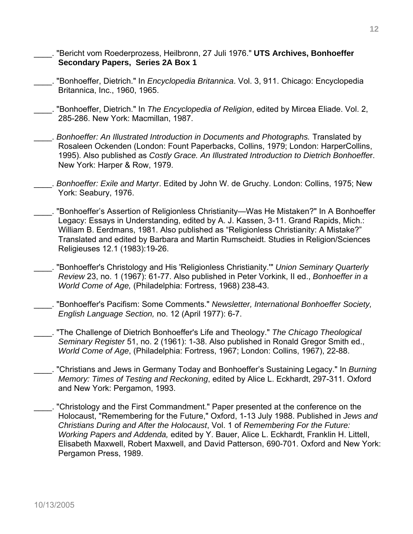- \_\_\_\_. "Bericht vom Roederprozess, Heilbronn, 27 Juli 1976." **UTS Archives, Bonhoeffer Secondary Papers, Series 2A Box 1**
- \_\_\_\_. "Bonhoeffer, Dietrich." In *Encyclopedia Britannica*. Vol. 3, 911. Chicago: Encyclopedia Britannica, Inc., 1960, 1965.
- \_\_\_\_. "Bonhoeffer, Dietrich." In *The Encyclopedia of Religion*, edited by Mircea Eliade. Vol. 2, 285-286. New York: Macmillan, 1987.
- \_\_\_\_. *Bonhoeffer: An Illustrated Introduction in Documents and Photographs.* Translated by Rosaleen Ockenden (London: Fount Paperbacks, Collins, 1979; London: HarperCollins, 1995). Also published as *Costly Grace. An Illustrated Introduction to Dietrich Bonhoeffe*r. New York: Harper & Row, 1979.
- \_\_\_\_. *Bonhoeffer: Exile and Martyr*. Edited by John W. de Gruchy. London: Collins, 1975; New York: Seabury, 1976.
- \_\_\_\_. "Bonhoeffer's Assertion of Religionless Christianity—Was He Mistaken?" In A Bonhoeffer Legacy: Essays in Understanding, edited by A. J. Kassen, 3-11. Grand Rapids, Mich.: William B. Eerdmans, 1981. Also published as "Religionless Christianity: A Mistake?" Translated and edited by Barbara and Martin Rumscheidt. Studies in Religion/Sciences Religieuses 12.1 (1983):19-26.
- \_\_\_\_. "Bonhoeffer's Christology and His 'Religionless Christianity.'" *Union Seminary Quarterly Review* 23, no. 1 (1967): 61-77. Also published in Peter Vorkink, II ed., *Bonhoeffer in a World Come of Age,* (Philadelphia: Fortress, 1968) 238-43.
- \_\_\_\_. "Bonhoeffer's Pacifism: Some Comments." *Newsletter, International Bonhoeffer Society, English Language Section,* no. 12 (April 1977): 6-7.
	- \_\_\_\_. "The Challenge of Dietrich Bonhoeffer's Life and Theology." *The Chicago Theological Seminary Register* 51, no. 2 (1961): 1-38. Also published in Ronald Gregor Smith ed., *World Come of Age*, (Philadelphia: Fortress, 1967; London: Collins, 1967), 22-88.
- \_\_\_\_. "Christians and Jews in Germany Today and Bonhoeffer's Sustaining Legacy." In *Burning Memory: Times of Testing and Reckoning*, edited by Alice L. Eckhardt, 297-311. Oxford and New York: Pergamon, 1993.
- \_\_\_\_. "Christology and the First Commandment." Paper presented at the conference on the Holocaust, "Remembering for the Future," Oxford, 1-13 July 1988. Published in *Jews and Christians During and After the Holocaust*, Vol. 1 of *Remembering For the Future: Working Papers and Addenda,* edited by Y. Bauer, Alice L. Eckhardt, Franklin H. Littell, Elisabeth Maxwell, Robert Maxwell, and David Patterson, 690-701. Oxford and New York: Pergamon Press, 1989.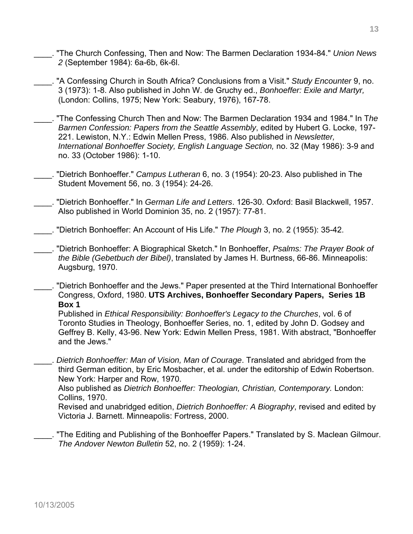- \_\_\_\_. "The Church Confessing, Then and Now: The Barmen Declaration 1934-84." *Union News 2* (September 1984): 6a-6b, 6k-6l.
- \_\_\_\_. "A Confessing Church in South Africa? Conclusions from a Visit." *Study Encounter* 9, no. 3 (1973): 1-8. Also published in John W. de Gruchy ed., *Bonhoeffer: Exile and Martyr,* (London: Collins, 1975; New York: Seabury, 1976), 167-78.
- \_\_\_\_. "The Confessing Church Then and Now: The Barmen Declaration 1934 and 1984." In T*he Barmen Confession: Papers from the Seattle Assembly*, edited by Hubert G. Locke, 197- 221. Lewiston, N.Y.: Edwin Mellen Press, 1986. Also published in *Newsletter, International Bonhoeffer Society, English Language Section,* no. 32 (May 1986): 3-9 and no. 33 (October 1986): 1-10.
- \_\_\_\_. "Dietrich Bonhoeffer." *Campus Lutheran* 6, no. 3 (1954): 20-23. Also published in The Student Movement 56, no. 3 (1954): 24-26.
- \_\_\_\_. "Dietrich Bonhoeffer." In *German Life and Letters*. 126-30. Oxford: Basil Blackwell, 1957. Also published in World Dominion 35, no. 2 (1957): 77-81.
- \_\_\_\_. "Dietrich Bonhoeffer: An Account of His Life." *The Plough* 3, no. 2 (1955): 35-42.
- \_\_\_\_. "Dietrich Bonhoeffer: A Biographical Sketch." In Bonhoeffer, *Psalms: The Prayer Book of the Bible (Gebetbuch der Bibel)*, translated by James H. Burtness, 66-86. Minneapolis: Augsburg, 1970.
- \_\_\_\_. "Dietrich Bonhoeffer and the Jews." Paper presented at the Third International Bonhoeffer Congress, Oxford, 1980. **UTS Archives, Bonhoeffer Secondary Papers, Series 1B Box 1**

Published in *Ethical Responsibility: Bonhoeffer's Legacy to the Churches*, vol. 6 of Toronto Studies in Theology, Bonhoeffer Series, no. 1, edited by John D. Godsey and Geffrey B. Kelly, 43-96. New York: Edwin Mellen Press, 1981. With abstract, "Bonhoeffer and the Jews."

\_\_\_\_. *Dietrich Bonhoeffer: Man of Vision, Man of Courage*. Translated and abridged from the third German edition, by Eric Mosbacher, et al. under the editorship of Edwin Robertson. New York: Harper and Row, 1970.

Also published as *Dietrich Bonhoeffer: Theologian, Christian, Contemporary.* London: Collins, 1970.

Revised and unabridged edition, *Dietrich Bonhoeffer: A Biography*, revised and edited by Victoria J. Barnett. Minneapolis: Fortress, 2000.

. "The Editing and Publishing of the Bonhoeffer Papers." Translated by S. Maclean Gilmour. *The Andover Newton Bulletin* 52, no. 2 (1959): 1-24.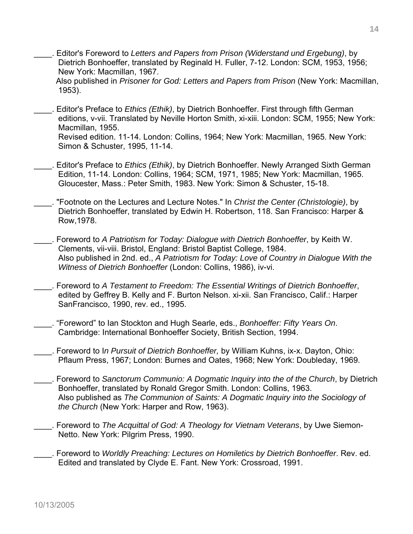\_\_\_\_. Editor's Foreword to *Letters and Papers from Prison (Widerstand und Ergebung)*, by Dietrich Bonhoeffer, translated by Reginald H. Fuller, 7-12. London: SCM, 1953, 1956; New York: Macmillan, 1967.

Also published in *Prisoner for God: Letters and Papers from Prison* (New York: Macmillan, 1953).

\_\_\_\_. Editor's Preface to *Ethics (Ethik)*, by Dietrich Bonhoeffer. First through fifth German editions, v-vii. Translated by Neville Horton Smith, xi-xiii. London: SCM, 1955; New York: Macmillan, 1955. Revised edition. 11-14. London: Collins, 1964; New York: Macmillan, 1965. New York:

Simon & Schuster, 1995, 11-14.

- \_\_\_\_. Editor's Preface to *Ethics (Ethik)*, by Dietrich Bonhoeffer. Newly Arranged Sixth German Edition, 11-14. London: Collins, 1964; SCM, 1971, 1985; New York: Macmillan, 1965. Gloucester, Mass.: Peter Smith, 1983. New York: Simon & Schuster, 15-18.
- \_\_\_\_. "Footnote on the Lectures and Lecture Notes." In *Christ the Center (Christologie)*, by Dietrich Bonhoeffer, translated by Edwin H. Robertson, 118. San Francisco: Harper & Row,1978.
- \_\_\_\_. Foreword to *A Patriotism for Today: Dialogue with Dietrich Bonhoeffer*, by Keith W. Clements, vii-viii. Bristol, England: Bristol Baptist College, 1984. Also published in 2nd. ed., *A Patriotism for Today: Love of Country in Dialogue With the Witness of Dietrich Bonhoeffer* (London: Collins, 1986), iv-vi.
- \_\_\_\_. Foreword to *A Testament to Freedom: The Essential Writings of Dietrich Bonhoeffer*, edited by Geffrey B. Kelly and F. Burton Nelson. xi-xii. San Francisco, Calif.: Harper SanFrancisco, 1990, rev. ed., 1995.
- \_\_\_\_. "Foreword" to Ian Stockton and Hugh Searle, eds., *Bonhoeffer: Fifty Years On*. Cambridge: International Bonhoeffer Society, British Section, 1994.
- \_\_\_\_. Foreword to I*n Pursuit of Dietrich Bonhoeffer,* by William Kuhns, ix-x. Dayton, Ohio: Pflaum Press, 1967; London: Burnes and Oates, 1968; New York: Doubleday, 1969.
- \_\_\_\_. Foreword to *Sanctorum Communio: A Dogmatic Inquiry into the of the Church*, by Dietrich Bonhoeffer, translated by Ronald Gregor Smith. London: Collins, 1963. Also published as *The Communion of Saints: A Dogmatic Inquiry into the Sociology of the Church* (New York: Harper and Row, 1963).
- \_\_\_\_. Foreword to *The Acquittal of God: A Theology for Vietnam Veterans*, by Uwe Siemon-Netto. New York: Pilgrim Press, 1990.
- \_\_\_\_. Foreword to *Worldly Preaching: Lectures on Homiletics by Dietrich Bonhoeffer*. Rev. ed. Edited and translated by Clyde E. Fant. New York: Crossroad, 1991.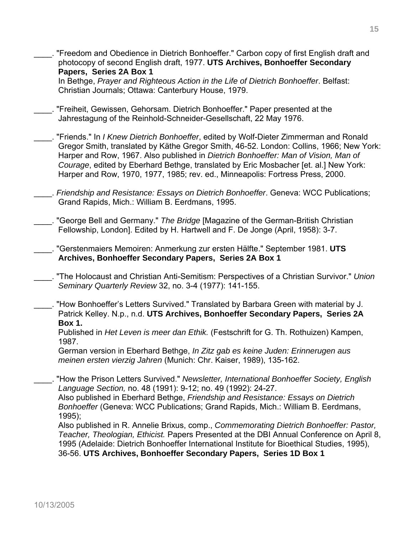"Freedom and Obedience in Dietrich Bonhoeffer." Carbon copy of first English draft and photocopy of second English draft, 1977. **UTS Archives, Bonhoeffer Secondary Papers, Series 2A Box 1**

 In Bethge, *Prayer and Righteous Action in the Life of Dietrich Bonhoeffer*. Belfast: Christian Journals; Ottawa: Canterbury House, 1979.

- \_\_\_\_. "Freiheit, Gewissen, Gehorsam. Dietrich Bonhoeffer." Paper presented at the Jahrestagung of the Reinhold-Schneider-Gesellschaft, 22 May 1976.
- \_\_\_\_. "Friends." In *I Knew Dietrich Bonhoeffer*, edited by Wolf-Dieter Zimmerman and Ronald Gregor Smith, translated by Käthe Gregor Smith, 46-52. London: Collins, 1966; New York: Harper and Row, 1967. Also published in *Dietrich Bonhoeffer: Man of Vision, Man of Courage*, edited by Eberhard Bethge, translated by Eric Mosbacher [et. al.] New York: Harper and Row, 1970, 1977, 1985; rev. ed., Minneapolis: Fortress Press, 2000.
- \_\_\_\_. *Friendship and Resistance: Essays on Dietrich Bonhoeffer*. Geneva: WCC Publications; Grand Rapids, Mich.: William B. Eerdmans, 1995.

\_\_\_\_. "George Bell and Germany." *The Bridge* [Magazine of the German-British Christian Fellowship, London]. Edited by H. Hartwell and F. De Jonge (April, 1958): 3-7.

- \_\_\_\_. "Gerstenmaiers Memoiren: Anmerkung zur ersten Hälfte." September 1981. **UTS Archives, Bonhoeffer Secondary Papers, Series 2A Box 1**
- \_\_\_\_. "The Holocaust and Christian Anti-Semitism: Perspectives of a Christian Survivor." *Union Seminary Quarterly Review* 32, no. 3-4 (1977): 141-155.
- \_\_\_\_. "How Bonhoeffer's Letters Survived." Translated by Barbara Green with material by J. Patrick Kelley. N.p., n.d. **UTS Archives, Bonhoeffer Secondary Papers, Series 2A Box 1.**

 Published in *Het Leven is meer dan Ethik.* (Festschrift for G. Th. Rothuizen) Kampen, 1987.

German version in Eberhard Bethge, *In Zitz gab es keine Juden: Erinnerugen aus meinen ersten vierzig Jahren* (Munich: Chr. Kaiser, 1989), 135-162.

\_\_\_\_. "How the Prison Letters Survived." *Newsletter, International Bonhoeffer Society, English Language Section,* no. 48 (1991): 9-12; no. 49 (1992): 24-27. Also published in Eberhard Bethge, *Friendship and Resistance: Essays on Dietrich Bonhoeffer* (Geneva: WCC Publications; Grand Rapids, Mich.: William B. Eerdmans, 1995); Also published in R. Annelie Brixus, comp., *Commemorating Dietrich Bonhoeffer: Pastor,* 

*Teacher, Theologian, Ethicist.* Papers Presented at the DBI Annual Conference on April 8, 1995 (Adelaide: Dietrich Bonhoeffer International Institute for Bioethical Studies, 1995), 36-56. **UTS Archives, Bonhoeffer Secondary Papers, Series 1D Box 1**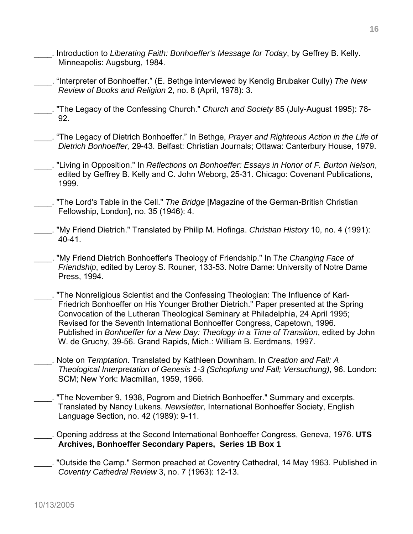- \_\_\_\_. Introduction to *Liberating Faith: Bonhoeffer's Message for Today*, by Geffrey B. Kelly. Minneapolis: Augsburg, 1984.
- \_\_\_\_. "Interpreter of Bonhoeffer." (E. Bethge interviewed by Kendig Brubaker Cully) *The New Review of Books and Religion* 2, no. 8 (April, 1978): 3.
- \_\_\_\_. "The Legacy of the Confessing Church." *Church and Society* 85 (July-August 1995): 78- 92.
- \_\_\_\_. "The Legacy of Dietrich Bonhoeffer." In Bethge, *Prayer and Righteous Action in the Life of Dietrich Bonhoeffer,* 29-43. Belfast: Christian Journals; Ottawa: Canterbury House, 1979.
- \_\_\_\_. "Living in Opposition." In *Reflections on Bonhoeffer: Essays in Honor of F. Burton Nelson*, edited by Geffrey B. Kelly and C. John Weborg, 25-31. Chicago: Covenant Publications, 1999.
- \_\_\_\_. "The Lord's Table in the Cell." *The Bridge* [Magazine of the German-British Christian Fellowship, London], no. 35 (1946): 4.
- \_\_\_\_. "My Friend Dietrich." Translated by Philip M. Hofinga. *Christian History* 10, no. 4 (1991): 40-41.
- \_\_\_\_. "My Friend Dietrich Bonhoeffer's Theology of Friendship." In T*he Changing Face of Friendship*, edited by Leroy S. Rouner, 133-53. Notre Dame: University of Notre Dame Press, 1994.
- \_\_\_\_. "The Nonreligious Scientist and the Confessing Theologian: The Influence of Karl-Friedrich Bonhoeffer on His Younger Brother Dietrich." Paper presented at the Spring Convocation of the Lutheran Theological Seminary at Philadelphia, 24 April 1995; Revised for the Seventh International Bonhoeffer Congress, Capetown, 1996. Published in *Bonhoeffer for a New Day: Theology in a Time of Transition*, edited by John W. de Gruchy, 39-56. Grand Rapids, Mich.: William B. Eerdmans, 1997.
- \_\_\_\_. Note on *Temptation*. Translated by Kathleen Downham. In *Creation and Fall: A Theological Interpretation of Genesis 1-3 (Schopfung und Fall; Versuchung)*, 96. London: SCM; New York: Macmillan, 1959, 1966.
- \_\_\_\_. "The November 9, 1938, Pogrom and Dietrich Bonhoeffer." Summary and excerpts. Translated by Nancy Lukens. *Newsletter,* International Bonhoeffer Society, English Language Section, no. 42 (1989): 9-11.
- \_\_\_\_. Opening address at the Second International Bonhoeffer Congress, Geneva, 1976. **UTS Archives, Bonhoeffer Secondary Papers, Series 1B Box 1**

\_\_\_\_. "Outside the Camp." Sermon preached at Coventry Cathedral, 14 May 1963. Published in *Coventry Cathedral Review* 3, no. 7 (1963): 12-13.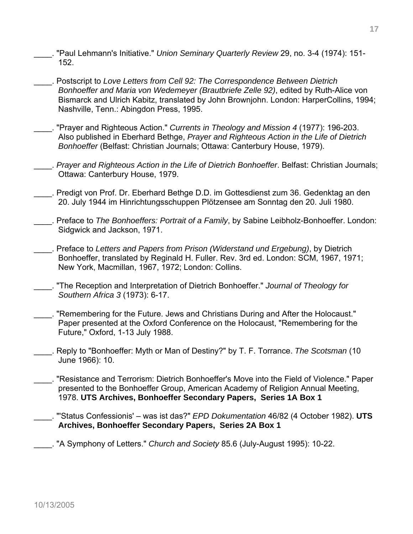- \_\_\_\_. "Paul Lehmann's Initiative." *Union Seminary Quarterly Review* 29, no. 3-4 (1974): 151- 152.
- \_\_\_\_. Postscript to *Love Letters from Cell 92: The Correspondence Between Dietrich Bonhoeffer and Maria von Wedemeyer (Brautbriefe Zelle 92)*, edited by Ruth-Alice von Bismarck and Ulrich Kabitz, translated by John Brownjohn. London: HarperCollins, 1994; Nashville, Tenn.: Abingdon Press, 1995.
- \_\_\_\_. "Prayer and Righteous Action." *Currents in Theology and Mission 4* (1977): 196-203. Also published in Eberhard Bethge, *Prayer and Righteous Action in the Life of Dietrich Bonhoeffer* (Belfast: Christian Journals; Ottawa: Canterbury House, 1979).
	- \_\_\_\_. *Prayer and Righteous Action in the Life of Dietrich Bonhoeffer*. Belfast: Christian Journals; Ottawa: Canterbury House, 1979.
- \_\_\_\_. Predigt von Prof. Dr. Eberhard Bethge D.D. im Gottesdienst zum 36. Gedenktag an den 20. July 1944 im Hinrichtungsschuppen Plötzensee am Sonntag den 20. Juli 1980.
- \_\_\_\_. Preface to *The Bonhoeffers: Portrait of a Family*, by Sabine Leibholz-Bonhoeffer. London: Sidgwick and Jackson, 1971.
- \_\_\_\_. Preface to *Letters and Papers from Prison (Widerstand und Ergebung)*, by Dietrich Bonhoeffer, translated by Reginald H. Fuller. Rev. 3rd ed. London: SCM, 1967, 1971; New York, Macmillan, 1967, 1972; London: Collins.
- \_\_\_\_. "The Reception and Interpretation of Dietrich Bonhoeffer." *Journal of Theology for Southern Africa 3* (1973): 6-17.
- \_\_\_\_. "Remembering for the Future. Jews and Christians During and After the Holocaust." Paper presented at the Oxford Conference on the Holocaust, "Remembering for the Future," Oxford, 1-13 July 1988.
- \_\_\_\_. Reply to "Bonhoeffer: Myth or Man of Destiny?" by T. F. Torrance. *The Scotsman* (10 June 1966): 10.
- \_\_\_\_. "Resistance and Terrorism: Dietrich Bonhoeffer's Move into the Field of Violence." Paper presented to the Bonhoeffer Group, American Academy of Religion Annual Meeting, 1978. **UTS Archives, Bonhoeffer Secondary Papers, Series 1A Box 1**
- \_\_\_\_. "'Status Confessionis' was ist das?" *EPD Dokumentation* 46/82 (4 October 1982). **UTS Archives, Bonhoeffer Secondary Papers, Series 2A Box 1**
- \_\_\_\_. "A Symphony of Letters." *Church and Society* 85.6 (July-August 1995): 10-22.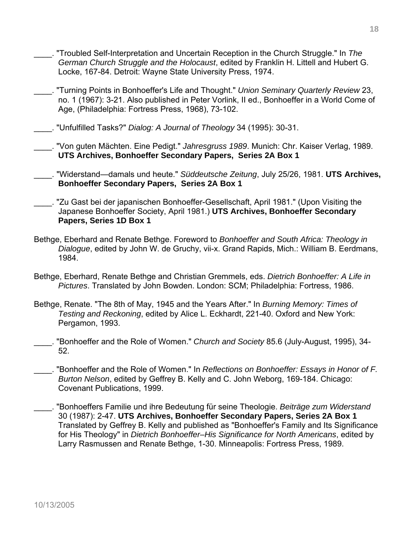- \_\_\_\_. "Troubled Self-Interpretation and Uncertain Reception in the Church Struggle." In *The German Church Struggle and the Holocaust*, edited by Franklin H. Littell and Hubert G. Locke, 167-84. Detroit: Wayne State University Press, 1974.
- \_\_\_\_. "Turning Points in Bonhoeffer's Life and Thought." *Union Seminary Quarterly Review* 23, no. 1 (1967): 3-21. Also published in Peter Vorlink, II ed., Bonhoeffer in a World Come of Age, (Philadelphia: Fortress Press, 1968), 73-102.
- \_\_\_\_. "Unfulfilled Tasks?" *Dialog: A Journal of Theology* 34 (1995): 30-31.

\_\_\_\_. "Von guten Mächten. Eine Pedigt." *Jahresgruss 1989*. Munich: Chr. Kaiser Verlag, 1989. **UTS Archives, Bonhoeffer Secondary Papers, Series 2A Box 1** 

\_\_\_\_. "Widerstand—damals und heute." *Süddeutsche Zeitung*, July 25/26, 1981. **UTS Archives, Bonhoeffer Secondary Papers, Series 2A Box 1** 

\_\_\_\_. "Zu Gast bei der japanischen Bonhoeffer-Gesellschaft, April 1981." (Upon Visiting the Japanese Bonhoeffer Society, April 1981.) **UTS Archives, Bonhoeffer Secondary Papers, Series 1D Box 1** 

- Bethge, Eberhard and Renate Bethge. Foreword to *Bonhoeffer and South Africa: Theology in Dialogue*, edited by John W. de Gruchy, vii-x. Grand Rapids, Mich.: William B. Eerdmans, 1984.
- Bethge, Eberhard, Renate Bethge and Christian Gremmels, eds. *Dietrich Bonhoeffer: A Life in Pictures*. Translated by John Bowden. London: SCM; Philadelphia: Fortress, 1986.
- Bethge, Renate. "The 8th of May, 1945 and the Years After." In *Burning Memory: Times of Testing and Reckoning*, edited by Alice L. Eckhardt, 221-40. Oxford and New York: Pergamon, 1993.
- \_\_\_\_. "Bonhoeffer and the Role of Women." *Church and Society* 85.6 (July-August, 1995), 34- 52.
- \_\_\_\_. "Bonhoeffer and the Role of Women." In *Reflections on Bonhoeffer: Essays in Honor of F. Burton Nelson*, edited by Geffrey B. Kelly and C. John Weborg, 169-184. Chicago: Covenant Publications, 1999.
- \_\_\_\_. "Bonhoeffers Familie und ihre Bedeutung für seine Theologie. *Beiträge zum Widerstand* 30 (1987): 2-47. **UTS Archives, Bonhoeffer Secondary Papers, Series 2A Box 1**  Translated by Geffrey B. Kelly and published as "Bonhoeffer's Family and Its Significance for His Theology" in *Dietrich Bonhoeffer–His Significance for North Americans*, edited by Larry Rasmussen and Renate Bethge, 1-30. Minneapolis: Fortress Press, 1989.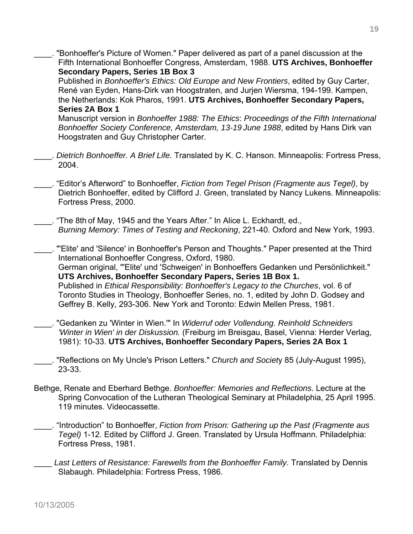- "Bonhoeffer's Picture of Women." Paper delivered as part of a panel discussion at the Fifth International Bonhoeffer Congress, Amsterdam, 1988. **UTS Archives, Bonhoeffer Secondary Papers, Series 1B Box 3** Published in *Bonhoeffer's Ethics: Old Europe and New Frontiers*, edited by Guy Carter, René van Eyden, Hans-Dirk van Hoogstraten, and Jurjen Wiersma, 194-199. Kampen, the Netherlands: Kok Pharos, 1991. **UTS Archives, Bonhoeffer Secondary Papers, Series 2A Box 1**  Manuscript version in *Bonhoeffer 1988: The Ethics*: *Proceedings of the Fifth International Bonhoeffer Society Conference, Amsterdam, 13-19 June 1988*, edited by Hans Dirk van Hoogstraten and Guy Christopher Carter. \_\_\_\_. *Dietrich Bonhoeffer. A Brief Life.* Translated by K. C. Hanson. Minneapolis: Fortress Press, 2004. \_\_\_\_. "Editor's Afterword" to Bonhoeffer, *Fiction from Tegel Prison (Fragmente aus Tegel)*, by Dietrich Bonhoeffer, edited by Clifford J. Green, translated by Nancy Lukens. Minneapolis: Fortress Press, 2000. \_\_\_\_. "The 8th of May, 1945 and the Years After." In Alice L. Eckhardt, ed., *Burning Memory: Times of Testing and Reckoning*, 221-40. Oxford and New York, 1993. \_\_\_\_. "'Elite' and 'Silence' in Bonhoeffer's Person and Thoughts." Paper presented at the Third International Bonhoeffer Congress, Oxford, 1980. German original, "'Elite' und 'Schweigen' in Bonhoeffers Gedanken und Persönlichkeit." **UTS Archives, Bonhoeffer Secondary Papers, Series 1B Box 1.** Published in *Ethical Responsibility: Bonhoeffer's Legacy to the Churches*, vol. 6 of Toronto Studies in Theology, Bonhoeffer Series, no. 1, edited by John D. Godsey and Geffrey B. Kelly, 293-306. New York and Toronto: Edwin Mellen Press, 1981. \_\_\_\_. "Gedanken zu 'Winter in Wien.'" In *Widerruf oder Vollendung. Reinhold Schneiders 'Winter in Wien' in der Diskussion.* (Freiburg im Breisgau, Basel, Vienna: Herder Verlag, 1981): 10-33. **UTS Archives, Bonhoeffer Secondary Papers, Series 2A Box 1** \_\_\_\_. "Reflections on My Uncle's Prison Letters." *Church and Societ*y 85 (July-August 1995), 23-33. Bethge, Renate and Eberhard Bethge. *Bonhoeffer: Memories and Reflections*. Lecture at the Spring Convocation of the Lutheran Theological Seminary at Philadelphia, 25 April 1995. 119 minutes. Videocassette. \_\_\_\_. "Introduction" to Bonhoeffer, *Fiction from Prison: Gathering up the Past (Fragmente aus Tegel)* 1-12. Edited by Clifford J. Green. Translated by Ursula Hoffmann. Philadelphia: Fortress Press, 1981.
	- Last Letters of Resistance: Farewells from the Bonhoeffer Family. Translated by Dennis Slabaugh. Philadelphia: Fortress Press, 1986.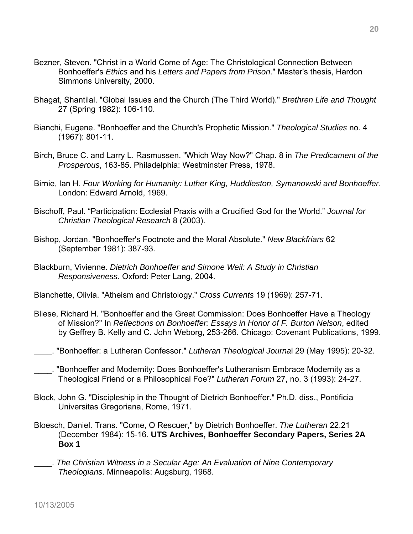- Bezner, Steven. "Christ in a World Come of Age: The Christological Connection Between Bonhoeffer's *Ethics* and his *Letters and Papers from Prison*." Master's thesis, Hardon Simmons University, 2000.
- Bhagat, Shantilal. "Global Issues and the Church (The Third World)." *Brethren Life and Thought*  27 (Spring 1982): 106-110.
- Bianchi, Eugene. "Bonhoeffer and the Church's Prophetic Mission." *Theological Studies* no. 4 (1967): 801-11.
- Birch, Bruce C. and Larry L. Rasmussen. "Which Way Now?" Chap. 8 in *The Predicament of the Prosperous*, 163-85. Philadelphia: Westminster Press, 1978.
- Birnie, Ian H. *Four Working for Humanity: Luther King, Huddleston, Symanowski and Bonhoeffer*. London: Edward Arnold, 1969.
- Bischoff, Paul. "Participation: Ecclesial Praxis with a Crucified God for the World." *Journal for Christian Theological Research* 8 (2003).
- Bishop, Jordan. "Bonhoeffer's Footnote and the Moral Absolute." *New Blackfriars* 62 (September 1981): 387-93.
- Blackburn, Vivienne. *Dietrich Bonhoeffer and Simone Weil: A Study in Christian Responsiveness.* Oxford: Peter Lang, 2004.
- Blanchette, Olivia. "Atheism and Christology." *Cross Currents* 19 (1969): 257-71.
- Bliese, Richard H. "Bonhoeffer and the Great Commission: Does Bonhoeffer Have a Theology of Mission?" In *Reflections on Bonhoeffer: Essays in Honor of F. Burton Nelson*, edited by Geffrey B. Kelly and C. John Weborg, 253-266. Chicago: Covenant Publications, 1999.
- \_\_\_\_. "Bonhoeffer: a Lutheran Confessor." *Lutheran Theological Journa*l 29 (May 1995): 20-32.
- \_\_\_\_. "Bonhoeffer and Modernity: Does Bonhoeffer's Lutheranism Embrace Modernity as a Theological Friend or a Philosophical Foe?" *Lutheran Forum* 27, no. 3 (1993): 24-27.
- Block, John G. "Discipleship in the Thought of Dietrich Bonhoeffer." Ph.D. diss., Pontificia Universitas Gregoriana, Rome, 1971.
- Bloesch, Daniel. Trans. "Come, O Rescuer," by Dietrich Bonhoeffer. *The Lutheran* 22.21 (December 1984): 15-16. **UTS Archives, Bonhoeffer Secondary Papers, Series 2A Box 1**
- \_\_\_\_. *The Christian Witness in a Secular Age: An Evaluation of Nine Contemporary Theologians*. Minneapolis: Augsburg, 1968.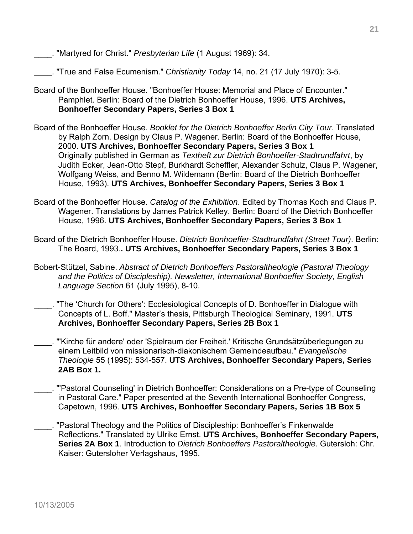\_\_\_\_. "Martyred for Christ." *Presbyterian Life* (1 August 1969): 34.

\_\_\_\_. "True and False Ecumenism." *Christianity Today* 14, no. 21 (17 July 1970): 3-5.

- Board of the Bonhoeffer House. "Bonhoeffer House: Memorial and Place of Encounter." Pamphlet. Berlin: Board of the Dietrich Bonhoeffer House, 1996. **UTS Archives, Bonhoeffer Secondary Papers, Series 3 Box 1**
- Board of the Bonhoeffer House. *Booklet for the Dietrich Bonhoeffer Berlin City Tour*. Translated by Ralph Zorn. Design by Claus P. Wagener. Berlin: Board of the Bonhoeffer House, 2000. **UTS Archives, Bonhoeffer Secondary Papers, Series 3 Box 1**  Originally published in German as *Textheft zur Dietrich Bonhoeffer-Stadtrundfahrt*, by Judith Ecker, Jean-Otto Stepf, Burkhardt Scheffler, Alexander Schulz, Claus P. Wagener, Wolfgang Weiss, and Benno M. Wildemann (Berlin: Board of the Dietrich Bonhoeffer House, 1993). **UTS Archives, Bonhoeffer Secondary Papers, Series 3 Box 1**
- Board of the Bonhoeffer House. *Catalog of the Exhibition*. Edited by Thomas Koch and Claus P. Wagener. Translations by James Patrick Kelley. Berlin: Board of the Dietrich Bonhoeffer House, 1996. **UTS Archives, Bonhoeffer Secondary Papers, Series 3 Box 1**
- Board of the Dietrich Bonhoeffer House. *Dietrich Bonhoeffer-Stadtrundfahrt (Street Tour)*. Berlin: The Board, 1993.**. UTS Archives, Bonhoeffer Secondary Papers, Series 3 Box 1**
- Bobert-Stützel, Sabine. *Abstract of Dietrich Bonhoeffers Pastoraltheologie (Pastoral Theology and the Politics of Discipleship). Newsletter, International Bonhoeffer Society, English Language Section* 61 (July 1995), 8-10.
- \_\_\_\_. "The 'Church for Others': Ecclesiological Concepts of D. Bonhoeffer in Dialogue with Concepts of L. Boff." Master's thesis, Pittsburgh Theological Seminary, 1991. **UTS Archives, Bonhoeffer Secondary Papers, Series 2B Box 1**
- \_\_\_\_. "'Kirche für andere' oder 'Spielraum der Freiheit.' Kritische Grundsätzüberlegungen zu einem Leitbild von missionarisch-diakonischem Gemeindeaufbau." *Evangelische Theologie* 55 (1995): 534-557. **UTS Archives, Bonhoeffer Secondary Papers, Series 2AB Box 1.**
- \_\_\_\_. "'Pastoral Counseling' in Dietrich Bonhoeffer: Considerations on a Pre-type of Counseling in Pastoral Care." Paper presented at the Seventh International Bonhoeffer Congress, Capetown, 1996. **UTS Archives, Bonhoeffer Secondary Papers, Series 1B Box 5**
- \_\_\_\_. "Pastoral Theology and the Politics of Discipleship: Bonhoeffer's Finkenwalde Reflections." Translated by Ulrike Ernst. **UTS Archives, Bonhoeffer Secondary Papers, Series 2A Box 1**. Introduction to *Dietrich Bonhoeffers Pastoraltheologie*. Gutersloh: Chr. Kaiser: Gutersloher Verlagshaus, 1995.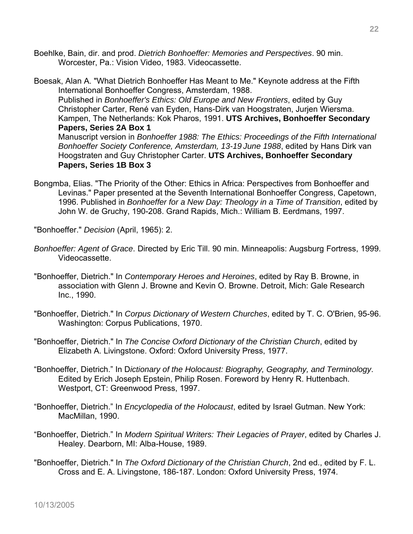Boehlke, Bain, dir. and prod. *Dietrich Bonhoeffer: Memories and Perspectives*. 90 min. Worcester, Pa.: Vision Video, 1983. Videocassette.

- Boesak, Alan A. "What Dietrich Bonhoeffer Has Meant to Me." Keynote address at the Fifth International Bonhoeffer Congress, Amsterdam, 1988. Published in *Bonhoeffer's Ethics: Old Europe and New Frontiers*, edited by Guy Christopher Carter, René van Eyden, Hans-Dirk van Hoogstraten, Jurjen Wiersma. Kampen, The Netherlands: Kok Pharos, 1991. **UTS Archives, Bonhoeffer Secondary Papers, Series 2A Box 1**  Manuscript version in *Bonhoeffer 1988: The Ethics: Proceedings of the Fifth International Bonhoeffer Society Conference, Amsterdam, 13-19 June 1988*, edited by Hans Dirk van Hoogstraten and Guy Christopher Carter. **UTS Archives, Bonhoeffer Secondary Papers, Series 1B Box 3**
- Bongmba, Elias. "The Priority of the Other: Ethics in Africa: Perspectives from Bonhoeffer and Levinas." Paper presented at the Seventh International Bonhoeffer Congress, Capetown, 1996. Published in *Bonhoeffer for a New Day: Theology in a Time of Transition*, edited by John W. de Gruchy, 190-208. Grand Rapids, Mich.: William B. Eerdmans, 1997.
- "Bonhoeffer." *Decision* (April, 1965): 2.
- *Bonhoeffer: Agent of Grace*. Directed by Eric Till. 90 min. Minneapolis: Augsburg Fortress, 1999. Videocassette.
- "Bonhoeffer, Dietrich." In *Contemporary Heroes and Heroines*, edited by Ray B. Browne, in association with Glenn J. Browne and Kevin O. Browne. Detroit, Mich: Gale Research Inc., 1990.
- "Bonhoeffer, Dietrich." In *Corpus Dictionary of Western Churches*, edited by T. C. O'Brien, 95-96. Washington: Corpus Publications, 1970.
- "Bonhoeffer, Dietrich." In *The Concise Oxford Dictionary of the Christian Church*, edited by Elizabeth A. Livingstone. Oxford: Oxford University Press, 1977.
- "Bonhoeffer, Dietrich." In D*ictionary of the Holocaust: Biography, Geography, and Terminology*. Edited by Erich Joseph Epstein, Philip Rosen. Foreword by Henry R. Huttenbach. Westport, CT: Greenwood Press, 1997.
- "Bonhoeffer, Dietrich." In *Encyclopedia of the Holocaust*, edited by Israel Gutman. New York: MacMillan, 1990.
- "Bonhoeffer, Dietrich." In *Modern Spiritual Writers: Their Legacies of Prayer*, edited by Charles J. Healey. Dearborn, MI: Alba-House, 1989.
- "Bonhoeffer, Dietrich." In *The Oxford Dictionary of the Christian Church*, 2nd ed., edited by F. L. Cross and E. A. Livingstone, 186-187. London: Oxford University Press, 1974.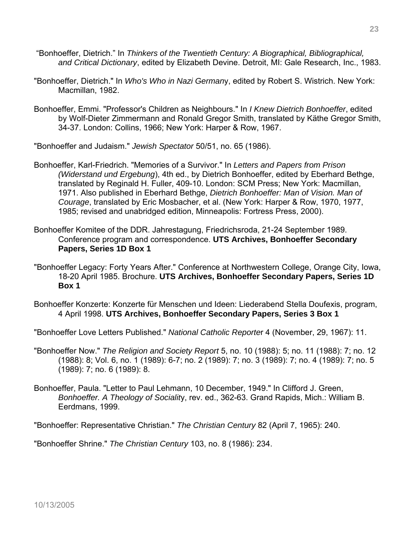- "Bonhoeffer, Dietrich." In *Thinkers of the Twentieth Century: A Biographical, Bibliographical, and Critical Dictionary*, edited by Elizabeth Devine. Detroit, MI: Gale Research, Inc., 1983.
- "Bonhoeffer, Dietrich." In *Who's Who in Nazi German*y, edited by Robert S. Wistrich. New York: Macmillan, 1982.
- Bonhoeffer, Emmi. "Professor's Children as Neighbours." In *I Knew Dietrich Bonhoeffer*, edited by Wolf-Dieter Zimmermann and Ronald Gregor Smith, translated by Käthe Gregor Smith, 34-37. London: Collins, 1966; New York: Harper & Row, 1967.

"Bonhoeffer and Judaism." *Jewish Spectator* 50/51, no. 65 (1986).

- Bonhoeffer, Karl-Friedrich. "Memories of a Survivor." In *Letters and Papers from Prison (Widerstand und Ergebung*), 4th ed., by Dietrich Bonhoeffer, edited by Eberhard Bethge, translated by Reginald H. Fuller, 409-10. London: SCM Press; New York: Macmillan, 1971. Also published in Eberhard Bethge, *Dietrich Bonhoeffer: Man of Vision. Man of Courage*, translated by Eric Mosbacher, et al. (New York: Harper & Row, 1970, 1977, 1985; revised and unabridged edition, Minneapolis: Fortress Press, 2000).
- Bonhoeffer Komitee of the DDR. Jahrestagung, Friedrichsroda, 21-24 September 1989. Conference program and correspondence. **UTS Archives, Bonhoeffer Secondary Papers, Series 1D Box 1**
- "Bonhoeffer Legacy: Forty Years After." Conference at Northwestern College, Orange City, Iowa, 18-20 April 1985. Brochure. **UTS Archives, Bonhoeffer Secondary Papers, Series 1D Box 1**
- Bonhoeffer Konzerte: Konzerte für Menschen und Ideen: Liederabend Stella Doufexis, program, 4 April 1998. **UTS Archives, Bonhoeffer Secondary Papers, Series 3 Box 1**
- "Bonhoeffer Love Letters Published." *National Catholic Reporte*r 4 (November, 29, 1967): 11.
- "Bonhoeffer Now." *The Religion and Society Report* 5, no. 10 (1988): 5; no. 11 (1988): 7; no. 12 (1988): 8; Vol. 6, no. 1 (1989): 6-7; no. 2 (1989): 7; no. 3 (1989): 7; no. 4 (1989): 7; no. 5 (1989): 7; no. 6 (1989): 8.
- Bonhoeffer, Paula. "Letter to Paul Lehmann, 10 December, 1949." In Clifford J. Green, *Bonhoeffer. A Theology of Socialit*y, rev. ed., 362-63. Grand Rapids, Mich.: William B. Eerdmans, 1999.

"Bonhoeffer: Representative Christian." *The Christian Century* 82 (April 7, 1965): 240.

"Bonhoeffer Shrine." *The Christian Century* 103, no. 8 (1986): 234.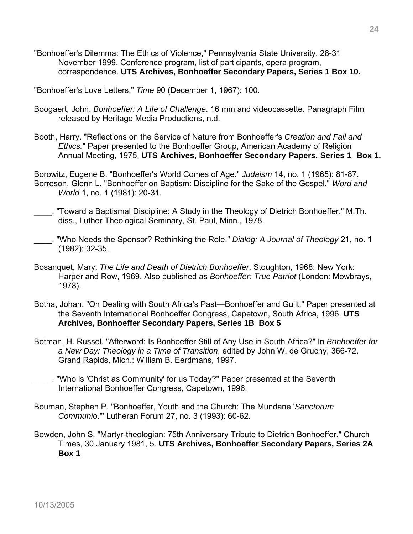"Bonhoeffer's Dilemma: The Ethics of Violence," Pennsylvania State University, 28-31 November 1999. Conference program, list of participants, opera program, correspondence. **UTS Archives, Bonhoeffer Secondary Papers, Series 1 Box 10.** 

"Bonhoeffer's Love Letters." *Time* 90 (December 1, 1967): 100.

- Boogaert, John. *Bonhoeffer: A Life of Challenge*. 16 mm and videocassette. Panagraph Film released by Heritage Media Productions, n.d.
- Booth, Harry. "Reflections on the Service of Nature from Bonhoeffer's *Creation and Fall and Ethics.*" Paper presented to the Bonhoeffer Group, American Academy of Religion Annual Meeting, 1975. **UTS Archives, Bonhoeffer Secondary Papers, Series 1 Box 1.**

Borowitz, Eugene B. "Bonhoeffer's World Comes of Age." *Judaism* 14, no. 1 (1965): 81-87. Borreson, Glenn L. "Bonhoeffer on Baptism: Discipline for the Sake of the Gospel." *Word and World* 1, no. 1 (1981): 20-31.

- \_\_\_\_. "Toward a Baptismal Discipline: A Study in the Theology of Dietrich Bonhoeffer." M.Th. diss., Luther Theological Seminary, St. Paul, Minn., 1978.
- \_\_\_\_. "Who Needs the Sponsor? Rethinking the Role." *Dialog: A Journal of Theology* 21, no. 1 (1982): 32-35.
- Bosanquet, Mary. *The Life and Death of Dietrich Bonhoeffer*. Stoughton, 1968; New York: Harper and Row, 1969. Also published as *Bonhoeffer: True Patriot* (London: Mowbrays, 1978).
- Botha, Johan. "On Dealing with South Africa's Past—Bonhoeffer and Guilt." Paper presented at the Seventh International Bonhoeffer Congress, Capetown, South Africa, 1996. **UTS Archives, Bonhoeffer Secondary Papers, Series 1B Box 5**
- Botman, H. Russel. "Afterword: Is Bonhoeffer Still of Any Use in South Africa?" In *Bonhoeffer for a New Day: Theology in a Time of Transition*, edited by John W. de Gruchy, 366-72. Grand Rapids, Mich.: William B. Eerdmans, 1997.
	- \_\_\_\_. "Who is 'Christ as Community' for us Today?" Paper presented at the Seventh International Bonhoeffer Congress, Capetown, 1996.
- Bouman, Stephen P. "Bonhoeffer, Youth and the Church: The Mundane '*Sanctorum Communio*.'" Lutheran Forum 27, no. 3 (1993): 60-62.
- Bowden, John S. "Martyr-theologian: 75th Anniversary Tribute to Dietrich Bonhoeffer." Church Times, 30 January 1981, 5. **UTS Archives, Bonhoeffer Secondary Papers, Series 2A Box 1**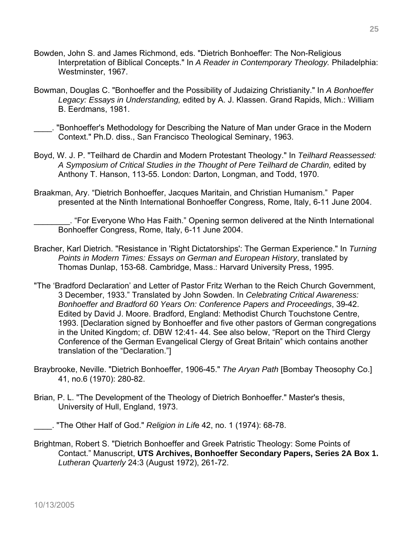- Bowden, John S. and James Richmond, eds. "Dietrich Bonhoeffer: The Non-Religious Interpretation of Biblical Concepts." In *A Reader in Contemporary Theology.* Philadelphia: Westminster, 1967.
- Bowman, Douglas C. "Bonhoeffer and the Possibility of Judaizing Christianity." In *A Bonhoeffer Legacy: Essays in Understanding,* edited by A. J. Klassen. Grand Rapids, Mich.: William B. Eerdmans, 1981.
- \_\_\_\_. "Bonhoeffer's Methodology for Describing the Nature of Man under Grace in the Modern Context." Ph.D. diss., San Francisco Theological Seminary, 1963.
- Boyd, W. J. P. "Teilhard de Chardin and Modern Protestant Theology." In *Teilhard Reassessed: A Symposium of Critical Studies in the Thought of Pere Teilhard de Chardin,* edited by Anthony T. Hanson, 113-55. London: Darton, Longman, and Todd, 1970.
- Braakman, Ary. "Dietrich Bonhoeffer, Jacques Maritain, and Christian Humanism." Paper presented at the Ninth International Bonhoeffer Congress, Rome, Italy, 6-11 June 2004.

\_\_\_\_\_\_\_\_. "For Everyone Who Has Faith." Opening sermon delivered at the Ninth International Bonhoeffer Congress, Rome, Italy, 6-11 June 2004.

- Bracher, Karl Dietrich. "Resistance in 'Right Dictatorships': The German Experience." In *Turning Points in Modern Times: Essays on German and European History*, translated by Thomas Dunlap, 153-68. Cambridge, Mass.: Harvard University Press, 1995.
- "The 'Bradford Declaration' and Letter of Pastor Fritz Werhan to the Reich Church Government, 3 December, 1933." Translated by John Sowden. In *Celebrating Critical Awareness: Bonhoeffer and Bradford 60 Years On: Conference Papers and Proceedings*, 39-42. Edited by David J. Moore. Bradford, England: Methodist Church Touchstone Centre, 1993. [Declaration signed by Bonhoeffer and five other pastors of German congregations in the United Kingdom; cf. DBW 12:41- 44. See also below, "Report on the Third Clergy Conference of the German Evangelical Clergy of Great Britain" which contains another translation of the "Declaration."]
- Braybrooke, Neville. "Dietrich Bonhoeffer, 1906-45." *The Aryan Path* [Bombay Theosophy Co.] 41, no.6 (1970): 280-82.
- Brian, P. L. "The Development of the Theology of Dietrich Bonhoeffer." Master's thesis, University of Hull, England, 1973.
- \_\_\_\_. "The Other Half of God." *Religion in Lif*e 42, no. 1 (1974): 68-78.
- Brightman, Robert S. "Dietrich Bonhoeffer and Greek Patristic Theology: Some Points of Contact." Manuscript, **UTS Archives, Bonhoeffer Secondary Papers, Series 2A Box 1.** *Lutheran Quarterly* 24:3 (August 1972), 261-72.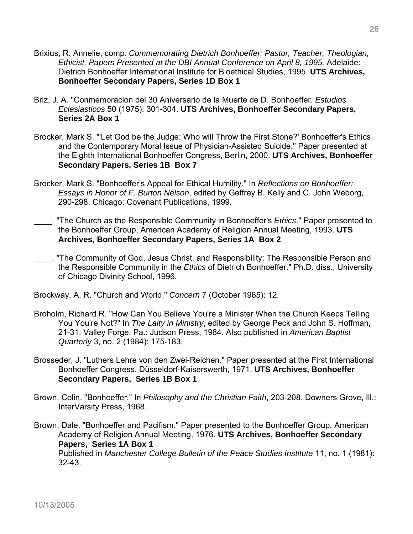- Brixius, R. Annelie, comp. *Commemorating Dietrich Bonhoeffer: Pastor, Teacher, Theologian, Ethicist. Papers Presented at the DBI Annual Conference on April 8, 1995.* Adelaide: Dietrich Bonhoeffer International Institute for Bioethical Studies, 1995. **UTS Archives, Bonhoeffer Secondary Papers, Series 1D Box 1**
- Briz, J. A. "Conmemoracion del 30 Aniversario de la Muerte de D. Bonhoeffer. *Estudios Eclesiasticos* 50 (1975): 301-304. **UTS Archives, Bonhoeffer Secondary Papers, Series 2A Box 1**
- Brocker, Mark S. "'Let God be the Judge: Who will Throw the First Stone?' Bonhoeffer's Ethics and the Contemporary Moral Issue of Physician-Assisted Suicide." Paper presented at the Eighth International Bonhoeffer Congress, Berlin, 2000. **UTS Archives, Bonhoeffer Secondary Papers, Series 1B Box 7**
- Brocker, Mark S. "Bonhoeffer's Appeal for Ethical Humility." In *Reflections on Bonhoeffer: Essays in Honor of F. Burton Nelson*, edited by Geffrey B. Kelly and C. John Weborg, 290-298. Chicago: Covenant Publications, 1999.
- \_\_\_\_. "The Church as the Responsible Community in Bonhoeffer's *Ethics*." Paper presented to the Bonhoeffer Group, American Academy of Religion Annual Meeting, 1993. **UTS Archives, Bonhoeffer Secondary Papers, Series 1A Box 2**
- The Community of God, Jesus Christ, and Responsibility: The Responsible Person and the Responsible Community in the *Ethics* of Dietrich Bonhoeffer." Ph.D. diss., University of Chicago Divinity School, 1996.
- Brockway, A. R. "Church and World." *Concern* 7 (October 1965): 12.
- Broholm, Richard R. "How Can You Believe You're a Minister When the Church Keeps Telling You You're Not?" In *The Laity in Ministry*, edited by George Peck and John S. Hoffman, 21-31. Valley Forge, Pa.: Judson Press, 1984. Also published in *American Baptist Quarterly* 3, no. 2 (1984): 175-183.
- Brosseder, J. "Luthers Lehre von den Zwei-Reichen." Paper presented at the First International Bonhoeffer Congress, Düsseldorf-Kaiserswerth, 1971. **UTS Archives, Bonhoeffer Secondary Papers, Series 1B Box 1**
- Brown, Colin. "Bonhoeffer." In *Philosophy and the Christian Faith*, 203-208. Downers Grove, Ill.: InterVarsity Press, 1968.
- Brown, Dale. "Bonhoeffer and Pacifism." Paper presented to the Bonhoeffer Group, American Academy of Religion Annual Meeting, 1976. **UTS Archives, Bonhoeffer Secondary Papers, Series 1A Box 1** Published in *Manchester College Bulletin of the Peace Studies Institute* 11, no. 1 (1981): 32-43.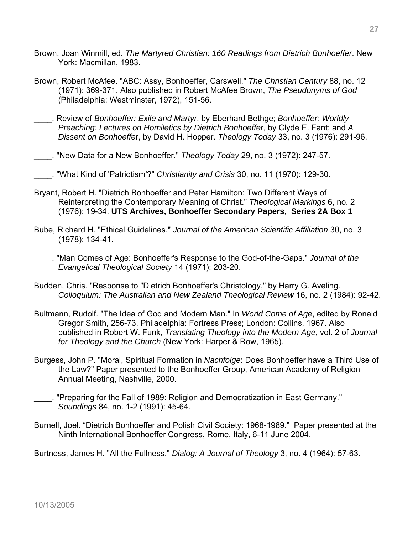- Brown, Joan Winmill, ed. *The Martyred Christian: 160 Readings from Dietrich Bonhoeffer*. New York: Macmillan, 1983.
- Brown, Robert McAfee. "ABC: Assy, Bonhoeffer, Carswell." *The Christian Century* 88, no. 12 (1971): 369-371. Also published in Robert McAfee Brown, *The Pseudonyms of God*  (Philadelphia: Westminster, 1972), 151-56.
- \_\_\_\_. Review of *Bonhoeffer: Exile and Martyr*, by Eberhard Bethge; *Bonhoeffer: Worldly Preaching: Lectures on Homiletics by Dietrich Bonhoeffer*, by Clyde E. Fant; and *A Dissent on Bonhoeffe*r, by David H. Hopper. *Theology Today* 33, no. 3 (1976): 291-96.
- \_\_\_\_. "New Data for a New Bonhoeffer." *Theology Today* 29, no. 3 (1972): 247-57.
	- \_\_\_\_. "What Kind of 'Patriotism'?" *Christianity and Crisis* 30, no. 11 (1970): 129-30.
- Bryant, Robert H. "Dietrich Bonhoeffer and Peter Hamilton: Two Different Ways of Reinterpreting the Contemporary Meaning of Christ." *Theological Markings* 6, no. 2 (1976): 19-34. **UTS Archives, Bonhoeffer Secondary Papers, Series 2A Box 1**
- Bube, Richard H. "Ethical Guidelines." *Journal of the American Scientific Affiliation* 30, no. 3 (1978): 134-41.
- \_\_\_\_. "Man Comes of Age: Bonhoeffer's Response to the God-of-the-Gaps." *Journal of the Evangelical Theological Society* 14 (1971): 203-20.
- Budden, Chris. "Response to "Dietrich Bonhoeffer's Christology," by Harry G. Aveling. *Colloquium: The Australian and New Zealand Theological Review* 16, no. 2 (1984): 92-42.
- Bultmann, Rudolf. "The Idea of God and Modern Man." In *World Come of Age*, edited by Ronald Gregor Smith, 256-73. Philadelphia: Fortress Press; London: Collins, 1967. Also published in Robert W. Funk, *Translating Theology into the Modern Age*, vol. 2 of *Journal for Theology and the Church* (New York: Harper & Row, 1965).
- Burgess, John P. "Moral, Spiritual Formation in *Nachfolge*: Does Bonhoeffer have a Third Use of the Law?" Paper presented to the Bonhoeffer Group, American Academy of Religion Annual Meeting, Nashville, 2000.
- \_\_\_\_. "Preparing for the Fall of 1989: Religion and Democratization in East Germany." *Soundings* 84, no. 1-2 (1991): 45-64.
- Burnell, Joel. "Dietrich Bonhoeffer and Polish Civil Society: 1968-1989." Paper presented at the Ninth International Bonhoeffer Congress, Rome, Italy, 6-11 June 2004.

Burtness, James H. "All the Fullness." *Dialog: A Journal of Theology* 3, no. 4 (1964): 57-63.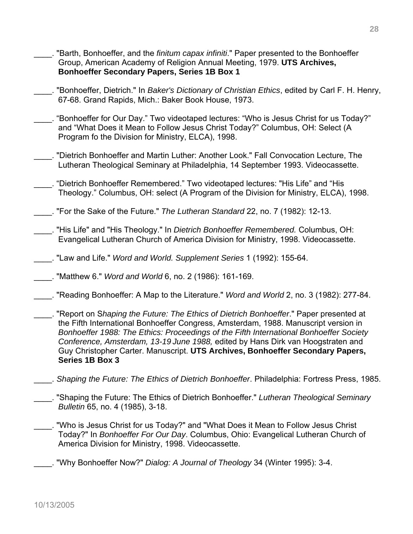- \_\_\_\_. "Barth, Bonhoeffer, and the *finitum capax infiniti*." Paper presented to the Bonhoeffer Group, American Academy of Religion Annual Meeting, 1979. **UTS Archives, Bonhoeffer Secondary Papers, Series 1B Box 1**
- \_\_\_\_. "Bonhoeffer, Dietrich." In *Baker's Dictionary of Christian Ethics*, edited by Carl F. H. Henry, 67-68. Grand Rapids, Mich.: Baker Book House, 1973.
- \_\_\_\_. "Bonhoeffer for Our Day." Two videotaped lectures: "Who is Jesus Christ for us Today?" and "What Does it Mean to Follow Jesus Christ Today?" Columbus, OH: Select (A Program fo the Division for Ministry, ELCA), 1998.
- \_\_\_\_. "Dietrich Bonhoeffer and Martin Luther: Another Look." Fall Convocation Lecture, The Lutheran Theological Seminary at Philadelphia, 14 September 1993. Videocassette.
- \_\_\_\_. "Dietrich Bonhoeffer Remembered." Two videotaped lectures: "His Life" and "His Theology." Columbus, OH: select (A Program of the Division for Ministry, ELCA), 1998.
- \_\_\_\_. "For the Sake of the Future." *The Lutheran Standard* 22, no. 7 (1982): 12-13.
- \_\_\_\_. "His Life" and "His Theology." In *Dietrich Bonhoeffer Remembered.* Columbus, OH: Evangelical Lutheran Church of America Division for Ministry, 1998. Videocassette.
- \_\_\_\_. "Law and Life." *Word and World. Supplement Series* 1 (1992): 155-64.

\_\_\_\_. "Matthew 6." *Word and World* 6, no. 2 (1986): 161-169.

- \_\_\_\_. "Reading Bonhoeffer: A Map to the Literature." *Word and World* 2, no. 3 (1982): 277-84.
- \_\_\_\_. "Report on S*haping the Future: The Ethics of Dietrich Bonhoeffer*." Paper presented at the Fifth International Bonhoeffer Congress, Amsterdam, 1988. Manuscript version in *Bonhoeffer 1988: The Ethics: Proceedings of the Fifth International Bonhoeffer Society Conference, Amsterdam, 13-19 June 1988,* edited by Hans Dirk van Hoogstraten and Guy Christopher Carter. Manuscript. **UTS Archives, Bonhoeffer Secondary Papers, Series 1B Box 3**
- \_\_\_\_. *Shaping the Future: The Ethics of Dietrich Bonhoeffer*. Philadelphia: Fortress Press, 1985.
- \_\_\_\_. "Shaping the Future: The Ethics of Dietrich Bonhoeffer." *Lutheran Theological Seminary Bulletin* 65, no. 4 (1985), 3-18.
- "Who is Jesus Christ for us Today?" and "What Does it Mean to Follow Jesus Christ Today?" In *Bonhoeffer For Our Day*. Columbus, Ohio: Evangelical Lutheran Church of America Division for Ministry, 1998. Videocassette.
- \_\_\_\_. "Why Bonhoeffer Now?" *Dialog: A Journal of Theology* 34 (Winter 1995): 3-4.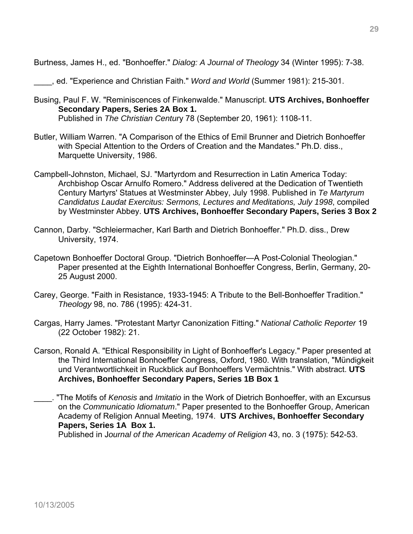Burtness, James H., ed. "Bonhoeffer." *Dialog: A Journal of Theology* 34 (Winter 1995): 7-38.

\_\_\_\_, ed. "Experience and Christian Faith." *Word and World* (Summer 1981): 215-301.

- Busing, Paul F. W. "Reminiscences of Finkenwalde." Manuscript. **UTS Archives, Bonhoeffer Secondary Papers, Series 2A Box 1.** Published in *The Christian Centur*y 78 (September 20, 1961): 1108-11.
- Butler, William Warren. "A Comparison of the Ethics of Emil Brunner and Dietrich Bonhoeffer with Special Attention to the Orders of Creation and the Mandates." Ph.D. diss., Marquette University, 1986.
- Campbell-Johnston, Michael, SJ. "Martyrdom and Resurrection in Latin America Today: Archbishop Oscar Arnulfo Romero." Address delivered at the Dedication of Twentieth Century Martyrs' Statues at Westminster Abbey, July 1998. Published in *Te Martyrum Candidatus Laudat Exercitus: Sermons, Lectures and Meditations, July 1998*, compiled by Westminster Abbey. **UTS Archives, Bonhoeffer Secondary Papers, Series 3 Box 2**
- Cannon, Darby. "Schleiermacher, Karl Barth and Dietrich Bonhoeffer." Ph.D. diss., Drew University, 1974.
- Capetown Bonhoeffer Doctoral Group. "Dietrich Bonhoeffer—A Post-Colonial Theologian." Paper presented at the Eighth International Bonhoeffer Congress, Berlin, Germany, 20- 25 August 2000.
- Carey, George. "Faith in Resistance, 1933-1945: A Tribute to the Bell-Bonhoeffer Tradition." *Theology* 98, no. 786 (1995): 424-31.
- Cargas, Harry James. "Protestant Martyr Canonization Fitting." *National Catholic Reporter* 19 (22 October 1982): 21.
- Carson, Ronald A. "Ethical Responsibility in Light of Bonhoeffer's Legacy." Paper presented at the Third International Bonhoeffer Congress, Oxford, 1980. With translation, "Mündigkeit und Verantwortlichkeit in Ruckblick auf Bonhoeffers Vermächtnis." With abstract. **UTS Archives, Bonhoeffer Secondary Papers, Series 1B Box 1**
- \_\_\_\_. "The Motifs of *Kenosis* and *Imitatio* in the Work of Dietrich Bonhoeffer, with an Excursus on the *Communicatio Idiomatum*." Paper presented to the Bonhoeffer Group, American Academy of Religion Annual Meeting, 1974. **UTS Archives, Bonhoeffer Secondary Papers, Series 1A Box 1.**

Published in J*ournal of the American Academy of Religion* 43, no. 3 (1975): 542-53.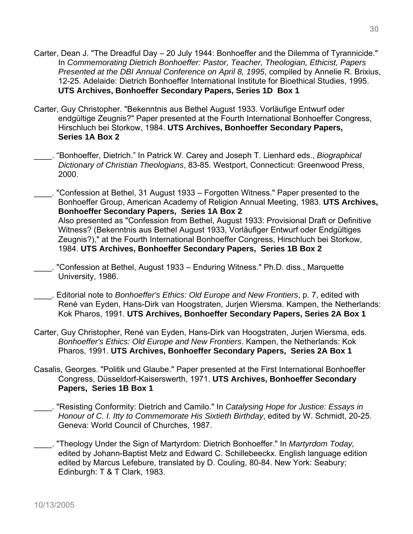- Carter, Dean J. "The Dreadful Day 20 July 1944: Bonhoeffer and the Dilemma of Tyrannicide." In *Commemorating Dietrich Bonhoeffer: Pastor, Teacher, Theologian, Ethicist, Papers Presented at the DBI Annual Conference on April 8, 1995*, compiled by Annelie R. Brixius, 12-25. Adelaide: Dietrich Bonhoeffer International Institute for Bioethical Studies, 1995. **UTS Archives, Bonhoeffer Secondary Papers, Series 1D Box 1**
- Carter, Guy Christopher. "Bekenntnis aus Bethel August 1933. Vorläufige Entwurf oder endgültige Zeugnis?" Paper presented at the Fourth International Bonhoeffer Congress, Hirschluch bei Storkow, 1984. **UTS Archives, Bonhoeffer Secondary Papers, Series 1A Box 2**
- \_\_\_\_. "Bonhoeffer, Dietrich." In Patrick W. Carey and Joseph T. Lienhard eds., *Biographical Dictionary of Christian Theologians*, 83-85. Westport, Connecticut: Greenwood Press, 2000.
- \_\_\_\_. "Confession at Bethel, 31 August 1933 Forgotten Witness." Paper presented to the Bonhoeffer Group, American Academy of Religion Annual Meeting, 1983. **UTS Archives, Bonhoeffer Secondary Papers, Series 1A Box 2** Also presented as "Confession from Bethel, August 1933: Provisional Draft or Definitive Witness? (Bekenntnis aus Bethel August 1933, Vorläufiger Entwurf oder Endgültiges Zeugnis?)," at the Fourth International Bonhoeffer Congress, Hirschluch bei Storkow, 1984. **UTS Archives, Bonhoeffer Secondary Papers, Series 1B Box 2**
- \_\_\_\_. "Confession at Bethel, August 1933 Enduring Witness." Ph.D. diss., Marquette University, 1986.
- \_\_\_\_. Editorial note to *Bonhoeffer's Ethics: Old Europe and New Frontiers*, p. 7, edited with René van Eyden, Hans-Dirk van Hoogstraten, Jurjen Wiersma. Kampen, the Netherlands: Kok Pharos, 1991. **UTS Archives, Bonhoeffer Secondary Papers, Series 2A Box 1**
- Carter, Guy Christopher, René van Eyden, Hans-Dirk van Hoogstraten, Jurjen Wiersma, eds. *Bonhoeffer's Ethics: Old Europe and New Frontiers*. Kampen, the Netherlands: Kok Pharos, 1991. **UTS Archives, Bonhoeffer Secondary Papers, Series 2A Box 1**
- Casalis, Georges. "Politik und Glaube." Paper presented at the First International Bonhoeffer Congress, Düsseldorf-Kaiserswerth, 1971. **UTS Archives, Bonhoeffer Secondary Papers, Series 1B Box 1**
- \_\_\_\_. "Resisting Conformity: Dietrich and Camilo." In *Catalysing Hope for Justice: Essays in Honour of C. I. Itty to Commemorate His Sixtieth Birthday*, edited by W. Schmidt, 20-25. Geneva: World Council of Churches, 1987.
- \_\_\_\_. "Theology Under the Sign of Martyrdom: Dietrich Bonhoeffer." In *Martyrdom Today,* edited by Johann-Baptist Metz and Edward C. Schillebeeckx. English language edition edited by Marcus Lefebure, translated by D. Couling, 80-84. New York: Seabury; Edinburgh: T & T Clark, 1983.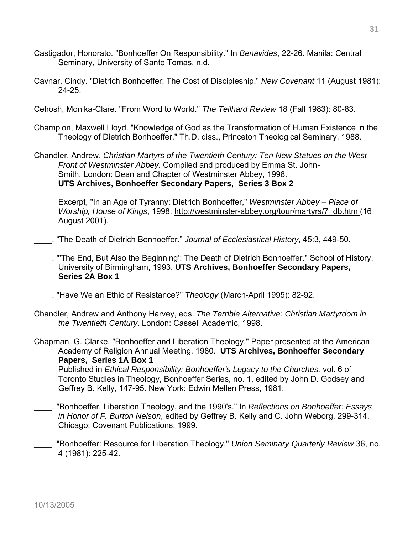- Castigador, Honorato. "Bonhoeffer On Responsibility." In *Benavides*, 22-26. Manila: Central Seminary, University of Santo Tomas, n.d.
- Cavnar, Cindy. "Dietrich Bonhoeffer: The Cost of Discipleship." *New Covenant* 11 (August 1981): 24-25.

Cehosh, Monika-Clare. "From Word to World." *The Teilhard Review* 18 (Fall 1983): 80-83.

- Champion, Maxwell Lloyd. "Knowledge of God as the Transformation of Human Existence in the Theology of Dietrich Bonhoeffer." Th.D. diss., Princeton Theological Seminary, 1988.
- Chandler, Andrew. *Christian Martyrs of the Twentieth Century: Ten New Statues on the West Front of Westminster Abbey*. Compiled and produced by Emma St. John-Smith. London: Dean and Chapter of Westminster Abbey, 1998. **UTS Archives, Bonhoeffer Secondary Papers, Series 3 Box 2**

Excerpt, "In an Age of Tyranny: Dietrich Bonhoeffer," *Westminster Abbey – Place of Worship, House of Kings*, 1998. http://westminster-abbey.org/tour/martyrs/7\_db.htm (16 August 2001).

\_\_\_\_. "The Death of Dietrich Bonhoeffer." *Journal of Ecclesiastical History*, 45:3, 449-50.

\_\_\_\_. "'The End, But Also the Beginning': The Death of Dietrich Bonhoeffer." School of History, University of Birmingham, 1993. **UTS Archives, Bonhoeffer Secondary Papers, Series 2A Box 1** 

\_\_\_\_. "Have We an Ethic of Resistance?" *Theology* (March-April 1995): 82-92.

Chandler, Andrew and Anthony Harvey, eds. *The Terrible Alternative: Christian Martyrdom in the Twentieth Century*. London: Cassell Academic, 1998.

Chapman, G. Clarke. "Bonhoeffer and Liberation Theology." Paper presented at the American Academy of Religion Annual Meeting, 1980. **UTS Archives, Bonhoeffer Secondary Papers, Series 1A Box 1**

 Published in *Ethical Responsibility: Bonhoeffer's Legacy to the Churches,* vol. 6 of Toronto Studies in Theology, Bonhoeffer Series, no. 1, edited by John D. Godsey and Geffrey B. Kelly, 147-95. New York: Edwin Mellen Press, 1981.

- \_\_\_\_. "Bonhoeffer, Liberation Theology, and the 1990's." In *Reflections on Bonhoeffer: Essays in Honor of F. Burton Nelson*, edited by Geffrey B. Kelly and C. John Weborg, 299-314. Chicago: Covenant Publications, 1999.
- \_\_\_\_. "Bonhoeffer: Resource for Liberation Theology." *Union Seminary Quarterly Review* 36, no. 4 (1981): 225-42.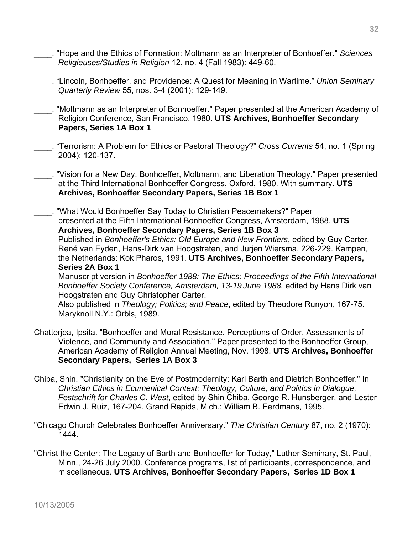- \_\_\_\_. "Hope and the Ethics of Formation: Moltmann as an Interpreter of Bonhoeffer." *Sciences Religieuses/Studies in Religion* 12, no. 4 (Fall 1983): 449-60.
- \_\_\_\_. "Lincoln, Bonhoeffer, and Providence: A Quest for Meaning in Wartime." *Union Seminary Quarterly Review* 55, nos. 3-4 (2001): 129-149.
- \_\_\_\_. "Moltmann as an Interpreter of Bonhoeffer." Paper presented at the American Academy of Religion Conference, San Francisco, 1980. **UTS Archives, Bonhoeffer Secondary Papers, Series 1A Box 1**
- \_\_\_\_. "Terrorism: A Problem for Ethics or Pastoral Theology?" *Cross Currents* 54, no. 1 (Spring 2004): 120-137.
- \_\_\_\_. "Vision for a New Day. Bonhoeffer, Moltmann, and Liberation Theology." Paper presented at the Third International Bonhoeffer Congress, Oxford, 1980. With summary. **UTS Archives, Bonhoeffer Secondary Papers, Series 1B Box 1**

\_\_\_\_. "What Would Bonhoeffer Say Today to Christian Peacemakers?" Paper presented at the Fifth International Bonhoeffer Congress, Amsterdam, 1988. **UTS Archives, Bonhoeffer Secondary Papers, Series 1B Box 3**  Published in *Bonhoeffer's Ethics: Old Europe and New Frontiers*, edited by Guy Carter, René van Eyden, Hans-Dirk van Hoogstraten, and Jurjen Wiersma, 226-229. Kampen, the Netherlands: Kok Pharos, 1991. **UTS Archives, Bonhoeffer Secondary Papers, Series 2A Box 1**  Manuscript version in *Bonhoeffer 1988: The Ethics: Proceedings of the Fifth International Bonhoeffer Society Conference, Amsterdam, 13-19 June 1988,* edited by Hans Dirk van Hoogstraten and Guy Christopher Carter.

Also published in *Theology; Politics; and Peace*, edited by Theodore Runyon, 167-75. Maryknoll N.Y.: Orbis, 1989.

- Chatterjea, Ipsita. "Bonhoeffer and Moral Resistance. Perceptions of Order, Assessments of Violence, and Community and Association." Paper presented to the Bonhoeffer Group, American Academy of Religion Annual Meeting, Nov. 1998. **UTS Archives, Bonhoeffer Secondary Papers, Series 1A Box 3**
- Chiba, Shin. "Christianity on the Eve of Postmodernity: Karl Barth and Dietrich Bonhoeffer." In *Christian Ethics in Ecumenical Context: Theology, Culture, and Politics in Dialogue, Festschrift for Charles C. West*, edited by Shin Chiba, George R. Hunsberger, and Lester Edwin J. Ruiz, 167-204. Grand Rapids, Mich.: William B. Eerdmans, 1995.
- "Chicago Church Celebrates Bonhoeffer Anniversary." *The Christian Century* 87, no. 2 (1970): 1444.
- "Christ the Center: The Legacy of Barth and Bonhoeffer for Today," Luther Seminary, St. Paul, Minn., 24-26 July 2000. Conference programs, list of participants, correspondence, and miscellaneous. **UTS Archives, Bonhoeffer Secondary Papers, Series 1D Box 1**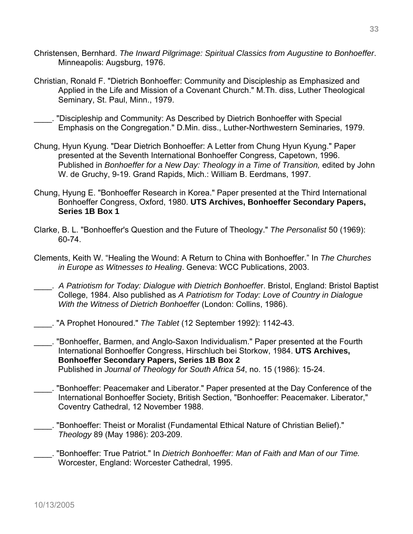- Christensen, Bernhard. *The Inward Pilgrimage: Spiritual Classics from Augustine to Bonhoeffer*. Minneapolis: Augsburg, 1976.
- Christian, Ronald F. "Dietrich Bonhoeffer: Community and Discipleship as Emphasized and Applied in the Life and Mission of a Covenant Church." M.Th. diss, Luther Theological Seminary, St. Paul, Minn., 1979.
- \_\_\_\_. "Discipleship and Community: As Described by Dietrich Bonhoeffer with Special Emphasis on the Congregation." D.Min. diss., Luther-Northwestern Seminaries, 1979.
- Chung, Hyun Kyung. "Dear Dietrich Bonhoeffer: A Letter from Chung Hyun Kyung." Paper presented at the Seventh International Bonhoeffer Congress, Capetown, 1996. Published in *Bonhoeffer for a New Day: Theology in a Time of Transition,* edited by John W. de Gruchy, 9-19. Grand Rapids, Mich.: William B. Eerdmans, 1997.
- Chung, Hyung E. "Bonhoeffer Research in Korea." Paper presented at the Third International Bonhoeffer Congress, Oxford, 1980. **UTS Archives, Bonhoeffer Secondary Papers, Series 1B Box 1**
- Clarke, B. L. "Bonhoeffer's Question and the Future of Theology." *The Personalist* 50 (1969): 60-74.
- Clements, Keith W. "Healing the Wound: A Return to China with Bonhoeffer." In *The Churches in Europe as Witnesses to Healing*. Geneva: WCC Publications, 2003.
- \_\_\_\_. *A Patriotism for Today: Dialogue with Dietrich Bonhoeffe*r. Bristol, England: Bristol Baptist College, 1984. Also published as *A Patriotism for Today: Love of Country in Dialogue With the Witness of Dietrich Bonhoeffer* (London: Collins, 1986).
- \_\_\_\_. "A Prophet Honoured." *The Tablet* (12 September 1992): 1142-43.
- \_\_\_\_. "Bonhoeffer, Barmen, and Anglo-Saxon Individualism." Paper presented at the Fourth International Bonhoeffer Congress, Hirschluch bei Storkow, 1984. **UTS Archives, Bonhoeffer Secondary Papers, Series 1B Box 2**  Published in *Journal of Theology for South Africa 54*, no. 15 (1986): 15-24.
- \_\_\_\_. "Bonhoeffer: Peacemaker and Liberator." Paper presented at the Day Conference of the International Bonhoeffer Society, British Section, "Bonhoeffer: Peacemaker. Liberator," Coventry Cathedral, 12 November 1988.
- \_\_\_\_. "Bonhoeffer: Theist or Moralist (Fundamental Ethical Nature of Christian Belief)." *Theology* 89 (May 1986): 203-209.
- \_\_\_\_. "Bonhoeffer: True Patriot." In *Dietrich Bonhoeffer: Man of Faith and Man of our Time.*  Worcester, England: Worcester Cathedral, 1995.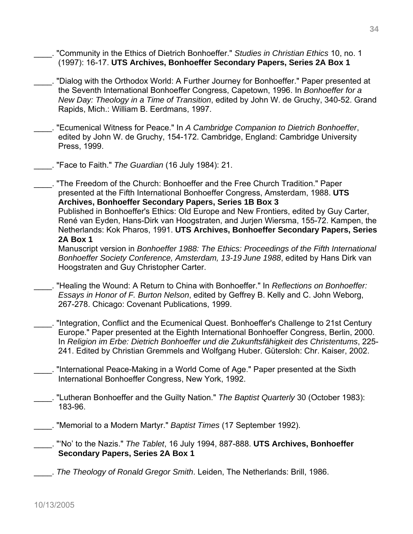- \_\_\_\_. "Community in the Ethics of Dietrich Bonhoeffer." *Studies in Christian Ethics* 10, no. 1 (1997): 16-17. **UTS Archives, Bonhoeffer Secondary Papers, Series 2A Box 1**
- \_\_\_\_. "Dialog with the Orthodox World: A Further Journey for Bonhoeffer." Paper presented at the Seventh International Bonhoeffer Congress, Capetown, 1996. In *Bonhoeffer for a New Day: Theology in a Time of Transition*, edited by John W. de Gruchy, 340-52. Grand Rapids, Mich.: William B. Eerdmans, 1997.
- \_\_\_\_. "Ecumenical Witness for Peace." In *A Cambridge Companion to Dietrich Bonhoeffer*, edited by John W. de Gruchy, 154-172. Cambridge, England: Cambridge University Press, 1999.
	- \_\_\_\_. "Face to Faith." *The Guardian* (16 July 1984): 21.
- \_\_\_\_. "The Freedom of the Church: Bonhoeffer and the Free Church Tradition." Paper presented at the Fifth International Bonhoeffer Congress, Amsterdam, 1988. **UTS Archives, Bonhoeffer Secondary Papers, Series 1B Box 3**  Published in Bonhoeffer's Ethics: Old Europe and New Frontiers, edited by Guy Carter, René van Eyden, Hans-Dirk van Hoogstraten, and Jurjen Wiersma, 155-72. Kampen, the Netherlands: Kok Pharos, 1991. **UTS Archives, Bonhoeffer Secondary Papers, Series 2A Box 1**  Manuscript version in *Bonhoeffer 1988: The Ethics: Proceedings of the Fifth International*

*Bonhoeffer Society Conference, Amsterdam, 13-19 June 1988*, edited by Hans Dirk van Hoogstraten and Guy Christopher Carter.

- \_\_\_\_. "Healing the Wound: A Return to China with Bonhoeffer." In *Reflections on Bonhoeffer: Essays in Honor of F. Burton Nelson*, edited by Geffrey B. Kelly and C. John Weborg, 267-278. Chicago: Covenant Publications, 1999.
- \_\_\_\_. "Integration, Conflict and the Ecumenical Quest. Bonhoeffer's Challenge to 21st Century Europe." Paper presented at the Eighth International Bonhoeffer Congress, Berlin, 2000. In *Religion im Erbe: Dietrich Bonhoeffer und die Zukunftsfähigkeit des Christentums*, 225- 241. Edited by Christian Gremmels and Wolfgang Huber. Gütersloh: Chr. Kaiser, 2002.
- \_\_\_\_. "International Peace-Making in a World Come of Age." Paper presented at the Sixth International Bonhoeffer Congress, New York, 1992.
- \_\_\_\_. "Lutheran Bonhoeffer and the Guilty Nation." *The Baptist Quarterly* 30 (October 1983): 183-96.
- \_\_\_\_. "Memorial to a Modern Martyr." *Baptist Times* (17 September 1992).

\_\_\_\_. "'No' to the Nazis." *The Tablet*, 16 July 1994, 887-888. **UTS Archives, Bonhoeffer Secondary Papers, Series 2A Box 1**

\_\_\_\_. *The Theology of Ronald Gregor Smith*. Leiden, The Netherlands: Brill, 1986.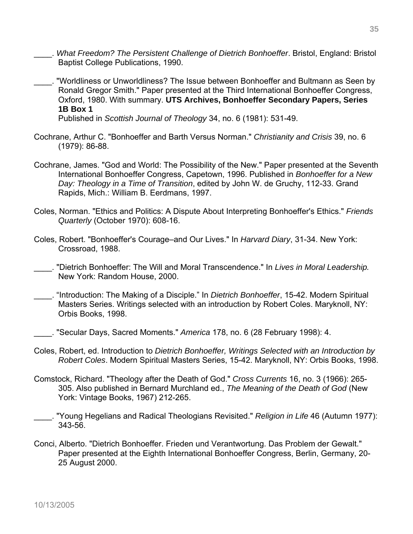- \_\_\_\_. *What Freedom? The Persistent Challenge of Dietrich Bonhoeffer*. Bristol, England: Bristol Baptist College Publications, 1990.
- \_\_\_\_. "Worldliness or Unworldliness? The Issue between Bonhoeffer and Bultmann as Seen by Ronald Gregor Smith." Paper presented at the Third International Bonhoeffer Congress, Oxford, 1980. With summary. **UTS Archives, Bonhoeffer Secondary Papers, Series 1B Box 1**

Published in *Scottish Journal of Theology* 34, no. 6 (1981): 531-49.

- Cochrane, Arthur C. "Bonhoeffer and Barth Versus Norman." *Christianity and Crisis* 39, no. 6 (1979): 86-88.
- Cochrane, James. "God and World: The Possibility of the New." Paper presented at the Seventh International Bonhoeffer Congress, Capetown, 1996. Published in *Bonhoeffer for a New Day: Theology in a Time of Transition*, edited by John W. de Gruchy, 112-33. Grand Rapids, Mich.: William B. Eerdmans, 1997.
- Coles, Norman. "Ethics and Politics: A Dispute About Interpreting Bonhoeffer's Ethics." *Friends Quarterly* (October 1970): 608-16.
- Coles, Robert. "Bonhoeffer's Courage–and Our Lives." In *Harvard Diary*, 31-34. New York: Crossroad, 1988.
- \_\_\_\_. "Dietrich Bonhoeffer: The Will and Moral Transcendence." In *Lives in Moral Leadership.* New York: Random House, 2000.
- \_\_\_\_. "Introduction: The Making of a Disciple." In *Dietrich Bonhoeffer*, 15-42. Modern Spiritual Masters Series. Writings selected with an introduction by Robert Coles. Maryknoll, NY: Orbis Books, 1998.
- \_\_\_\_. "Secular Days, Sacred Moments." *America* 178, no. 6 (28 February 1998): 4.
- Coles, Robert, ed. Introduction to *Dietrich Bonhoeffer, Writings Selected with an Introduction by Robert Coles*. Modern Spiritual Masters Series, 15-42. Maryknoll, NY: Orbis Books, 1998.
- Comstock, Richard. "Theology after the Death of God." *Cross Currents* 16, no. 3 (1966): 265- 305. Also published in Bernard Murchland ed., *The Meaning of the Death of God* (New York: Vintage Books, 1967) 212-265.
- \_\_\_\_. "Young Hegelians and Radical Theologians Revisited." *Religion in Life* 46 (Autumn 1977): 343-56.
- Conci, Alberto. "Dietrich Bonhoeffer. Frieden und Verantwortung. Das Problem der Gewalt." Paper presented at the Eighth International Bonhoeffer Congress, Berlin, Germany, 20- 25 August 2000.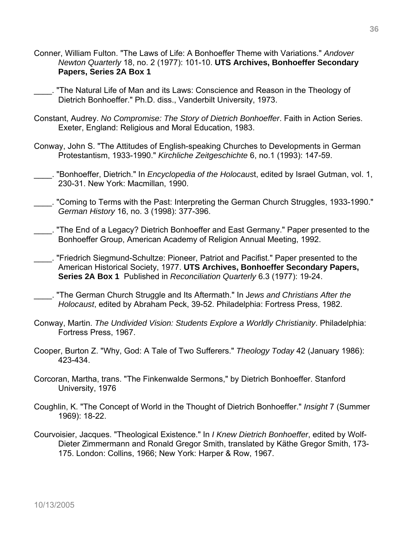- Conner, William Fulton. "The Laws of Life: A Bonhoeffer Theme with Variations." *Andover Newton Quarterly* 18, no. 2 (1977): 101-10. **UTS Archives, Bonhoeffer Secondary Papers, Series 2A Box 1**
- \_\_\_\_. "The Natural Life of Man and its Laws: Conscience and Reason in the Theology of Dietrich Bonhoeffer." Ph.D. diss., Vanderbilt University, 1973.
- Constant, Audrey. *No Compromise: The Story of Dietrich Bonhoeffer*. Faith in Action Series. Exeter, England: Religious and Moral Education, 1983.
- Conway, John S. "The Attitudes of English-speaking Churches to Developments in German Protestantism, 1933-1990." *Kirchliche Zeitgeschichte* 6, no.1 (1993): 147-59.
- \_\_\_\_. "Bonhoeffer, Dietrich." In *Encyclopedia of the Holocaus*t, edited by Israel Gutman, vol. 1, 230-31. New York: Macmillan, 1990.
- \_\_\_\_. "Coming to Terms with the Past: Interpreting the German Church Struggles, 1933-1990." *German History* 16, no. 3 (1998): 377-396.
- \_\_\_\_. "The End of a Legacy? Dietrich Bonhoeffer and East Germany." Paper presented to the Bonhoeffer Group, American Academy of Religion Annual Meeting, 1992.
- \_\_\_\_. "Friedrich Siegmund-Schultze: Pioneer, Patriot and Pacifist." Paper presented to the American Historical Society, 1977. **UTS Archives, Bonhoeffer Secondary Papers, Series 2A Box 1** Published in *Reconciliation Quarterly* 6.3 (1977): 19-24.
- \_\_\_\_. "The German Church Struggle and Its Aftermath." In J*ews and Christians After the Holocaust*, edited by Abraham Peck, 39-52. Philadelphia: Fortress Press, 1982.
- Conway, Martin. *The Undivided Vision: Students Explore a Worldly Christianity*. Philadelphia: Fortress Press, 1967.
- Cooper, Burton Z. "Why, God: A Tale of Two Sufferers." *Theology Today* 42 (January 1986): 423-434.
- Corcoran, Martha, trans. "The Finkenwalde Sermons," by Dietrich Bonhoeffer. Stanford University, 1976
- Coughlin, K. "The Concept of World in the Thought of Dietrich Bonhoeffer." *Insight* 7 (Summer 1969): 18-22.
- Courvoisier, Jacques. "Theological Existence." In *I Knew Dietrich Bonhoeffer*, edited by Wolf-Dieter Zimmermann and Ronald Gregor Smith, translated by Käthe Gregor Smith, 173- 175. London: Collins, 1966; New York: Harper & Row, 1967.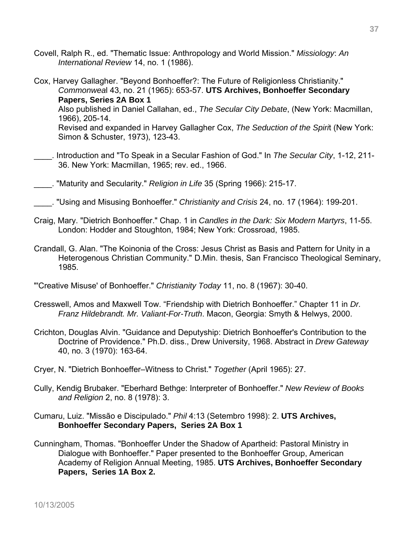- Covell, Ralph R., ed. "Thematic Issue: Anthropology and World Mission." *Missiology*: *An International Review* 14, no. 1 (1986).
- Cox, Harvey Gallagher. "Beyond Bonhoeffer?: The Future of Religionless Christianity." *Commonwea*l 43, no. 21 (1965): 653-57. **UTS Archives, Bonhoeffer Secondary Papers, Series 2A Box 1** Also published in Daniel Callahan, ed., *The Secular City Debate*, (New York: Macmillan, 1966), 205-14. Revised and expanded in Harvey Gallagher Cox, *The Seduction of the Spiri*t (New York: Simon & Schuster, 1973), 123-43.
- \_\_\_\_. Introduction and "To Speak in a Secular Fashion of God." In *The Secular City*, 1-12, 211- 36. New York: Macmillan, 1965; rev. ed., 1966.
- \_\_\_\_. "Maturity and Secularity." *Religion in Life* 35 (Spring 1966): 215-17.
- \_\_\_\_. "Using and Misusing Bonhoeffer." *Christianity and Crisis* 24, no. 17 (1964): 199-201.
- Craig, Mary. "Dietrich Bonhoeffer." Chap. 1 in *Candles in the Dark: Six Modern Martyrs*, 11-55. London: Hodder and Stoughton, 1984; New York: Crossroad, 1985.
- Crandall, G. Alan. "The Koinonia of the Cross: Jesus Christ as Basis and Pattern for Unity in a Heterogenous Christian Community." D.Min. thesis, San Francisco Theological Seminary, 1985.
- "'Creative Misuse' of Bonhoeffer." *Christianity Today* 11, no. 8 (1967): 30-40.
- Cresswell, Amos and Maxwell Tow. "Friendship with Dietrich Bonhoeffer." Chapter 11 in *Dr. Franz Hildebrandt. Mr. Valiant-For-Truth*. Macon, Georgia: Smyth & Helwys, 2000.
- Crichton, Douglas Alvin. "Guidance and Deputyship: Dietrich Bonhoeffer's Contribution to the Doctrine of Providence." Ph.D. diss., Drew University, 1968. Abstract in *Drew Gateway* 40, no. 3 (1970): 163-64.
- Cryer, N. "Dietrich Bonhoeffer–Witness to Christ." *Together* (April 1965): 27.
- Cully, Kendig Brubaker. "Eberhard Bethge: Interpreter of Bonhoeffer." *New Review of Books and Religion* 2, no. 8 (1978): 3.
- Cumaru, Luiz. "Missão e Discipulado." *Phil* 4:13 (Setembro 1998): 2. **UTS Archives, Bonhoeffer Secondary Papers, Series 2A Box 1**
- Cunningham, Thomas. "Bonhoeffer Under the Shadow of Apartheid: Pastoral Ministry in Dialogue with Bonhoeffer." Paper presented to the Bonhoeffer Group, American Academy of Religion Annual Meeting, 1985. **UTS Archives, Bonhoeffer Secondary Papers, Series 1A Box 2.**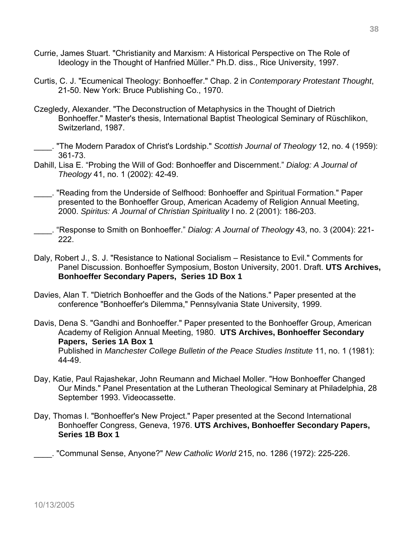- Currie, James Stuart. "Christianity and Marxism: A Historical Perspective on The Role of Ideology in the Thought of Hanfried Müller." Ph.D. diss., Rice University, 1997.
- Curtis, C. J. "Ecumenical Theology: Bonhoeffer." Chap. 2 in *Contemporary Protestant Thought*, 21-50. New York: Bruce Publishing Co., 1970.
- Czegledy, Alexander. "The Deconstruction of Metaphysics in the Thought of Dietrich Bonhoeffer." Master's thesis, International Baptist Theological Seminary of Rüschlikon, Switzerland, 1987.
- \_\_\_\_. "The Modern Paradox of Christ's Lordship." *Scottish Journal of Theology* 12, no. 4 (1959): 361-73.
- Dahill, Lisa E. "Probing the Will of God: Bonhoeffer and Discernment." *Dialog: A Journal of Theology* 41, no. 1 (2002): 42-49.

\_\_\_\_. "Reading from the Underside of Selfhood: Bonhoeffer and Spiritual Formation." Paper presented to the Bonhoeffer Group, American Academy of Religion Annual Meeting, 2000. *Spiritus: A Journal of Christian Spirituality* I no. 2 (2001): 186-203.

\_\_\_\_. "Response to Smith on Bonhoeffer." *Dialog: A Journal of Theology* 43, no. 3 (2004): 221- 222.

- Daly, Robert J., S. J. "Resistance to National Socialism Resistance to Evil." Comments for Panel Discussion. Bonhoeffer Symposium, Boston University, 2001. Draft. **UTS Archives, Bonhoeffer Secondary Papers, Series 1D Box 1**
- Davies, Alan T. "Dietrich Bonhoeffer and the Gods of the Nations." Paper presented at the conference "Bonhoeffer's Dilemma," Pennsylvania State University, 1999.

Davis, Dena S. "Gandhi and Bonhoeffer." Paper presented to the Bonhoeffer Group, American Academy of Religion Annual Meeting, 1980. **UTS Archives, Bonhoeffer Secondary Papers, Series 1A Box 1**  Published in *Manchester College Bulletin of the Peace Studies Institute* 11, no. 1 (1981): 44-49.

- Day, Katie, Paul Rajashekar, John Reumann and Michael Moller. "How Bonhoeffer Changed Our Minds." Panel Presentation at the Lutheran Theological Seminary at Philadelphia, 28 September 1993. Videocassette.
- Day, Thomas I. "Bonhoeffer's New Project." Paper presented at the Second International Bonhoeffer Congress, Geneva, 1976. **UTS Archives, Bonhoeffer Secondary Papers, Series 1B Box 1**

\_\_\_\_. "Communal Sense, Anyone?" *New Catholic World* 215, no. 1286 (1972): 225-226.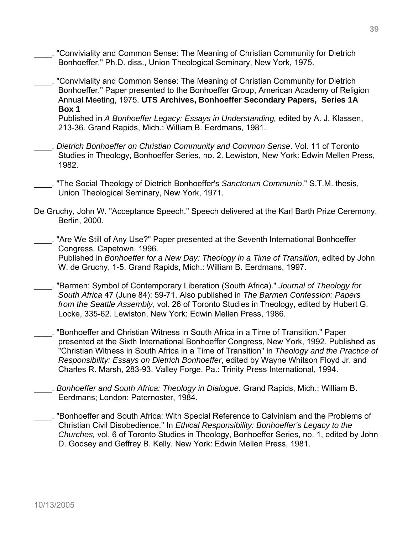- \_\_\_\_. "Conviviality and Common Sense: The Meaning of Christian Community for Dietrich Bonhoeffer." Ph.D. diss., Union Theological Seminary, New York, 1975.
- \_\_\_\_. "Conviviality and Common Sense: The Meaning of Christian Community for Dietrich Bonhoeffer." Paper presented to the Bonhoeffer Group, American Academy of Religion Annual Meeting, 1975. **UTS Archives, Bonhoeffer Secondary Papers, Series 1A Box 1**

 Published in *A Bonhoeffer Legacy: Essays in Understanding,* edited by A. J. Klassen, 213-36. Grand Rapids, Mich.: William B. Eerdmans, 1981.

- \_\_\_\_. *Dietrich Bonhoeffer on Christian Community and Common Sense*. Vol. 11 of Toronto Studies in Theology, Bonhoeffer Series, no. 2. Lewiston, New York: Edwin Mellen Press, 1982.
- \_\_\_\_. "The Social Theology of Dietrich Bonhoeffer's *Sanctorum Communio*." S.T.M. thesis, Union Theological Seminary, New York, 1971.
- De Gruchy, John W. "Acceptance Speech." Speech delivered at the Karl Barth Prize Ceremony, Berlin, 2000.

\_\_\_\_. "Are We Still of Any Use?" Paper presented at the Seventh International Bonhoeffer Congress, Capetown, 1996. Published in *Bonhoeffer for a New Day: Theology in a Time of Transition*, edited by John W. de Gruchy, 1-5. Grand Rapids, Mich.: William B. Eerdmans, 1997.

- \_\_\_\_. "Barmen: Symbol of Contemporary Liberation (South Africa)." *Journal of Theology for South Africa* 47 (June 84): 59-71. Also published in *The Barmen Confession: Papers from the Seattle Assembly*, vol. 26 of Toronto Studies in Theology, edited by Hubert G. Locke, 335-62. Lewiston, New York: Edwin Mellen Press, 1986.
- \_\_\_\_. "Bonhoeffer and Christian Witness in South Africa in a Time of Transition." Paper presented at the Sixth International Bonhoeffer Congress, New York, 1992. Published as "Christian Witness in South Africa in a Time of Transition" in *Theology and the Practice of Responsibility: Essays on Dietrich Bonhoeffer*, edited by Wayne Whitson Floyd Jr. and Charles R. Marsh, 283-93. Valley Forge, Pa.: Trinity Press International, 1994.
- \_\_\_\_. *Bonhoeffer and South Africa: Theology in Dialogue.* Grand Rapids, Mich.: William B. Eerdmans; London: Paternoster, 1984.
- \_\_\_\_. "Bonhoeffer and South Africa: With Special Reference to Calvinism and the Problems of Christian Civil Disobedience." In *Ethical Responsibility: Bonhoeffer's Legacy to the Churches,* vol. 6 of Toronto Studies in Theology, Bonhoeffer Series, no. 1, edited by John D. Godsey and Geffrey B. Kelly. New York: Edwin Mellen Press, 1981.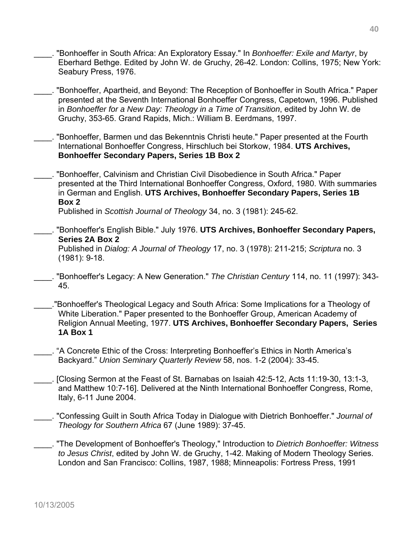- \_\_\_\_. "Bonhoeffer in South Africa: An Exploratory Essay." In *Bonhoeffer: Exile and Martyr*, by Eberhard Bethge. Edited by John W. de Gruchy, 26-42. London: Collins, 1975; New York: Seabury Press, 1976.
- \_\_\_\_. "Bonhoeffer, Apartheid, and Beyond: The Reception of Bonhoeffer in South Africa." Paper presented at the Seventh International Bonhoeffer Congress, Capetown, 1996. Published in *Bonhoeffer for a New Day: Theology in a Time of Transition*, edited by John W. de Gruchy, 353-65. Grand Rapids, Mich.: William B. Eerdmans, 1997.
- \_\_\_\_. "Bonhoeffer, Barmen und das Bekenntnis Christi heute." Paper presented at the Fourth International Bonhoeffer Congress, Hirschluch bei Storkow, 1984. **UTS Archives, Bonhoeffer Secondary Papers, Series 1B Box 2**
- \_\_\_\_. "Bonhoeffer, Calvinism and Christian Civil Disobedience in South Africa." Paper presented at the Third International Bonhoeffer Congress, Oxford, 1980. With summaries in German and English. **UTS Archives, Bonhoeffer Secondary Papers, Series 1B Box 2**

Published in *Scottish Journal of Theology* 34, no. 3 (1981): 245-62.

- \_\_\_\_. "Bonhoeffer's English Bible." July 1976. **UTS Archives, Bonhoeffer Secondary Papers, Series 2A Box 2**  Published in *Dialog: A Journal of Theology* 17, no. 3 (1978): 211-215; *Scriptura* no. 3 (1981): 9-18.
- \_\_\_\_. "Bonhoeffer's Legacy: A New Generation." *The Christian Century* 114, no. 11 (1997): 343- 45.
- \_\_\_\_."Bonhoeffer's Theological Legacy and South Africa: Some Implications for a Theology of White Liberation." Paper presented to the Bonhoeffer Group, American Academy of Religion Annual Meeting, 1977. **UTS Archives, Bonhoeffer Secondary Papers, Series 1A Box 1**
- \_\_\_\_. "A Concrete Ethic of the Cross: Interpreting Bonhoeffer's Ethics in North America's Backyard." *Union Seminary Quarterly Review* 58, nos. 1-2 (2004): 33-45.
- \_\_\_\_. [Closing Sermon at the Feast of St. Barnabas on Isaiah 42:5-12, Acts 11:19-30, 13:1-3, and Matthew 10:7-16]. Delivered at the Ninth International Bonhoeffer Congress, Rome, Italy, 6-11 June 2004.
- \_\_\_\_. "Confessing Guilt in South Africa Today in Dialogue with Dietrich Bonhoeffer." *Journal of Theology for Southern Africa* 67 (June 1989): 37-45.
- \_\_\_\_. "The Development of Bonhoeffer's Theology," Introduction to *Dietrich Bonhoeffer: Witness to Jesus Christ*, edited by John W. de Gruchy, 1-42. Making of Modern Theology Series. London and San Francisco: Collins, 1987, 1988; Minneapolis: Fortress Press, 1991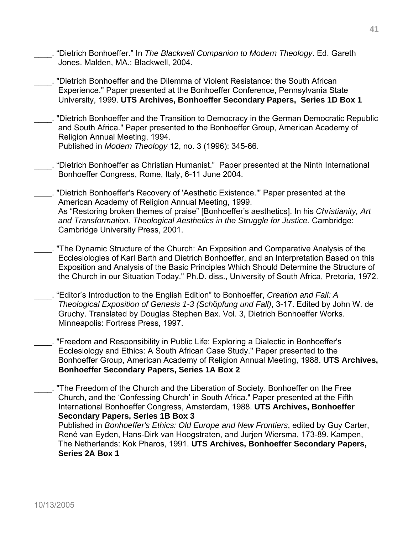- \_\_\_\_. "Dietrich Bonhoeffer." In *The Blackwell Companion to Modern Theology*. Ed. Gareth Jones. Malden, MA.: Blackwell, 2004.
- \_\_\_\_. "Dietrich Bonhoeffer and the Dilemma of Violent Resistance: the South African Experience." Paper presented at the Bonhoeffer Conference, Pennsylvania State University, 1999. **UTS Archives, Bonhoeffer Secondary Papers, Series 1D Box 1**
- \_\_\_\_. "Dietrich Bonhoeffer and the Transition to Democracy in the German Democratic Republic and South Africa." Paper presented to the Bonhoeffer Group, American Academy of Religion Annual Meeting, 1994. Published in *Modern Theology* 12, no. 3 (1996): 345-66.
- \_\_\_\_. "Dietrich Bonhoeffer as Christian Humanist." Paper presented at the Ninth International Bonhoeffer Congress, Rome, Italy, 6-11 June 2004.
- \_\_\_\_. "Dietrich Bonhoeffer's Recovery of 'Aesthetic Existence.'" Paper presented at the American Academy of Religion Annual Meeting, 1999. As "Restoring broken themes of praise" [Bonhoeffer's aesthetics]. In his *Christianity, Art and Transformation. Theological Aesthetics in the Struggle for Justice.* Cambridge: Cambridge University Press, 2001.
- \_\_\_\_. "The Dynamic Structure of the Church: An Exposition and Comparative Analysis of the Ecclesiologies of Karl Barth and Dietrich Bonhoeffer, and an Interpretation Based on this Exposition and Analysis of the Basic Principles Which Should Determine the Structure of the Church in our Situation Today." Ph.D. diss., University of South Africa, Pretoria, 1972.
- \_\_\_\_. "Editor's Introduction to the English Edition" to Bonhoeffer, *Creation and Fall: A Theological Exposition of Genesis 1-3 (Sch*ö*pfung und Fall)*, 3-17. Edited by John W. de Gruchy. Translated by Douglas Stephen Bax. Vol. 3, Dietrich Bonhoeffer Works. Minneapolis: Fortress Press, 1997.
- \_\_\_\_. "Freedom and Responsibility in Public Life: Exploring a Dialectic in Bonhoeffer's Ecclesiology and Ethics: A South African Case Study." Paper presented to the Bonhoeffer Group, American Academy of Religion Annual Meeting, 1988. **UTS Archives, Bonhoeffer Secondary Papers, Series 1A Box 2**
- \_\_\_\_. "The Freedom of the Church and the Liberation of Society. Bonhoeffer on the Free Church, and the 'Confessing Church' in South Africa." Paper presented at the Fifth International Bonhoeffer Congress, Amsterdam, 1988. **UTS Archives, Bonhoeffer Secondary Papers, Series 1B Box 3**

 Published in *Bonhoeffer's Ethics: Old Europe and New Frontiers*, edited by Guy Carter, René van Eyden, Hans-Dirk van Hoogstraten, and Jurjen Wiersma, 173-89. Kampen, The Netherlands: Kok Pharos, 1991. **UTS Archives, Bonhoeffer Secondary Papers, Series 2A Box 1**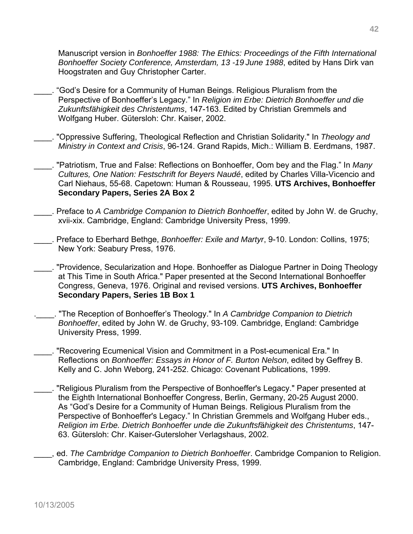Manuscript version in *Bonhoeffer 1988: The Ethics: Proceedings of the Fifth International Bonhoeffer Society Conference, Amsterdam, 13 -19 June 1988*, edited by Hans Dirk van Hoogstraten and Guy Christopher Carter.

- \_\_\_\_. "God's Desire for a Community of Human Beings. Religious Pluralism from the Perspective of Bonhoeffer's Legacy." In *Religion im Erbe: Dietrich Bonhoeffer und die Zukunftsfähigkeit des Christentums*, 147-163. Edited by Christian Gremmels and Wolfgang Huber. Gütersloh: Chr. Kaiser, 2002.
- \_\_\_\_. "Oppressive Suffering, Theological Reflection and Christian Solidarity." In *Theology and Ministry in Context and Crisis*, 96-124. Grand Rapids, Mich.: William B. Eerdmans, 1987.
- \_\_\_\_. "Patriotism, True and False: Reflections on Bonhoeffer, Oom bey and the Flag." In *Many Cultures, One Nation: Festschrift for Beyers Naudé*, edited by Charles Villa-Vicencio and Carl Niehaus, 55-68. Capetown: Human & Rousseau, 1995. **UTS Archives, Bonhoeffer Secondary Papers, Series 2A Box 2**
- \_\_\_\_. Preface to *A Cambridge Companion to Dietrich Bonhoeffer*, edited by John W. de Gruchy, xvii-xix. Cambridge, England: Cambridge University Press, 1999.
- \_\_\_\_. Preface to Eberhard Bethge, *Bonhoeffer: Exile and Martyr*, 9-10. London: Collins, 1975; New York: Seabury Press, 1976.
- \_\_\_\_. "Providence, Secularization and Hope. Bonhoeffer as Dialogue Partner in Doing Theology at This Time in South Africa." Paper presented at the Second International Bonhoeffer Congress, Geneva, 1976. Original and revised versions. **UTS Archives, Bonhoeffer Secondary Papers, Series 1B Box 1**
- .\_\_\_\_. "The Reception of Bonhoeffer's Theology." In *A Cambridge Companion to Dietrich Bonhoeffer*, edited by John W. de Gruchy, 93-109. Cambridge, England: Cambridge University Press, 1999.
- \_\_\_\_. "Recovering Ecumenical Vision and Commitment in a Post-ecumenical Era." In Reflections on *Bonhoeffer: Essays in Honor of F. Burton Nelson*, edited by Geffrey B. Kelly and C. John Weborg, 241-252. Chicago: Covenant Publications, 1999.
- \_\_\_\_. "Religious Pluralism from the Perspective of Bonhoeffer's Legacy." Paper presented at the Eighth International Bonhoeffer Congress, Berlin, Germany, 20-25 August 2000. As "God's Desire for a Community of Human Beings. Religious Pluralism from the Perspective of Bonhoeffer's Legacy." In Christian Gremmels and Wolfgang Huber eds., *Religion im Erbe. Dietrich Bonhoeffer unde die Zukunftsf*ä*higkeit des Christentums*, 147- 63. Gütersloh: Chr. Kaiser-Gutersloher Verlagshaus, 2002.
- ed. *The Cambridge Companion to Dietrich Bonhoeffer*. Cambridge Companion to Religion. Cambridge, England: Cambridge University Press, 1999.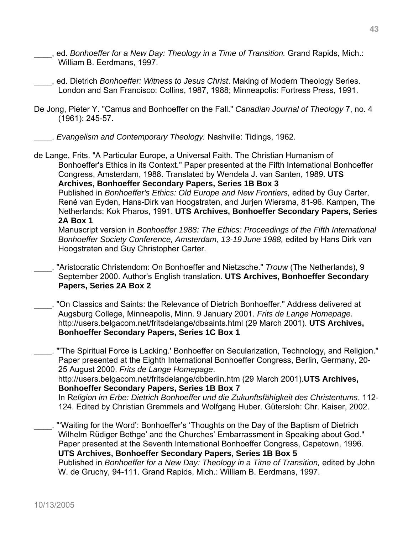- \_\_\_\_, ed. *Bonhoeffer for a New Day: Theology in a Time of Transition.* Grand Rapids, Mich.: William B. Eerdmans, 1997.
- \_\_\_\_, ed. Dietrich *Bonhoeffer: Witness to Jesus Christ*. Making of Modern Theology Series. London and San Francisco: Collins, 1987, 1988; Minneapolis: Fortress Press, 1991.
- De Jong, Pieter Y. "Camus and Bonhoeffer on the Fall." *Canadian Journal of Theology* 7, no. 4 (1961): 245-57.

\_\_\_\_. *Evangelism and Contemporary Theology.* Nashville: Tidings, 1962.

de Lange, Frits. "A Particular Europe, a Universal Faith. The Christian Humanism of Bonhoeffer's Ethics in its Context." Paper presented at the Fifth International Bonhoeffer Congress, Amsterdam, 1988. Translated by Wendela J. van Santen, 1989. **UTS Archives, Bonhoeffer Secondary Papers, Series 1B Box 3** 

Published in *Bonhoeffer's Ethics: Old Europe and New Frontiers,* edited by Guy Carter, René van Eyden, Hans-Dirk van Hoogstraten, and Jurjen Wiersma, 81-96. Kampen, The Netherlands: Kok Pharos, 1991. **UTS Archives, Bonhoeffer Secondary Papers, Series 2A Box 1** 

Manuscript version in *Bonhoeffer 1988: The Ethics: Proceedings of the Fifth International Bonhoeffer Society Conference, Amsterdam, 13-19 June 1988,* edited by Hans Dirk van Hoogstraten and Guy Christopher Carter.

- \_\_\_\_. "Aristocratic Christendom: On Bonhoeffer and Nietzsche." *Trouw* (The Netherlands), 9 September 2000. Author's English translation. **UTS Archives, Bonhoeffer Secondary Papers, Series 2A Box 2**
- \_\_\_\_. "On Classics and Saints: the Relevance of Dietrich Bonhoeffer." Address delivered at Augsburg College, Minneapolis, Minn. 9 January 2001. *Frits de Lange Homepage.* http://users.belgacom.net/fritsdelange/dbsaints.html (29 March 2001). **UTS Archives, Bonhoeffer Secondary Papers, Series 1C Box 1**

\_\_\_\_. "'The Spiritual Force is Lacking.' Bonhoeffer on Secularization, Technology, and Religion." Paper presented at the Eighth International Bonhoeffer Congress, Berlin, Germany, 20- 25 August 2000. *Frits de Lange Homepage*.

 http://users.belgacom.net/fritsdelange/dbberlin.htm (29 March 2001).**UTS Archives, Bonhoeffer Secondary Papers, Series 1B Box 7** 

In R*eligion im Erbe: Dietrich Bonhoeffer und die Zukunftsfähigkeit des Christentums*, 112- 124. Edited by Christian Gremmels and Wolfgang Huber. Gütersloh: Chr. Kaiser, 2002.

\_\_\_\_. "'Waiting for the Word': Bonhoeffer's 'Thoughts on the Day of the Baptism of Dietrich Wilhelm Rüdiger Bethge' and the Churches' Embarrassment in Speaking about God." Paper presented at the Seventh International Bonhoeffer Congress, Capetown, 1996. **UTS Archives, Bonhoeffer Secondary Papers, Series 1B Box 5** 

Published in *Bonhoeffer for a New Day: Theology in a Time of Transition,* edited by John W. de Gruchy, 94-111. Grand Rapids, Mich.: William B. Eerdmans, 1997.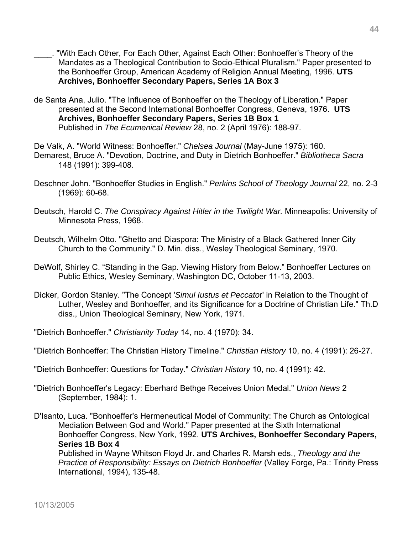- \_\_\_\_. "With Each Other, For Each Other, Against Each Other: Bonhoeffer's Theory of the Mandates as a Theological Contribution to Socio-Ethical Pluralism." Paper presented to the Bonhoeffer Group, American Academy of Religion Annual Meeting, 1996. **UTS Archives, Bonhoeffer Secondary Papers, Series 1A Box 3**
- de Santa Ana, Julio. "The Influence of Bonhoeffer on the Theology of Liberation." Paper presented at the Second International Bonhoeffer Congress, Geneva, 1976. **UTS Archives, Bonhoeffer Secondary Papers, Series 1B Box 1** Published in *The Ecumenical Review* 28, no. 2 (April 1976): 188-97.
- De Valk, A. "World Witness: Bonhoeffer." *Chelsea Journal* (May-June 1975): 160. Demarest, Bruce A. "Devotion, Doctrine, and Duty in Dietrich Bonhoeffer." *Bibliotheca Sacra* 148 (1991): 399-408.
- Deschner John. "Bonhoeffer Studies in English." *Perkins School of Theology Journal* 22, no. 2-3 (1969): 60-68.
- Deutsch, Harold C. *The Conspiracy Against Hitler in the Twilight War.* Minneapolis: University of Minnesota Press, 1968.
- Deutsch, Wilhelm Otto. "Ghetto and Diaspora: The Ministry of a Black Gathered Inner City Church to the Community." D. Min. diss., Wesley Theological Seminary, 1970.
- DeWolf, Shirley C. "Standing in the Gap. Viewing History from Below." Bonhoeffer Lectures on Public Ethics, Wesley Seminary, Washington DC, October 11-13, 2003.
- Dicker, Gordon Stanley. "The Concept '*Simul Iustus et Peccato*r' in Relation to the Thought of Luther, Wesley and Bonhoeffer, and its Significance for a Doctrine of Christian Life." Th.D diss., Union Theological Seminary, New York, 1971.
- "Dietrich Bonhoeffer." *Christianity Today* 14, no. 4 (1970): 34.
- "Dietrich Bonhoeffer: The Christian History Timeline." *Christian History* 10, no. 4 (1991): 26-27.
- "Dietrich Bonhoeffer: Questions for Today." *Christian History* 10, no. 4 (1991): 42.
- "Dietrich Bonhoeffer's Legacy: Eberhard Bethge Receives Union Medal." *Union News* 2 (September, 1984): 1.
- D'Isanto, Luca. "Bonhoeffer's Hermeneutical Model of Community: The Church as Ontological Mediation Between God and World." Paper presented at the Sixth International Bonhoeffer Congress, New York, 1992. **UTS Archives, Bonhoeffer Secondary Papers, Series 1B Box 4**

Published in Wayne Whitson Floyd Jr. and Charles R. Marsh eds., *Theology and the Practice of Responsibility: Essays on Dietrich Bonhoeffer* (Valley Forge, Pa.: Trinity Press International, 1994), 135-48.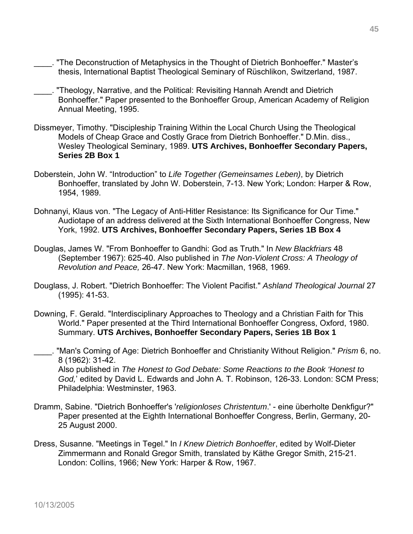- \_\_\_\_. "The Deconstruction of Metaphysics in the Thought of Dietrich Bonhoeffer." Master's thesis, International Baptist Theological Seminary of Rüschlikon, Switzerland, 1987.
- \_\_\_\_. "Theology, Narrative, and the Political: Revisiting Hannah Arendt and Dietrich Bonhoeffer." Paper presented to the Bonhoeffer Group, American Academy of Religion Annual Meeting, 1995.
- Dissmeyer, Timothy. "Discipleship Training Within the Local Church Using the Theological Models of Cheap Grace and Costly Grace from Dietrich Bonhoeffer." D.Min. diss., Wesley Theological Seminary, 1989. **UTS Archives, Bonhoeffer Secondary Papers, Series 2B Box 1**
- Doberstein, John W. "Introduction" to *Life Together (Gemeinsames Leben)*, by Dietrich Bonhoeffer, translated by John W. Doberstein, 7-13. New York; London: Harper & Row, 1954, 1989.
- Dohnanyi, Klaus von. "The Legacy of Anti-Hitler Resistance: Its Significance for Our Time." Audiotape of an address delivered at the Sixth International Bonhoeffer Congress, New York, 1992. **UTS Archives, Bonhoeffer Secondary Papers, Series 1B Box 4**
- Douglas, James W. "From Bonhoeffer to Gandhi: God as Truth." In *New Blackfriars* 48 (September 1967): 625-40. Also published in *The Non-Violent Cross: A Theology of Revolution and Peace,* 26-47. New York: Macmillan, 1968, 1969.
- Douglass, J. Robert. "Dietrich Bonhoeffer: The Violent Pacifist." *Ashland Theological Journal* 27 (1995): 41-53.
- Downing, F. Gerald. "Interdisciplinary Approaches to Theology and a Christian Faith for This World." Paper presented at the Third International Bonhoeffer Congress, Oxford, 1980. Summary. **UTS Archives, Bonhoeffer Secondary Papers, Series 1B Box 1**
- \_\_\_\_. "Man's Coming of Age: Dietrich Bonhoeffer and Christianity Without Religion." *Prism* 6, no. 8 (1962): 31-42. Also published in *The Honest to God Debate: Some Reactions to the Book 'Honest to God,*' edited by David L. Edwards and John A. T. Robinson, 126-33. London: SCM Press; Philadelphia: Westminster, 1963.
- Dramm, Sabine. "Dietrich Bonhoeffer's '*religionloses Christentum*.' eine überholte Denkfigur?" Paper presented at the Eighth International Bonhoeffer Congress, Berlin, Germany, 20- 25 August 2000.
- Dress, Susanne. "Meetings in Tegel." In *I Knew Dietrich Bonhoeffer*, edited by Wolf-Dieter Zimmermann and Ronald Gregor Smith, translated by Käthe Gregor Smith, 215-21. London: Collins, 1966; New York: Harper & Row, 1967.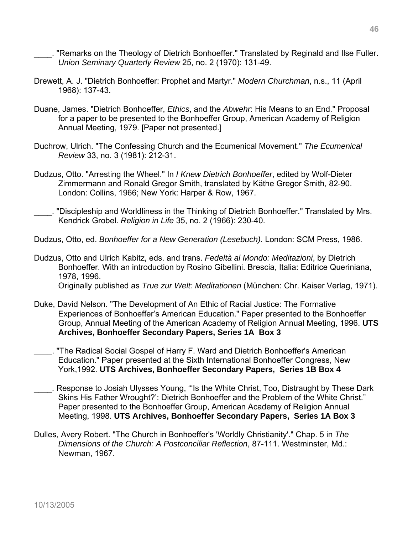. "Remarks on the Theology of Dietrich Bonhoeffer." Translated by Reginald and Ilse Fuller. *Union Seminary Quarterly Review* 25, no. 2 (1970): 131-49.

- Drewett, A. J. "Dietrich Bonhoeffer: Prophet and Martyr." *Modern Churchman*, n.s., 11 (April 1968): 137-43.
- Duane, James. "Dietrich Bonhoeffer, *Ethics*, and the *Abwehr*: His Means to an End." Proposal for a paper to be presented to the Bonhoeffer Group, American Academy of Religion Annual Meeting, 1979. [Paper not presented.]
- Duchrow, Ulrich. "The Confessing Church and the Ecumenical Movement." *The Ecumenical Review* 33, no. 3 (1981): 212-31.
- Dudzus, Otto. "Arresting the Wheel." In *I Knew Dietrich Bonhoeffer*, edited by Wolf-Dieter Zimmermann and Ronald Gregor Smith, translated by Käthe Gregor Smith, 82-90. London: Collins, 1966; New York: Harper & Row, 1967.
- . "Discipleship and Worldliness in the Thinking of Dietrich Bonhoeffer." Translated by Mrs. Kendrick Grobel. *Religion in Life* 35, no. 2 (1966): 230-40.
- Dudzus, Otto, ed. *Bonhoeffer for a New Generation (Lesebuch).* London: SCM Press, 1986.
- Dudzus, Otto and Ulrich Kabitz, eds. and trans. *Fedeltà al Mondo: Meditazioni*, by Dietrich Bonhoeffer. With an introduction by Rosino Gibellini. Brescia, Italia: Editrice Queriniana, 1978, 1996. Originally published as *True zur Welt: Meditationen* (München: Chr. Kaiser Verlag, 1971).
- Duke, David Nelson. "The Development of An Ethic of Racial Justice: The Formative Experiences of Bonhoeffer's American Education." Paper presented to the Bonhoeffer Group, Annual Meeting of the American Academy of Religion Annual Meeting, 1996. **UTS Archives, Bonhoeffer Secondary Papers, Series 1A Box 3**
- \_\_\_\_. "The Radical Social Gospel of Harry F. Ward and Dietrich Bonhoeffer's American Education." Paper presented at the Sixth International Bonhoeffer Congress, New York,1992. **UTS Archives, Bonhoeffer Secondary Papers, Series 1B Box 4**
- \_\_\_\_. Response to Josiah Ulysses Young, "'Is the White Christ, Too, Distraught by These Dark Skins His Father Wrought?': Dietrich Bonhoeffer and the Problem of the White Christ." Paper presented to the Bonhoeffer Group, American Academy of Religion Annual Meeting, 1998. **UTS Archives, Bonhoeffer Secondary Papers, Series 1A Box 3**
- Dulles, Avery Robert. "The Church in Bonhoeffer's 'Worldly Christianity'." Chap. 5 in *The Dimensions of the Church: A Postconciliar Reflection*, 87-111. Westminster, Md.: Newman, 1967.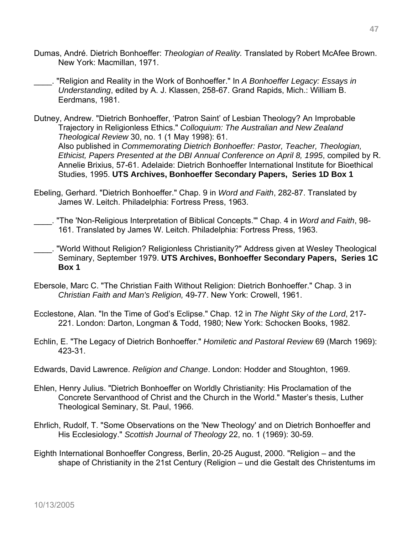- Dumas, André. Dietrich Bonhoeffer: *Theologian of Reality.* Translated by Robert McAfee Brown. New York: Macmillan, 1971.
- \_\_\_\_. "Religion and Reality in the Work of Bonhoeffer." In *A Bonhoeffer Legacy: Essays in Understanding*, edited by A. J. Klassen, 258-67. Grand Rapids, Mich.: William B. Eerdmans, 1981.
- Dutney, Andrew. "Dietrich Bonhoeffer, 'Patron Saint' of Lesbian Theology? An Improbable Trajectory in Religionless Ethics." *Colloquium: The Australian and New Zealand Theological Review* 30, no. 1 (1 May 1998): 61. Also published in *Commemorating Dietrich Bonhoeffer: Pastor, Teacher, Theologian, Ethicist, Papers Presented at the DBI Annual Conference on April 8, 1995*, compiled by R. Annelie Brixius, 57-61. Adelaide: Dietrich Bonhoeffer International Institute for Bioethical Studies, 1995. **UTS Archives, Bonhoeffer Secondary Papers, Series 1D Box 1**
- Ebeling, Gerhard. "Dietrich Bonhoeffer." Chap. 9 in *Word and Faith*, 282-87. Translated by James W. Leitch. Philadelphia: Fortress Press, 1963.
- \_\_\_\_. "The 'Non-Religious Interpretation of Biblical Concepts.'" Chap. 4 in *Word and Faith*, 98- 161. Translated by James W. Leitch. Philadelphia: Fortress Press, 1963.
- \_\_\_\_. "World Without Religion? Religionless Christianity?" Address given at Wesley Theological Seminary, September 1979. **UTS Archives, Bonhoeffer Secondary Papers, Series 1C Box 1**
- Ebersole, Marc C. "The Christian Faith Without Religion: Dietrich Bonhoeffer." Chap. 3 in *Christian Faith and Man's Religion,* 49-77. New York: Crowell, 1961.
- Ecclestone, Alan. "In the Time of God's Eclipse." Chap. 12 in *The Night Sky of the Lord*, 217- 221. London: Darton, Longman & Todd, 1980; New York: Schocken Books, 1982.
- Echlin, E. "The Legacy of Dietrich Bonhoeffer." *Homiletic and Pastoral Review* 69 (March 1969): 423-31.
- Edwards, David Lawrence. *Religion and Change*. London: Hodder and Stoughton, 1969.
- Ehlen, Henry Julius. "Dietrich Bonhoeffer on Worldly Christianity: His Proclamation of the Concrete Servanthood of Christ and the Church in the World." Master's thesis, Luther Theological Seminary, St. Paul, 1966.
- Ehrlich, Rudolf, T. "Some Observations on the 'New Theology' and on Dietrich Bonhoeffer and His Ecclesiology." *Scottish Journal of Theology* 22, no. 1 (1969): 30-59.
- Eighth International Bonhoeffer Congress, Berlin, 20-25 August, 2000. "Religion and the shape of Christianity in the 21st Century (Religion – und die Gestalt des Christentums im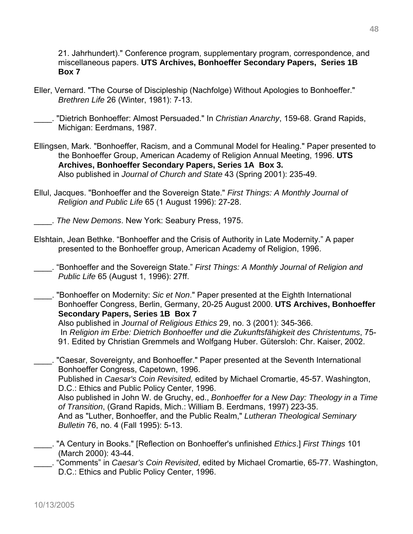21. Jahrhundert)." Conference program, supplementary program, correspondence, and miscellaneous papers. **UTS Archives, Bonhoeffer Secondary Papers, Series 1B Box 7**

Eller, Vernard. "The Course of Discipleship (Nachfolge) Without Apologies to Bonhoeffer." *Brethren Life* 26 (Winter, 1981): 7-13.

\_\_\_\_. "Dietrich Bonhoeffer: Almost Persuaded." In *Christian Anarchy*, 159-68. Grand Rapids, Michigan: Eerdmans, 1987.

- Ellingsen, Mark. "Bonhoeffer, Racism, and a Communal Model for Healing." Paper presented to the Bonhoeffer Group, American Academy of Religion Annual Meeting, 1996. **UTS Archives, Bonhoeffer Secondary Papers, Series 1A Box 3.**  Also published in *Journal of Church and State* 43 (Spring 2001): 235-49.
- Ellul, Jacques. "Bonhoeffer and the Sovereign State." *First Things: A Monthly Journal of Religion and Public Life* 65 (1 August 1996): 27-28.

\_\_\_\_. *The New Demons*. New York: Seabury Press, 1975.

- Elshtain, Jean Bethke. "Bonhoeffer and the Crisis of Authority in Late Modernity." A paper presented to the Bonhoeffer group, American Academy of Religion, 1996.
- \_\_\_\_. "Bonhoeffer and the Sovereign State." *First Things: A Monthly Journal of Religion and Public Life* 65 (August 1, 1996): 27ff.
- \_\_\_\_. "Bonhoeffer on Modernity: *Sic et Non*." Paper presented at the Eighth International Bonhoeffer Congress, Berlin, Germany, 20-25 August 2000. **UTS Archives, Bonhoeffer Secondary Papers, Series 1B Box 7**

Also published in *Journal of Religious Ethics* 29, no. 3 (2001): 345-366. In *Religion im Erbe: Dietrich Bonhoeffer und die Zukunftsfähigkeit des Christentums*, 75- 91. Edited by Christian Gremmels and Wolfgang Huber. Gütersloh: Chr. Kaiser, 2002.

\_\_\_\_. "Caesar, Sovereignty, and Bonhoeffer." Paper presented at the Seventh International Bonhoeffer Congress, Capetown, 1996.

 Published in *Caesar's Coin Revisited,* edited by Michael Cromartie, 45-57. Washington, D.C.: Ethics and Public Policy Center, 1996.

Also published in John W. de Gruchy, ed., *Bonhoeffer for a New Day: Theology in a Time of Transition*, (Grand Rapids, Mich.: William B. Eerdmans, 1997) 223-35. And as "Luther, Bonhoeffer, and the Public Realm," *Lutheran Theological Seminary Bulletin* 76, no. 4 (Fall 1995): 5-13.

- \_\_\_\_. "A Century in Books." [Reflection on Bonhoeffer's unfinished *Ethics*.] *First Things* 101 (March 2000): 43-44.
- \_\_\_\_. "Comments" in *Caesar's Coin Revisited*, edited by Michael Cromartie, 65-77. Washington, D.C.: Ethics and Public Policy Center, 1996.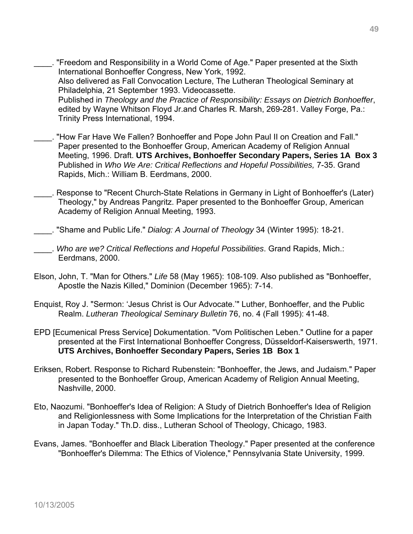- \_\_\_\_. "Freedom and Responsibility in a World Come of Age." Paper presented at the Sixth International Bonhoeffer Congress, New York, 1992. Also delivered as Fall Convocation Lecture, The Lutheran Theological Seminary at Philadelphia, 21 September 1993. Videocassette. Published in *Theology and the Practice of Responsibility: Essays on Dietrich Bonhoeffer*, edited by Wayne Whitson Floyd Jr.and Charles R. Marsh, 269-281. Valley Forge, Pa.: Trinity Press International, 1994.
- \_\_\_\_. "How Far Have We Fallen? Bonhoeffer and Pope John Paul II on Creation and Fall." Paper presented to the Bonhoeffer Group, American Academy of Religion Annual Meeting, 1996. Draft. **UTS Archives, Bonhoeffer Secondary Papers, Series 1A Box 3**  Published in *Who We Are: Critical Reflections and Hopeful Possibilities,* 7-35. Grand Rapids, Mich.: William B. Eerdmans, 2000.
- \_\_\_\_. Response to "Recent Church-State Relations in Germany in Light of Bonhoeffer's (Later) Theology," by Andreas Pangritz. Paper presented to the Bonhoeffer Group, American Academy of Religion Annual Meeting, 1993.
- \_\_\_\_. "Shame and Public Life." *Dialog: A Journal of Theology* 34 (Winter 1995): 18-21.
- \_\_\_\_. *Who are we? Critical Reflections and Hopeful Possibilities*. Grand Rapids, Mich.: Eerdmans, 2000.
- Elson, John, T. "Man for Others." *Life* 58 (May 1965): 108-109. Also published as "Bonhoeffer, Apostle the Nazis Killed," Dominion (December 1965): 7-14.
- Enquist, Roy J. "Sermon: 'Jesus Christ is Our Advocate.'" Luther, Bonhoeffer, and the Public Realm. *Lutheran Theological Seminary Bulletin* 76, no. 4 (Fall 1995): 41-48.
- EPD [Ecumenical Press Service] Dokumentation. "Vom Politischen Leben." Outline for a paper presented at the First International Bonhoeffer Congress, Düsseldorf-Kaiserswerth, 1971. **UTS Archives, Bonhoeffer Secondary Papers, Series 1B Box 1**
- Eriksen, Robert. Response to Richard Rubenstein: "Bonhoeffer, the Jews, and Judaism." Paper presented to the Bonhoeffer Group, American Academy of Religion Annual Meeting, Nashville, 2000.
- Eto, Naozumi. "Bonhoeffer's Idea of Religion: A Study of Dietrich Bonhoeffer's Idea of Religion and Religionlessness with Some Implications for the Interpretation of the Christian Faith in Japan Today." Th.D. diss., Lutheran School of Theology, Chicago, 1983.
- Evans, James. "Bonhoeffer and Black Liberation Theology." Paper presented at the conference "Bonhoeffer's Dilemma: The Ethics of Violence," Pennsylvania State University, 1999.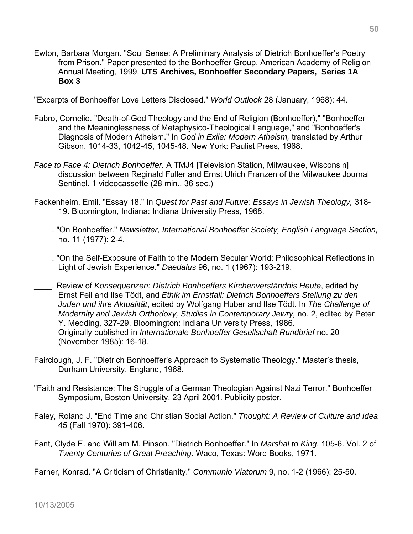Ewton, Barbara Morgan. "Soul Sense: A Preliminary Analysis of Dietrich Bonhoeffer's Poetry from Prison." Paper presented to the Bonhoeffer Group, American Academy of Religion Annual Meeting, 1999. **UTS Archives, Bonhoeffer Secondary Papers, Series 1A Box 3**

"Excerpts of Bonhoeffer Love Letters Disclosed." *World Outlook* 28 (January, 1968): 44.

- Fabro, Cornelio. "Death-of-God Theology and the End of Religion (Bonhoeffer)," "Bonhoeffer and the Meaninglessness of Metaphysico-Theological Language," and "Bonhoeffer's Diagnosis of Modern Atheism." In *God in Exile: Modern Atheism,* translated by Arthur Gibson, 1014-33, 1042-45, 1045-48. New York: Paulist Press, 1968.
- *Face to Face 4: Dietrich Bonhoeffer.* A TMJ4 [Television Station, Milwaukee, Wisconsin] discussion between Reginald Fuller and Ernst Ulrich Franzen of the Milwaukee Journal Sentinel. 1 videocassette (28 min., 36 sec.)
- Fackenheim, Emil. "Essay 18." In *Quest for Past and Future: Essays in Jewish Theology,* 318- 19. Bloomington, Indiana: Indiana University Press, 1968.
- \_\_\_\_. "On Bonhoeffer." *Newsletter, International Bonhoeffer Society, English Language Section,* no. 11 (1977): 2-4.
- ......... "On the Self-Exposure of Faith to the Modern Secular World: Philosophical Reflections in Light of Jewish Experience." *Daedalus* 96, no. 1 (1967): 193-219.
- \_\_\_\_. Review of *Konsequenzen: Dietrich Bonhoeffers Kirchenverständnis Heute*, edited by Ernst Feil and Ilse Tödt, and *Ethik im Ernstfall: Dietrich Bonhoeffers Stellung zu den Juden und ihre Aktualität*, edited by Wolfgang Huber and Ilse Tödt. In *The Challenge of Modernity and Jewish Orthodoxy, Studies in Contemporary Jewry,* no. 2, edited by Peter Y. Medding, 327-29. Bloomington: Indiana University Press, 1986. Originally published in *Internationale Bonhoeffer Gesellschaft Rundbrief* no. 20 (November 1985): 16-18.
- Fairclough, J. F. "Dietrich Bonhoeffer's Approach to Systematic Theology." Master's thesis, Durham University, England, 1968.
- "Faith and Resistance: The Struggle of a German Theologian Against Nazi Terror." Bonhoeffer Symposium, Boston University, 23 April 2001. Publicity poster.
- Faley, Roland J. "End Time and Christian Social Action." *Thought: A Review of Culture and Idea*  45 (Fall 1970): 391-406.
- Fant, Clyde E. and William M. Pinson. "Dietrich Bonhoeffer." In *Marshal to King*. 105-6. Vol. 2 of *Twenty Centuries of Great Preaching*. Waco, Texas: Word Books, 1971.

Farner, Konrad. "A Criticism of Christianity." *Communio Viatorum* 9, no. 1-2 (1966): 25-50.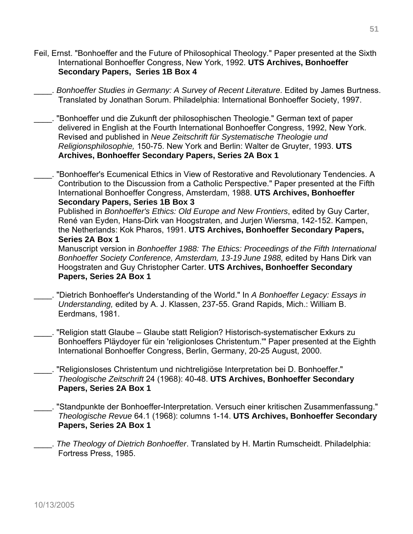- Feil, Ernst. "Bonhoeffer and the Future of Philosophical Theology." Paper presented at the Sixth International Bonhoeffer Congress, New York, 1992. **UTS Archives, Bonhoeffer Secondary Papers, Series 1B Box 4**
	- \_\_\_\_. *Bonhoeffer Studies in Germany: A Survey of Recent Literature*. Edited by James Burtness. Translated by Jonathan Sorum. Philadelphia: International Bonhoeffer Society, 1997.
- \_\_\_\_. "Bonhoeffer und die Zukunft der philosophischen Theologie." German text of paper delivered in English at the Fourth International Bonhoeffer Congress, 1992, New York. Revised and published in *Neue Zeitschrift für Systematische Theologie und Religionsphilosophie,* 150-75. New York and Berlin: Walter de Gruyter, 1993. **UTS Archives, Bonhoeffer Secondary Papers, Series 2A Box 1**
- "Bonhoeffer's Ecumenical Ethics in View of Restorative and Revolutionary Tendencies. A Contribution to the Discussion from a Catholic Perspective." Paper presented at the Fifth International Bonhoeffer Congress, Amsterdam, 1988. **UTS Archives, Bonhoeffer Secondary Papers, Series 1B Box 3**

 Published in *Bonhoeffer's Ethics: Old Europe and New Frontiers*, edited by Guy Carter, René van Eyden, Hans-Dirk van Hoogstraten, and Jurjen Wiersma, 142-152. Kampen, the Netherlands: Kok Pharos, 1991. **UTS Archives, Bonhoeffer Secondary Papers, Series 2A Box 1** 

Manuscript version in *Bonhoeffer 1988: The Ethics: Proceedings of the Fifth International Bonhoeffer Society Conference, Amsterdam, 13-19 June 1988,* edited by Hans Dirk van Hoogstraten and Guy Christopher Carter. **UTS Archives, Bonhoeffer Secondary Papers, Series 2A Box 1** 

- \_\_\_\_. "Dietrich Bonhoeffer's Understanding of the World." In *A Bonhoeffer Legacy: Essays in Understanding,* edited by A. J. Klassen, 237-55. Grand Rapids, Mich.: William B. Eerdmans, 1981.
- \_\_\_\_. "Religion statt Glaube Glaube statt Religion? Historisch-systematischer Exkurs zu Bonhoeffers Pläydoyer für ein 'religionloses Christentum.'" Paper presented at the Eighth International Bonhoeffer Congress, Berlin, Germany, 20-25 August, 2000.
- \_\_\_\_. "Religionsloses Christentum und nichtreligiöse Interpretation bei D. Bonhoeffer." *Theologische Zeitschrift* 24 (1968): 40-48. **UTS Archives, Bonhoeffer Secondary Papers, Series 2A Box 1**
- \_\_\_\_. "Standpunkte der Bonhoeffer-Interpretation. Versuch einer kritischen Zusammenfassung." *Theologische Revue* 64.1 (1968): columns 1-14. **UTS Archives, Bonhoeffer Secondary Papers, Series 2A Box 1**
- \_\_\_\_. *The Theology of Dietrich Bonhoeffer*. Translated by H. Martin Rumscheidt. Philadelphia: Fortress Press, 1985.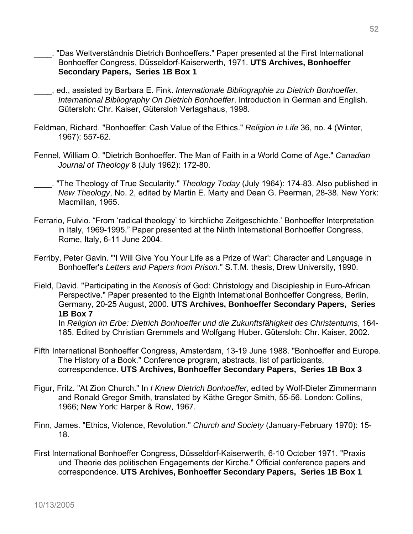- \_\_\_\_. "Das Weltverständnis Dietrich Bonhoeffers." Paper presented at the First International Bonhoeffer Congress, Düsseldorf-Kaiserwerth, 1971. **UTS Archives, Bonhoeffer Secondary Papers, Series 1B Box 1**
- \_\_\_\_, ed., assisted by Barbara E. Fink. *Internationale Bibliographie zu Dietrich Bonhoeffer. International Bibliography On Dietrich Bonhoeffer*. Introduction in German and English. Gütersloh: Chr. Kaiser, Gütersloh Verlagshaus, 1998.
- Feldman, Richard. "Bonhoeffer: Cash Value of the Ethics." *Religion in Life* 36, no. 4 (Winter, 1967): 557-62.
- Fennel, William O. "Dietrich Bonhoeffer. The Man of Faith in a World Come of Age." *Canadian Journal of Theology* 8 (July 1962): 172-80.
- \_\_\_\_. "The Theology of True Secularity." *Theology Today* (July 1964): 174-83. Also published in *New Theology*, No. 2, edited by Martin E. Marty and Dean G. Peerman, 28-38. New York: Macmillan, 1965.
- Ferrario, Fulvio. "From 'radical theology' to 'kirchliche Zeitgeschichte.' Bonhoeffer Interpretation in Italy, 1969-1995." Paper presented at the Ninth International Bonhoeffer Congress, Rome, Italy, 6-11 June 2004.
- Ferriby, Peter Gavin. "'I Will Give You Your Life as a Prize of War': Character and Language in Bonhoeffer's *Letters and Papers from Prison*." S.T.M. thesis, Drew University, 1990.
- Field, David. "Participating in the *Kenosis* of God: Christology and Discipleship in Euro-African Perspective." Paper presented to the Eighth International Bonhoeffer Congress, Berlin, Germany, 20-25 August, 2000. **UTS Archives, Bonhoeffer Secondary Papers, Series 1B Box 7**

In *Religion im Erbe: Dietrich Bonhoeffer und die Zukunftsfähigkeit des Christentums*, 164- 185. Edited by Christian Gremmels and Wolfgang Huber. Gütersloh: Chr. Kaiser, 2002.

- Fifth International Bonhoeffer Congress, Amsterdam, 13-19 June 1988. "Bonhoeffer and Europe. The History of a Book." Conference program, abstracts, list of participants, correspondence. **UTS Archives, Bonhoeffer Secondary Papers, Series 1B Box 3**
- Figur, Fritz. "At Zion Church." In *I Knew Dietrich Bonhoeffer*, edited by Wolf-Dieter Zimmermann and Ronald Gregor Smith, translated by Käthe Gregor Smith, 55-56. London: Collins, 1966; New York: Harper & Row, 1967.
- Finn, James. "Ethics, Violence, Revolution." *Church and Society* (January-February 1970): 15- 18.
- First International Bonhoeffer Congress, Düsseldorf-Kaiserwerth, 6-10 October 1971. "Praxis und Theorie des politischen Engagements der Kirche." Official conference papers and correspondence. **UTS Archives, Bonhoeffer Secondary Papers, Series 1B Box 1**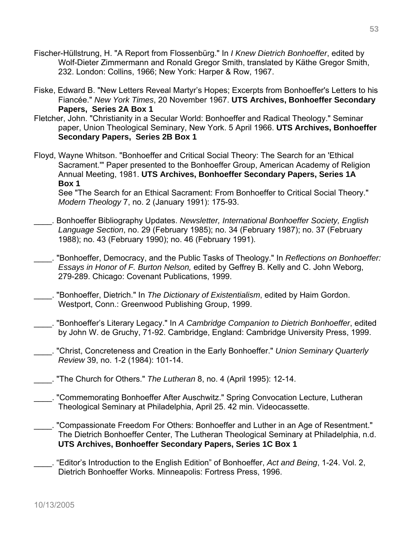- Fischer-Hüllstrung, H. "A Report from Flossenbürg." In *I Knew Dietrich Bonhoeffer*, edited by Wolf-Dieter Zimmermann and Ronald Gregor Smith, translated by Käthe Gregor Smith, 232. London: Collins, 1966; New York: Harper & Row, 1967.
- Fiske, Edward B. "New Letters Reveal Martyr's Hopes; Excerpts from Bonhoeffer's Letters to his Fiancée." *New York Times*, 20 November 1967. **UTS Archives, Bonhoeffer Secondary Papers, Series 2A Box 1**
- Fletcher, John. "Christianity in a Secular World: Bonhoeffer and Radical Theology." Seminar paper, Union Theological Seminary, New York. 5 April 1966. **UTS Archives, Bonhoeffer Secondary Papers, Series 2B Box 1**
- Floyd, Wayne Whitson. "Bonhoeffer and Critical Social Theory: The Search for an 'Ethical Sacrament.'" Paper presented to the Bonhoeffer Group, American Academy of Religion Annual Meeting, 1981. **UTS Archives, Bonhoeffer Secondary Papers, Series 1A Box 1**

See "The Search for an Ethical Sacrament: From Bonhoeffer to Critical Social Theory." *Modern Theology* 7, no. 2 (January 1991): 175-93.

- \_\_\_\_. Bonhoeffer Bibliography Updates. *Newsletter, International Bonhoeffer Society, English Language Section*, no. 29 (February 1985); no. 34 (February 1987); no. 37 (February 1988); no. 43 (February 1990); no. 46 (February 1991).
- \_\_\_\_. "Bonhoeffer, Democracy, and the Public Tasks of Theology." In *Reflections on Bonhoeffer: Essays in Honor of F. Burton Nelson,* edited by Geffrey B. Kelly and C. John Weborg, 279-289. Chicago: Covenant Publications, 1999.
- \_\_\_\_. "Bonhoeffer, Dietrich." In *The Dictionary of Existentialism*, edited by Haim Gordon. Westport, Conn.: Greenwood Publishing Group, 1999.
- \_\_\_\_. "Bonhoeffer's Literary Legacy." In *A Cambridge Companion to Dietrich Bonhoeffer*, edited by John W. de Gruchy, 71-92. Cambridge, England: Cambridge University Press, 1999.
- \_\_\_\_. "Christ, Concreteness and Creation in the Early Bonhoeffer." *Union Seminary Quarterly Review* 39, no. 1-2 (1984): 101-14.
- \_\_\_\_. "The Church for Others." *The Lutheran* 8, no. 4 (April 1995): 12-14.
- \_\_\_\_. "Commemorating Bonhoeffer After Auschwitz." Spring Convocation Lecture, Lutheran Theological Seminary at Philadelphia, April 25. 42 min. Videocassette.
- \_\_\_\_. "Compassionate Freedom For Others: Bonhoeffer and Luther in an Age of Resentment." The Dietrich Bonhoeffer Center, The Lutheran Theological Seminary at Philadelphia, n.d. **UTS Archives, Bonhoeffer Secondary Papers, Series 1C Box 1**
- \_\_\_\_. "Editor's Introduction to the English Edition" of Bonhoeffer, *Act and Being*, 1-24. Vol. 2, Dietrich Bonhoeffer Works. Minneapolis: Fortress Press, 1996.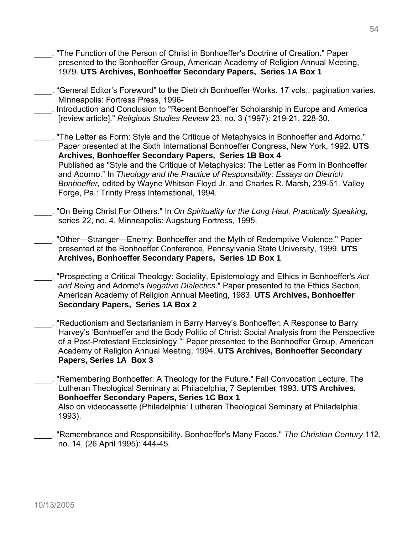\_\_\_\_. "The Function of the Person of Christ in Bonhoeffer's Doctrine of Creation." Paper presented to the Bonhoeffer Group, American Academy of Religion Annual Meeting, 1979. **UTS Archives, Bonhoeffer Secondary Papers, Series 1A Box 1** \_\_\_\_. "General Editor's Foreword" to the Dietrich Bonhoeffer Works. 17 vols., pagination varies. Minneapolis: Fortress Press, 1996- \_\_\_\_. Introduction and Conclusion to "Recent Bonhoeffer Scholarship in Europe and America [review article]." *Religious Studies Review* 23, no. 3 (1997): 219-21, 228-30. \_\_\_\_. "The Letter as Form: Style and the Critique of Metaphysics in Bonhoeffer and Adorno."

Paper presented at the Sixth International Bonhoeffer Congress, New York, 1992. **UTS Archives, Bonhoeffer Secondary Papers, Series 1B Box 4** Published as "Style and the Critique of Metaphysics: The Letter as Form in Bonhoeffer and Adorno." In *Theology and the Practice of Responsibility: Essays on Dietrich Bonhoeffer,* edited by Wayne Whitson Floyd Jr. and Charles R. Marsh, 239-51. Valley Forge, Pa.: Trinity Press International, 1994.

- \_\_\_\_. "On Being Christ For Others." In *On Spirituality for the Long Haul, Practically Speaking,* series 22, no. 4. Minneapolis: Augsburg Fortress, 1995.
- \_\_\_\_. "Other—Stranger—Enemy: Bonhoeffer and the Myth of Redemptive Violence." Paper presented at the Bonhoeffer Conference, Pennsylvania State University, 1999. **UTS Archives, Bonhoeffer Secondary Papers, Series 1D Box 1**
- \_\_\_\_. "Prospecting a Critical Theology: Sociality, Epistemology and Ethics in Bonhoeffer's *Act and Being* and Adorno's *Negative Dialectics*." Paper presented to the Ethics Section, American Academy of Religion Annual Meeting, 1983. **UTS Archives, Bonhoeffer Secondary Papers, Series 1A Box 2**
- \_\_\_\_. "Reductionism and Sectarianism in Barry Harvey's Bonhoeffer: A Response to Barry Harvey's 'Bonhoeffer and the Body Politic of Christ: Social Analysis from the Perspective of a Post-Protestant Ecclesiology.'" Paper presented to the Bonhoeffer Group, American Academy of Religion Annual Meeting, 1994. **UTS Archives, Bonhoeffer Secondary Papers, Series 1A Box 3**
- \_\_\_\_. "Remembering Bonhoeffer: A Theology for the Future." Fall Convocation Lecture, The Lutheran Theological Seminary at Philadelphia, 7 September 1993. **UTS Archives, Bonhoeffer Secondary Papers, Series 1C Box 1**  Also on videocassette (Philadelphia: Lutheran Theological Seminary at Philadelphia, 1993).
- \_\_\_\_. "Remembrance and Responsibility. Bonhoeffer's Many Faces." *The Christian Century* 112, no. 14, (26 April 1995): 444-45.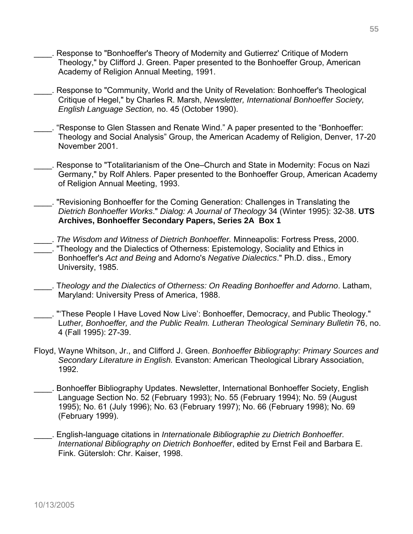- Response to "Bonhoeffer's Theory of Modernity and Gutierrez' Critique of Modern Theology," by Clifford J. Green. Paper presented to the Bonhoeffer Group, American Academy of Religion Annual Meeting, 1991.
- \_\_\_\_. Response to "Community, World and the Unity of Revelation: Bonhoeffer's Theological Critique of Hegel," by Charles R. Marsh, *Newsletter, International Bonhoeffer Society, English Language Section,* no. 45 (October 1990).
- \_\_\_\_. "Response to Glen Stassen and Renate Wind." A paper presented to the "Bonhoeffer: Theology and Social Analysis" Group, the American Academy of Religion, Denver, 17-20 November 2001.
- \_\_\_\_. Response to "Totalitarianism of the One–Church and State in Modernity: Focus on Nazi Germany," by Rolf Ahlers. Paper presented to the Bonhoeffer Group, American Academy of Religion Annual Meeting, 1993.
- \_\_\_\_. "Revisioning Bonhoeffer for the Coming Generation: Challenges in Translating the *Dietrich Bonhoeffer Works*." *Dialog: A Journal of Theology* 34 (Winter 1995): 32-38. **UTS Archives, Bonhoeffer Secondary Papers, Series 2A Box 1**
- \_\_\_\_. *The Wisdom and Witness of Dietrich Bonhoeffer.* Minneapolis: Fortress Press, 2000. \_\_\_\_. "Theology and the Dialectics of Otherness: Epistemology, Sociality and Ethics in Bonhoeffer's *Act and Being* and Adorno's *Negative Dialectics*." Ph.D. diss., Emory University, 1985.
- \_\_\_\_. T*heology and the Dialectics of Otherness: On Reading Bonhoeffer and Adorno*. Latham, Maryland: University Press of America, 1988.
- \_\_\_\_. "'These People I Have Loved Now Live': Bonhoeffer, Democracy, and Public Theology." L*uther, Bonhoeffer, and the Public Realm. Lutheran Theological Seminary Bulletin* 76, no. 4 (Fall 1995): 27-39.
- Floyd, Wayne Whitson, Jr., and Clifford J. Green. *Bonhoeffer Bibliography: Primary Sources and Secondary Literature in English.* Evanston: American Theological Library Association, 1992.
- \_\_\_\_. Bonhoeffer Bibliography Updates. Newsletter, International Bonhoeffer Society, English Language Section No. 52 (February 1993); No. 55 (February 1994); No. 59 (August 1995); No. 61 (July 1996); No. 63 (February 1997); No. 66 (February 1998); No. 69 (February 1999).
- \_\_\_\_. English-language citations in *Internationale Bibliographie zu Dietrich Bonhoeffer. International Bibliography on Dietrich Bonhoeffer*, edited by Ernst Feil and Barbara E. Fink. Gütersloh: Chr. Kaiser, 1998.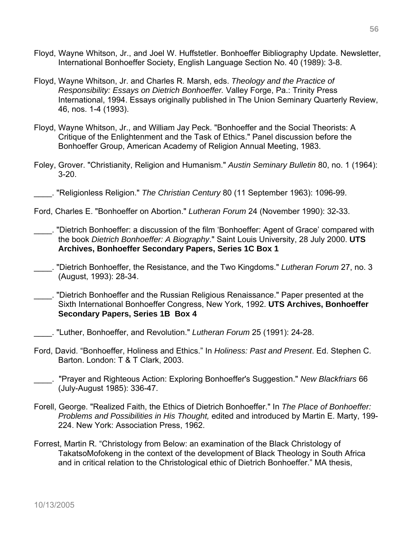- Floyd, Wayne Whitson, Jr., and Joel W. Huffstetler. Bonhoeffer Bibliography Update. Newsletter, International Bonhoeffer Society, English Language Section No. 40 (1989): 3-8.
- Floyd, Wayne Whitson, Jr. and Charles R. Marsh, eds. *Theology and the Practice of Responsibility: Essays on Dietrich Bonhoeffer.* Valley Forge, Pa.: Trinity Press International, 1994. Essays originally published in The Union Seminary Quarterly Review, 46, nos. 1-4 (1993).
- Floyd, Wayne Whitson, Jr., and William Jay Peck. "Bonhoeffer and the Social Theorists: A Critique of the Enlightenment and the Task of Ethics." Panel discussion before the Bonhoeffer Group, American Academy of Religion Annual Meeting, 1983.
- Foley, Grover. "Christianity, Religion and Humanism." *Austin Seminary Bulletin* 80, no. 1 (1964): 3-20.

\_\_\_\_. "Religionless Religion." *The Christian Century* 80 (11 September 1963): 1096-99.

- Ford, Charles E. "Bonhoeffer on Abortion." *Lutheran Forum* 24 (November 1990): 32-33.
- \_\_\_\_. "Dietrich Bonhoeffer: a discussion of the film 'Bonhoeffer: Agent of Grace' compared with the book *Dietrich Bonhoeffer: A Biography*." Saint Louis University, 28 July 2000. **UTS Archives, Bonhoeffer Secondary Papers, Series 1C Box 1**
- \_\_\_\_. "Dietrich Bonhoeffer, the Resistance, and the Two Kingdoms." *Lutheran Forum* 27, no. 3 (August, 1993): 28-34.
- \_\_\_\_. "Dietrich Bonhoeffer and the Russian Religious Renaissance." Paper presented at the Sixth International Bonhoeffer Congress, New York, 1992. **UTS Archives, Bonhoeffer Secondary Papers, Series 1B Box 4**
- \_\_\_\_. "Luther, Bonhoeffer, and Revolution." *Lutheran Forum* 25 (1991): 24-28.
- Ford, David. "Bonhoeffer, Holiness and Ethics." In *Holiness: Past and Present*. Ed. Stephen C. Barton. London: T & T Clark, 2003.
- \_\_\_\_. "Prayer and Righteous Action: Exploring Bonhoeffer's Suggestion." *New Blackfriars* 66 (July-August 1985): 336-47.
- Forell, George. "Realized Faith, the Ethics of Dietrich Bonhoeffer." In *The Place of Bonhoeffer: Problems and Possibilities in His Thought,* edited and introduced by Martin E. Marty, 199- 224. New York: Association Press, 1962.
- Forrest, Martin R. "Christology from Below: an examination of the Black Christology of TakatsoMofokeng in the context of the development of Black Theology in South Africa and in critical relation to the Christological ethic of Dietrich Bonhoeffer." MA thesis,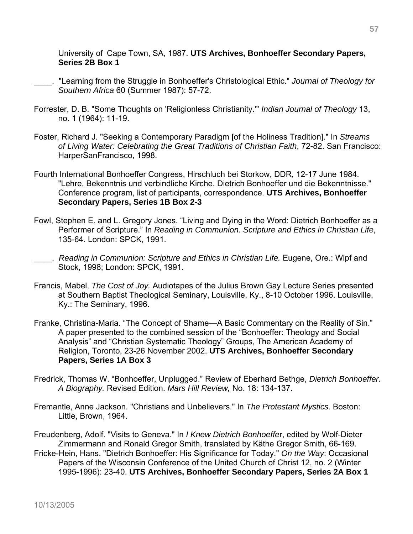University of Cape Town, SA, 1987. **UTS Archives, Bonhoeffer Secondary Papers, Series 2B Box 1**

- \_\_\_\_. "Learning from the Struggle in Bonhoeffer's Christological Ethic." *Journal of Theology for Southern Africa* 60 (Summer 1987): 57-72.
- Forrester, D. B. "Some Thoughts on 'Religionless Christianity.'" *Indian Journal of Theology* 13, no. 1 (1964): 11-19.
- Foster, Richard J. "Seeking a Contemporary Paradigm [of the Holiness Tradition]." In *Streams of Living Water: Celebrating the Great Traditions of Christian Faith*, 72-82. San Francisco: HarperSanFrancisco, 1998.
- Fourth International Bonhoeffer Congress, Hirschluch bei Storkow, DDR, 12-17 June 1984. "Lehre, Bekenntnis und verbindliche Kirche. Dietrich Bonhoeffer und die Bekenntnisse." Conference program, list of participants, correspondence. **UTS Archives, Bonhoeffer Secondary Papers, Series 1B Box 2-3**
- Fowl, Stephen E. and L. Gregory Jones. "Living and Dying in the Word: Dietrich Bonhoeffer as a Performer of Scripture." In *Reading in Communion. Scripture and Ethics in Christian Life*, 135-64. London: SPCK, 1991.
- **EXECT:** *Reading in Communion: Scripture and Ethics in Christian Life. Eugene, Ore.: Wipf and* Stock, 1998; London: SPCK, 1991.
- Francis, Mabel. *The Cost of Joy.* Audiotapes of the Julius Brown Gay Lecture Series presented at Southern Baptist Theological Seminary, Louisville, Ky., 8-10 October 1996. Louisville, Ky.: The Seminary, 1996.
- Franke, Christina-Maria. "The Concept of Shame—A Basic Commentary on the Reality of Sin." A paper presented to the combined session of the "Bonhoeffer: Theology and Social Analysis" and "Christian Systematic Theology" Groups, The American Academy of Religion, Toronto, 23-26 November 2002. **UTS Archives, Bonhoeffer Secondary Papers, Series 1A Box 3**
- Fredrick, Thomas W. "Bonhoeffer, Unplugged." Review of Eberhard Bethge, *Dietrich Bonhoeffer. A Biography.* Revised Edition. *Mars Hill Review,* No. 18: 134-137.
- Fremantle, Anne Jackson. "Christians and Unbelievers." In *The Protestant Mystics*. Boston: Little, Brown, 1964.
- Freudenberg, Adolf. "Visits to Geneva." In *I Knew Dietrich Bonhoeffe*r, edited by Wolf-Dieter Zimmermann and Ronald Gregor Smith, translated by Käthe Gregor Smith, 66-169.
- Fricke-Hein, Hans. "Dietrich Bonhoeffer: His Significance for Today." *On the Way*: Occasional Papers of the Wisconsin Conference of the United Church of Christ 12, no. 2 (Winter 1995-1996): 23-40. **UTS Archives, Bonhoeffer Secondary Papers, Series 2A Box 1**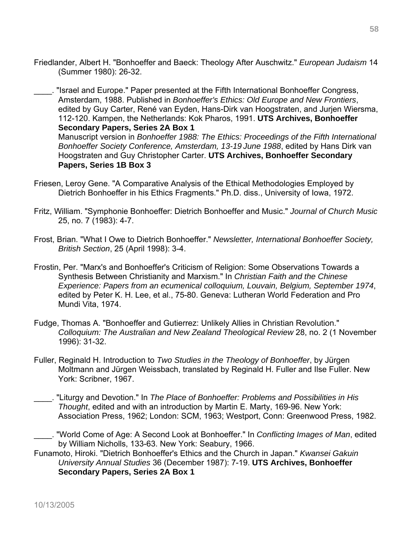Friedlander, Albert H. "Bonhoeffer and Baeck: Theology After Auschwitz." *European Judaism* 14 (Summer 1980): 26-32.

\_\_\_\_. "Israel and Europe." Paper presented at the Fifth International Bonhoeffer Congress, Amsterdam, 1988. Published in *Bonhoeffer's Ethics: Old Europe and New Frontiers*, edited by Guy Carter, René van Eyden, Hans-Dirk van Hoogstraten, and Jurjen Wiersma, 112-120. Kampen, the Netherlands: Kok Pharos, 1991. **UTS Archives, Bonhoeffer Secondary Papers, Series 2A Box 1**  Manuscript version in *Bonhoeffer 1988: The Ethics: Proceedings of the Fifth International Bonhoeffer Society Conference, Amsterdam, 13-19 June 1988*, edited by Hans Dirk van Hoogstraten and Guy Christopher Carter. **UTS Archives, Bonhoeffer Secondary Papers, Series 1B Box 3** 

- Friesen, Leroy Gene. "A Comparative Analysis of the Ethical Methodologies Employed by Dietrich Bonhoeffer in his Ethics Fragments." Ph.D. diss., University of Iowa, 1972.
- Fritz, William. "Symphonie Bonhoeffer: Dietrich Bonhoeffer and Music." *Journal of Church Music* 25, no. 7 (1983): 4-7.
- Frost, Brian. "What I Owe to Dietrich Bonhoeffer." *Newsletter, International Bonhoeffer Society, British Section*, 25 (April 1998): 3-4.
- Frostin, Per. "Marx's and Bonhoeffer's Criticism of Religion: Some Observations Towards a Synthesis Between Christianity and Marxism." In *Christian Faith and the Chinese Experience: Papers from an ecumenical colloquium, Louvain, Belgium, September 1974*, edited by Peter K. H. Lee, et al., 75-80. Geneva: Lutheran World Federation and Pro Mundi Vita, 1974.
- Fudge, Thomas A. "Bonhoeffer and Gutierrez: Unlikely Allies in Christian Revolution." *Colloquium: The Australian and New Zealand Theological Review* 28, no. 2 (1 November 1996): 31-32.
- Fuller, Reginald H. Introduction to *Two Studies in the Theology of Bonhoeffer*, by Jürgen Moltmann and Jürgen Weissbach, translated by Reginald H. Fuller and Ilse Fuller. New York: Scribner, 1967.
- \_\_\_\_. "Liturgy and Devotion." In *The Place of Bonhoeffer: Problems and Possibilities in His Thought*, edited and with an introduction by Martin E. Marty, 169-96. New York: Association Press, 1962; London: SCM, 1963; Westport, Conn: Greenwood Press, 1982.
- \_\_\_\_. "World Come of Age: A Second Look at Bonhoeffer." In *Conflicting Images of Man*, edited by William Nicholls, 133-63. New York: Seabury, 1966.
- Funamoto, Hiroki. "Dietrich Bonhoeffer's Ethics and the Church in Japan." *Kwansei Gakuin University Annual Studies* 36 (December 1987): 7-19. **UTS Archives, Bonhoeffer Secondary Papers, Series 2A Box 1**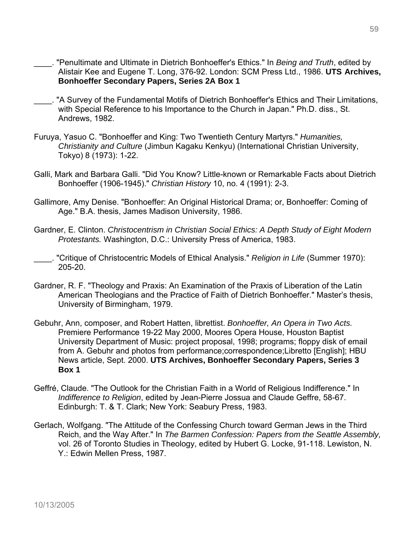- \_\_\_\_. "Penultimate and Ultimate in Dietrich Bonhoeffer's Ethics." In *Being and Truth*, edited by Alistair Kee and Eugene T. Long, 376-92. London: SCM Press Ltd., 1986. **UTS Archives, Bonhoeffer Secondary Papers, Series 2A Box 1**
- . "A Survey of the Fundamental Motifs of Dietrich Bonhoeffer's Ethics and Their Limitations, with Special Reference to his Importance to the Church in Japan." Ph.D. diss., St. Andrews, 1982.
- Furuya, Yasuo C. "Bonhoeffer and King: Two Twentieth Century Martyrs." *Humanities, Christianity and Culture* (Jimbun Kagaku Kenkyu) (International Christian University, Tokyo) 8 (1973): 1-22.
- Galli, Mark and Barbara Galli. "Did You Know? Little-known or Remarkable Facts about Dietrich Bonhoeffer (1906-1945)." *Christian History* 10, no. 4 (1991): 2-3.
- Gallimore, Amy Denise. "Bonhoeffer: An Original Historical Drama; or, Bonhoeffer: Coming of Age." B.A. thesis, James Madison University, 1986.
- Gardner, E. Clinton. *Christocentrism in Christian Social Ethics: A Depth Study of Eight Modern Protestants.* Washington, D.C.: University Press of America, 1983.
- \_\_\_\_. "Critique of Christocentric Models of Ethical Analysis." *Religion in Life* (Summer 1970): 205-20.
- Gardner, R. F. "Theology and Praxis: An Examination of the Praxis of Liberation of the Latin American Theologians and the Practice of Faith of Dietrich Bonhoeffer." Master's thesis, University of Birmingham, 1979.
- Gebuhr, Ann, composer, and Robert Hatten, librettist. *Bonhoeffer, An Opera in Two Acts.* Premiere Performance 19-22 May 2000, Moores Opera House, Houston Baptist University Department of Music: project proposal, 1998; programs; floppy disk of email from A. Gebuhr and photos from performance;correspondence;Libretto [English]; HBU News article, Sept. 2000. **UTS Archives, Bonhoeffer Secondary Papers, Series 3 Box 1**
- Geffré, Claude. "The Outlook for the Christian Faith in a World of Religious Indifference." In *Indifference to Religion*, edited by Jean-Pierre Jossua and Claude Geffre, 58-67. Edinburgh: T. & T. Clark; New York: Seabury Press, 1983.
- Gerlach, Wolfgang. "The Attitude of the Confessing Church toward German Jews in the Third Reich, and the Way After." In *The Barmen Confession: Papers from the Seattle Assembly,* vol. 26 of Toronto Studies in Theology, edited by Hubert G. Locke, 91-118. Lewiston, N. Y.: Edwin Mellen Press, 1987.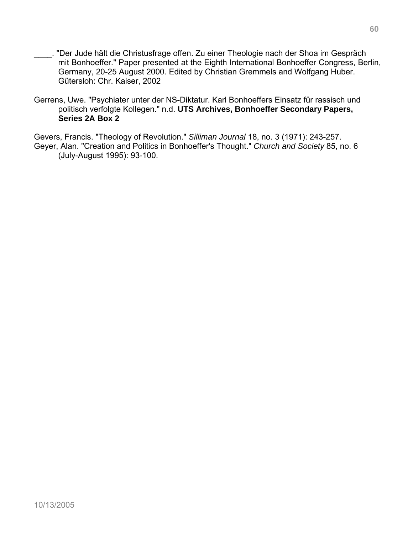- \_\_\_\_. "Der Jude hält die Christusfrage offen. Zu einer Theologie nach der Shoa im Gespräch mit Bonhoeffer." Paper presented at the Eighth International Bonhoeffer Congress, Berlin, Germany, 20-25 August 2000. Edited by Christian Gremmels and Wolfgang Huber. Gütersloh: Chr. Kaiser, 2002
- Gerrens, Uwe. "Psychiater unter der NS-Diktatur. Karl Bonhoeffers Einsatz für rassisch und politisch verfolgte Kollegen." n.d. **UTS Archives, Bonhoeffer Secondary Papers, Series 2A Box 2**

Gevers, Francis. "Theology of Revolution." *Silliman Journal* 18, no. 3 (1971): 243-257. Geyer, Alan. "Creation and Politics in Bonhoeffer's Thought." *Church and Society* 85, no. 6 (July-August 1995): 93-100.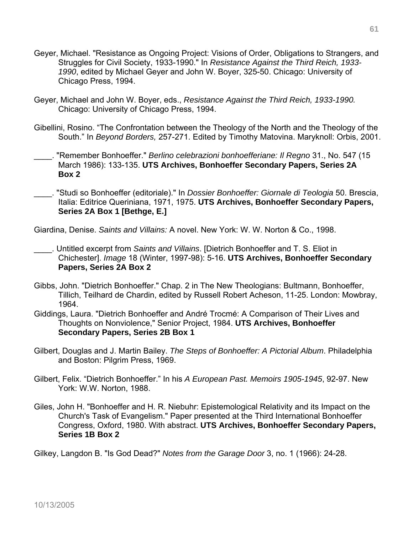- Geyer, Michael. "Resistance as Ongoing Project: Visions of Order, Obligations to Strangers, and Struggles for Civil Society, 1933-1990." In *Resistance Against the Third Reich, 1933- 1990*, edited by Michael Geyer and John W. Boyer, 325-50. Chicago: University of Chicago Press, 1994.
- Geyer, Michael and John W. Boyer, eds., *Resistance Against the Third Reich, 1933-1990.* Chicago: University of Chicago Press, 1994.
- Gibellini, Rosino. "The Confrontation between the Theology of the North and the Theology of the South." In *Beyond Borders,* 257-271. Edited by Timothy Matovina. Maryknoll: Orbis, 2001.
- \_\_\_\_. "Remember Bonhoeffer." *Berlino celebrazioni bonhoefferiane: Il Regno* 31., No. 547 (15 March 1986): 133-135. **UTS Archives, Bonhoeffer Secondary Papers, Series 2A Box 2**
- \_\_\_\_. "Studi so Bonhoeffer (editoriale)." In *Dossier Bonhoeffer: Giornale di Teologia* 50. Brescia, Italia: Editrice Queriniana, 1971, 1975. **UTS Archives, Bonhoeffer Secondary Papers, Series 2A Box 1 [Bethge, E.]**

Giardina, Denise. *Saints and Villains:* A novel. New York: W. W. Norton & Co., 1998.

- \_\_\_\_. Untitled excerpt from *Saints and Villains*. [Dietrich Bonhoeffer and T. S. Eliot in Chichester]. *Image* 18 (Winter, 1997-98): 5-16. **UTS Archives, Bonhoeffer Secondary Papers, Series 2A Box 2**
- Gibbs, John. "Dietrich Bonhoeffer." Chap. 2 in The New Theologians: Bultmann, Bonhoeffer, Tillich, Teilhard de Chardin, edited by Russell Robert Acheson, 11-25. London: Mowbray, 1964.
- Giddings, Laura. "Dietrich Bonhoeffer and André Trocmé: A Comparison of Their Lives and Thoughts on Nonviolence," Senior Project, 1984. **UTS Archives, Bonhoeffer Secondary Papers, Series 2B Box 1**
- Gilbert, Douglas and J. Martin Bailey. *The Steps of Bonhoeffer: A Pictorial Album*. Philadelphia and Boston: Pilgrim Press, 1969.
- Gilbert, Felix. "Dietrich Bonhoeffer." In his *A European Past. Memoirs 1905-1945*, 92-97. New York: W.W. Norton, 1988.
- Giles, John H. "Bonhoeffer and H. R. Niebuhr: Epistemological Relativity and its Impact on the Church's Task of Evangelism." Paper presented at the Third International Bonhoeffer Congress, Oxford, 1980. With abstract. **UTS Archives, Bonhoeffer Secondary Papers, Series 1B Box 2**

Gilkey, Langdon B. "Is God Dead?" *Notes from the Garage Door* 3, no. 1 (1966): 24-28.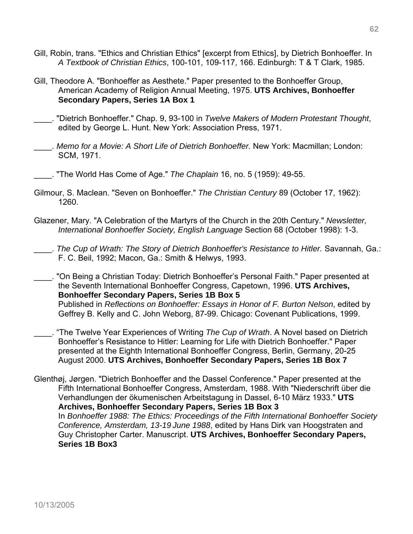- Gill, Robin, trans. "Ethics and Christian Ethics" [excerpt from Ethics], by Dietrich Bonhoeffer. In *A Textbook of Christian Ethics*, 100-101, 109-117, 166. Edinburgh: T & T Clark, 1985.
- Gill, Theodore A. "Bonhoeffer as Aesthete." Paper presented to the Bonhoeffer Group, American Academy of Religion Annual Meeting, 1975. **UTS Archives, Bonhoeffer Secondary Papers, Series 1A Box 1**
- \_\_\_\_. "Dietrich Bonhoeffer." Chap. 9, 93-100 in *Twelve Makers of Modern Protestant Thought*, edited by George L. Hunt. New York: Association Press, 1971.
- \_\_\_\_. *Memo for a Movie: A Short Life of Dietrich Bonhoeffer.* New York: Macmillan; London: SCM, 1971.
	- \_\_\_\_. "The World Has Come of Age." *The Chaplain* 16, no. 5 (1959): 49-55.
- Gilmour, S. Maclean. "Seven on Bonhoeffer." *The Christian Century* 89 (October 17, 1962): 1260.
- Glazener, Mary. "A Celebration of the Martyrs of the Church in the 20th Century." *Newsletter, International Bonhoeffer Society, English Language* Section 68 (October 1998): 1-3.
- \_\_\_\_. *The Cup of Wrath: The Story of Dietrich Bonhoeffer's Resistance to Hitler.* Savannah, Ga.: F. C. Beil, 1992; Macon, Ga.: Smith & Helwys, 1993.
- \_\_\_\_. "On Being a Christian Today: Dietrich Bonhoeffer's Personal Faith." Paper presented at the Seventh International Bonhoeffer Congress, Capetown, 1996. **UTS Archives, Bonhoeffer Secondary Papers, Series 1B Box 5**  Published in *Reflections on Bonhoeffer: Essays in Honor of F. Burton Nelson*, edited by Geffrey B. Kelly and C. John Weborg, 87-99. Chicago: Covenant Publications, 1999.
- \_\_\_\_. "The Twelve Year Experiences of Writing *The Cup of Wrath*. A Novel based on Dietrich Bonhoeffer's Resistance to Hitler: Learning for Life with Dietrich Bonhoeffer." Paper presented at the Eighth International Bonhoeffer Congress, Berlin, Germany, 20-25 August 2000. **UTS Archives, Bonhoeffer Secondary Papers, Series 1B Box 7**
- Glenthøj, Jørgen. "Dietrich Bonhoeffer and the Dassel Conference." Paper presented at the Fifth International Bonhoeffer Congress, Amsterdam, 1988. With "Niederschrift über die Verhandlungen der ökumenischen Arbeitstagung in Dassel, 6-10 März 1933." **UTS Archives, Bonhoeffer Secondary Papers, Series 1B Box 3**  In *Bonhoeffer 1988: The Ethics: Proceedings of the Fifth International Bonhoeffer Society Conference, Amsterdam, 13-19 June 1988*, edited by Hans Dirk van Hoogstraten and Guy Christopher Carter. Manuscript. **UTS Archives, Bonhoeffer Secondary Papers, Series 1B Box3**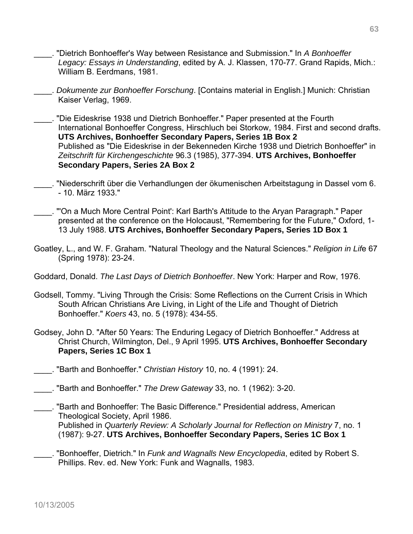- \_\_\_\_. "Dietrich Bonhoeffer's Way between Resistance and Submission." In *A Bonhoeffer Legacy: Essays in Understanding*, edited by A. J. Klassen, 170-77. Grand Rapids, Mich.: William B. Eerdmans, 1981.
- \_\_\_\_. *Dokumente zur Bonhoeffer Forschung*. [Contains material in English.] Munich: Christian Kaiser Verlag, 1969.
- \_\_\_\_. "Die Eideskrise 1938 und Dietrich Bonhoeffer." Paper presented at the Fourth International Bonhoeffer Congress, Hirschluch bei Storkow, 1984. First and second drafts. **UTS Archives, Bonhoeffer Secondary Papers, Series 1B Box 2**  Published as "Die Eideskrise in der Bekenneden Kirche 1938 und Dietrich Bonhoeffer" in *Zeitschrift für Kirchengeschichte* 96.3 (1985), 377-394. **UTS Archives, Bonhoeffer Secondary Papers, Series 2A Box 2**
- \_\_\_\_. "Niederschrift über die Verhandlungen der ökumenischen Arbeitstagung in Dassel vom 6. - 10. März 1933."
- \_\_\_\_. "'On a Much More Central Point': Karl Barth's Attitude to the Aryan Paragraph." Paper presented at the conference on the Holocaust, "Remembering for the Future," Oxford, 1- 13 July 1988. **UTS Archives, Bonhoeffer Secondary Papers, Series 1D Box 1**
- Goatley, L., and W. F. Graham. "Natural Theology and the Natural Sciences." *Religion in Lif*e 67 (Spring 1978): 23-24.
- Goddard, Donald. *The Last Days of Dietrich Bonhoeffer*. New York: Harper and Row, 1976.
- Godsell, Tommy. "Living Through the Crisis: Some Reflections on the Current Crisis in Which South African Christians Are Living, in Light of the Life and Thought of Dietrich Bonhoeffer." *Koers* 43, no. 5 (1978): 434-55.
- Godsey, John D. "After 50 Years: The Enduring Legacy of Dietrich Bonhoeffer." Address at Christ Church, Wilmington, Del., 9 April 1995. **UTS Archives, Bonhoeffer Secondary Papers, Series 1C Box 1**
- \_\_\_\_. "Barth and Bonhoeffer." *Christian History* 10, no. 4 (1991): 24.
- \_\_\_\_. "Barth and Bonhoeffer." *The Drew Gateway* 33, no. 1 (1962): 3-20.
- \_\_\_\_. "Barth and Bonhoeffer: The Basic Difference." Presidential address, American Theological Society, April 1986. Published in *Quarterly Review: A Scholarly Journal for Reflection on Ministry* 7, no. 1

(1987): 9-27. **UTS Archives, Bonhoeffer Secondary Papers, Series 1C Box 1**

\_\_\_\_. "Bonhoeffer, Dietrich." In *Funk and Wagnalls New Encyclopedia*, edited by Robert S. Phillips. Rev. ed. New York: Funk and Wagnalls, 1983.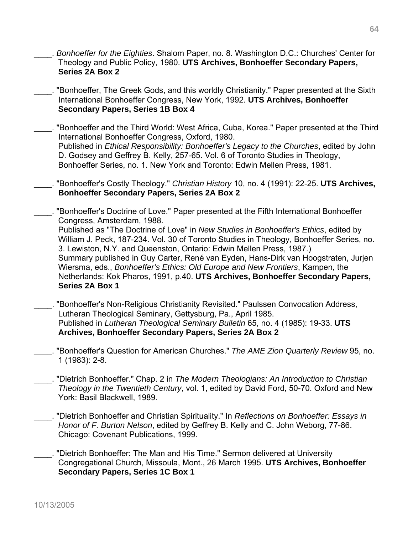- \_\_\_\_. *Bonhoeffer for the Eighties*. Shalom Paper, no. 8. Washington D.C.: Churches' Center for Theology and Public Policy, 1980. **UTS Archives, Bonhoeffer Secondary Papers, Series 2A Box 2**
- \_\_\_\_. "Bonhoeffer, The Greek Gods, and this worldly Christianity." Paper presented at the Sixth International Bonhoeffer Congress, New York, 1992. **UTS Archives, Bonhoeffer Secondary Papers, Series 1B Box 4**
- \_\_\_\_. "Bonhoeffer and the Third World: West Africa, Cuba, Korea." Paper presented at the Third International Bonhoeffer Congress, Oxford, 1980. Published in *Ethical Responsibility: Bonhoeffer's Legacy to the Churches*, edited by John D. Godsey and Geffrey B. Kelly, 257-65. Vol. 6 of Toronto Studies in Theology, Bonhoeffer Series, no. 1. New York and Toronto: Edwin Mellen Press, 1981.
- \_\_\_\_. "Bonhoeffer's Costly Theology." *Christian History* 10, no. 4 (1991): 22-25. **UTS Archives, Bonhoeffer Secondary Papers, Series 2A Box 2**
- "Bonhoeffer's Doctrine of Love." Paper presented at the Fifth International Bonhoeffer Congress, Amsterdam, 1988. Published as "The Doctrine of Love" in *New Studies in Bonhoeffer's Ethics*, edited by William J. Peck, 187-234. Vol. 30 of Toronto Studies in Theology, Bonhoeffer Series, no. 3. Lewiston, N.Y. and Queenston, Ontario: Edwin Mellen Press, 1987.) Summary published in Guy Carter, René van Eyden, Hans-Dirk van Hoogstraten, Jurjen Wiersma, eds., *Bonhoeffer's Ethics: Old Europe and New Frontiers*, Kampen, the Netherlands: Kok Pharos, 1991, p.40. **UTS Archives, Bonhoeffer Secondary Papers, Series 2A Box 1**
- \_\_\_\_. "Bonhoeffer's Non-Religious Christianity Revisited." Paulssen Convocation Address, Lutheran Theological Seminary, Gettysburg, Pa., April 1985. Published in *Lutheran Theological Seminary Bulletin* 65, no. 4 (1985): 19-33. **UTS Archives, Bonhoeffer Secondary Papers, Series 2A Box 2**
- \_\_\_\_. "Bonhoeffer's Question for American Churches." *The AME Zion Quarterly Review* 95, no. 1 (1983): 2-8.
- \_\_\_\_. "Dietrich Bonhoeffer." Chap. 2 in *The Modern Theologians: An Introduction to Christian Theology in the Twentieth Century*, vol. 1, edited by David Ford, 50-70. Oxford and New York: Basil Blackwell, 1989.
- \_\_\_\_. "Dietrich Bonhoeffer and Christian Spirituality." In *Reflections on Bonhoeffer: Essays in Honor of F. Burton Nelson*, edited by Geffrey B. Kelly and C. John Weborg, 77-86. Chicago: Covenant Publications, 1999.
- \_\_\_\_. "Dietrich Bonhoeffer: The Man and His Time." Sermon delivered at University Congregational Church, Missoula, Mont., 26 March 1995. **UTS Archives, Bonhoeffer Secondary Papers, Series 1C Box 1**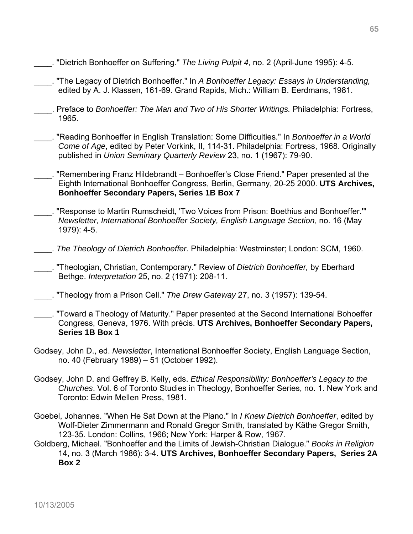- \_\_\_\_. "Dietrich Bonhoeffer on Suffering." *The Living Pulpit 4*, no. 2 (April-June 1995): 4-5.
- \_\_\_\_. "The Legacy of Dietrich Bonhoeffer." In *A Bonhoeffer Legacy: Essays in Understanding,*  edited by A. J. Klassen, 161-69. Grand Rapids, Mich.: William B. Eerdmans, 1981.
- \_\_\_\_. Preface to *Bonhoeffer: The Man and Two of His Shorter Writings.* Philadelphia: Fortress, 1965.
- \_\_\_\_. "Reading Bonhoeffer in English Translation: Some Difficulties." In *Bonhoeffer in a World Come of Age*, edited by Peter Vorkink, II, 114-31. Philadelphia: Fortress, 1968. Originally published in *Union Seminary Quarterly Review* 23, no. 1 (1967): 79-90.
- \_\_\_\_. "Remembering Franz Hildebrandt Bonhoeffer's Close Friend." Paper presented at the Eighth International Bonhoeffer Congress, Berlin, Germany, 20-25 2000. **UTS Archives, Bonhoeffer Secondary Papers, Series 1B Box 7**
- \_\_\_\_. "Response to Martin Rumscheidt, 'Two Voices from Prison: Boethius and Bonhoeffer.'" *Newsletter, International Bonhoeffer Society, English Language Section*, no. 16 (May 1979): 4-5.
- \_\_\_\_. *The Theology of Dietrich Bonhoeffer.* Philadelphia: Westminster; London: SCM, 1960.
- \_\_\_\_. "Theologian, Christian, Contemporary." Review of *Dietrich Bonhoeffer,* by Eberhard Bethge. *Interpretation* 25, no. 2 (1971): 208-11.
- \_\_\_\_. "Theology from a Prison Cell." *The Drew Gateway* 27, no. 3 (1957): 139-54.
- \_\_\_\_. "Toward a Theology of Maturity." Paper presented at the Second International Bohoeffer Congress, Geneva, 1976. With précis. **UTS Archives, Bonhoeffer Secondary Papers, Series 1B Box 1**
- Godsey, John D., ed. *Newsletter*, International Bonhoeffer Society, English Language Section, no. 40 (February 1989) – 51 (October 1992).
- Godsey, John D. and Geffrey B. Kelly, eds. *Ethical Responsibility: Bonhoeffer's Legacy to the Churches*. Vol. 6 of Toronto Studies in Theology, Bonhoeffer Series, no. 1. New York and Toronto: Edwin Mellen Press, 1981.
- Goebel, Johannes. "When He Sat Down at the Piano." In *I Knew Dietrich Bonhoeffer*, edited by Wolf-Dieter Zimmermann and Ronald Gregor Smith, translated by Käthe Gregor Smith, 123-35. London: Collins, 1966; New York: Harper & Row, 1967.
- Goldberg, Michael. "Bonhoeffer and the Limits of Jewish-Christian Dialogue." *Books in Religion* 14, no. 3 (March 1986): 3-4. **UTS Archives, Bonhoeffer Secondary Papers, Series 2A Box 2**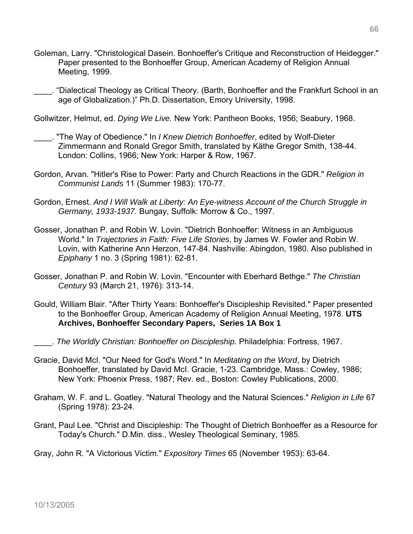- Goleman, Larry. "Christological Dasein. Bonhoeffer's Critique and Reconstruction of Heidegger." Paper presented to the Bonhoeffer Group, American Academy of Religion Annual Meeting, 1999.
- \_\_\_\_. "Dialectical Theology as Critical Theory. (Barth, Bonhoeffer and the Frankfurt School in an age of Globalization.)" Ph.D. Dissertation, Emory University, 1998.

Gollwitzer, Helmut, ed. *Dying We Live.* New York: Pantheon Books, 1956; Seabury, 1968.

- \_\_\_\_. "The Way of Obedience." In *I Knew Dietrich Bonhoeffer*, edited by Wolf-Dieter Zimmermann and Ronald Gregor Smith, translated by Käthe Gregor Smith, 138-44. London: Collins, 1966; New York: Harper & Row, 1967.
- Gordon, Arvan. "Hitler's Rise to Power: Party and Church Reactions in the GDR." *Religion in Communist Lands* 11 (Summer 1983): 170-77.
- Gordon, Ernest. *And I Will Walk at Liberty: An Eye-witness Account of the Church Struggle in Germany, 1933-1937.* Bungay, Suffolk: Morrow & Co., 1997.
- Gosser, Jonathan P. and Robin W. Lovin. "Dietrich Bonhoeffer: Witness in an Ambiguous World." In *Trajectories in Faith: Five Life Stories*, by James W. Fowler and Robin W. Lovin, with Katherine Ann Herzon, 147-84. Nashville: Abingdon, 1980. Also published in *Epiphany* 1 no. 3 (Spring 1981): 62-81.
- Gosser, Jonathan P. and Robin W. Lovin. "Encounter with Eberhard Bethge." *The Christian Century* 93 (March 21, 1976): 313-14.
- Gould, William Blair. "After Thirty Years: Bonhoeffer's Discipleship Revisited." Paper presented to the Bonhoeffer Group, American Academy of Religion Annual Meeting, 1978. **UTS Archives, Bonhoeffer Secondary Papers, Series 1A Box 1**
- \_\_\_\_. *The Worldly Christian: Bonhoeffer on Discipleship.* Philadelphia: Fortress, 1967.
- Gracie, David McI. "Our Need for God's Word." In *Meditating on the Word*, by Dietrich Bonhoeffer, translated by David McI. Gracie, 1-23. Cambridge, Mass.: Cowley, 1986; New York: Phoenix Press, 1987; Rev. ed., Boston: Cowley Publications, 2000.
- Graham, W. F. and L. Goatley. "Natural Theology and the Natural Sciences." *Religion in Life* 67 (Spring 1978): 23-24.
- Grant, Paul Lee. "Christ and Discipleship: The Thought of Dietrich Bonhoeffer as a Resource for Today's Church." D.Min. diss., Wesley Theological Seminary, 1985.

Gray, John R. "A Victorious Victim." *Expository Times* 65 (November 1953): 63-64.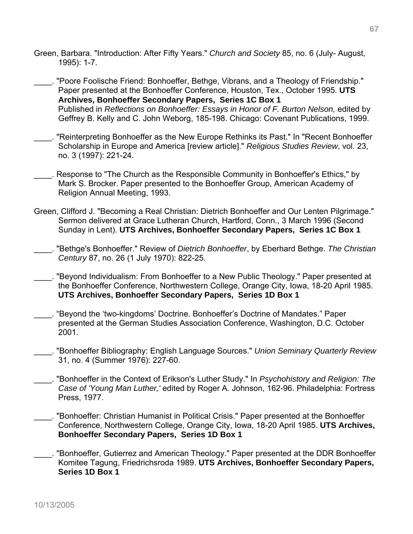- Green, Barbara. "Introduction: After Fifty Years." *Church and Society* 85, no. 6 (July- August, 1995): 1-7.
- \_\_\_\_. "Poore Foolische Friend: Bonhoeffer, Bethge, Vibrans, and a Theology of Friendship." Paper presented at the Bonhoeffer Conference, Houston, Tex., October 1995. **UTS Archives, Bonhoeffer Secondary Papers, Series 1C Box 1**  Published in *Reflections on Bonhoeffer: Essays in Honor of F. Burton Nelson,* edited by Geffrey B. Kelly and C. John Weborg, 185-198. Chicago: Covenant Publications, 1999.
- \_\_\_\_. "Reinterpreting Bonhoeffer as the New Europe Rethinks its Past." In "Recent Bonhoeffer Scholarship in Europe and America [review article]." *Religious Studies Review*, vol. 23, no. 3 (1997): 221-24.
- . Response to "The Church as the Responsible Community in Bonhoeffer's Ethics," by Mark S. Brocker. Paper presented to the Bonhoeffer Group, American Academy of Religion Annual Meeting, 1993.
- Green, Clifford J. "Becoming a Real Christian: Dietrich Bonhoeffer and Our Lenten Pilgrimage." Sermon delivered at Grace Lutheran Church, Hartford, Conn., 3 March 1996 (Second Sunday in Lent). **UTS Archives, Bonhoeffer Secondary Papers, Series 1C Box 1**
- \_\_\_\_. "Bethge's Bonhoeffer." Review of *Dietrich Bonhoeffer*, by Eberhard Bethge. *The Christian Century* 87, no. 26 (1 July 1970): 822-25.
- \_\_\_\_. "Beyond Individualism: From Bonhoeffer to a New Public Theology." Paper presented at the Bonhoeffer Conference, Northwestern College, Orange City, Iowa, 18-20 April 1985. **UTS Archives, Bonhoeffer Secondary Papers, Series 1D Box 1**
- \_\_\_\_. "Beyond the 'two-kingdoms' Doctrine. Bonhoeffer's Doctrine of Mandates." Paper presented at the German Studies Association Conference, Washington, D.C. October 2001.
- \_\_\_\_. "Bonhoeffer Bibliography: English Language Sources." *Union Seminary Quarterly Review* 31, no. 4 (Summer 1976): 227-60.
- \_\_\_\_. "Bonhoeffer in the Context of Erikson's Luther Study." In *Psychohistory and Religion: The Case of 'Young Man Luther,'* edited by Roger A. Johnson, 162-96. Philadelphia: Fortress Press, 1977.
- \_\_\_\_. "Bonhoeffer: Christian Humanist in Political Crisis." Paper presented at the Bonhoeffer Conference, Northwestern College, Orange City, Iowa, 18-20 April 1985. **UTS Archives, Bonhoeffer Secondary Papers, Series 1D Box 1**
- \_\_\_\_. "Bonhoeffer, Gutierrez and American Theology." Paper presented at the DDR Bonhoeffer Komitee Tagung, Friedrichsroda 1989. **UTS Archives, Bonhoeffer Secondary Papers, Series 1D Box 1**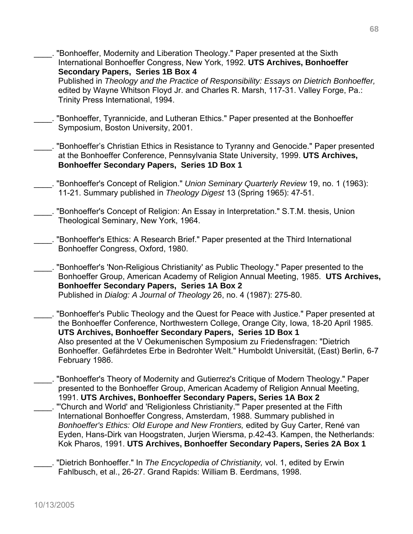- "Bonhoeffer, Modernity and Liberation Theology." Paper presented at the Sixth International Bonhoeffer Congress, New York, 1992. **UTS Archives, Bonhoeffer Secondary Papers, Series 1B Box 4**  Published in *Theology and the Practice of Responsibility: Essays on Dietrich Bonhoeffer,* edited by Wayne Whitson Floyd Jr. and Charles R. Marsh, 117-31. Valley Forge, Pa.: Trinity Press International, 1994. \_\_\_\_. "Bonhoeffer, Tyrannicide, and Lutheran Ethics." Paper presented at the Bonhoeffer Symposium, Boston University, 2001. \_\_\_\_. "Bonhoeffer's Christian Ethics in Resistance to Tyranny and Genocide." Paper presented at the Bonhoeffer Conference, Pennsylvania State University, 1999. **UTS Archives, Bonhoeffer Secondary Papers, Series 1D Box 1**
- \_\_\_\_. "Bonhoeffer's Concept of Religion." *Union Seminary Quarterly Review* 19, no. 1 (1963): 11-21. Summary published in *Theology Digest* 13 (Spring 1965): 47-51.
- "Bonhoeffer's Concept of Religion: An Essay in Interpretation." S.T.M. thesis, Union Theological Seminary, New York, 1964.
- \_\_\_\_. "Bonhoeffer's Ethics: A Research Brief." Paper presented at the Third International Bonhoeffer Congress, Oxford, 1980.
- \_\_\_\_. "Bonhoeffer's 'Non-Religious Christianity' as Public Theology." Paper presented to the Bonhoeffer Group, American Academy of Religion Annual Meeting, 1985. **UTS Archives, Bonhoeffer Secondary Papers, Series 1A Box 2**  Published in *Dialog: A Journal of Theology* 26, no. 4 (1987): 275-80.
- \_\_\_\_. "Bonhoeffer's Public Theology and the Quest for Peace with Justice." Paper presented at the Bonhoeffer Conference, Northwestern College, Orange City, Iowa, 18-20 April 1985. **UTS Archives, Bonhoeffer Secondary Papers, Series 1D Box 1** Also presented at the V Oekumenischen Symposium zu Friedensfragen: "Dietrich Bonhoeffer. Gefährdetes Erbe in Bedrohter Welt." Humboldt Universität, (East) Berlin, 6-7 February 1986.
- \_\_\_\_. "Bonhoeffer's Theory of Modernity and Gutierrez's Critique of Modern Theology." Paper presented to the Bonhoeffer Group, American Academy of Religion Annual Meeting, 1991. **UTS Archives, Bonhoeffer Secondary Papers, Series 1A Box 2**  \_\_\_\_. "'Church and World' and 'Religionless Christianity.'" Paper presented at the Fifth International Bonhoeffer Congress, Amsterdam, 1988. Summary published in *Bonhoeffer's Ethics: Old Europe and New Frontiers,* edited by Guy Carter, René van Eyden, Hans-Dirk van Hoogstraten, Jurjen Wiersma, p.42-43. Kampen, the Netherlands:
	- Kok Pharos, 1991. **UTS Archives, Bonhoeffer Secondary Papers, Series 2A Box 1**
	- \_\_\_\_. "Dietrich Bonhoeffer." In *The Encyclopedia of Christianity,* vol. 1, edited by Erwin Fahlbusch, et al., 26-27. Grand Rapids: William B. Eerdmans, 1998.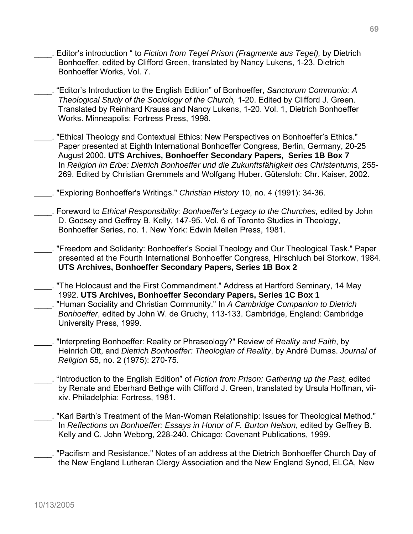- \_\_\_\_. Editor's introduction " to *Fiction from Tegel Prison (Fragmente aus Tegel),* by Dietrich Bonhoeffer, edited by Clifford Green, translated by Nancy Lukens, 1-23. Dietrich Bonhoeffer Works, Vol. 7.
- \_\_\_\_. "Editor's Introduction to the English Edition" of Bonhoeffer, *Sanctorum Communio: A Theological Study of the Sociology of the Church,* 1-20. Edited by Clifford J. Green. Translated by Reinhard Krauss and Nancy Lukens, 1-20. Vol. 1, Dietrich Bonhoeffer Works. Minneapolis: Fortress Press, 1998.
- \_\_\_\_. "Ethical Theology and Contextual Ethics: New Perspectives on Bonhoeffer's Ethics." Paper presented at Eighth International Bonhoeffer Congress, Berlin, Germany, 20-25 August 2000. **UTS Archives, Bonhoeffer Secondary Papers, Series 1B Box 7**  In *Religion im Erbe: Dietrich Bonhoeffer und die Zukunftsfähigkeit des Christentums*, 255- 269. Edited by Christian Gremmels and Wolfgang Huber. Gütersloh: Chr. Kaiser, 2002.
- \_\_\_\_. "Exploring Bonhoeffer's Writings." *Christian History* 10, no. 4 (1991): 34-36.
- \_\_\_\_. Foreword to *Ethical Responsibility: Bonhoeffer's Legacy to the Churches,* edited by John D. Godsey and Geffrey B. Kelly, 147-95. Vol. 6 of Toronto Studies in Theology, Bonhoeffer Series, no. 1. New York: Edwin Mellen Press, 1981.
- \_\_\_\_. "Freedom and Solidarity: Bonhoeffer's Social Theology and Our Theological Task." Paper presented at the Fourth International Bonhoeffer Congress, Hirschluch bei Storkow, 1984. **UTS Archives, Bonhoeffer Secondary Papers, Series 1B Box 2**
- \_\_\_\_. "The Holocaust and the First Commandment." Address at Hartford Seminary, 14 May 1992. **UTS Archives, Bonhoeffer Secondary Papers, Series 1C Box 1** \_\_\_\_. "Human Sociality and Christian Community." In *A Cambridge Companion to Dietrich Bonhoeffer*, edited by John W. de Gruchy, 113-133. Cambridge, England: Cambridge University Press, 1999.
- \_\_\_\_. "Interpreting Bonhoeffer: Reality or Phraseology?" Review of *Reality and Faith*, by Heinrich Ott, and *Dietrich Bonhoeffer: Theologian of Reality*, by André Dumas. *Journal of Religion* 55, no. 2 (1975): 270-75.
- \_\_\_\_. "Introduction to the English Edition" of *Fiction from Prison: Gathering up the Past,* edited by Renate and Eberhard Bethge with Clifford J. Green, translated by Ursula Hoffman, viixiv. Philadelphia: Fortress, 1981.
- \_\_\_\_. "Karl Barth's Treatment of the Man-Woman Relationship: Issues for Theological Method." In *Reflections on Bonhoeffer: Essays in Honor of F. Burton Nelson*, edited by Geffrey B. Kelly and C. John Weborg, 228-240. Chicago: Covenant Publications, 1999.
- \_\_\_\_. "Pacifism and Resistance." Notes of an address at the Dietrich Bonhoeffer Church Day of the New England Lutheran Clergy Association and the New England Synod, ELCA, New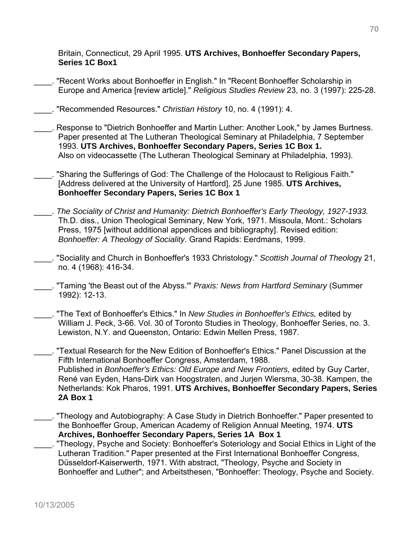Britain, Connecticut, 29 April 1995. **UTS Archives, Bonhoeffer Secondary Papers, Series 1C Box1**

"Recent Works about Bonhoeffer in English." In "Recent Bonhoeffer Scholarship in Europe and America [review article]." *Religious Studies Review* 23, no. 3 (1997): 225-28.

\_\_\_\_. "Recommended Resources." *Christian History* 10, no. 4 (1991): 4.

- \_\_\_\_. Response to "Dietrich Bonhoeffer and Martin Luther: Another Look," by James Burtness. Paper presented at The Lutheran Theological Seminary at Philadelphia, 7 September 1993. **UTS Archives, Bonhoeffer Secondary Papers, Series 1C Box 1.** Also on videocassette (The Lutheran Theological Seminary at Philadelphia, 1993).
- "Sharing the Sufferings of God: The Challenge of the Holocaust to Religious Faith." [Address delivered at the University of Hartford], 25 June 1985. **UTS Archives, Bonhoeffer Secondary Papers, Series 1C Box 1**
- \_\_\_\_. *The Sociality of Christ and Humanity: Dietrich Bonhoeffer's Early Theology, 1927-1933.* Th.D. diss., Union Theological Seminary, New York, 1971. Missoula, Mont.: Scholars Press, 1975 [without additional appendices and bibliography]. Revised edition: *Bonhoeffer: A Theology of Sociality*. Grand Rapids: Eerdmans, 1999.
- \_\_\_\_. "Sociality and Church in Bonhoeffer's 1933 Christology." *Scottish Journal of Theolog*y 21, no. 4 (1968): 416-34.
- \_\_\_\_. "Taming 'the Beast out of the Abyss.'" *Praxis: News from Hartford Seminary* (Summer 1992): 12-13.
- \_\_\_\_. "The Text of Bonhoeffer's Ethics." In *New Studies in Bonhoeffer's Ethics,* edited by William J. Peck, 3-66. Vol. 30 of Toronto Studies in Theology, Bonhoeffer Series, no. 3. Lewiston, N.Y. and Queenston, Ontario: Edwin Mellen Press, 1987.
- \_\_\_\_. "Textual Research for the New Edition of Bonhoeffer's Ethics." Panel Discussion at the Fifth International Bonhoeffer Congress, Amsterdam, 1988. Published in *Bonhoeffer's Ethics: Old Europe and New Frontiers,* edited by Guy Carter, René van Eyden, Hans-Dirk van Hoogstraten, and Jurjen Wiersma, 30-38. Kampen, the Netherlands: Kok Pharos, 1991. **UTS Archives, Bonhoeffer Secondary Papers, Series 2A Box 1**
- \_\_\_\_. "Theology and Autobiography: A Case Study in Dietrich Bonhoeffer." Paper presented to the Bonhoeffer Group, American Academy of Religion Annual Meeting, 1974. **UTS Archives, Bonhoeffer Secondary Papers, Series 1A Box 1**
- \_\_\_\_. "Theology, Psyche and Society: Bonhoeffer's Soteriology and Social Ethics in Light of the Lutheran Tradition." Paper presented at the First International Bonhoeffer Congress, Düsseldorf-Kaiserwerth, 1971. With abstract, "Theology, Psyche and Society in Bonhoeffer and Luther"; and Arbeitsthesen, "Bonhoeffer: Theology, Psyche and Society.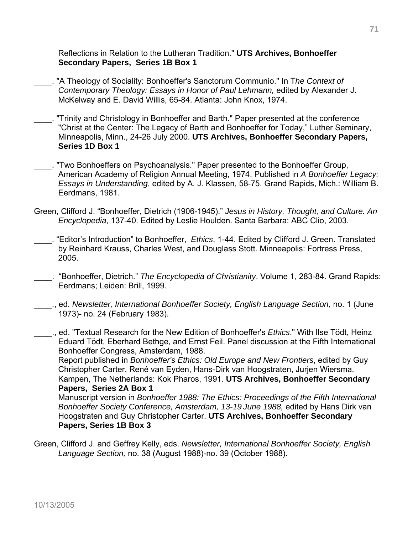Reflections in Relation to the Lutheran Tradition." **UTS Archives, Bonhoeffer Secondary Papers, Series 1B Box 1**

- \_\_\_\_. "A Theology of Sociality: Bonhoeffer's Sanctorum Communio." In T*he Context of Contemporary Theology: Essays in Honor of Paul Lehmann,* edited by Alexander J. McKelway and E. David Willis, 65-84. Atlanta: John Knox, 1974.
- \_\_\_\_. "Trinity and Christology in Bonhoeffer and Barth." Paper presented at the conference "Christ at the Center: The Legacy of Barth and Bonhoeffer for Today," Luther Seminary, Minneapolis, Minn., 24-26 July 2000. **UTS Archives, Bonhoeffer Secondary Papers, Series 1D Box 1**
- \_\_\_\_. "Two Bonhoeffers on Psychoanalysis." Paper presented to the Bonhoeffer Group, American Academy of Religion Annual Meeting, 1974. Published in *A Bonhoeffer Legacy: Essays in Understanding*, edited by A. J. Klassen, 58-75. Grand Rapids, Mich.: William B. Eerdmans, 1981.
- Green, Clifford J. "Bonhoeffer, Dietrich (1906-1945)." *Jesus in History, Thought, and Culture. An Encyclopedia*, 137-40. Edited by Leslie Houlden. Santa Barbara: ABC Clio, 2003.
- \_\_\_\_. "Editor's Introduction" to Bonhoeffer, *Ethics*, 1-44. Edited by Clifford J. Green. Translated by Reinhard Krauss, Charles West, and Douglass Stott. Minneapolis: Fortress Press, 2005.
- \_\_\_\_. "Bonhoeffer, Dietrich." *The Encyclopedia of Christianity*. Volume 1, 283-84. Grand Rapids: Eerdmans; Leiden: Brill, 1999.
- \_\_\_\_., ed. *Newsletter, International Bonhoeffer Society, English Language Section,* no. 1 (June 1973)- no. 24 (February 1983).
- \_\_\_\_., ed. "Textual Research for the New Edition of Bonhoeffer's *Ethics*." With Ilse Tödt, Heinz Eduard Tödt, Eberhard Bethge, and Ernst Feil. Panel discussion at the Fifth International Bonhoeffer Congress, Amsterdam, 1988.

Report published in *Bonhoeffer's Ethics: Old Europe and New Frontiers*, edited by Guy Christopher Carter, René van Eyden, Hans-Dirk van Hoogstraten, Jurjen Wiersma. Kampen, The Netherlands: Kok Pharos, 1991. **UTS Archives, Bonhoeffer Secondary Papers, Series 2A Box 1** 

Manuscript version in *Bonhoeffer 1988: The Ethics: Proceedings of the Fifth International Bonhoeffer Society Conference, Amsterdam, 13-19 June 1988,* edited by Hans Dirk van Hoogstraten and Guy Christopher Carter. **UTS Archives, Bonhoeffer Secondary Papers, Series 1B Box 3** 

Green, Clifford J. and Geffrey Kelly, eds. *Newsletter, International Bonhoeffer Society, English Language Section,* no. 38 (August 1988)-no. 39 (October 1988).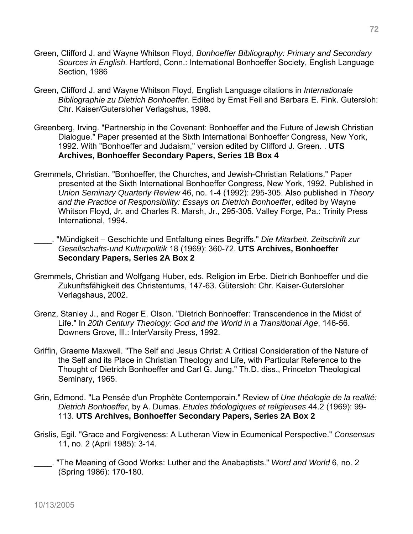- Green, Clifford J. and Wayne Whitson Floyd, *Bonhoeffer Bibliography: Primary and Secondary Sources in English.* Hartford, Conn.: International Bonhoeffer Society, English Language Section, 1986
- Green, Clifford J. and Wayne Whitson Floyd, English Language citations in *Internationale Bibliographie zu Dietrich Bonhoeffer.* Edited by Ernst Feil and Barbara E. Fink. Gutersloh: Chr. Kaiser/Gutersloher Verlagshus, 1998.
- Greenberg, Irving. "Partnership in the Covenant: Bonhoeffer and the Future of Jewish Christian Dialogue." Paper presented at the Sixth International Bonhoeffer Congress, New York, 1992. With "Bonhoeffer and Judaism," version edited by Clifford J. Green. . **UTS Archives, Bonhoeffer Secondary Papers, Series 1B Box 4**
- Gremmels, Christian. "Bonhoeffer, the Churches, and Jewish-Christian Relations." Paper presented at the Sixth International Bonhoeffer Congress, New York, 1992. Published in *Union Seminary Quarterly Review* 46, no. 1-4 (1992): 295-305. Also published in *Theory and the Practice of Responsibility: Essays on Dietrich Bonhoeffe*r, edited by Wayne Whitson Floyd, Jr. and Charles R. Marsh, Jr., 295-305. Valley Forge, Pa.: Trinity Press International, 1994.
- \_\_\_\_. "Mündigkeit Geschichte und Entfaltung eines Begriffs." *Die Mitarbeit. Zeitschrift zur Gesellschafts-und Kulturpolitik* 18 (1969): 360-72. **UTS Archives, Bonhoeffer Secondary Papers, Series 2A Box 2**
- Gremmels, Christian and Wolfgang Huber, eds. Religion im Erbe. Dietrich Bonhoeffer und die Zukunftsfähigkeit des Christentums, 147-63. Gütersloh: Chr. Kaiser-Gutersloher Verlagshaus, 2002.
- Grenz, Stanley J., and Roger E. Olson. "Dietrich Bonhoeffer: Transcendence in the Midst of Life." In *20th Century Theology: God and the World in a Transitional Age*, 146-56. Downers Grove, Ill.: InterVarsity Press, 1992.
- Griffin, Graeme Maxwell. "The Self and Jesus Christ: A Critical Consideration of the Nature of the Self and its Place in Christian Theology and Life, with Particular Reference to the Thought of Dietrich Bonhoeffer and Carl G. Jung." Th.D. diss., Princeton Theological Seminary, 1965.
- Grin, Edmond. "La Pensée d'un Prophète Contemporain." Review of *Une théologie de la realité: Dietrich Bonhoeffer*, by A. Dumas. *Etudes théologiques et religieuses* 44.2 (1969): 99- 113. **UTS Archives, Bonhoeffer Secondary Papers, Series 2A Box 2**
- Grislis, Egil. "Grace and Forgiveness: A Lutheran View in Ecumenical Perspective." *Consensus* 11, no. 2 (April 1985): 3-14.
	- \_\_\_\_. "The Meaning of Good Works: Luther and the Anabaptists." *Word and World* 6, no. 2 (Spring 1986): 170-180.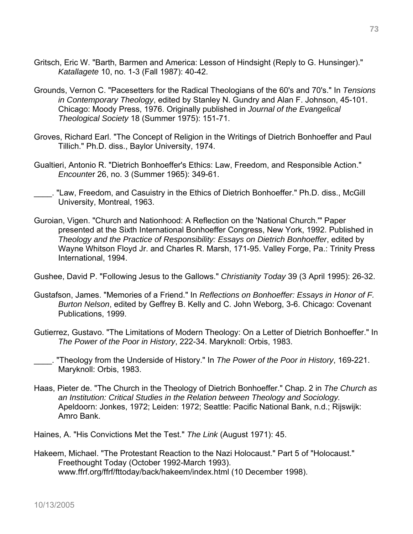- Gritsch, Eric W. "Barth, Barmen and America: Lesson of Hindsight (Reply to G. Hunsinger)." *Katallagete* 10, no. 1-3 (Fall 1987): 40-42.
- Grounds, Vernon C. "Pacesetters for the Radical Theologians of the 60's and 70's." In *Tensions in Contemporary Theology*, edited by Stanley N. Gundry and Alan F. Johnson, 45-101. Chicago: Moody Press, 1976. Originally published in *Journal of the Evangelical Theological Society* 18 (Summer 1975): 151-71.
- Groves, Richard Earl. "The Concept of Religion in the Writings of Dietrich Bonhoeffer and Paul Tillich." Ph.D. diss., Baylor University, 1974.
- Gualtieri, Antonio R. "Dietrich Bonhoeffer's Ethics: Law, Freedom, and Responsible Action." *Encounte*r 26, no. 3 (Summer 1965): 349-61.
- \_\_\_\_. "Law, Freedom, and Casuistry in the Ethics of Dietrich Bonhoeffer." Ph.D. diss., McGill University, Montreal, 1963.
- Guroian, Vigen. "Church and Nationhood: A Reflection on the 'National Church.'" Paper presented at the Sixth International Bonhoeffer Congress, New York, 1992. Published in *Theology and the Practice of Responsibility: Essays on Dietrich Bonhoeffer*, edited by Wayne Whitson Floyd Jr. and Charles R. Marsh, 171-95. Valley Forge, Pa.: Trinity Press International, 1994.

Gushee, David P. "Following Jesus to the Gallows." *Christianity Today* 39 (3 April 1995): 26-32.

- Gustafson, James. "Memories of a Friend." In *Reflections on Bonhoeffer: Essays in Honor of F. Burton Nelson*, edited by Geffrey B. Kelly and C. John Weborg, 3-6. Chicago: Covenant Publications, 1999.
- Gutierrez, Gustavo. "The Limitations of Modern Theology: On a Letter of Dietrich Bonhoeffer." In *The Power of the Poor in History*, 222-34. Maryknoll: Orbis, 1983.
- \_\_\_\_. "Theology from the Underside of History." In *The Power of the Poor in History*, 169-221. Maryknoll: Orbis, 1983.
- Haas, Pieter de. "The Church in the Theology of Dietrich Bonhoeffer." Chap. 2 in *The Church as an Institution: Critical Studies in the Relation between Theology and Sociology.*  Apeldoorn: Jonkes, 1972; Leiden: 1972; Seattle: Pacific National Bank, n.d.; Rijswijk: Amro Bank.

Haines, A. "His Convictions Met the Test." *The Link* (August 1971): 45.

Hakeem, Michael. "The Protestant Reaction to the Nazi Holocaust." Part 5 of "Holocaust." Freethought Today (October 1992-March 1993). www.ffrf.org/ffrf/fttoday/back/hakeem/index.html (10 December 1998).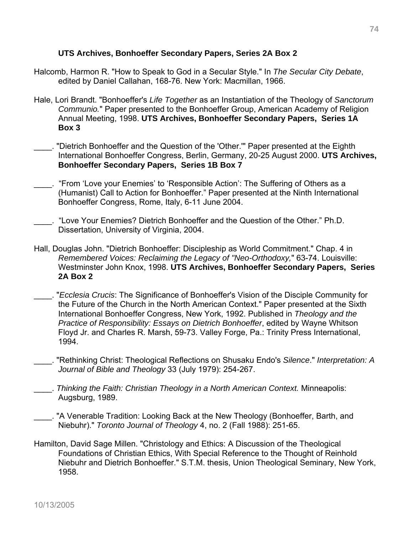## **UTS Archives, Bonhoeffer Secondary Papers, Series 2A Box 2**

- Halcomb, Harmon R. "How to Speak to God in a Secular Style." In *The Secular City Debate*, edited by Daniel Callahan, 168-76. New York: Macmillan, 1966.
- Hale, Lori Brandt. "Bonhoeffer's *Life Together* as an Instantiation of the Theology of *Sanctorum Communio.*" Paper presented to the Bonhoeffer Group, American Academy of Religion Annual Meeting, 1998. **UTS Archives, Bonhoeffer Secondary Papers, Series 1A Box 3**
- \_\_\_\_. "Dietrich Bonhoeffer and the Question of the 'Other.'" Paper presented at the Eighth International Bonhoeffer Congress, Berlin, Germany, 20-25 August 2000. **UTS Archives, Bonhoeffer Secondary Papers, Series 1B Box 7**
- \_\_\_\_. "From 'Love your Enemies' to 'Responsible Action': The Suffering of Others as a (Humanist) Call to Action for Bonhoeffer." Paper presented at the Ninth International Bonhoeffer Congress, Rome, Italy, 6-11 June 2004.
- \_\_\_\_. "Love Your Enemies? Dietrich Bonhoeffer and the Question of the Other." Ph.D. Dissertation, University of Virginia, 2004.
- Hall, Douglas John. "Dietrich Bonhoeffer: Discipleship as World Commitment." Chap. 4 in *Remembered Voices: Reclaiming the Legacy of "Neo-Orthodoxy,*" 63-74. Louisville: Westminster John Knox, 1998. **UTS Archives, Bonhoeffer Secondary Papers, Series 2A Box 2**
- \_\_\_\_. "*Ecclesia Crucis*: The Significance of Bonhoeffer's Vision of the Disciple Community for the Future of the Church in the North American Context." Paper presented at the Sixth International Bonhoeffer Congress, New York, 1992. Published in *Theology and the Practice of Responsibility: Essays on Dietrich Bonhoeffer*, edited by Wayne Whitson Floyd Jr. and Charles R. Marsh, 59-73. Valley Forge, Pa.: Trinity Press International, 1994.
- \_\_\_\_. "Rethinking Christ: Theological Reflections on Shusaku Endo's *Silence*." *Interpretation: A Journal of Bible and Theology* 33 (July 1979): 254-267.
- \_\_\_\_. *Thinking the Faith: Christian Theology in a North American Context.* Minneapolis: Augsburg, 1989.
- . "A Venerable Tradition: Looking Back at the New Theology (Bonhoeffer, Barth, and Niebuhr)." *Toronto Journal of Theology* 4, no. 2 (Fall 1988): 251-65.
- Hamilton, David Sage Millen. "Christology and Ethics: A Discussion of the Theological Foundations of Christian Ethics, With Special Reference to the Thought of Reinhold Niebuhr and Dietrich Bonhoeffer." S.T.M. thesis, Union Theological Seminary, New York, 1958.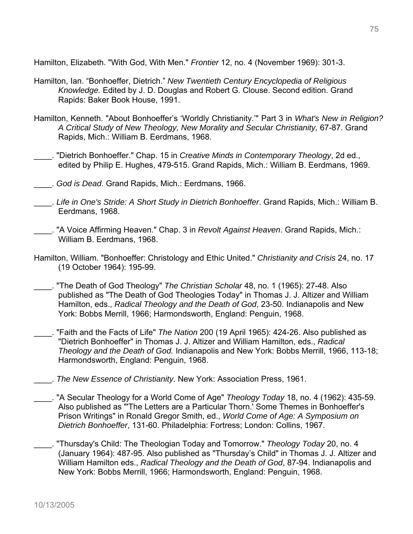Hamilton, Elizabeth. "With God, With Men." *Frontier* 12, no. 4 (November 1969): 301-3.

- Hamilton, Ian. "Bonhoeffer, Dietrich." *New Twentieth Century Encyclopedia of Religious Knowledge.* Edited by J. D. Douglas and Robert G. Clouse. Second edition. Grand Rapids: Baker Book House, 1991.
- Hamilton, Kenneth. "About Bonhoeffer's 'Worldly Christianity.'" Part 3 in *What's New in Religion? A Critical Study of New Theology, New Morality and Secular Christianity,* 67-87. Grand Rapids, Mich.: William B. Eerdmans, 1968.
- \_\_\_\_. "Dietrich Bonhoeffer." Chap. 15 in *Creative Minds in Contemporary Theology*, 2d ed., edited by Philip E. Hughes, 479-515. Grand Rapids, Mich.: William B. Eerdmans, 1969.
- \_\_\_\_. *God is Dead*. Grand Rapids, Mich.: Eerdmans, 1966.
- \_\_\_\_. *Life in One's Stride: A Short Study in Dietrich Bonhoeffer*. Grand Rapids, Mich.: William B. Eerdmans, 1968.
- \_\_\_\_. "A Voice Affirming Heaven." Chap. 3 in *Revolt Against Heaven*. Grand Rapids, Mich.: William B. Eerdmans, 1968.
- Hamilton, William. "Bonhoeffer: Christology and Ethic United." *Christianity and Crisis* 24, no. 17 (19 October 1964): 195-99.
- \_\_\_\_. "The Death of God Theology" *The Christian Scholar* 48, no. 1 (1965): 27-48. Also published as "The Death of God Theologies Today" in Thomas J. J. Altizer and William Hamilton, eds., *Radical Theology and the Death of God*, 23-50. Indianapolis and New York: Bobbs Merrill, 1966; Harmondsworth, England: Penguin, 1968.
- \_\_\_\_. "Faith and the Facts of Life" *The Nation* 200 (19 April 1965): 424-26. Also published as "Dietrich Bonhoeffer" in Thomas J. J. Altizer and William Hamilton, eds., *Radical Theology and the Death of God.* Indianapolis and New York: Bobbs Merrill, 1966, 113-18; Harmondsworth, England: Penguin, 1968.
- \_\_\_\_. *The New Essence of Christianity*. New York: Association Press, 1961.
- \_\_\_\_. "A Secular Theology for a World Come of Age" *Theology Today* 18, no. 4 (1962): 435-59. Also published as "'The Letters are a Particular Thorn.' Some Themes in Bonhoeffer's Prison Writings" in Ronald Gregor Smith, ed., *World Come of Age: A Symposium on Dietrich Bonhoeffer*, 131-60. Philadelphia: Fortress; London: Collins, 1967.
- \_\_\_\_. "Thursday's Child: The Theologian Today and Tomorrow." *Theology Today* 20, no. 4 (January 1964): 487-95. Also published as "Thursday's Child" in Thomas J. J. Altizer and William Hamilton eds., *Radical Theology and the Death of God*, 87-94. Indianapolis and New York: Bobbs Merrill, 1966; Harmondsworth, England: Penguin, 1968.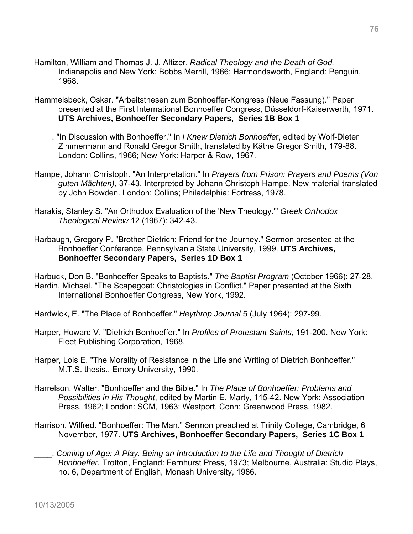- Hamilton, William and Thomas J. J. Altizer. *Radical Theology and the Death of God.*  Indianapolis and New York: Bobbs Merrill, 1966; Harmondsworth, England: Penguin, 1968.
- Hammelsbeck, Oskar. "Arbeitsthesen zum Bonhoeffer-Kongress (Neue Fassung)." Paper presented at the First International Bonhoeffer Congress, Düsseldorf-Kaiserwerth, 1971. **UTS Archives, Bonhoeffer Secondary Papers, Series 1B Box 1**
- \_\_\_\_. "In Discussion with Bonhoeffer." In *I Knew Dietrich Bonhoeffe*r, edited by Wolf-Dieter Zimmermann and Ronald Gregor Smith, translated by Käthe Gregor Smith, 179-88. London: Collins, 1966; New York: Harper & Row, 1967.
- Hampe, Johann Christoph. "An Interpretation." In *Prayers from Prison: Prayers and Poems (Von guten Mächten)*, 37-43. Interpreted by Johann Christoph Hampe. New material translated by John Bowden. London: Collins; Philadelphia: Fortress, 1978.
- Harakis, Stanley S. "An Orthodox Evaluation of the 'New Theology.'" *Greek Orthodox Theological Review* 12 (1967): 342-43.
- Harbaugh, Gregory P. "Brother Dietrich: Friend for the Journey." Sermon presented at the Bonhoeffer Conference, Pennsylvania State University, 1999. **UTS Archives, Bonhoeffer Secondary Papers, Series 1D Box 1**

Harbuck, Don B. "Bonhoeffer Speaks to Baptists." *The Baptist Program* (October 1966): 27-28. Hardin, Michael. "The Scapegoat: Christologies in Conflict." Paper presented at the Sixth International Bonhoeffer Congress, New York, 1992.

Hardwick, E. "The Place of Bonhoeffer." *Heythrop Journal* 5 (July 1964): 297-99.

- Harper, Howard V. "Dietrich Bonhoeffer." In *Profiles of Protestant Saints*, 191-200. New York: Fleet Publishing Corporation, 1968.
- Harper, Lois E. "The Morality of Resistance in the Life and Writing of Dietrich Bonhoeffer." M.T.S. thesis., Emory University, 1990.
- Harrelson, Walter. "Bonhoeffer and the Bible." In *The Place of Bonhoeffer: Problems and Possibilities in His Thought*, edited by Martin E. Marty, 115-42. New York: Association Press, 1962; London: SCM, 1963; Westport, Conn: Greenwood Press, 1982.
- Harrison, Wilfred. "Bonhoeffer: The Man." Sermon preached at Trinity College, Cambridge, 6 November, 1977. **UTS Archives, Bonhoeffer Secondary Papers, Series 1C Box 1**
- \_\_\_\_. *Coming of Age: A Play. Being an Introduction to the Life and Thought of Dietrich Bonhoeffer.* Trotton, England: Fernhurst Press, 1973; Melbourne, Australia: Studio Plays, no. 6, Department of English, Monash University, 1986.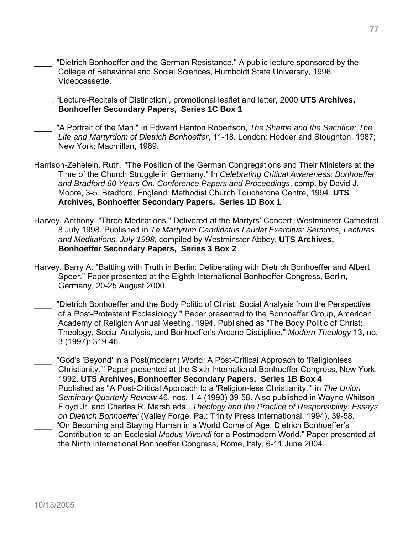\_\_\_\_. "Dietrich Bonhoeffer and the German Resistance." A public lecture sponsored by the College of Behavioral and Social Sciences, Humboldt State University, 1996. Videocassette.

\_\_\_\_. "Lecture-Recitals of Distinction", promotional leaflet and letter, 2000 **UTS Archives, Bonhoeffer Secondary Papers, Series 1C Box 1**

- \_\_\_\_. "A Portrait of the Man." In Edward Hanton Robertson, *The Shame and the Sacrifice: The Life and Martyrdom of Dietrich Bonhoeffer*, 11-18. London: Hodder and Stoughton, 1987; New York: Macmillan, 1989.
- Harrison-Zehelein, Ruth. "The Position of the German Congregations and Their Ministers at the Time of the Church Struggle in Germany." In *Celebrating Critical Awareness: Bonhoeffer and Bradford 60 Years On. Conference Papers and Proceedings*, comp. by David J. Moore, 3-5. Bradford, England: Methodist Church Touchstone Centre, 1994. **UTS Archives, Bonhoeffer Secondary Papers, Series 1D Box 1**
- Harvey, Anthony. "Three Meditations." Delivered at the Martyrs' Concert, Westminster Cathedral, 8 July 1998. Published in *Te Martyrum Candidatus Laudat Exercitus: Sermons, Lectures and Meditations, July 1998*, compiled by Westminster Abbey. **UTS Archives, Bonhoeffer Secondary Papers, Series 3 Box 2**
- Harvey, Barry A. "Battling with Truth in Berlin: Deliberating with Dietrich Bonhoeffer and Albert Speer." Paper presented at the Eighth International Bonhoeffer Congress, Berlin, Germany, 20-25 August 2000.
- \_\_\_\_. "Dietrich Bonhoeffer and the Body Politic of Christ: Social Analysis from the Perspective of a Post-Protestant Ecclesiology." Paper presented to the Bonhoeffer Group, American Academy of Religion Annual Meeting, 1994. Published as "The Body Politic of Christ: Theology, Social Analysis, and Bonhoeffer's Arcane Discipline," *Modern Theology* 13, no. 3 (1997): 319-46.
- \_\_\_\_. "God's 'Beyond' in a Post(modern) World: A Post-Critical Approach to 'Religionless Christianity.'" Paper presented at the Sixth International Bonhoeffer Congress, New York, 1992. **UTS Archives, Bonhoeffer Secondary Papers, Series 1B Box 4** Published as "A Post-Critical Approach to a 'Religion-less Christianity.'" in *The Union Seminary Quarterly Review* 46, nos. 1-4 (1993) 39-58. Also published in Wayne Whitson Floyd Jr. and Charles R. Marsh eds., *Theology and the Practice of Responsibility: Essays on Dietrich Bonhoeffer* (Valley Forge, Pa.: Trinity Press International, 1994), 39-58. \_\_\_\_. "On Becoming and Staying Human in a World Come of Age: Dietrich Bonhoeffer's
- Contribution to an Ecclesial *Modus Vivendi* for a Postmodern World." Paper presented at the Ninth International Bonhoeffer Congress, Rome, Italy, 6-11 June 2004.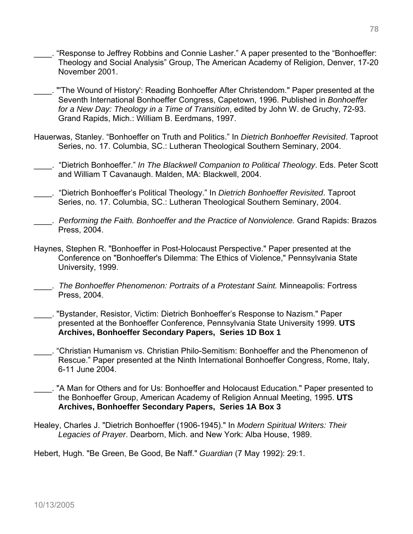- "Response to Jeffrey Robbins and Connie Lasher." A paper presented to the "Bonhoeffer: Theology and Social Analysis" Group, The American Academy of Religion, Denver, 17-20 November 2001.
- \_\_\_\_. "'The Wound of History': Reading Bonhoeffer After Christendom." Paper presented at the Seventh International Bonhoeffer Congress, Capetown, 1996. Published in *Bonhoeffer for a New Day: Theology in a Time of Transition*, edited by John W. de Gruchy, 72-93. Grand Rapids, Mich.: William B. Eerdmans, 1997.
- Hauerwas, Stanley. "Bonhoeffer on Truth and Politics." In *Dietrich Bonhoeffer Revisited*. Taproot Series, no. 17. Columbia, SC.: Lutheran Theological Southern Seminary, 2004.
- \_\_\_\_. "Dietrich Bonhoeffer." *In The Blackwell Companion to Political Theology*. Eds. Peter Scott and William T Cavanaugh. Malden, MA: Blackwell, 2004.
- \_\_\_\_. "Dietrich Bonhoeffer's Political Theology." In *Dietrich Bonhoeffer Revisited*. Taproot Series, no. 17. Columbia, SC.: Lutheran Theological Southern Seminary, 2004.
- \_\_\_\_. *Performing the Faith. Bonhoeffer and the Practice of Nonviolence.* Grand Rapids: Brazos Press, 2004.
- Haynes, Stephen R. "Bonhoeffer in Post-Holocaust Perspective." Paper presented at the Conference on "Bonhoeffer's Dilemma: The Ethics of Violence," Pennsylvania State University, 1999.
- \_\_\_\_. *The Bonhoeffer Phenomenon: Portraits of a Protestant Saint.* Minneapolis: Fortress Press, 2004.
- \_\_\_\_. "Bystander, Resistor, Victim: Dietrich Bonhoeffer's Response to Nazism." Paper presented at the Bonhoeffer Conference, Pennsylvania State University 1999. **UTS Archives, Bonhoeffer Secondary Papers, Series 1D Box 1**
- \_\_\_\_. "Christian Humanism vs. Christian Philo-Semitism: Bonhoeffer and the Phenomenon of Rescue." Paper presented at the Ninth International Bonhoeffer Congress, Rome, Italy, 6-11 June 2004.
- \_\_\_\_. "A Man for Others and for Us: Bonhoeffer and Holocaust Education." Paper presented to the Bonhoeffer Group, American Academy of Religion Annual Meeting, 1995. **UTS Archives, Bonhoeffer Secondary Papers, Series 1A Box 3**
- Healey, Charles J. "Dietrich Bonhoeffer (1906-1945)." In *Modern Spiritual Writers: Their Legacies of Prayer*. Dearborn, Mich. and New York: Alba House, 1989.

Hebert, Hugh. "Be Green, Be Good, Be Naff." *Guardian* (7 May 1992): 29:1.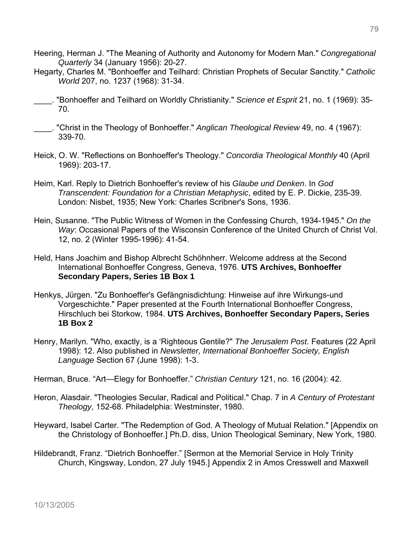- Heering, Herman J. "The Meaning of Authority and Autonomy for Modern Man." *Congregational Quarterly* 34 (January 1956): 20-27.
- Hegarty, Charles M. "Bonhoeffer and Teilhard: Christian Prophets of Secular Sanctity." *Catholic World* 207, no. 1237 (1968): 31-34.
- \_\_\_\_. "Bonhoeffer and Teilhard on Worldly Christianity." *Science et Esprit* 21, no. 1 (1969): 35- 70.
- \_\_\_\_. "Christ in the Theology of Bonhoeffer." *Anglican Theological Review* 49, no. 4 (1967): 339-70.
- Heick, O. W. "Reflections on Bonhoeffer's Theology." *Concordia Theological Monthly* 40 (April 1969): 203-17.
- Heim, Karl. Reply to Dietrich Bonhoeffer's review of his *Glaube und Denken*. In *God Transcendent: Foundation for a Christian Metaphysic*, edited by E. P. Dickie, 235-39. London: Nisbet, 1935; New York: Charles Scribner's Sons, 1936.
- Hein, Susanne. "The Public Witness of Women in the Confessing Church, 1934-1945." *On the Way*: Occasional Papers of the Wisconsin Conference of the United Church of Christ Vol. 12, no. 2 (Winter 1995-1996): 41-54.
- Held, Hans Joachim and Bishop Albrecht Schöhnherr. Welcome address at the Second International Bonhoeffer Congress, Geneva, 1976. **UTS Archives, Bonhoeffer Secondary Papers, Series 1B Box 1**
- Henkys, Jürgen. "Zu Bonhoeffer's Gefängnisdichtung: Hinweise auf ihre Wirkungs-und Vorgeschichte." Paper presented at the Fourth International Bonhoeffer Congress, Hirschluch bei Storkow, 1984. **UTS Archives, Bonhoeffer Secondary Papers, Series 1B Box 2**
- Henry, Marilyn. "Who, exactly, is a 'Righteous Gentile?" *The Jerusalem Post*. Features (22 April 1998): 12. Also published in *Newsletter, International Bonhoeffer Society, English Language* Section 67 (June 1998): 1-3.

Herman, Bruce. "Art—Elegy for Bonhoeffer." *Christian Century* 121, no. 16 (2004): 42.

- Heron, Alasdair. "Theologies Secular, Radical and Political." Chap. 7 in *A Century of Protestant Theology*, 152-68. Philadelphia: Westminster, 1980.
- Heyward, Isabel Carter. "The Redemption of God. A Theology of Mutual Relation." [Appendix on the Christology of Bonhoeffer.] Ph.D. diss, Union Theological Seminary, New York, 1980.
- Hildebrandt, Franz. "Dietrich Bonhoeffer." [Sermon at the Memorial Service in Holy Trinity Church, Kingsway, London, 27 July 1945.] Appendix 2 in Amos Cresswell and Maxwell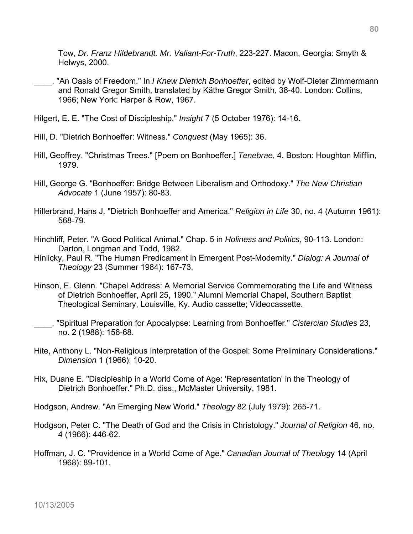Tow, *Dr. Franz Hildebrandt. Mr. Valiant-For-Truth*, 223-227. Macon, Georgia: Smyth & Helwys, 2000.

- \_\_\_\_. "An Oasis of Freedom." In *I Knew Dietrich Bonhoeffer*, edited by Wolf-Dieter Zimmermann and Ronald Gregor Smith, translated by Käthe Gregor Smith, 38-40. London: Collins, 1966; New York: Harper & Row, 1967.
- Hilgert, E. E. "The Cost of Discipleship." *Insight* 7 (5 October 1976): 14-16.
- Hill, D. "Dietrich Bonhoeffer: Witness." *Conquest* (May 1965): 36.
- Hill, Geoffrey. "Christmas Trees." [Poem on Bonhoeffer.] *Tenebrae*, 4. Boston: Houghton Mifflin, 1979.
- Hill, George G. "Bonhoeffer: Bridge Between Liberalism and Orthodoxy." *The New Christian Advocate* 1 (June 1957): 80-83.
- Hillerbrand, Hans J. "Dietrich Bonhoeffer and America." *Religion in Life* 30, no. 4 (Autumn 1961): 568-79.
- Hinchliff, Peter. "A Good Political Animal." Chap. 5 in *Holiness and Politics*, 90-113. London: Darton, Longman and Todd, 1982.
- Hinlicky, Paul R. "The Human Predicament in Emergent Post-Modernity." *Dialog: A Journal of Theology* 23 (Summer 1984): 167-73.
- Hinson, E. Glenn. "Chapel Address: A Memorial Service Commemorating the Life and Witness of Dietrich Bonhoeffer, April 25, 1990." Alumni Memorial Chapel, Southern Baptist Theological Seminary, Louisville, Ky. Audio cassette; Videocassette.
- \_\_\_\_. "Spiritual Preparation for Apocalypse: Learning from Bonhoeffer." *Cistercian Studies* 23, no. 2 (1988): 156-68.
- Hite, Anthony L. "Non-Religious Interpretation of the Gospel: Some Preliminary Considerations." *Dimension* 1 (1966): 10-20.
- Hix, Duane E. "Discipleship in a World Come of Age: 'Representation' in the Theology of Dietrich Bonhoeffer." Ph.D. diss., McMaster University, 1981.
- Hodgson, Andrew. "An Emerging New World." *Theology* 82 (July 1979): 265-71.
- Hodgson, Peter C. "The Death of God and the Crisis in Christology." *Journal of Religion* 46, no. 4 (1966): 446-62.
- Hoffman, J. C. "Providence in a World Come of Age." *Canadian Journal of Theolog*y 14 (April 1968): 89-101.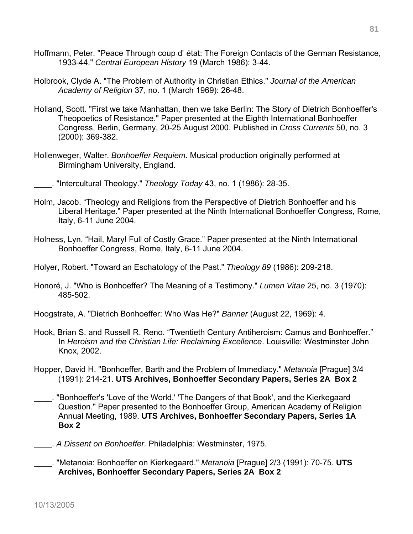- Hoffmann, Peter. "Peace Through coup d' état: The Foreign Contacts of the German Resistance, 1933-44." *Central European History* 19 (March 1986): 3-44.
- Holbrook, Clyde A. "The Problem of Authority in Christian Ethics." *Journal of the American Academy of Religion* 37, no. 1 (March 1969): 26-48.
- Holland, Scott. "First we take Manhattan, then we take Berlin: The Story of Dietrich Bonhoeffer's Theopoetics of Resistance." Paper presented at the Eighth International Bonhoeffer Congress, Berlin, Germany, 20-25 August 2000. Published in *Cross Currents* 50, no. 3 (2000): 369-382.
- Hollenweger, Walter. *Bonhoeffer Requiem*. Musical production originally performed at Birmingham University, England.
- \_\_\_\_. "Intercultural Theology." *Theology Today* 43, no. 1 (1986): 28-35.
- Holm, Jacob. "Theology and Religions from the Perspective of Dietrich Bonhoeffer and his Liberal Heritage." Paper presented at the Ninth International Bonhoeffer Congress, Rome, Italy, 6-11 June 2004.
- Holness, Lyn. "Hail, Mary! Full of Costly Grace." Paper presented at the Ninth International Bonhoeffer Congress, Rome, Italy, 6-11 June 2004.
- Holyer, Robert. "Toward an Eschatology of the Past." *Theology 89* (1986): 209-218.
- Honoré, J. "Who is Bonhoeffer? The Meaning of a Testimony." *Lumen Vitae* 25, no. 3 (1970): 485-502.
- Hoogstrate, A. "Dietrich Bonhoeffer: Who Was He?" *Banner* (August 22, 1969): 4.
- Hook, Brian S. and Russell R. Reno. "Twentieth Century Antiheroism: Camus and Bonhoeffer." In *Heroism and the Christian Life: Reclaiming Excellence*. Louisville: Westminster John Knox, 2002.
- Hopper, David H. "Bonhoeffer, Barth and the Problem of Immediacy." *Metanoia* [Prague] 3/4 (1991): 214-21. **UTS Archives, Bonhoeffer Secondary Papers, Series 2A Box 2**
- \_\_\_\_. "Bonhoeffer's 'Love of the World,' 'The Dangers of that Book', and the Kierkegaard Question." Paper presented to the Bonhoeffer Group, American Academy of Religion Annual Meeting, 1989. **UTS Archives, Bonhoeffer Secondary Papers, Series 1A Box 2**
- \_\_\_\_. *A Dissent on Bonhoeffer.* Philadelphia: Westminster, 1975.
- \_\_\_\_. "Metanoia: Bonhoeffer on Kierkegaard." *Metanoia* [Prague] 2/3 (1991): 70-75. **UTS Archives, Bonhoeffer Secondary Papers, Series 2A Box 2**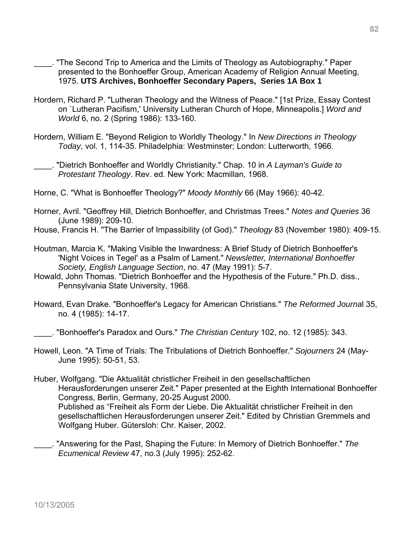- \_\_\_\_. "The Second Trip to America and the Limits of Theology as Autobiography." Paper presented to the Bonhoeffer Group, American Academy of Religion Annual Meeting, 1975. **UTS Archives, Bonhoeffer Secondary Papers, Series 1A Box 1**
- Hordern, Richard P. "Lutheran Theology and the Witness of Peace." [1st Prize, Essay Contest on `Lutheran Pacifism,' University Lutheran Church of Hope, Minneapolis.] *Word and World* 6, no. 2 (Spring 1986): 133-160.
- Hordern, William E. "Beyond Religion to Worldly Theology." In *New Directions in Theology Today*, vol. 1, 114-35. Philadelphia: Westminster; London: Lutterworth, 1966.

\_\_\_\_. "Dietrich Bonhoeffer and Worldly Christianity." Chap. 10 in *A Layman's Guide to Protestant Theology*. Rev. ed. New York: Macmillan, 1968.

Horne, C. "What is Bonhoeffer Theology?" *Moody Monthly* 66 (May 1966): 40-42.

- Horner, Avril. "Geoffrey Hill, Dietrich Bonhoeffer, and Christmas Trees." *Notes and Queries* 36 (June 1989): 209-10.
- House, Francis H. "The Barrier of Impassibility (of God)." *Theology* 83 (November 1980): 409-15.
- Houtman, Marcia K. "Making Visible the Inwardness: A Brief Study of Dietrich Bonhoeffer's 'Night Voices in Tegel' as a Psalm of Lament." *Newsletter, International Bonhoeffer Society, English Language Section*, no. 47 (May 1991): 5-7.
- Howald, John Thomas. "Dietrich Bonhoeffer and the Hypothesis of the Future." Ph.D. diss., Pennsylvania State University, 1968.
- Howard, Evan Drake. "Bonhoeffer's Legacy for American Christians." *The Reformed Journa*l 35, no. 4 (1985): 14-17.

\_\_\_\_. "Bonhoeffer's Paradox and Ours." *The Christian Century* 102, no. 12 (1985): 343.

- Howell, Leon. "A Time of Trials: The Tribulations of Dietrich Bonhoeffer." *Sojourners* 24 (May-June 1995): 50-51, 53.
- Huber, Wolfgang. "Die Aktualität christlicher Freiheit in den gesellschaftlichen Herausforderungen unserer Zeit." Paper presented at the Eighth International Bonhoeffer Congress, Berlin, Germany, 20-25 August 2000. Published as "Freiheit als Form der Liebe. Die Aktualität christlicher Freiheit in den gesellschaftlichen Herausforderungen unserer Zeit." Edited by Christian Gremmels and Wolfgang Huber. Gütersloh: Chr. Kaiser, 2002.
- \_\_\_\_. "Answering for the Past, Shaping the Future: In Memory of Dietrich Bonhoeffer." *The Ecumenical Review* 47, no.3 (July 1995): 252-62.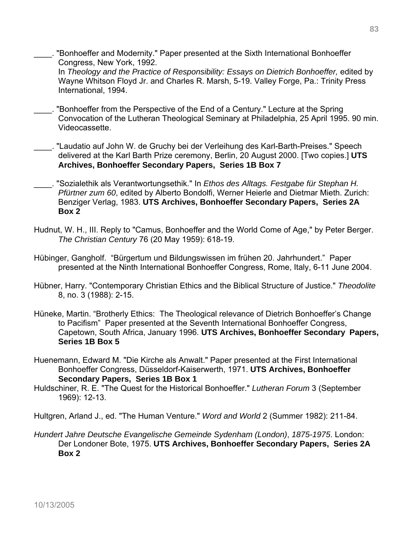"Bonhoeffer and Modernity." Paper presented at the Sixth International Bonhoeffer Congress, New York, 1992.

 In *Theology and the Practice of Responsibility: Essays on Dietrich Bonhoeffer,* edited by Wayne Whitson Floyd Jr. and Charles R. Marsh, 5-19. Valley Forge, Pa.: Trinity Press International, 1994.

- \_\_\_\_. "Bonhoeffer from the Perspective of the End of a Century." Lecture at the Spring Convocation of the Lutheran Theological Seminary at Philadelphia, 25 April 1995. 90 min. Videocassette.
- \_\_\_\_. "Laudatio auf John W. de Gruchy bei der Verleihung des Karl-Barth-Preises." Speech delivered at the Karl Barth Prize ceremony, Berlin, 20 August 2000. [Two copies.] **UTS Archives, Bonhoeffer Secondary Papers, Series 1B Box 7**
- \_\_\_\_. "Sozialethik als Verantwortungsethik." In *Ethos des Alltags. Festgabe für Stephan H. Pfürtner zum 60*, edited by Alberto Bondolfi, Werner Heierle and Dietmar Mieth. Zurich: Benziger Verlag, 1983. **UTS Archives, Bonhoeffer Secondary Papers, Series 2A Box 2**
- Hudnut, W. H., III. Reply to "Camus, Bonhoeffer and the World Come of Age," by Peter Berger. *The Christian Century* 76 (20 May 1959): 618-19.
- Hübinger, Gangholf. "Bürgertum und Bildungswissen im frühen 20. Jahrhundert." Paper presented at the Ninth International Bonhoeffer Congress, Rome, Italy, 6-11 June 2004.
- Hübner, Harry. "Contemporary Christian Ethics and the Biblical Structure of Justice." *Theodolite* 8, no. 3 (1988): 2-15.
- Hüneke, Martin. "Brotherly Ethics: The Theological relevance of Dietrich Bonhoeffer's Change to Pacifism" Paper presented at the Seventh International Bonhoeffer Congress, Capetown, South Africa, January 1996. **UTS Archives, Bonhoeffer Secondary Papers, Series 1B Box 5**
- Huenemann, Edward M. "Die Kirche als Anwalt." Paper presented at the First International Bonhoeffer Congress, Düsseldorf-Kaiserwerth, 1971. **UTS Archives, Bonhoeffer Secondary Papers, Series 1B Box 1**
- Huldschiner, R. E. "The Quest for the Historical Bonhoeffer." *Lutheran Forum* 3 (September 1969): 12-13.

Hultgren, Arland J., ed. "The Human Venture." *Word and World* 2 (Summer 1982): 211-84.

*Hundert Jahre Deutsche Evangelische Gemeinde Sydenham (London)*, *1875-1975*. London: Der Londoner Bote, 1975. **UTS Archives, Bonhoeffer Secondary Papers, Series 2A Box 2**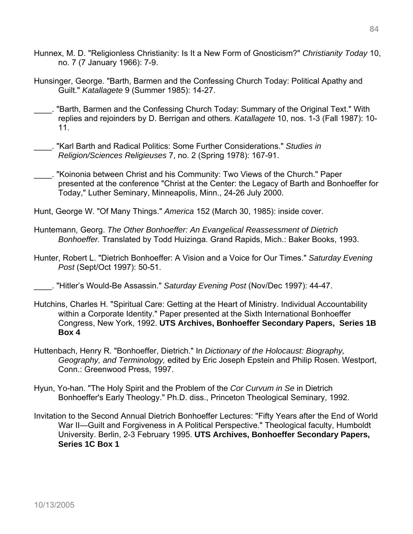- Hunnex, M. D. "Religionless Christianity: Is It a New Form of Gnosticism?" *Christianity Today* 10, no. 7 (7 January 1966): 7-9.
- Hunsinger, George. "Barth, Barmen and the Confessing Church Today: Political Apathy and Guilt." *Katallagete* 9 (Summer 1985): 14-27.
- \_\_\_\_. "Barth, Barmen and the Confessing Church Today: Summary of the Original Text." With replies and rejoinders by D. Berrigan and others. *Katallagete* 10, nos. 1-3 (Fall 1987): 10- 11.
- \_\_\_\_. "Karl Barth and Radical Politics: Some Further Considerations." *Studies in Religion/Sciences R*e*ligieuses* 7, no. 2 (Spring 1978): 167-91.
- \_\_\_\_. "Koinonia between Christ and his Community: Two Views of the Church." Paper presented at the conference "Christ at the Center: the Legacy of Barth and Bonhoeffer for Today," Luther Seminary, Minneapolis, Minn., 24-26 July 2000.

Hunt, George W. "Of Many Things." *America* 152 (March 30, 1985): inside cover.

- Huntemann, Georg. *The Other Bonhoeffer: An Evangelical Reassessment of Dietrich Bonhoeffer.* Translated by Todd Huizinga. Grand Rapids, Mich.: Baker Books, 1993.
- Hunter, Robert L. "Dietrich Bonhoeffer: A Vision and a Voice for Our Times." *Saturday Evening Post* (Sept/Oct 1997): 50-51.
- \_\_\_\_. "Hitler's Would-Be Assassin." *Saturday Evening Post* (Nov/Dec 1997): 44-47.
- Hutchins, Charles H. "Spiritual Care: Getting at the Heart of Ministry. Individual Accountability within a Corporate Identity." Paper presented at the Sixth International Bonhoeffer Congress, New York, 1992. **UTS Archives, Bonhoeffer Secondary Papers, Series 1B Box 4**
- Huttenbach, Henry R. "Bonhoeffer, Dietrich." In *Dictionary of the Holocaust: Biography, Geography, and Terminology,* edited by Eric Joseph Epstein and Philip Rosen. Westport, Conn.: Greenwood Press, 1997.
- Hyun, Yo-han. "The Holy Spirit and the Problem of the *Cor Curvum in Se* in Dietrich Bonhoeffer's Early Theology." Ph.D. diss., Princeton Theological Seminary, 1992.
- Invitation to the Second Annual Dietrich Bonhoeffer Lectures: "Fifty Years after the End of World War II—Guilt and Forgiveness in A Political Perspective." Theological faculty, Humboldt University. Berlin, 2-3 February 1995. **UTS Archives, Bonhoeffer Secondary Papers, Series 1C Box 1**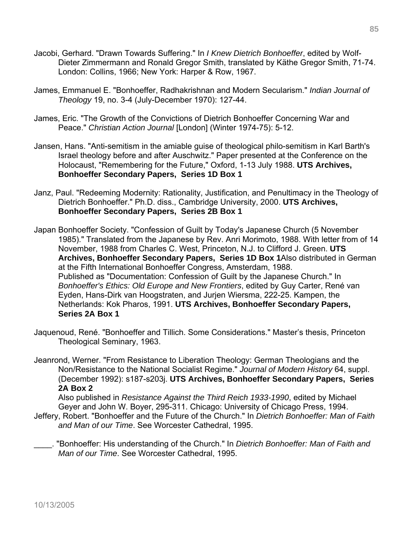- Jacobi, Gerhard. "Drawn Towards Suffering." In *I Knew Dietrich Bonhoeffer*, edited by Wolf-Dieter Zimmermann and Ronald Gregor Smith, translated by Käthe Gregor Smith, 71-74. London: Collins, 1966; New York: Harper & Row, 1967.
- James, Emmanuel E. "Bonhoeffer, Radhakrishnan and Modern Secularism." *Indian Journal of Theology* 19, no. 3-4 (July-December 1970): 127-44.
- James, Eric. "The Growth of the Convictions of Dietrich Bonhoeffer Concerning War and Peace." *Christian Action Journal* [London] (Winter 1974-75): 5-12.
- Jansen, Hans. "Anti-semitism in the amiable guise of theological philo-semitism in Karl Barth's Israel theology before and after Auschwitz." Paper presented at the Conference on the Holocaust, "Remembering for the Future," Oxford, 1-13 July 1988. **UTS Archives, Bonhoeffer Secondary Papers, Series 1D Box 1**
- Janz, Paul. "Redeeming Modernity: Rationality, Justification, and Penultimacy in the Theology of Dietrich Bonhoeffer." Ph.D. diss., Cambridge University, 2000. **UTS Archives, Bonhoeffer Secondary Papers, Series 2B Box 1**
- Japan Bonhoeffer Society. "Confession of Guilt by Today's Japanese Church (5 November 1985)." Translated from the Japanese by Rev. Anri Morimoto, 1988. With letter from of 14 November, 1988 from Charles C. West, Princeton, N.J. to Clifford J. Green. **UTS Archives, Bonhoeffer Secondary Papers, Series 1D Box 1**Also distributed in German at the Fifth International Bonhoeffer Congress, Amsterdam, 1988. Published as "Documentation: Confession of Guilt by the Japanese Church." In *Bonhoeffer's Ethics: Old Europe and New Frontiers*, edited by Guy Carter, René van Eyden, Hans-Dirk van Hoogstraten, and Jurjen Wiersma, 222-25. Kampen, the Netherlands: Kok Pharos, 1991. **UTS Archives, Bonhoeffer Secondary Papers, Series 2A Box 1**
- Jaquenoud, René. "Bonhoeffer and Tillich. Some Considerations." Master's thesis, Princeton Theological Seminary, 1963.
- Jeanrond, Werner. "From Resistance to Liberation Theology: German Theologians and the Non/Resistance to the National Socialist Regime." *Journal of Modern History* 64, suppl. (December 1992): s187-s203j. **UTS Archives, Bonhoeffer Secondary Papers, Series 2A Box 2**

Also published in *Resistance Against the Third Reich 1933-1990*, edited by Michael Geyer and John W. Boyer, 295-311. Chicago: University of Chicago Press, 1994.

Jeffery, Robert. "Bonhoeffer and the Future of the Church." In *Dietrich Bonhoeffer: Man of Faith and Man of our Time*. See Worcester Cathedral, 1995.

\_\_\_\_. "Bonhoeffer: His understanding of the Church." In *Dietrich Bonhoeffer: Man of Faith and Man of our Time*. See Worcester Cathedral, 1995.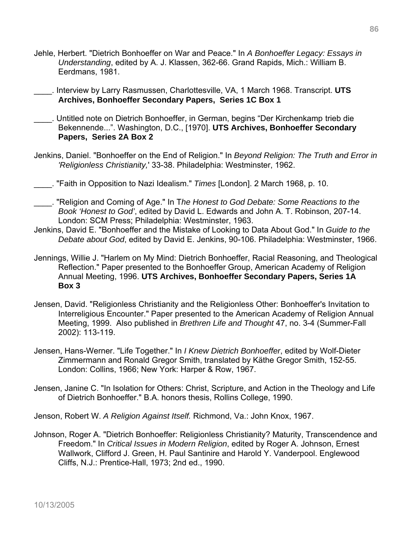- Jehle, Herbert. "Dietrich Bonhoeffer on War and Peace." In *A Bonhoeffer Legacy: Essays in Understanding*, edited by A. J. Klassen, 362-66. Grand Rapids, Mich.: William B. Eerdmans, 1981.
- \_\_\_\_. Interview by Larry Rasmussen, Charlottesville, VA, 1 March 1968. Transcript. **UTS Archives, Bonhoeffer Secondary Papers, Series 1C Box 1**
- \_\_\_\_. Untitled note on Dietrich Bonhoeffer, in German, begins "Der Kirchenkamp trieb die Bekennende...". Washington, D.C., [1970]. **UTS Archives, Bonhoeffer Secondary Papers, Series 2A Box 2**
- Jenkins, Daniel. "Bonhoeffer on the End of Religion." In *Beyond Religion: The Truth and Error in 'Religionless Christianity,*' 33-38. Philadelphia: Westminster, 1962.
- \_\_\_\_. "Faith in Opposition to Nazi Idealism." *Times* [London]. 2 March 1968, p. 10.
- \_\_\_\_. "Religion and Coming of Age." In T*he Honest to God Debate: Some Reactions to the Book 'Honest to God'*, edited by David L. Edwards and John A. T. Robinson, 207-14. London: SCM Press; Philadelphia: Westminster, 1963.
- Jenkins, David E. "Bonhoeffer and the Mistake of Looking to Data About God." In *Guide to the Debate about God*, edited by David E. Jenkins, 90-106. Philadelphia: Westminster, 1966.
- Jennings, Willie J. "Harlem on My Mind: Dietrich Bonhoeffer, Racial Reasoning, and Theological Reflection." Paper presented to the Bonhoeffer Group, American Academy of Religion Annual Meeting, 1996. **UTS Archives, Bonhoeffer Secondary Papers, Series 1A Box 3**
- Jensen, David. "Religionless Christianity and the Religionless Other: Bonhoeffer's Invitation to Interreligious Encounter." Paper presented to the American Academy of Religion Annual Meeting, 1999. Also published in *Brethren Life and Thought* 47, no. 3-4 (Summer-Fall 2002): 113-119.
- Jensen, Hans-Werner. "Life Together." In *I Knew Dietrich Bonhoeffer*, edited by Wolf-Dieter Zimmermann and Ronald Gregor Smith, translated by Käthe Gregor Smith, 152-55. London: Collins, 1966; New York: Harper & Row, 1967.
- Jensen, Janine C. "In Isolation for Others: Christ, Scripture, and Action in the Theology and Life of Dietrich Bonhoeffer." B.A. honors thesis, Rollins College, 1990.
- Jenson, Robert W. *A Religion Against Itself.* Richmond, Va.: John Knox, 1967.
- Johnson, Roger A. "Dietrich Bonhoeffer: Religionless Christianity? Maturity, Transcendence and Freedom." In *Critical Issues in Modern Religion*, edited by Roger A. Johnson, Ernest Wallwork, Clifford J. Green, H. Paul Santinire and Harold Y. Vanderpool. Englewood Cliffs, N.J.: Prentice-Hall, 1973; 2nd ed., 1990.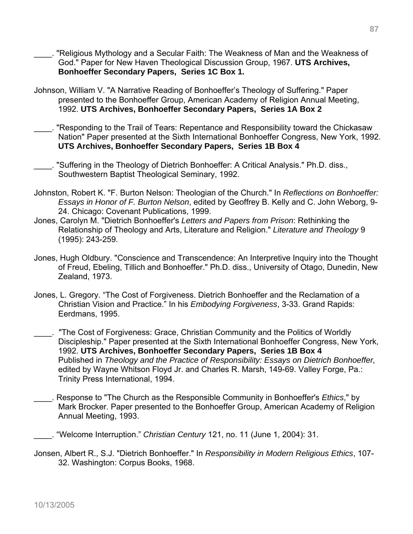- \_\_\_\_. "Religious Mythology and a Secular Faith: The Weakness of Man and the Weakness of God." Paper for New Haven Theological Discussion Group, 1967. **UTS Archives, Bonhoeffer Secondary Papers, Series 1C Box 1.**
- Johnson, William V. "A Narrative Reading of Bonhoeffer's Theology of Suffering." Paper presented to the Bonhoeffer Group, American Academy of Religion Annual Meeting, 1992. **UTS Archives, Bonhoeffer Secondary Papers, Series 1A Box 2**
- \_\_\_\_. "Responding to the Trail of Tears: Repentance and Responsibility toward the Chickasaw Nation" Paper presented at the Sixth International Bonhoeffer Congress, New York, 1992. **UTS Archives, Bonhoeffer Secondary Papers, Series 1B Box 4**

\_\_\_\_. "Suffering in the Theology of Dietrich Bonhoeffer: A Critical Analysis." Ph.D. diss., Southwestern Baptist Theological Seminary, 1992.

- Johnston, Robert K. "F. Burton Nelson: Theologian of the Church." In *Reflections on Bonhoeffer: Essays in Honor of F. Burton Nelson*, edited by Geoffrey B. Kelly and C. John Weborg, 9- 24. Chicago: Covenant Publications, 1999.
- Jones, Carolyn M. "Dietrich Bonhoeffer's *Letters and Papers from Prison*: Rethinking the Relationship of Theology and Arts, Literature and Religion." *Literature and Theology* 9 (1995): 243-259.
- Jones, Hugh Oldbury. "Conscience and Transcendence: An Interpretive Inquiry into the Thought of Freud, Ebeling, Tillich and Bonhoeffer." Ph.D. diss., University of Otago, Dunedin, New Zealand, 1973.
- Jones, L. Gregory. "The Cost of Forgiveness. Dietrich Bonhoeffer and the Reclamation of a Christian Vision and Practice." In his *Embodying Forgiveness*, 3-33. Grand Rapids: Eerdmans, 1995.
- "The Cost of Forgiveness: Grace, Christian Community and the Politics of Worldly Discipleship." Paper presented at the Sixth International Bonhoeffer Congress, New York, 1992. **UTS Archives, Bonhoeffer Secondary Papers, Series 1B Box 4**  Published in *Theology and the Practice of Responsibility: Essays on Dietrich Bonhoeffer,* edited by Wayne Whitson Floyd Jr. and Charles R. Marsh, 149-69. Valley Forge, Pa.: Trinity Press International, 1994.
- \_\_\_\_. Response to "The Church as the Responsible Community in Bonhoeffer's *Ethics*," by Mark Brocker. Paper presented to the Bonhoeffer Group, American Academy of Religion Annual Meeting, 1993.
	- \_\_\_\_. "Welcome Interruption." *Christian Century* 121, no. 11 (June 1, 2004): 31.
- Jonsen, Albert R., S.J. "Dietrich Bonhoeffer." In *Responsibility in Modern Religious Ethics*, 107- 32. Washington: Corpus Books, 1968.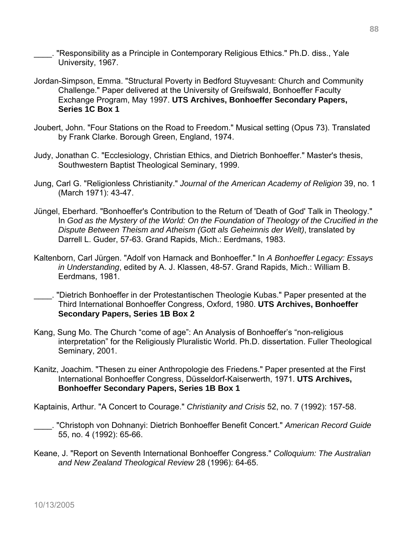\_\_\_\_. "Responsibility as a Principle in Contemporary Religious Ethics." Ph.D. diss., Yale University, 1967.

- Jordan-Simpson, Emma. "Structural Poverty in Bedford Stuyvesant: Church and Community Challenge." Paper delivered at the University of Greifswald, Bonhoeffer Faculty Exchange Program, May 1997. **UTS Archives, Bonhoeffer Secondary Papers, Series 1C Box 1**
- Joubert, John. "Four Stations on the Road to Freedom." Musical setting (Opus 73). Translated by Frank Clarke. Borough Green, England, 1974.
- Judy, Jonathan C. "Ecclesiology, Christian Ethics, and Dietrich Bonhoeffer." Master's thesis, Southwestern Baptist Theological Seminary, 1999.
- Jung, Carl G. "Religionless Christianity." *Journal of the American Academy of Religion* 39, no. 1 (March 1971): 43-47.
- Jüngel, Eberhard. "Bonhoeffer's Contribution to the Return of 'Death of God' Talk in Theology." In *God as the Mystery of the World: On the Foundation of Theology of the Crucified in the Dispute Between Theism and Atheism (Gott als Geheimnis der Welt)*, translated by Darrell L. Guder, 57-63. Grand Rapids, Mich.: Eerdmans, 1983.
- Kaltenborn, Carl Jürgen. "Adolf von Harnack and Bonhoeffer." In *A Bonhoeffer Legacy: Essays in Understanding*, edited by A. J. Klassen, 48-57. Grand Rapids, Mich.: William B. Eerdmans, 1981.
- \_\_\_\_. "Dietrich Bonhoeffer in der Protestantischen Theologie Kubas." Paper presented at the Third International Bonhoeffer Congress, Oxford, 1980. **UTS Archives, Bonhoeffer Secondary Papers, Series 1B Box 2**
- Kang, Sung Mo. The Church "come of age": An Analysis of Bonhoeffer's "non-religious interpretation" for the Religiously Pluralistic World. Ph.D. dissertation. Fuller Theological Seminary, 2001.
- Kanitz, Joachim. "Thesen zu einer Anthropologie des Friedens." Paper presented at the First International Bonhoeffer Congress, Düsseldorf-Kaiserwerth, 1971. **UTS Archives, Bonhoeffer Secondary Papers, Series 1B Box 1**

Kaptainis, Arthur. "A Concert to Courage." *Christianity and Crisis* 52, no. 7 (1992): 157-58.

- \_\_\_\_. "Christoph von Dohnanyi: Dietrich Bonhoeffer Benefit Concert." *American Record Guide* 55, no. 4 (1992): 65-66.
- Keane, J. "Report on Seventh International Bonhoeffer Congress." *Colloquium: The Australian and New Zealand Theological Review* 28 (1996): 64-65.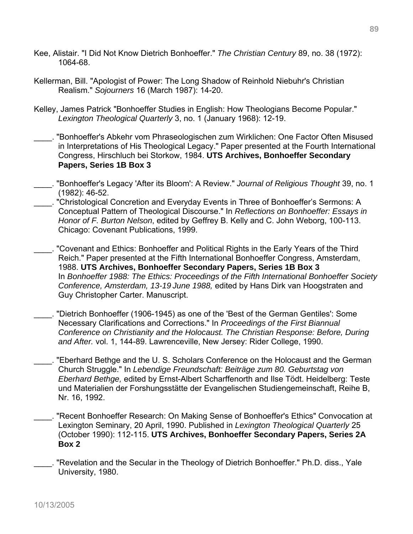- Kee, Alistair. "I Did Not Know Dietrich Bonhoeffer." *The Christian Century* 89, no. 38 (1972): 1064-68.
- Kellerman, Bill. "Apologist of Power: The Long Shadow of Reinhold Niebuhr's Christian Realism." *Sojourners* 16 (March 1987): 14-20.
- Kelley, James Patrick "Bonhoeffer Studies in English: How Theologians Become Popular." *Lexington Theological Quarterly* 3, no. 1 (January 1968): 12-19.
- \_\_\_\_. "Bonhoeffer's Abkehr vom Phraseologischen zum Wirklichen: One Factor Often Misused in Interpretations of His Theological Legacy." Paper presented at the Fourth International Congress, Hirschluch bei Storkow, 1984. **UTS Archives, Bonhoeffer Secondary Papers, Series 1B Box 3**
- \_\_\_\_. "Bonhoeffer's Legacy 'After its Bloom': A Review." *Journal of Religious Thought* 39, no. 1 (1982): 46-52.
- "Christological Concretion and Everyday Events in Three of Bonhoeffer's Sermons: A Conceptual Pattern of Theological Discourse." In *Reflections on Bonhoeffer: Essays in Honor of F. Burton Nelson*, edited by Geffrey B. Kelly and C. John Weborg, 100-113. Chicago: Covenant Publications, 1999.
- \_\_\_\_. "Covenant and Ethics: Bonhoeffer and Political Rights in the Early Years of the Third Reich." Paper presented at the Fifth International Bonhoeffer Congress, Amsterdam, 1988. **UTS Archives, Bonhoeffer Secondary Papers, Series 1B Box 3**  In *Bonhoeffer 1988: The Ethics: Proceedings of the Fifth International Bonhoeffer Society Conference, Amsterdam, 13-19 June 1988,* edited by Hans Dirk van Hoogstraten and Guy Christopher Carter. Manuscript.
- \_\_\_\_. "Dietrich Bonhoeffer (1906-1945) as one of the 'Best of the German Gentiles': Some Necessary Clarifications and Corrections." In *Proceedings of the First Biannual Conference on Christianity and the Holocaust. The Christian Response: Before, During and After.* vol. 1, 144-89. Lawrenceville, New Jersey: Rider College, 1990.
- \_\_\_\_. "Eberhard Bethge and the U. S. Scholars Conference on the Holocaust and the German Church Struggle." In *Lebendige Freundschaft: Beiträge zum 80. Geburtstag von Eberhard Bethge,* edited by Ernst-Albert Scharffenorth and Ilse Tödt. Heidelberg: Teste und Materialien der Forshungsstätte der Evangelischen Studiengemeinschaft, Reihe B, Nr. 16, 1992.
- \_\_\_\_. "Recent Bonhoeffer Research: On Making Sense of Bonhoeffer's Ethics" Convocation at Lexington Seminary, 20 April, 1990. Published in *Lexington Theological Quarterly* 25 (October 1990): 112-115. **UTS Archives, Bonhoeffer Secondary Papers, Series 2A Box 2**
- . "Revelation and the Secular in the Theology of Dietrich Bonhoeffer." Ph.D. diss., Yale University, 1980.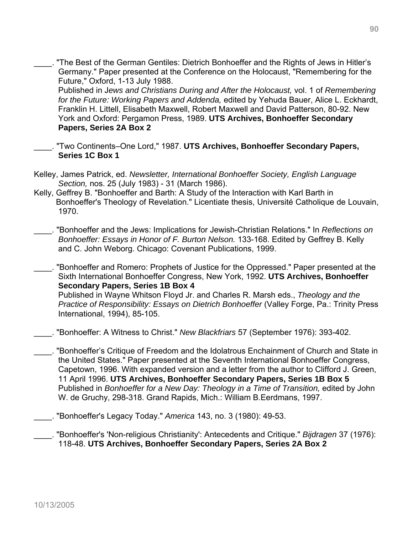"The Best of the German Gentiles: Dietrich Bonhoeffer and the Rights of Jews in Hitler's Germany." Paper presented at the Conference on the Holocaust, "Remembering for the Future," Oxford, 1-13 July 1988.

Published in J*ews and Christians During and After the Holocaust,* vol. 1 of *Remembering for the Future: Working Papers and Addenda,* edited by Yehuda Bauer, Alice L. Eckhardt, Franklin H. Littell, Elisabeth Maxwell, Robert Maxwell and David Patterson, 80-92. New York and Oxford: Pergamon Press, 1989. **UTS Archives, Bonhoeffer Secondary Papers, Series 2A Box 2** 

- \_\_\_\_. "Two Continents–One Lord," 1987. **UTS Archives, Bonhoeffer Secondary Papers, Series 1C Box 1**
- Kelley, James Patrick, ed. *Newsletter, International Bonhoeffer Society, English Language Section,* nos. 25 (July 1983) - 31 (March 1986).
- Kelly, Geffrey B. "Bonhoeffer and Barth: A Study of the Interaction with Karl Barth in Bonhoeffer's Theology of Revelation." Licentiate thesis, Université Catholique de Louvain, 1970.

\_\_\_\_. "Bonhoeffer and the Jews: Implications for Jewish-Christian Relations." In *Reflections on Bonhoeffer: Essays in Honor of F. Burton Nelson.* 133-168. Edited by Geffrey B. Kelly and C. John Weborg. Chicago: Covenant Publications, 1999.

\_\_\_\_. "Bonhoeffer and Romero: Prophets of Justice for the Oppressed." Paper presented at the Sixth International Bonhoeffer Congress, New York, 1992. **UTS Archives, Bonhoeffer Secondary Papers, Series 1B Box 4**  Published in Wayne Whitson Floyd Jr. and Charles R. Marsh eds., *Theology and the Practice of Responsibility: Essays on Dietrich Bonhoeffer* (Valley Forge, Pa.: Trinity Press International, 1994), 85-105.

\_\_\_\_. "Bonhoeffer: A Witness to Christ." *New Blackfriars* 57 (September 1976): 393-402.

- \_\_\_\_. "Bonhoeffer's Critique of Freedom and the Idolatrous Enchainment of Church and State in the United States." Paper presented at the Seventh International Bonhoeffer Congress, Capetown, 1996. With expanded version and a letter from the author to Clifford J. Green, 11 April 1996. **UTS Archives, Bonhoeffer Secondary Papers, Series 1B Box 5**  Published in *Bonhoeffer for a New Day: Theology in a Time of Transition,* edited by John W. de Gruchy, 298-318. Grand Rapids, Mich.: William B.Eerdmans, 1997.
- \_\_\_\_. "Bonhoeffer's Legacy Today." *America* 143, no. 3 (1980): 49-53.
- \_\_\_\_. "Bonhoeffer's 'Non-religious Christianity': Antecedents and Critique." *Bijdragen* 37 (1976): 118-48. **UTS Archives, Bonhoeffer Secondary Papers, Series 2A Box 2**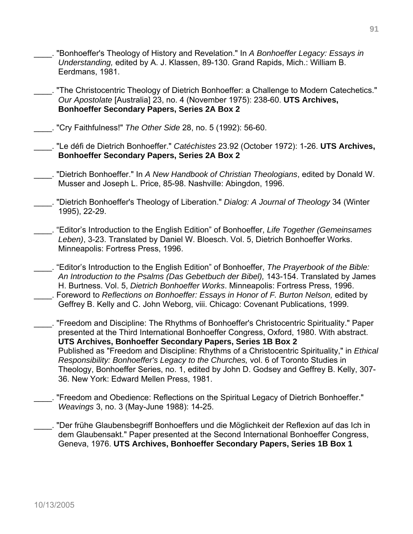- \_\_\_\_. "Bonhoeffer's Theology of History and Revelation." In *A Bonhoeffer Legacy: Essays in Understanding,* edited by A. J. Klassen, 89-130. Grand Rapids, Mich.: William B. Eerdmans, 1981.
- \_\_\_\_. "The Christocentric Theology of Dietrich Bonhoeffer: a Challenge to Modern Catechetics." *Our Apostolate* [Australia] 23, no. 4 (November 1975): 238-60. **UTS Archives, Bonhoeffer Secondary Papers, Series 2A Box 2**
- \_\_\_\_. "Cry Faithfulness!" *The Other Side* 28, no. 5 (1992): 56-60.
- \_\_\_\_. "Le défi de Dietrich Bonhoeffer." *Catéchistes* 23.92 (October 1972): 1-26. **UTS Archives, Bonhoeffer Secondary Papers, Series 2A Box 2**
- \_\_\_\_. "Dietrich Bonhoeffer." In *A New Handbook of Christian Theologians*, edited by Donald W. Musser and Joseph L. Price, 85-98. Nashville: Abingdon, 1996.
- \_\_\_\_. "Dietrich Bonhoeffer's Theology of Liberation." *Dialog: A Journal of Theology* 34 (Winter 1995), 22-29.
- \_\_\_\_. "Editor's Introduction to the English Edition" of Bonhoeffer, *Life Together (Gemeinsames Leben)*, 3-23. Translated by Daniel W. Bloesch. Vol. 5, Dietrich Bonhoeffer Works. Minneapolis: Fortress Press, 1996.
- \_\_\_\_. "Editor's Introduction to the English Edition" of Bonhoeffer, *The Prayerbook of the Bible: An Introduction to the Psalms (Das Gebetbuch der Bibel),* 143-154. Translated by James H. Burtness. Vol. 5, *Dietrich Bonhoeffer Works*. Minneapolis: Fortress Press, 1996. \_\_\_\_. Foreword to *Reflections on Bonhoeffer: Essays in Honor of F. Burton Nelson,* edited by
	- Geffrey B. Kelly and C. John Weborg, viii. Chicago: Covenant Publications, 1999.
- \_\_\_\_. "Freedom and Discipline: The Rhythms of Bonhoeffer's Christocentric Spirituality." Paper presented at the Third International Bonhoeffer Congress, Oxford, 1980. With abstract. **UTS Archives, Bonhoeffer Secondary Papers, Series 1B Box 2**  Published as "Freedom and Discipline: Rhythms of a Christocentric Spirituality," in *Ethical Responsibility: Bonhoeffer's Legacy to the Churches,* vol. 6 of Toronto Studies in Theology, Bonhoeffer Series, no. 1, edited by John D. Godsey and Geffrey B. Kelly, 307- 36. New York: Edward Mellen Press, 1981.
- \_\_\_\_. "Freedom and Obedience: Reflections on the Spiritual Legacy of Dietrich Bonhoeffer."  *Weavings* 3, no. 3 (May-June 1988): 14-25.
- \_\_\_\_. "Der frühe Glaubensbegriff Bonhoeffers und die Möglichkeit der Reflexion auf das Ich in dem Glaubensakt." Paper presented at the Second International Bonhoeffer Congress, Geneva, 1976. **UTS Archives, Bonhoeffer Secondary Papers, Series 1B Box 1**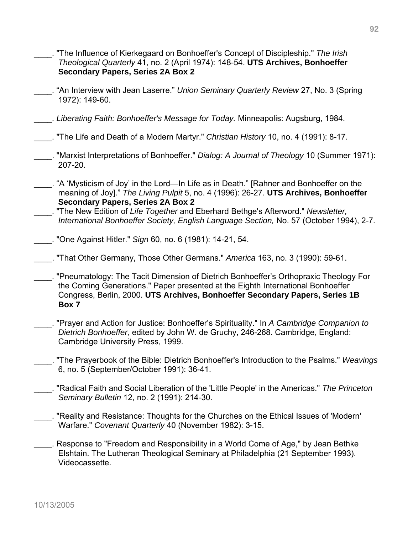- \_\_\_\_. "The Influence of Kierkegaard on Bonhoeffer's Concept of Discipleship." *The Irish Theological Quarterly* 41, no. 2 (April 1974): 148-54. **UTS Archives, Bonhoeffer Secondary Papers, Series 2A Box 2**
- \_\_\_\_. "An Interview with Jean Laserre." *Union Seminary Quarterly Review* 27, No. 3 (Spring 1972): 149-60.
- \_\_\_\_. *Liberating Faith: Bonhoeffer's Message for Today.* Minneapolis: Augsburg, 1984.
- \_\_\_\_. "The Life and Death of a Modern Martyr." *Christian History* 10, no. 4 (1991): 8-17.
- \_\_\_\_. "Marxist Interpretations of Bonhoeffer." *Dialog: A Journal of Theology* 10 (Summer 1971): 207-20.
- \_\_\_\_. "A 'Mysticism of Joy' in the Lord—In Life as in Death." [Rahner and Bonhoeffer on the meaning of Joy]." *The Living Pulpit* 5, no. 4 (1996): 26-27. **UTS Archives, Bonhoeffer Secondary Papers, Series 2A Box 2**
- \_\_\_\_. "The New Edition of *Life Together* and Eberhard Bethge's Afterword." *Newsletter, International Bonhoeffer Society, English Language Section,* No. 57 (October 1994), 2-7.
- \_\_\_\_. "One Against Hitler." *Sign* 60, no. 6 (1981): 14-21, 54.
- \_\_\_\_. "That Other Germany, Those Other Germans." *America* 163, no. 3 (1990): 59-61.
- \_\_\_\_. "Pneumatology: The Tacit Dimension of Dietrich Bonhoeffer's Orthopraxic Theology For the Coming Generations." Paper presented at the Eighth International Bonhoeffer Congress, Berlin, 2000. **UTS Archives, Bonhoeffer Secondary Papers, Series 1B Box 7**
- \_\_\_\_. "Prayer and Action for Justice: Bonhoeffer's Spirituality." In *A Cambridge Companion to Dietrich Bonhoeffer,* edited by John W. de Gruchy, 246-268. Cambridge, England: Cambridge University Press, 1999.
- \_\_\_\_. "The Prayerbook of the Bible: Dietrich Bonhoeffer's Introduction to the Psalms." *Weavings*  6, no. 5 (September/October 1991): 36-41.
- \_\_\_\_. "Radical Faith and Social Liberation of the 'Little People' in the Americas." *The Princeton Seminary Bulletin* 12, no. 2 (1991): 214-30.
- \_\_\_\_. "Reality and Resistance: Thoughts for the Churches on the Ethical Issues of 'Modern' Warfare." *Covenant Quarterly* 40 (November 1982): 3-15.
- \_\_\_\_. Response to "Freedom and Responsibility in a World Come of Age," by Jean Bethke Elshtain. The Lutheran Theological Seminary at Philadelphia (21 September 1993). Videocassette.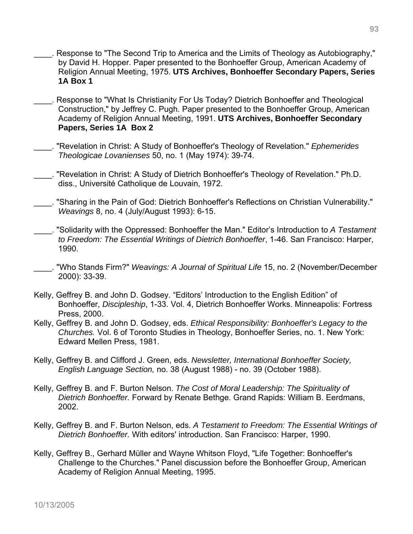- Response to "The Second Trip to America and the Limits of Theology as Autobiography," by David H. Hopper. Paper presented to the Bonhoeffer Group, American Academy of Religion Annual Meeting, 1975. **UTS Archives, Bonhoeffer Secondary Papers, Series 1A Box 1**
- \_\_\_\_. Response to "What Is Christianity For Us Today? Dietrich Bonhoeffer and Theological Construction," by Jeffrey C. Pugh. Paper presented to the Bonhoeffer Group, American Academy of Religion Annual Meeting, 1991. **UTS Archives, Bonhoeffer Secondary Papers, Series 1A Box 2**
- \_\_\_\_. "Revelation in Christ: A Study of Bonhoeffer's Theology of Revelation." *Ephemerides Theologicae Lovanienses* 50, no. 1 (May 1974): 39-74.

\_\_\_\_. "Revelation in Christ: A Study of Dietrich Bonhoeffer's Theology of Revelation." Ph.D. diss., Université Catholique de Louvain, 1972.

\_\_\_\_. "Sharing in the Pain of God: Dietrich Bonhoeffer's Reflections on Christian Vulnerability." *Weavings* 8, no. 4 (July/August 1993): 6-15.

\_\_\_\_. "Solidarity with the Oppressed: Bonhoeffer the Man." Editor's Introduction to *A Testament to Freedom: The Essential Writings of Dietrich Bonhoeffer*, 1-46. San Francisco: Harper, 1990.

- \_\_\_\_. "Who Stands Firm?" *Weavings: A Journal of Spiritual Life* 15, no. 2 (November/December 2000): 33-39.
- Kelly, Geffrey B. and John D. Godsey. "Editors' Introduction to the English Edition" of Bonhoeffer, *Discipleship*, 1-33. Vol. 4, Dietrich Bonhoeffer Works. Minneapolis: Fortress Press, 2000.
- Kelly, Geffrey B. and John D. Godsey, eds. *Ethical Responsibility: Bonhoeffer's Legacy to the Churches.* Vol. 6 of Toronto Studies in Theology, Bonhoeffer Series, no. 1. New York: Edward Mellen Press, 1981.
- Kelly, Geffrey B. and Clifford J. Green, eds. *Newsletter, International Bonhoeffer Society, English Language Section,* no. 38 (August 1988) - no. 39 (October 1988).
- Kelly, Geffrey B. and F. Burton Nelson. *The Cost of Moral Leadership: The Spirituality of Dietrich Bonhoeffer.* Forward by Renate Bethge. Grand Rapids: William B. Eerdmans, 2002.
- Kelly, Geffrey B. and F. Burton Nelson, eds. *A Testament to Freedom: The Essential Writings of Dietrich Bonhoeffer.* With editors' introduction. San Francisco: Harper, 1990.
- Kelly, Geffrey B., Gerhard Müller and Wayne Whitson Floyd, "Life Together: Bonhoeffer's Challenge to the Churches." Panel discussion before the Bonhoeffer Group, American Academy of Religion Annual Meeting, 1995.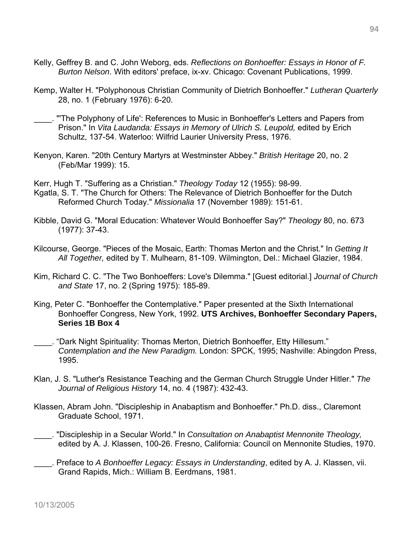- Kelly, Geffrey B. and C. John Weborg, eds. *Reflections on Bonhoeffer: Essays in Honor of F. Burton Nelson*. With editors' preface, ix-xv. Chicago: Covenant Publications, 1999.
- Kemp, Walter H. "Polyphonous Christian Community of Dietrich Bonhoeffer." *Lutheran Quarterly*  28, no. 1 (February 1976): 6-20.
	- \_\_\_\_. "'The Polyphony of Life': References to Music in Bonhoeffer's Letters and Papers from Prison." In *Vita Laudanda: Essays in Memory of Ulrich S. Leupold,* edited by Erich Schultz, 137-54. Waterloo: Wilfrid Laurier University Press, 1976.
- Kenyon, Karen. "20th Century Martyrs at Westminster Abbey." *British Heritage* 20, no. 2 (Feb/Mar 1999): 15.
- Kerr, Hugh T. "Suffering as a Christian." *Theology Today* 12 (1955): 98-99.
- Kgatla, S. T. "The Church for Others: The Relevance of Dietrich Bonhoeffer for the Dutch Reformed Church Today." *Missionalia* 17 (November 1989): 151-61.
- Kibble, David G. "Moral Education: Whatever Would Bonhoeffer Say?" *Theology* 80, no. 673 (1977): 37-43.
- Kilcourse, George. "Pieces of the Mosaic, Earth: Thomas Merton and the Christ." In *Getting It All Together,* edited by T. Mulhearn, 81-109. Wilmington, Del.: Michael Glazier, 1984.
- Kim, Richard C. C. "The Two Bonhoeffers: Love's Dilemma." [Guest editorial.] *Journal of Church and State* 17, no. 2 (Spring 1975): 185-89.
- King, Peter C. "Bonhoeffer the Contemplative." Paper presented at the Sixth International Bonhoeffer Congress, New York, 1992. **UTS Archives, Bonhoeffer Secondary Papers, Series 1B Box 4**
- \_\_\_\_. "Dark Night Spirituality: Thomas Merton, Dietrich Bonhoeffer, Etty Hillesum." *Contemplation and the New Paradigm.* London: SPCK, 1995; Nashville: Abingdon Press, 1995.
- Klan, J. S. "Luther's Resistance Teaching and the German Church Struggle Under Hitler." *The Journal of Religious History* 14, no. 4 (1987): 432-43.
- Klassen, Abram John. "Discipleship in Anabaptism and Bonhoeffer." Ph.D. diss., Claremont Graduate School, 1971.
- \_\_\_\_. "Discipleship in a Secular World." In *Consultation on Anabaptist Mennonite Theology,* edited by A. J. Klassen, 100-26. Fresno, California: Council on Mennonite Studies, 1970.
- \_\_\_\_. Preface to *A Bonhoeffer Legacy: Essays in Understanding*, edited by A. J. Klassen, vii. Grand Rapids, Mich.: William B. Eerdmans, 1981.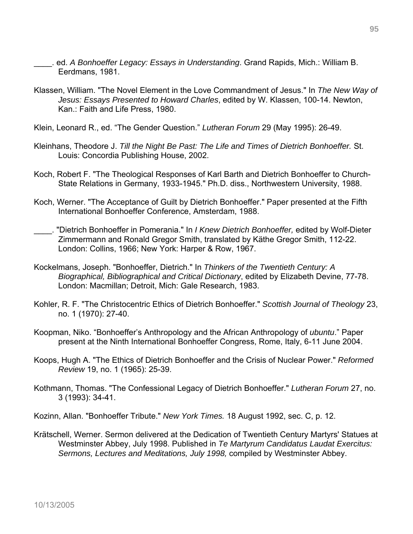- \_\_\_\_. ed. *A Bonhoeffer Legacy: Essays in Understanding*. Grand Rapids, Mich.: William B. Eerdmans, 1981.
- Klassen, William. "The Novel Element in the Love Commandment of Jesus." In *The New Way of Jesus: Essays Presented to Howard Charles*, edited by W. Klassen, 100-14. Newton, Kan.: Faith and Life Press, 1980.
- Klein, Leonard R., ed. "The Gender Question." *Lutheran Forum* 29 (May 1995): 26-49.
- Kleinhans, Theodore J. *Till the Night Be Past: The Life and Times of Dietrich Bonhoeffer.* St. Louis: Concordia Publishing House, 2002.
- Koch, Robert F. "The Theological Responses of Karl Barth and Dietrich Bonhoeffer to Church-State Relations in Germany, 1933-1945." Ph.D. diss., Northwestern University, 1988.
- Koch, Werner. "The Acceptance of Guilt by Dietrich Bonhoeffer." Paper presented at the Fifth International Bonhoeffer Conference, Amsterdam, 1988.
- \_\_\_\_. "Dietrich Bonhoeffer in Pomerania." In *I Knew Dietrich Bonhoeffer,* edited by Wolf-Dieter Zimmermann and Ronald Gregor Smith, translated by Käthe Gregor Smith, 112-22. London: Collins, 1966; New York: Harper & Row, 1967.
- Kockelmans, Joseph. "Bonhoeffer, Dietrich." In *Thinkers of the Twentieth Century: A Biographical, Bibliographical and Critical Dictionary*, edited by Elizabeth Devine, 77-78. London: Macmillan; Detroit, Mich: Gale Research, 1983.
- Kohler, R. F. "The Christocentric Ethics of Dietrich Bonhoeffer." *Scottish Journal of Theology* 23, no. 1 (1970): 27-40.
- Koopman, Niko. "Bonhoeffer's Anthropology and the African Anthropology of *ubuntu*." Paper present at the Ninth International Bonhoeffer Congress, Rome, Italy, 6-11 June 2004.
- Koops, Hugh A. "The Ethics of Dietrich Bonhoeffer and the Crisis of Nuclear Power." *Reformed Review* 19, no. 1 (1965): 25-39.
- Kothmann, Thomas. "The Confessional Legacy of Dietrich Bonhoeffer." *Lutheran Forum* 27, no. 3 (1993): 34-41.

Kozinn, Allan. "Bonhoeffer Tribute." *New York Times.* 18 August 1992, sec. C, p. 12.

Krätschell, Werner. Sermon delivered at the Dedication of Twentieth Century Martyrs' Statues at Westminster Abbey, July 1998. Published in *Te Martyrum Candidatus Laudat Exercitus: Sermons, Lectures and Meditations, July 1998,* compiled by Westminster Abbey.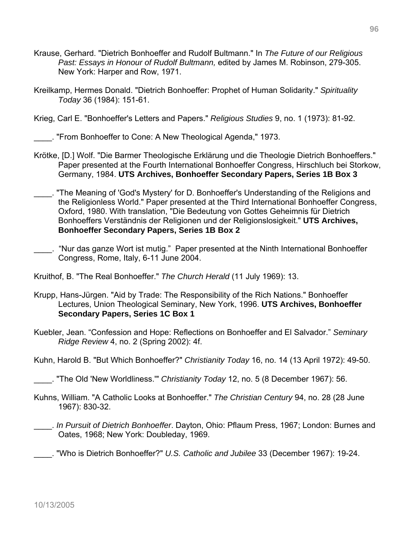- Krause, Gerhard. "Dietrich Bonhoeffer and Rudolf Bultmann." In *The Future of our Religious Past: Essays in Honour of Rudolf Bultmann,* edited by James M. Robinson, 279-305. New York: Harper and Row, 1971.
- Kreilkamp, Hermes Donald. "Dietrich Bonhoeffer: Prophet of Human Solidarity." *Spirituality Today* 36 (1984): 151-61.

Krieg, Carl E. "Bonhoeffer's Letters and Papers." *Religious Studies* 9, no. 1 (1973): 81-92.

\_\_\_\_. "From Bonhoeffer to Cone: A New Theological Agenda," 1973.

- Krötke, [D.] Wolf. "Die Barmer Theologische Erklärung und die Theologie Dietrich Bonhoeffers." Paper presented at the Fourth International Bonhoeffer Congress, Hirschluch bei Storkow, Germany, 1984. **UTS Archives, Bonhoeffer Secondary Papers, Series 1B Box 3**
- \_\_\_\_. "The Meaning of 'God's Mystery' for D. Bonhoeffer's Understanding of the Religions and the Religionless World." Paper presented at the Third International Bonhoeffer Congress, Oxford, 1980. With translation, "Die Bedeutung von Gottes Geheimnis für Dietrich Bonhoeffers Verständnis der Religionen und der Religionslosigkeit." **UTS Archives, Bonhoeffer Secondary Papers, Series 1B Box 2**
- \_\_\_\_. "Nur das ganze Wort ist mutig." Paper presented at the Ninth International Bonhoeffer Congress, Rome, Italy, 6-11 June 2004.

Kruithof, B. "The Real Bonhoeffer." *The Church Herald* (11 July 1969): 13.

- Krupp, Hans-Jürgen. "Aid by Trade: The Responsibility of the Rich Nations." Bonhoeffer Lectures, Union Theological Seminary, New York, 1996. **UTS Archives, Bonhoeffer Secondary Papers, Series 1C Box 1**
- Kuebler, Jean. "Confession and Hope: Reflections on Bonhoeffer and El Salvador." *Seminary Ridge Review* 4, no. 2 (Spring 2002): 4f.
- Kuhn, Harold B. "But Which Bonhoeffer?" *Christianity Today* 16, no. 14 (13 April 1972): 49-50.
- \_\_\_\_. "The Old 'New Worldliness.'" *Christianity Today* 12, no. 5 (8 December 1967): 56.
- Kuhns, William. "A Catholic Looks at Bonhoeffer." *The Christian Century* 94, no. 28 (28 June 1967): 830-32.
- \_\_\_\_. *In Pursuit of Dietrich Bonhoeffer*. Dayton, Ohio: Pflaum Press, 1967; London: Burnes and Oates, 1968; New York: Doubleday, 1969.

\_\_\_\_. "Who is Dietrich Bonhoeffer?" *U.S. Catholic and Jubilee* 33 (December 1967): 19-24.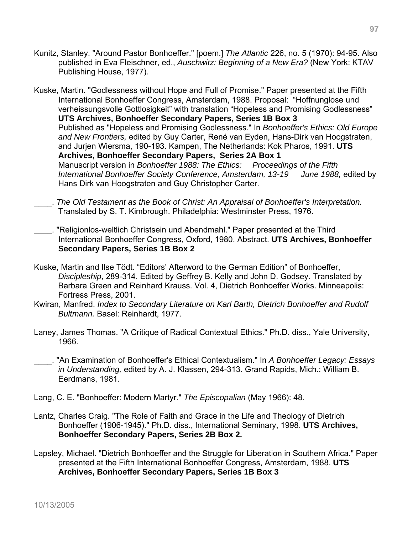Kunitz, Stanley. "Around Pastor Bonhoeffer." [poem.] *The Atlantic* 226, no. 5 (1970): 94-95. Also published in Eva Fleischner, ed., *Auschwitz: Beginning of a New Era?* (New York: KTAV Publishing House, 1977).

Kuske, Martin. "Godlessness without Hope and Full of Promise." Paper presented at the Fifth International Bonhoeffer Congress, Amsterdam, 1988. Proposal: "Hoffnunglose und verheissungsvolle Gottlosigkeit" with translation "Hopeless and Promising Godlessness" **UTS Archives, Bonhoeffer Secondary Papers, Series 1B Box 3**  Published as "Hopeless and Promising Godlessness." In *Bonhoeffer's Ethics: Old Europe and New Frontiers,* edited by Guy Carter, René van Eyden, Hans-Dirk van Hoogstraten, and Jurjen Wiersma, 190-193. Kampen, The Netherlands: Kok Pharos, 1991. **UTS Archives, Bonhoeffer Secondary Papers, Series 2A Box 1**  Manuscript version in *Bonhoeffer 1988: The Ethics: Proceedings of the Fifth International Bonhoeffer Society Conference, Amsterdam, 13-19 June 1988,* edited by Hans Dirk van Hoogstraten and Guy Christopher Carter.

\_\_\_\_. *The Old Testament as the Book of Christ: An Appraisal of Bonhoeffer's Interpretation.*  Translated by S. T. Kimbrough. Philadelphia: Westminster Press, 1976.

\_\_\_\_. "Religionlos-weltlich Christsein und Abendmahl." Paper presented at the Third International Bonhoeffer Congress, Oxford, 1980. Abstract. **UTS Archives, Bonhoeffer Secondary Papers, Series 1B Box 2** 

- Kuske, Martin and Ilse Tödt. "Editors' Afterword to the German Edition" of Bonhoeffer, *Discipleship*, 289-314. Edited by Geffrey B. Kelly and John D. Godsey. Translated by Barbara Green and Reinhard Krauss. Vol. 4, Dietrich Bonhoeffer Works. Minneapolis: Fortress Press, 2001.
- Kwiran, Manfred. *Index to Secondary Literature on Karl Barth, Dietrich Bonhoeffer and Rudolf Bultmann.* Basel: Reinhardt, 1977.
- Laney, James Thomas. "A Critique of Radical Contextual Ethics." Ph.D. diss., Yale University, 1966.

\_\_\_\_. "An Examination of Bonhoeffer's Ethical Contextualism." In *A Bonhoeffer Legacy: Essays in Understanding,* edited by A. J. Klassen, 294-313. Grand Rapids, Mich.: William B. Eerdmans, 1981.

- Lang, C. E. "Bonhoeffer: Modern Martyr." *The Episcopalian* (May 1966): 48.
- Lantz, Charles Craig. "The Role of Faith and Grace in the Life and Theology of Dietrich Bonhoeffer (1906-1945)." Ph.D. diss., International Seminary, 1998. **UTS Archives, Bonhoeffer Secondary Papers, Series 2B Box 2.**
- Lapsley, Michael. "Dietrich Bonhoeffer and the Struggle for Liberation in Southern Africa." Paper presented at the Fifth International Bonhoeffer Congress, Amsterdam, 1988. **UTS Archives, Bonhoeffer Secondary Papers, Series 1B Box 3**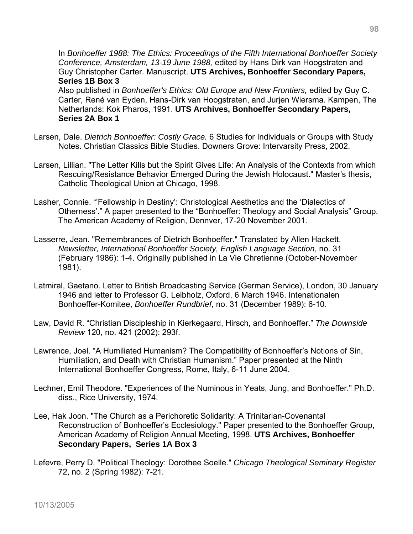In *Bonhoeffer 1988: The Ethics: Proceedings of the Fifth International Bonhoeffer Society Conference, Amsterdam, 13-19 June 1988,* edited by Hans Dirk van Hoogstraten and Guy Christopher Carter. Manuscript. **UTS Archives, Bonhoeffer Secondary Papers, Series 1B Box 3** 

Also published in *Bonhoeffer's Ethics: Old Europe and New Frontiers,* edited by Guy C. Carter, René van Eyden, Hans-Dirk van Hoogstraten, and Jurjen Wiersma. Kampen, The Netherlands: Kok Pharos, 1991. **UTS Archives, Bonhoeffer Secondary Papers, Series 2A Box 1** 

- Larsen, Dale. *Dietrich Bonhoeffer: Costly Grace.* 6 Studies for Individuals or Groups with Study Notes. Christian Classics Bible Studies. Downers Grove: Intervarsity Press, 2002.
- Larsen, Lillian. "The Letter Kills but the Spirit Gives Life: An Analysis of the Contexts from which Rescuing/Resistance Behavior Emerged During the Jewish Holocaust." Master's thesis, Catholic Theological Union at Chicago, 1998.
- Lasher, Connie. "'Fellowship in Destiny': Christological Aesthetics and the 'Dialectics of Otherness'." A paper presented to the "Bonhoeffer: Theology and Social Analysis" Group, The American Academy of Religion, Dennver, 17-20 November 2001.
- Lasserre, Jean. "Remembrances of Dietrich Bonhoeffer." Translated by Allen Hackett. *Newsletter, International Bonhoeffer Society, English Language Section*, no. 31 (February 1986): 1-4. Originally published in La Vie Chretienne (October-November 1981).
- Latmiral, Gaetano. Letter to British Broadcasting Service (German Service), London, 30 January 1946 and letter to Professor G. Leibholz, Oxford, 6 March 1946. Intenationalen Bonhoeffer-Komitee, *Bonhoeffer Rundbrief*, no. 31 (December 1989): 6-10.
- Law, David R. "Christian Discipleship in Kierkegaard, Hirsch, and Bonhoeffer." *The Downside Review* 120, no. 421 (2002): 293f.
- Lawrence, Joel. "A Humiliated Humanism? The Compatibility of Bonhoeffer's Notions of Sin, Humiliation, and Death with Christian Humanism." Paper presented at the Ninth International Bonhoeffer Congress, Rome, Italy, 6-11 June 2004.
- Lechner, Emil Theodore. "Experiences of the Numinous in Yeats, Jung, and Bonhoeffer." Ph.D. diss., Rice University, 1974.
- Lee, Hak Joon. "The Church as a Perichoretic Solidarity: A Trinitarian-Covenantal Reconstruction of Bonhoeffer's Ecclesiology." Paper presented to the Bonhoeffer Group, American Academy of Religion Annual Meeting, 1998. **UTS Archives, Bonhoeffer Secondary Papers, Series 1A Box 3**
- Lefevre, Perry D. "Political Theology: Dorothee Soelle." *Chicago Theological Seminary Register*  72, no. 2 (Spring 1982): 7-21.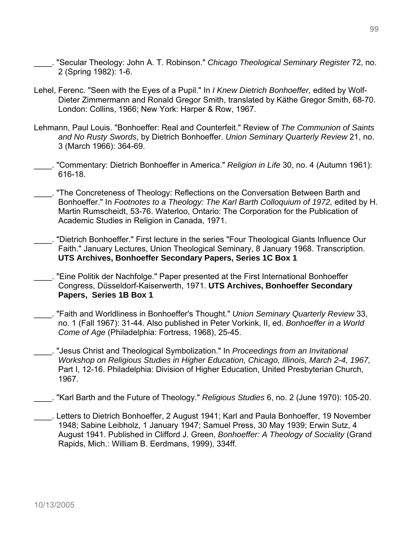- \_\_\_\_. "Secular Theology: John A. T. Robinson." *Chicago Theological Seminary Register* 72, no. 2 (Spring 1982): 1-6.
- Lehel, Ferenc. "Seen with the Eyes of a Pupil." In *I Knew Dietrich Bonhoeffer,* edited by Wolf-Dieter Zimmermann and Ronald Gregor Smith, translated by Käthe Gregor Smith, 68-70. London: Collins, 1966; New York: Harper & Row, 1967.
- Lehmann, Paul Louis. "Bonhoeffer: Real and Counterfeit." Review of *The Communion of Saints and No Rusty Swords*, by Dietrich Bonhoeffer. *Union Seminary Quarterly Review* 21, no. 3 (March 1966): 364-69.
- \_\_\_\_. "Commentary: Dietrich Bonhoeffer in America." *Religion in Life* 30, no. 4 (Autumn 1961): 616-18.
- \_\_\_\_. "The Concreteness of Theology: Reflections on the Conversation Between Barth and Bonhoeffer." In *Footnotes to a Theology: The Karl Barth Colloquium of 1972,* edited by H. Martin Rumscheidt, 53-76. Waterloo, Ontario: The Corporation for the Publication of Academic Studies in Religion in Canada, 1971.
- \_\_\_\_. "Dietrich Bonhoeffer." First lecture in the series "Four Theological Giants Influence Our Faith." January Lectures, Union Theological Seminary, 8 January 1968. Transcription. **UTS Archives, Bonhoeffer Secondary Papers, Series 1C Box 1**
- \_\_\_\_. "Eine Politik der Nachfolge." Paper presented at the First International Bonhoeffer Congress, Düsseldorf-Kaiserwerth, 1971. **UTS Archives, Bonhoeffer Secondary Papers, Series 1B Box 1**
- \_\_\_\_. "Faith and Worldliness in Bonhoeffer's Thought." *Union Seminary Quarterly Review* 33, no. 1 (Fall 1967): 31-44. Also published in Peter Vorkink, II, ed. *Bonhoeffer in a World Come of Age* (Philadelphia: Fortress, 1968), 25-45.
- \_\_\_\_. "Jesus Christ and Theological Symbolization." In *Proceedings from an Invitational Workshop on Religious Studies in Higher Education, Chicago, Illinois, March 2-4, 1967,* Part I, 12-16. Philadelphia: Division of Higher Education, United Presbyterian Church, 1967.
- \_\_\_\_. "Karl Barth and the Future of Theology." *Religious Studies* 6, no. 2 (June 1970): 105-20.
- \_\_\_\_. Letters to Dietrich Bonhoeffer, 2 August 1941; Karl and Paula Bonhoeffer, 19 November 1948; Sabine Leibholz, 1 January 1947; Samuel Press, 30 May 1939; Erwin Sutz, 4 August 1941. Published in Clifford J. Green, *Bonhoeffer: A Theology of Sociality* (Grand Rapids, Mich.: William B. Eerdmans, 1999), 334ff.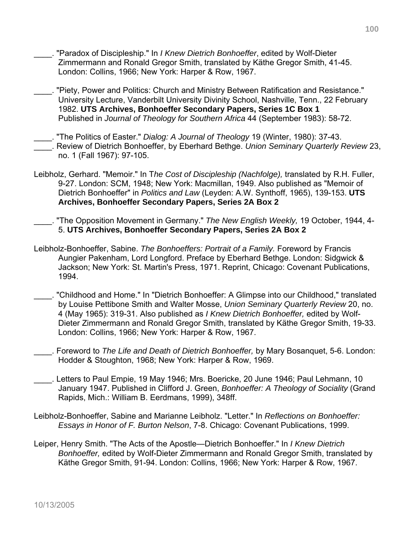- \_\_\_\_. "Paradox of Discipleship." In *I Knew Dietrich Bonhoeffer*, edited by Wolf-Dieter Zimmermann and Ronald Gregor Smith, translated by Käthe Gregor Smith, 41-45. London: Collins, 1966; New York: Harper & Row, 1967.
- \_\_\_\_. "Piety, Power and Politics: Church and Ministry Between Ratification and Resistance." University Lecture, Vanderbilt University Divinity School, Nashville, Tenn., 22 February 1982. **UTS Archives, Bonhoeffer Secondary Papers, Series 1C Box 1** Published in *Journal of Theology for Southern Africa* 44 (September 1983): 58-72.
- \_\_\_\_. "The Politics of Easter." *Dialog: A Journal of Theology* 19 (Winter, 1980): 37-43. \_\_\_\_. Review of Dietrich Bonhoeffer, by Eberhard Bethge. *Union Seminary Quarterly Review* 23, no. 1 (Fall 1967): 97-105.
- Leibholz, Gerhard. "Memoir." In T*he Cost of Discipleship (Nachfolge),* translated by R.H. Fuller, 9-27. London: SCM, 1948; New York: Macmillan, 1949. Also published as "Memoir of Dietrich Bonhoeffer" in *Politics and Law* (Leyden: A.W. Synthoff, 1965), 139-153. **UTS Archives, Bonhoeffer Secondary Papers, Series 2A Box 2**
- \_\_\_\_. "The Opposition Movement in Germany." *The New English Weekly,* 19 October, 1944, 4- 5. **UTS Archives, Bonhoeffer Secondary Papers, Series 2A Box 2**
- Leibholz-Bonhoeffer, Sabine. *The Bonhoeffers: Portrait of a Family.* Foreword by Francis Aungier Pakenham, Lord Longford. Preface by Eberhard Bethge. London: Sidgwick & Jackson; New York: St. Martin's Press, 1971. Reprint, Chicago: Covenant Publications, 1994.
- \_\_\_\_. "Childhood and Home." In "Dietrich Bonhoeffer: A Glimpse into our Childhood," translated by Louise Pettibone Smith and Walter Mosse, *Union Seminary Quarterly Review* 20, no. 4 (May 1965): 319-31. Also published as *I Knew Dietrich Bonhoeffer,* edited by Wolf-Dieter Zimmermann and Ronald Gregor Smith, translated by Käthe Gregor Smith, 19-33. London: Collins, 1966; New York: Harper & Row, 1967.
- \_\_\_\_. Foreword to *The Life and Death of Dietrich Bonhoeffer,* by Mary Bosanquet, 5-6. London: Hodder & Stoughton, 1968; New York: Harper & Row, 1969.
- \_\_\_\_. Letters to Paul Empie, 19 May 1946; Mrs. Boericke, 20 June 1946; Paul Lehmann, 10 January 1947. Published in Clifford J. Green, *Bonhoeffer: A Theology of Sociality* (Grand Rapids, Mich.: William B. Eerdmans, 1999), 348ff.
- Leibholz-Bonhoeffer, Sabine and Marianne Leibholz. "Letter." In *Reflections on Bonhoeffer: Essays in Honor of F. Burton Nelson*, 7-8. Chicago: Covenant Publications, 1999.
- Leiper, Henry Smith. "The Acts of the Apostle—Dietrich Bonhoeffer." In *I Knew Dietrich Bonhoeffer,* edited by Wolf-Dieter Zimmermann and Ronald Gregor Smith, translated by Käthe Gregor Smith, 91-94. London: Collins, 1966; New York: Harper & Row, 1967.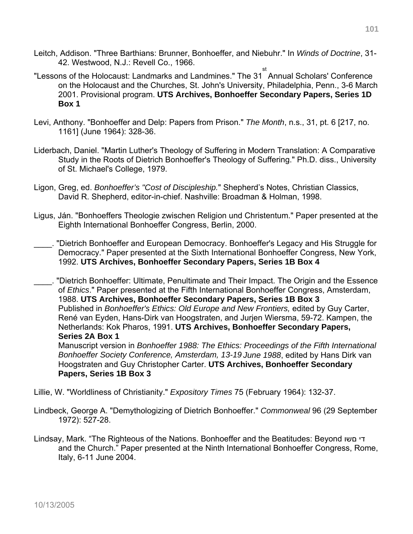- Leitch, Addison. "Three Barthians: Brunner, Bonhoeffer, and Niebuhr." In *Winds of Doctrine*, 31- 42. Westwood, N.J.: Revell Co., 1966.
- "Lessons of the Holocaust: Landmarks and Landmines." The 31 st Annual Scholars' Conference on the Holocaust and the Churches, St. John's University, Philadelphia, Penn., 3-6 March 2001. Provisional program. **UTS Archives, Bonhoeffer Secondary Papers, Series 1D Box 1**
- Levi, Anthony. "Bonhoeffer and Delp: Papers from Prison." *The Month*, n.s., 31, pt. 6 [217, no. 1161] (June 1964): 328-36.
- Liderbach, Daniel. "Martin Luther's Theology of Suffering in Modern Translation: A Comparative Study in the Roots of Dietrich Bonhoeffer's Theology of Suffering." Ph.D. diss., University of St. Michael's College, 1979.
- Ligon, Greg, ed. *Bonhoeffer's "Cost of Discipleship.*" Shepherd's Notes, Christian Classics, David R. Shepherd, editor-in-chief. Nashville: Broadman & Holman, 1998.
- Ligus, Ján. "Bonhoeffers Theologie zwischen Religion und Christentum." Paper presented at the Eighth International Bonhoeffer Congress, Berlin, 2000.
- \_\_\_\_. "Dietrich Bonhoeffer and European Democracy. Bonhoeffer's Legacy and His Struggle for Democracy." Paper presented at the Sixth International Bonhoeffer Congress, New York, 1992. **UTS Archives, Bonhoeffer Secondary Papers, Series 1B Box 4**

\_\_\_\_. "Dietrich Bonhoeffer: Ultimate, Penultimate and Their Impact. The Origin and the Essence of *Ethics*." Paper presented at the Fifth International Bonhoeffer Congress, Amsterdam, 1988. **UTS Archives, Bonhoeffer Secondary Papers, Series 1B Box 3**  Published in *Bonhoeffer's Ethics: Old Europe and New Frontiers,* edited by Guy Carter, René van Eyden, Hans-Dirk van Hoogstraten, and Jurjen Wiersma, 59-72. Kampen, the Netherlands: Kok Pharos, 1991. **UTS Archives, Bonhoeffer Secondary Papers, Series 2A Box 1**  Manuscript version in *Bonhoeffer 1988: The Ethics: Proceedings of the Fifth International Bonhoeffer Society Conference, Amsterdam, 13-19 June 1988*, edited by Hans Dirk van

Hoogstraten and Guy Christopher Carter. **UTS Archives, Bonhoeffer Secondary Papers, Series 1B Box 3** 

Lillie, W. "Worldliness of Christianity." *Expository Times* 75 (February 1964): 132-37.

Lindbeck, George A. "Demythologizing of Dietrich Bonhoeffer." *Commonweal* 96 (29 September 1972): 527-28.

Lindsay, Mark. "The Righteous of the Nations. Bonhoeffer and the Beatitudes: Beyond םשו די and the Church." Paper presented at the Ninth International Bonhoeffer Congress, Rome, Italy, 6-11 June 2004.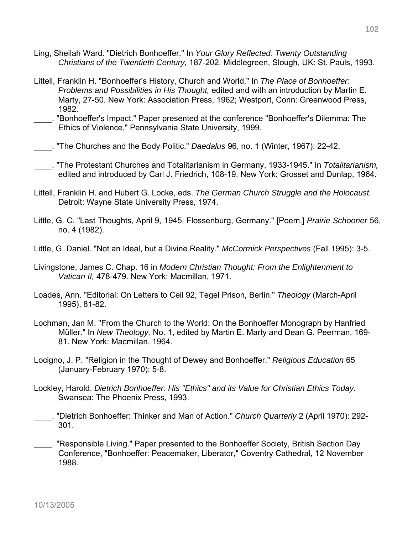- Ling, Sheilah Ward. "Dietrich Bonhoeffer." In *Your Glory Reflected: Twenty Outstanding Christians of the Twentieth Century,* 187-202. Middlegreen, Slough, UK: St. Pauls, 1993.
- Littell, Franklin H. "Bonhoeffer's History, Church and World." In *The Place of Bonhoeffer: Problems and Possibilities in His Thought,* edited and with an introduction by Martin E. Marty, 27-50. New York: Association Press, 1962; Westport, Conn: Greenwood Press, 1982.
- \_\_\_\_. "Bonhoeffer's Impact." Paper presented at the conference "Bonhoeffer's Dilemma: The Ethics of Violence," Pennsylvania State University, 1999.
- \_\_\_\_. "The Churches and the Body Politic." *Daedalus* 96, no. 1 (Winter, 1967): 22-42.
	- \_\_\_\_. "The Protestant Churches and Totalitarianism in Germany, 1933-1945." In *Totalitarianism,* edited and introduced by Carl J. Friedrich, 108-19. New York: Grosset and Dunlap, 1964.
- Littell, Franklin H. and Hubert G. Locke, eds. *The German Church Struggle and the Holocaust.*  Detroit: Wayne State University Press, 1974.
- Little, G. C. "Last Thoughts, April 9, 1945, Flossenburg, Germany." [Poem.] *Prairie Schooner* 56, no. 4 (1982).
- Little, G. Daniel. "Not an Ideal, but a Divine Reality." *McCormick Perspectives* (Fall 1995): 3-5.
- Livingstone, James C. Chap. 16 in *Modern Christian Thought: From the Enlightenment to Vatican II,* 478-479. New York: Macmillan, 1971.
- Loades, Ann. "Editorial: On Letters to Cell 92, Tegel Prison, Berlin." *Theology* (March-April 1995), 81-82.
- Lochman, Jan M. "From the Church to the World: On the Bonhoeffer Monograph by Hanfried Müller." In *New Theology,* No. 1, edited by Martin E. Marty and Dean G. Peerman, 169- 81. New York: Macmillan, 1964.
- Locigno, J. P. "Religion in the Thought of Dewey and Bonhoeffer." *Religious Education* 65 (January-February 1970): 5-8.
- Lockley, Harold. *Dietrich Bonhoeffer: His "Ethics" and its Value for Christian Ethics Today.* Swansea: The Phoenix Press, 1993.
- \_\_\_\_. "Dietrich Bonhoeffer: Thinker and Man of Action." *Church Quarterly* 2 (April 1970): 292- 301.
- \_\_\_\_. "Responsible Living." Paper presented to the Bonhoeffer Society, British Section Day Conference, "Bonhoeffer: Peacemaker, Liberator," Coventry Cathedral, 12 November 1988.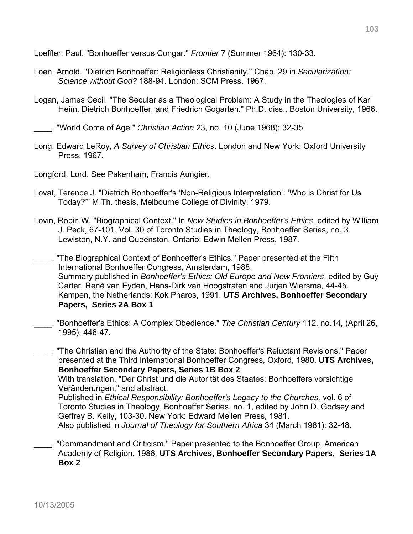Loeffler, Paul. "Bonhoeffer versus Congar." *Frontier* 7 (Summer 1964): 130-33.

- Loen, Arnold. "Dietrich Bonhoeffer: Religionless Christianity." Chap. 29 in *Secularization: Science without God?* 188-94. London: SCM Press, 1967.
- Logan, James Cecil. "The Secular as a Theological Problem: A Study in the Theologies of Karl Heim, Dietrich Bonhoeffer, and Friedrich Gogarten." Ph.D. diss., Boston University, 1966.

\_\_\_\_. "World Come of Age." *Christian Action* 23, no. 10 (June 1968): 32-35.

- Long, Edward LeRoy, *A Survey of Christian Ethics*. London and New York: Oxford University Press, 1967.
- Longford, Lord. See Pakenham, Francis Aungier.
- Lovat, Terence J. "Dietrich Bonhoeffer's 'Non-Religious Interpretation': 'Who is Christ for Us Today?'" M.Th. thesis, Melbourne College of Divinity, 1979.
- Lovin, Robin W. "Biographical Context." In *New Studies in Bonhoeffer's Ethics*, edited by William J. Peck, 67-101. Vol. 30 of Toronto Studies in Theology, Bonhoeffer Series, no. 3. Lewiston, N.Y. and Queenston, Ontario: Edwin Mellen Press, 1987.
- The Biographical Context of Bonhoeffer's Ethics." Paper presented at the Fifth International Bonhoeffer Congress, Amsterdam, 1988. Summary published in *Bonhoeffer's Ethics: Old Europe and New Frontiers*, edited by Guy Carter, René van Eyden, Hans-Dirk van Hoogstraten and Jurjen Wiersma, 44-45. Kampen, the Netherlands: Kok Pharos, 1991. **UTS Archives, Bonhoeffer Secondary Papers, Series 2A Box 1**
- \_\_\_\_. "Bonhoeffer's Ethics: A Complex Obedience." *The Christian Century* 112, no.14, (April 26, 1995): 446-47.

\_\_\_\_. "The Christian and the Authority of the State: Bonhoeffer's Reluctant Revisions." Paper presented at the Third International Bonhoeffer Congress, Oxford, 1980. **UTS Archives, Bonhoeffer Secondary Papers, Series 1B Box 2** With translation, "Der Christ und die Autorität des Staates: Bonhoeffers vorsichtige Veränderungen," and abstract. Published in *Ethical Responsibility: Bonhoeffer's Legacy to the Churches,* vol. 6 of Toronto Studies in Theology, Bonhoeffer Series, no. 1, edited by John D. Godsey and Geffrey B. Kelly, 103-30. New York: Edward Mellen Press, 1981.

Also published in *Journal of Theology for Southern Africa* 34 (March 1981): 32-48.

\_\_\_\_. "Commandment and Criticism." Paper presented to the Bonhoeffer Group, American Academy of Religion, 1986. **UTS Archives, Bonhoeffer Secondary Papers, Series 1A Box 2**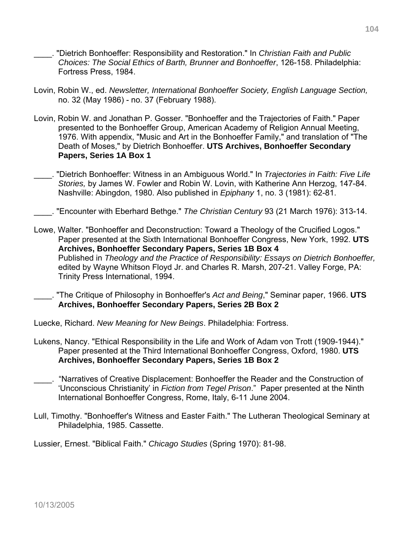- \_\_\_\_. "Dietrich Bonhoeffer: Responsibility and Restoration." In *Christian Faith and Public Choices: The Social Ethics of Barth, Brunner and Bonhoeffer*, 126-158. Philadelphia: Fortress Press, 1984.
- Lovin, Robin W., ed. *Newsletter, International Bonhoeffer Society, English Language Section,* no. 32 (May 1986) - no. 37 (February 1988).
- Lovin, Robin W. and Jonathan P. Gosser. "Bonhoeffer and the Trajectories of Faith." Paper presented to the Bonhoeffer Group, American Academy of Religion Annual Meeting, 1976. With appendix, "Music and Art in the Bonhoeffer Family," and translation of "The Death of Moses," by Dietrich Bonhoeffer. **UTS Archives, Bonhoeffer Secondary Papers, Series 1A Box 1**
- \_\_\_\_. "Dietrich Bonhoeffer: Witness in an Ambiguous World." In *Trajectories in Faith: Five Life Stories,* by James W. Fowler and Robin W. Lovin, with Katherine Ann Herzog, 147-84. Nashville: Abingdon, 1980. Also published in *Epiphany* 1, no. 3 (1981): 62-81.
- \_\_\_\_. "Encounter with Eberhard Bethge." *The Christian Century* 93 (21 March 1976): 313-14.
- Lowe, Walter. "Bonhoeffer and Deconstruction: Toward a Theology of the Crucified Logos." Paper presented at the Sixth International Bonhoeffer Congress, New York, 1992. **UTS Archives, Bonhoeffer Secondary Papers, Series 1B Box 4**  Published in *Theology and the Practice of Responsibility: Essays on Dietrich Bonhoeffer,* edited by Wayne Whitson Floyd Jr. and Charles R. Marsh, 207-21. Valley Forge, PA: Trinity Press International, 1994.
	- \_\_\_\_. "The Critique of Philosophy in Bonhoeffer's *Act and Being*," Seminar paper, 1966. **UTS Archives, Bonhoeffer Secondary Papers, Series 2B Box 2**
- Luecke, Richard. *New Meaning for New Beings*. Philadelphia: Fortress.
- Lukens, Nancy. "Ethical Responsibility in the Life and Work of Adam von Trott (1909-1944)." Paper presented at the Third International Bonhoeffer Congress, Oxford, 1980. **UTS Archives, Bonhoeffer Secondary Papers, Series 1B Box 2**
- \_\_\_\_. "Narratives of Creative Displacement: Bonhoeffer the Reader and the Construction of 'Unconscious Christianity' in *Fiction from Tegel Prison*." Paper presented at the Ninth International Bonhoeffer Congress, Rome, Italy, 6-11 June 2004.
- Lull, Timothy. "Bonhoeffer's Witness and Easter Faith." The Lutheran Theological Seminary at Philadelphia, 1985. Cassette.

Lussier, Ernest. "Biblical Faith." *Chicago Studies* (Spring 1970): 81-98.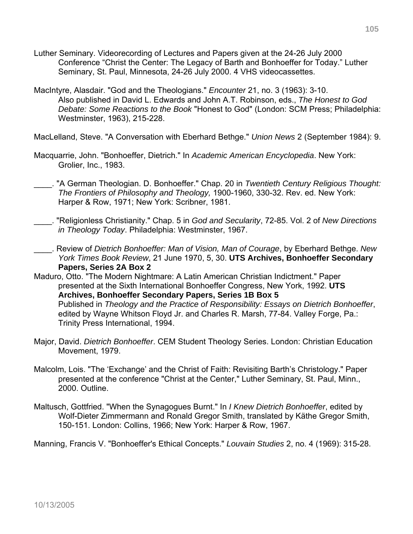- Luther Seminary. Videorecording of Lectures and Papers given at the 24-26 July 2000 Conference "Christ the Center: The Legacy of Barth and Bonhoeffer for Today." Luther Seminary, St. Paul, Minnesota, 24-26 July 2000. 4 VHS videocassettes.
- MacIntyre, Alasdair. "God and the Theologians." *Encounter* 21, no. 3 (1963): 3-10. Also published in David L. Edwards and John A.T. Robinson, eds., *The Honest to God Debate: Some Reactions to the Book* "Honest to God" (London: SCM Press; Philadelphia: Westminster, 1963), 215-228.

MacLelland, Steve. "A Conversation with Eberhard Bethge." *Union News* 2 (September 1984): 9.

- Macquarrie, John. "Bonhoeffer, Dietrich." In *Academic American Encyclopedia*. New York: Grolier, Inc., 1983.
	- \_\_\_\_. "A German Theologian. D. Bonhoeffer." Chap. 20 in *Twentieth Century Religious Thought: The Frontiers of Philosophy and Theology,* 1900-1960, 330-32. Rev. ed. New York: Harper & Row, 1971; New York: Scribner, 1981.
- \_\_\_\_. "Religionless Christianity." Chap. 5 in *God and Secularity*, 72-85. Vol. 2 of *New Directions in Theology Today*. Philadelphia: Westminster, 1967.
- \_\_\_\_. Review of *Dietrich Bonhoeffer: Man of Vision, Man of Courage*, by Eberhard Bethge. *New York Times Book Review*, 21 June 1970, 5, 30. **UTS Archives, Bonhoeffer Secondary Papers, Series 2A Box 2**
- Maduro, Otto. "The Modern Nightmare: A Latin American Christian Indictment." Paper presented at the Sixth International Bonhoeffer Congress, New York, 1992. **UTS Archives, Bonhoeffer Secondary Papers, Series 1B Box 5**  Published in *Theology and the Practice of Responsibility: Essays on Dietrich Bonhoeffer*, edited by Wayne Whitson Floyd Jr. and Charles R. Marsh, 77-84. Valley Forge, Pa.: Trinity Press International, 1994.
- Major, David. *Dietrich Bonhoeffer*. CEM Student Theology Series. London: Christian Education Movement, 1979.
- Malcolm, Lois. "The 'Exchange' and the Christ of Faith: Revisiting Barth's Christology." Paper presented at the conference "Christ at the Center," Luther Seminary, St. Paul, Minn., 2000. Outline.
- Maltusch, Gottfried. "When the Synagogues Burnt." In *I Knew Dietrich Bonhoeffer*, edited by Wolf-Dieter Zimmermann and Ronald Gregor Smith, translated by Käthe Gregor Smith, 150-151. London: Collins, 1966; New York: Harper & Row, 1967.

Manning, Francis V. "Bonhoeffer's Ethical Concepts." *Louvain Studies* 2, no. 4 (1969): 315-28.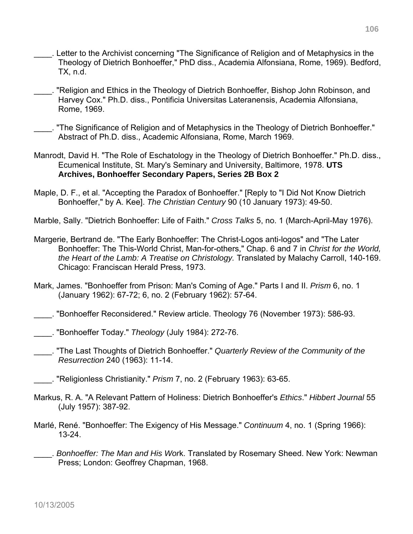- \_\_\_\_. Letter to the Archivist concerning "The Significance of Religion and of Metaphysics in the Theology of Dietrich Bonhoeffer," PhD diss., Academia Alfonsiana, Rome, 1969). Bedford, TX, n.d.
- \_\_\_\_. "Religion and Ethics in the Theology of Dietrich Bonhoeffer, Bishop John Robinson, and Harvey Cox." Ph.D. diss., Pontificia Universitas Lateranensis, Academia Alfonsiana, Rome, 1969.
- \_\_\_\_. "The Significance of Religion and of Metaphysics in the Theology of Dietrich Bonhoeffer." Abstract of Ph.D. diss., Academic Alfonsiana, Rome, March 1969.
- Manrodt, David H. "The Role of Eschatology in the Theology of Dietrich Bonhoeffer." Ph.D. diss., Ecumenical Institute, St. Mary's Seminary and University, Baltimore, 1978. **UTS Archives, Bonhoeffer Secondary Papers, Series 2B Box 2**
- Maple, D. F., et al. "Accepting the Paradox of Bonhoeffer." [Reply to "I Did Not Know Dietrich Bonhoeffer," by A. Kee]. *The Christian Century* 90 (10 January 1973): 49-50.
- Marble, Sally. "Dietrich Bonhoeffer: Life of Faith." *Cross Talks* 5, no. 1 (March-April-May 1976).
- Margerie, Bertrand de. "The Early Bonhoeffer: The Christ-Logos anti-logos" and "The Later Bonhoeffer: The This-World Christ, Man-for-others," Chap. 6 and 7 in *Christ for the World, the Heart of the Lamb: A Treatise on Christology.* Translated by Malachy Carroll, 140-169. Chicago: Franciscan Herald Press, 1973.
- Mark, James. "Bonhoeffer from Prison: Man's Coming of Age." Parts I and II. *Prism* 6, no. 1 (January 1962): 67-72; 6, no. 2 (February 1962): 57-64.
- \_\_\_\_. "Bonhoeffer Reconsidered." Review article. Theology 76 (November 1973): 586-93.
- \_\_\_\_. "Bonhoeffer Today." *Theology* (July 1984): 272-76.
- \_\_\_\_. "The Last Thoughts of Dietrich Bonhoeffer." *Quarterly Review of the Community of the Resurrection* 240 (1963): 11-14.
- \_\_\_\_. "Religionless Christianity." *Prism* 7, no. 2 (February 1963): 63-65.
- Markus, R. A. "A Relevant Pattern of Holiness: Dietrich Bonhoeffer's *Ethics*." *Hibbert Journal* 55 (July 1957): 387-92.
- Marlé, René. "Bonhoeffer: The Exigency of His Message." *Continuum* 4, no. 1 (Spring 1966): 13-24.
- \_\_\_\_. *Bonhoeffer: The Man and His Wor*k. Translated by Rosemary Sheed. New York: Newman Press; London: Geoffrey Chapman, 1968.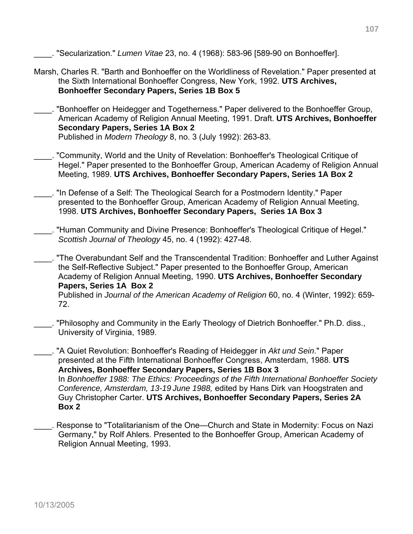\_\_\_\_. "Secularization." *Lumen Vitae* 23, no. 4 (1968): 583-96 [589-90 on Bonhoeffer].

- Marsh, Charles R. "Barth and Bonhoeffer on the Worldliness of Revelation." Paper presented at the Sixth International Bonhoeffer Congress, New York, 1992. **UTS Archives, Bonhoeffer Secondary Papers, Series 1B Box 5**
- \_\_\_\_. "Bonhoeffer on Heidegger and Togetherness." Paper delivered to the Bonhoeffer Group, American Academy of Religion Annual Meeting, 1991. Draft. **UTS Archives, Bonhoeffer Secondary Papers, Series 1A Box 2** Published in *Modern Theology* 8, no. 3 (July 1992): 263-83.
- \_\_\_\_. "Community, World and the Unity of Revelation: Bonhoeffer's Theological Critique of Hegel." Paper presented to the Bonhoeffer Group, American Academy of Religion Annual Meeting, 1989. **UTS Archives, Bonhoeffer Secondary Papers, Series 1A Box 2**
- . "In Defense of a Self: The Theological Search for a Postmodern Identity." Paper presented to the Bonhoeffer Group, American Academy of Religion Annual Meeting, 1998. **UTS Archives, Bonhoeffer Secondary Papers, Series 1A Box 3**
- \_\_\_\_. "Human Community and Divine Presence: Bonhoeffer's Theological Critique of Hegel." *Scottish Journal of Theology* 45, no. 4 (1992): 427-48.
- \_\_\_\_. "The Overabundant Self and the Transcendental Tradition: Bonhoeffer and Luther Against the Self-Reflective Subject." Paper presented to the Bonhoeffer Group, American Academy of Religion Annual Meeting, 1990. **UTS Archives, Bonhoeffer Secondary Papers, Series 1A Box 2**  Published in *Journal of the American Academy of Religion* 60, no. 4 (Winter, 1992): 659- 72.
- . "Philosophy and Community in the Early Theology of Dietrich Bonhoeffer." Ph.D. diss., University of Virginia, 1989.
- \_\_\_\_. "A Quiet Revolution: Bonhoeffer's Reading of Heidegger in *Akt und Sein*." Paper presented at the Fifth International Bonhoeffer Congress, Amsterdam, 1988. **UTS Archives, Bonhoeffer Secondary Papers, Series 1B Box 3**  In *Bonhoeffer 1988: The Ethics: Proceedings of the Fifth International Bonhoeffer Society Conference, Amsterdam, 13-19 June 1988,* edited by Hans Dirk van Hoogstraten and Guy Christopher Carter. **UTS Archives, Bonhoeffer Secondary Papers, Series 2A Box 2**
- \_\_\_\_. Response to "Totalitarianism of the One—Church and State in Modernity: Focus on Nazi Germany," by Rolf Ahlers. Presented to the Bonhoeffer Group, American Academy of Religion Annual Meeting, 1993.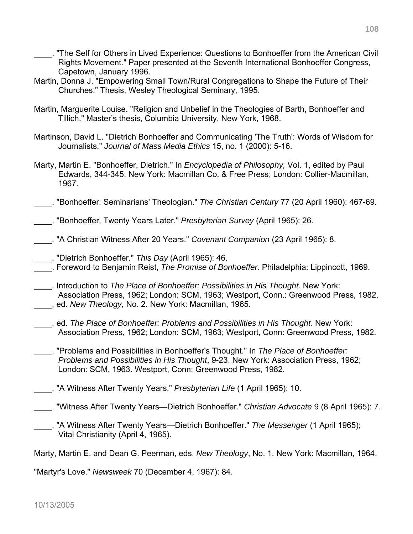- \_\_\_\_. "The Self for Others in Lived Experience: Questions to Bonhoeffer from the American Civil Rights Movement." Paper presented at the Seventh International Bonhoeffer Congress, Capetown, January 1996.
- Martin, Donna J. "Empowering Small Town/Rural Congregations to Shape the Future of Their Churches." Thesis, Wesley Theological Seminary, 1995.
- Martin, Marguerite Louise. "Religion and Unbelief in the Theologies of Barth, Bonhoeffer and Tillich." Master's thesis, Columbia University, New York, 1968.
- Martinson, David L. "Dietrich Bonhoeffer and Communicating 'The Truth': Words of Wisdom for Journalists." *Journal of Mass Media Ethics* 15, no. 1 (2000): 5-16.
- Marty, Martin E. "Bonhoeffer, Dietrich." In *Encyclopedia of Philosophy,* Vol. 1, edited by Paul Edwards, 344-345. New York: Macmillan Co. & Free Press; London: Collier-Macmillan, 1967.
- \_\_\_\_. "Bonhoeffer: Seminarians' Theologian." *The Christian Century* 77 (20 April 1960): 467-69.
- \_\_\_\_. "Bonhoeffer, Twenty Years Later." *Presbyterian Survey* (April 1965): 26.
- \_\_\_\_. "A Christian Witness After 20 Years." *Covenant Companion* (23 April 1965): 8.
- \_\_\_\_. "Dietrich Bonhoeffer." *This Day* (April 1965): 46.
- \_\_\_\_. Foreword to Benjamin Reist, *The Promise of Bonhoeffer*. Philadelphia: Lippincott, 1969.
- \_\_\_\_. Introduction to *The Place of Bonhoeffer: Possibilities in His Thought*. New York: Association Press, 1962; London: SCM, 1963; Westport, Conn.: Greenwood Press, 1982. \_\_\_\_, ed. *New Theology,* No. 2. New York: Macmillan, 1965.
- \_\_\_\_, ed. *The Place of Bonhoeffer: Problems and Possibilities in His Thought.* New York: Association Press, 1962; London: SCM, 1963; Westport, Conn: Greenwood Press, 1982.
- \_\_\_\_. "Problems and Possibilities in Bonhoeffer's Thought." In *The Place of Bonhoeffer: Problems and Possibilities in His Thought*, 9-23. New York: Association Press, 1962; London: SCM, 1963. Westport, Conn: Greenwood Press, 1982.
- \_\_\_\_. "A Witness After Twenty Years." *Presbyterian Life* (1 April 1965): 10.
- \_\_\_\_. "Witness After Twenty Years—Dietrich Bonhoeffer." *Christian Advocate* 9 (8 April 1965): 7.
- \_\_\_\_. "A Witness After Twenty Years—Dietrich Bonhoeffer." *The Messenger* (1 April 1965); Vital Christianity (April 4, 1965).

Marty, Martin E. and Dean G. Peerman, eds. *New Theology*, No. 1. New York: Macmillan, 1964.

"Martyr's Love." *Newsweek* 70 (December 4, 1967): 84.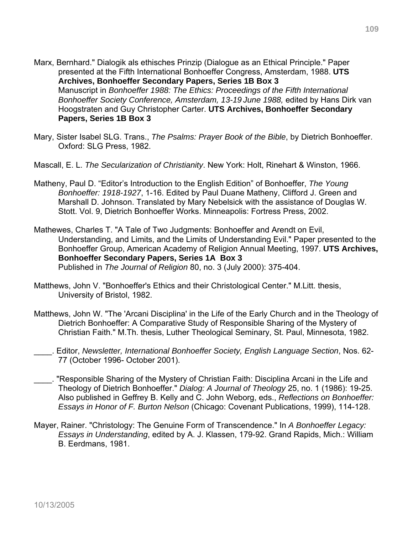- Marx, Bernhard." Dialogik als ethisches Prinzip (Dialogue as an Ethical Principle." Paper presented at the Fifth International Bonhoeffer Congress, Amsterdam, 1988. **UTS Archives, Bonhoeffer Secondary Papers, Series 1B Box 3**  Manuscript in *Bonhoeffer 1988: The Ethics: Proceedings of the Fifth International Bonhoeffer Society Conference, Amsterdam, 13-19 June 1988,* edited by Hans Dirk van Hoogstraten and Guy Christopher Carter. **UTS Archives, Bonhoeffer Secondary Papers, Series 1B Box 3**
- Mary, Sister Isabel SLG. Trans., *The Psalms: Prayer Book of the Bible*, by Dietrich Bonhoeffer. Oxford: SLG Press, 1982.
- Mascall, E. L. *The Secularization of Christianity*. New York: Holt, Rinehart & Winston, 1966.
- Matheny, Paul D. "Editor's Introduction to the English Edition" of Bonhoeffer, *The Young Bonhoeffer: 1918-1927*, 1-16. Edited by Paul Duane Matheny, Clifford J. Green and Marshall D. Johnson. Translated by Mary Nebelsick with the assistance of Douglas W. Stott. Vol. 9, Dietrich Bonhoeffer Works. Minneapolis: Fortress Press, 2002.
- Mathewes, Charles T. "A Tale of Two Judgments: Bonhoeffer and Arendt on Evil, Understanding, and Limits, and the Limits of Understanding Evil." Paper presented to the Bonhoeffer Group, American Academy of Religion Annual Meeting, 1997. **UTS Archives, Bonhoeffer Secondary Papers, Series 1A Box 3**  Published in *The Journal of Religion* 80, no. 3 (July 2000): 375-404.
- Matthews, John V. "Bonhoeffer's Ethics and their Christological Center." M.Litt. thesis, University of Bristol, 1982.
- Matthews, John W. "The 'Arcani Disciplina' in the Life of the Early Church and in the Theology of Dietrich Bonhoeffer: A Comparative Study of Responsible Sharing of the Mystery of Christian Faith." M.Th. thesis, Luther Theological Seminary, St. Paul, Minnesota, 1982.
- \_\_\_\_. Editor, *Newsletter, International Bonhoeffer Society, English Language Section*, Nos. 62- 77 (October 1996- October 2001).
- \_\_\_\_. "Responsible Sharing of the Mystery of Christian Faith: Disciplina Arcani in the Life and Theology of Dietrich Bonhoeffer." *Dialog: A Journal of Theology* 25, no. 1 (1986): 19-25. Also published in Geffrey B. Kelly and C. John Weborg, eds., *Reflections on Bonhoeffer: Essays in Honor of F. Burton Nelson* (Chicago: Covenant Publications, 1999), 114-128.
- Mayer, Rainer. "Christology: The Genuine Form of Transcendence." In *A Bonhoeffer Legacy: Essays in Understanding*, edited by A. J. Klassen, 179-92. Grand Rapids, Mich.: William B. Eerdmans, 1981.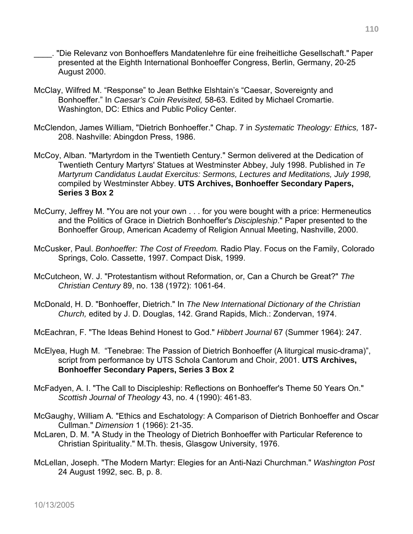- \_\_\_\_. "Die Relevanz von Bonhoeffers Mandatenlehre für eine freiheitliche Gesellschaft." Paper presented at the Eighth International Bonhoeffer Congress, Berlin, Germany, 20-25 August 2000.
- McClay, Wilfred M. "Response" to Jean Bethke Elshtain's "Caesar, Sovereignty and Bonhoeffer." In *Caesar's Coin Revisited,* 58-63. Edited by Michael Cromartie. Washington, DC: Ethics and Public Policy Center.
- McClendon, James William, "Dietrich Bonhoeffer." Chap. 7 in *Systematic Theology: Ethics,* 187- 208. Nashville: Abingdon Press, 1986.
- McCoy, Alban. "Martyrdom in the Twentieth Century." Sermon delivered at the Dedication of Twentieth Century Martyrs' Statues at Westminster Abbey, July 1998. Published in *Te Martyrum Candidatus Laudat Exercitus: Sermons, Lectures and Meditations, July 1998,* compiled by Westminster Abbey. **UTS Archives, Bonhoeffer Secondary Papers, Series 3 Box 2**
- McCurry, Jeffrey M. "You are not your own . . . for you were bought with a price: Hermeneutics and the Politics of Grace in Dietrich Bonhoeffer's *Discipleship*." Paper presented to the Bonhoeffer Group, American Academy of Religion Annual Meeting, Nashville, 2000.
- McCusker, Paul. *Bonhoeffer: The Cost of Freedom.* Radio Play. Focus on the Family, Colorado Springs, Colo. Cassette, 1997. Compact Disk, 1999.
- McCutcheon, W. J. "Protestantism without Reformation, or, Can a Church be Great?" *The Christian Century* 89, no. 138 (1972): 1061-64.
- McDonald, H. D. "Bonhoeffer, Dietrich." In *The New International Dictionary of the Christian Church,* edited by J. D. Douglas, 142. Grand Rapids, Mich.: Zondervan, 1974.
- McEachran, F. "The Ideas Behind Honest to God." *Hibbert Journal* 67 (Summer 1964): 247.
- McElyea, Hugh M. "Tenebrae: The Passion of Dietrich Bonhoeffer (A liturgical music-drama)", script from performance by UTS Schola Cantorum and Choir, 2001. **UTS Archives, Bonhoeffer Secondary Papers, Series 3 Box 2**
- McFadyen, A. I. "The Call to Discipleship: Reflections on Bonhoeffer's Theme 50 Years On." *Scottish Journal of Theology* 43, no. 4 (1990): 461-83.
- McGaughy, William A. "Ethics and Eschatology: A Comparison of Dietrich Bonhoeffer and Oscar Cullman." *Dimension* 1 (1966): 21-35.
- McLaren, D. M. "A Study in the Theology of Dietrich Bonhoeffer with Particular Reference to Christian Spirituality." M.Th. thesis, Glasgow University, 1976.
- McLellan, Joseph. "The Modern Martyr: Elegies for an Anti-Nazi Churchman." *Washington Post*  24 August 1992, sec. B, p. 8.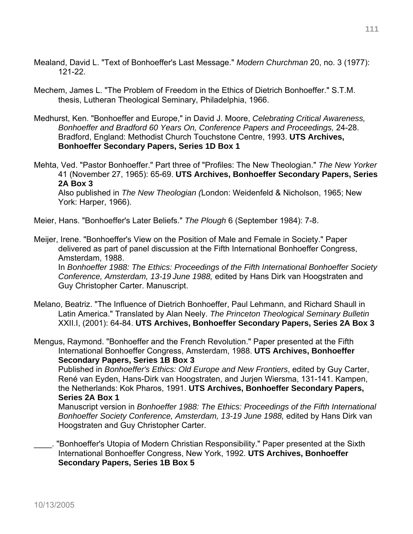- Mealand, David L. "Text of Bonhoeffer's Last Message." *Modern Churchman* 20, no. 3 (1977): 121-22.
- Mechem, James L. "The Problem of Freedom in the Ethics of Dietrich Bonhoeffer." S.T.M. thesis, Lutheran Theological Seminary, Philadelphia, 1966.
- Medhurst, Ken. "Bonhoeffer and Europe," in David J. Moore, *Celebrating Critical Awareness, Bonhoeffer and Bradford 60 Years On, Conference Papers and Proceedings,* 24-28. Bradford, England: Methodist Church Touchstone Centre, 1993. **UTS Archives, Bonhoeffer Secondary Papers, Series 1D Box 1**

Mehta, Ved. "Pastor Bonhoeffer." Part three of "Profiles: The New Theologian." *The New Yorker* 41 (November 27, 1965): 65-69. **UTS Archives, Bonhoeffer Secondary Papers, Series 2A Box 3**

Also published in *The New Theologian (*London: Weidenfeld & Nicholson, 1965; New York: Harper, 1966).

Meier, Hans. "Bonhoeffer's Later Beliefs." *The Plough* 6 (September 1984): 7-8.

Meijer, Irene. "Bonhoeffer's View on the Position of Male and Female in Society." Paper delivered as part of panel discussion at the Fifth International Bonhoeffer Congress, Amsterdam, 1988.

 In *Bonhoeffer 1988: The Ethics: Proceedings of the Fifth International Bonhoeffer Society Conference, Amsterdam, 13-19 June 1988,* edited by Hans Dirk van Hoogstraten and Guy Christopher Carter. Manuscript.

Melano, Beatriz. "The Influence of Dietrich Bonhoeffer, Paul Lehmann, and Richard Shaull in Latin America." Translated by Alan Neely. *The Princeton Theological Seminary Bulletin*  XXII.I, (2001): 64-84. **UTS Archives, Bonhoeffer Secondary Papers, Series 2A Box 3**

Mengus, Raymond. "Bonhoeffer and the French Revolution." Paper presented at the Fifth International Bonhoeffer Congress, Amsterdam, 1988. **UTS Archives, Bonhoeffer Secondary Papers, Series 1B Box 3**

 Published in *Bonhoeffer's Ethics: Old Europe and New Frontiers*, edited by Guy Carter, René van Eyden, Hans-Dirk van Hoogstraten, and Jurjen Wiersma, 131-141. Kampen, the Netherlands: Kok Pharos, 1991. **UTS Archives, Bonhoeffer Secondary Papers, Series 2A Box 1** 

Manuscript version in *Bonhoeffer 1988: The Ethics: Proceedings of the Fifth International* Bonhoeffer Society Conference, Amsterdam, 13-19 June 1988, edited by Hans Dirk van Hoogstraten and Guy Christopher Carter.

\_\_\_\_. "Bonhoeffer's Utopia of Modern Christian Responsibility." Paper presented at the Sixth International Bonhoeffer Congress, New York, 1992. **UTS Archives, Bonhoeffer Secondary Papers, Series 1B Box 5**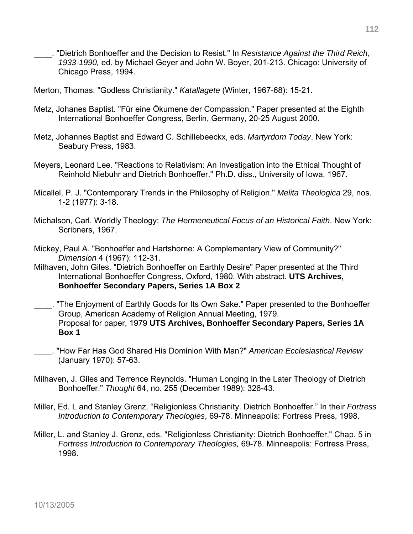- \_\_\_\_. "Dietrich Bonhoeffer and the Decision to Resist." In *Resistance Against the Third Reich, 1933-1990,* ed. by Michael Geyer and John W. Boyer, 201-213. Chicago: University of Chicago Press, 1994.
- Merton, Thomas. "Godless Christianity." *Katallagete* (Winter, 1967-68): 15-21.
- Metz, Johanes Baptist. "Für eine Ökumene der Compassion." Paper presented at the Eighth International Bonhoeffer Congress, Berlin, Germany, 20-25 August 2000.
- Metz, Johannes Baptist and Edward C. Schillebeeckx, eds. *Martyrdom Today*. New York: Seabury Press, 1983.
- Meyers, Leonard Lee. "Reactions to Relativism: An Investigation into the Ethical Thought of Reinhold Niebuhr and Dietrich Bonhoeffer." Ph.D. diss., University of Iowa, 1967.
- Micallel, P. J. "Contemporary Trends in the Philosophy of Religion." *Melita Theologica* 29, nos. 1-2 (1977): 3-18.
- Michalson, Carl. Worldly Theology: *The Hermeneutical Focus of an Historical Faith*. New York: Scribners, 1967.
- Mickey, Paul A. "Bonhoeffer and Hartshorne: A Complementary View of Community?" *Dimension* 4 (1967): 112-31.
- Milhaven, John Giles. "Dietrich Bonhoeffer on Earthly Desire" Paper presented at the Third International Bonhoeffer Congress, Oxford, 1980. With abstract. **UTS Archives, Bonhoeffer Secondary Papers, Series 1A Box 2**
- \_\_\_\_. "The Enjoyment of Earthly Goods for Its Own Sake." Paper presented to the Bonhoeffer Group, American Academy of Religion Annual Meeting, 1979. Proposal for paper, 1979 **UTS Archives, Bonhoeffer Secondary Papers, Series 1A Box 1**
- \_\_\_\_. "How Far Has God Shared His Dominion With Man?" *American Ecclesiastical Review* (January 1970): 57-63.
- Milhaven, J. Giles and Terrence Reynolds. "Human Longing in the Later Theology of Dietrich Bonhoeffer." *Thought* 64, no. 255 (December 1989): 326-43.
- Miller, Ed. L and Stanley Grenz. "Religionless Christianity. Dietrich Bonhoeffer." In their *Fortress Introduction to Contemporary Theologies*, 69-78. Minneapolis: Fortress Press, 1998.
- Miller, L. and Stanley J. Grenz, eds. "Religionless Christianity: Dietrich Bonhoeffer." Chap. 5 in *Fortress Introduction to Contemporary Theologies,* 69-78. Minneapolis: Fortress Press, 1998.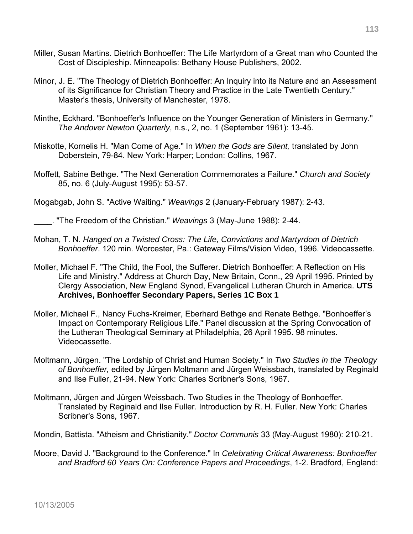- Miller, Susan Martins. Dietrich Bonhoeffer: The Life Martyrdom of a Great man who Counted the Cost of Discipleship. Minneapolis: Bethany House Publishers, 2002.
- Minor, J. E. "The Theology of Dietrich Bonhoeffer: An Inquiry into its Nature and an Assessment of its Significance for Christian Theory and Practice in the Late Twentieth Century." Master's thesis, University of Manchester, 1978.
- Minthe, Eckhard. "Bonhoeffer's Influence on the Younger Generation of Ministers in Germany." *The Andover Newton Quarterly*, n.s., 2, no. 1 (September 1961): 13-45.
- Miskotte, Kornelis H. "Man Come of Age." In *When the Gods are Silent,* translated by John Doberstein, 79-84. New York: Harper; London: Collins, 1967.
- Moffett, Sabine Bethge. "The Next Generation Commemorates a Failure." *Church and Society*  85, no. 6 (July-August 1995): 53-57.

Mogabgab, John S. "Active Waiting." *Weavings* 2 (January-February 1987): 2-43.

\_\_\_\_. "The Freedom of the Christian." *Weavings* 3 (May-June 1988): 2-44.

- Mohan, T. N. *Hanged on a Twisted Cross: The Life, Convictions and Martyrdom of Dietrich Bonhoeffer*. 120 min. Worcester, Pa.: Gateway Films/Vision Video, 1996. Videocassette.
- Moller, Michael F. "The Child, the Fool, the Sufferer. Dietrich Bonhoeffer: A Reflection on His Life and Ministry." Address at Church Day, New Britain, Conn., 29 April 1995. Printed by Clergy Association, New England Synod, Evangelical Lutheran Church in America. **UTS Archives, Bonhoeffer Secondary Papers, Series 1C Box 1**
- Moller, Michael F., Nancy Fuchs-Kreimer, Eberhard Bethge and Renate Bethge. "Bonhoeffer's Impact on Contemporary Religious Life." Panel discussion at the Spring Convocation of the Lutheran Theological Seminary at Philadelphia, 26 April 1995. 98 minutes. Videocassette.
- Moltmann, Jürgen. "The Lordship of Christ and Human Society." In *Two Studies in the Theology of Bonhoeffer,* edited by Jürgen Moltmann and Jürgen Weissbach, translated by Reginald and Ilse Fuller, 21-94. New York: Charles Scribner's Sons, 1967.
- Moltmann, Jürgen and Jürgen Weissbach. Two Studies in the Theology of Bonhoeffer. Translated by Reginald and Ilse Fuller. Introduction by R. H. Fuller. New York: Charles Scribner's Sons, 1967.

Mondin, Battista. "Atheism and Christianity." *Doctor Communis* 33 (May-August 1980): 210-21.

Moore, David J. "Background to the Conference." In *Celebrating Critical Awareness: Bonhoeffer and Bradford 60 Years On: Conference Papers and Proceedings*, 1-2. Bradford, England: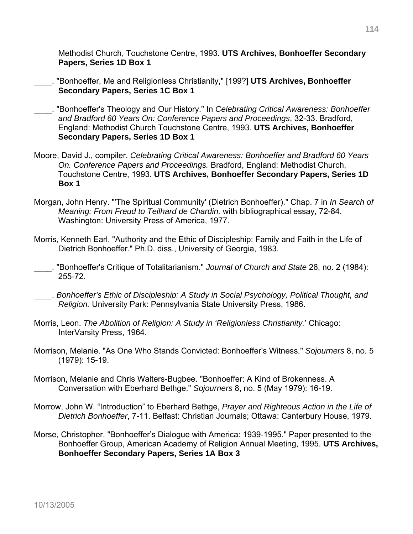Methodist Church, Touchstone Centre, 1993. **UTS Archives, Bonhoeffer Secondary Papers, Series 1D Box 1** 

- \_\_\_\_. "Bonhoeffer, Me and Religionless Christianity," [199?] **UTS Archives, Bonhoeffer Secondary Papers, Series 1C Box 1**
- \_\_\_\_. "Bonhoeffer's Theology and Our History." In *Celebrating Critical Awareness: Bonhoeffer and Bradford 60 Years On: Conference Papers and Proceedings*, 32-33. Bradford, England: Methodist Church Touchstone Centre, 1993. **UTS Archives, Bonhoeffer Secondary Papers, Series 1D Box 1**
- Moore, David J., compiler. *Celebrating Critical Awareness: Bonhoeffer and Bradford 60 Years On. Conference Papers and Proceedings.* Bradford, England: Methodist Church, Touchstone Centre, 1993. **UTS Archives, Bonhoeffer Secondary Papers, Series 1D Box 1**
- Morgan, John Henry. "'The Spiritual Community' (Dietrich Bonhoeffer)." Chap. 7 in *In Search of Meaning: From Freud to Teilhard de Chardin,* with bibliographical essay, 72-84. Washington: University Press of America, 1977.
- Morris, Kenneth Earl. "Authority and the Ethic of Discipleship: Family and Faith in the Life of Dietrich Bonhoeffer." Ph.D. diss., University of Georgia, 1983.
- \_\_\_\_. "Bonhoeffer's Critique of Totalitarianism." *Journal of Church and State* 26, no. 2 (1984): 255-72.
- \_\_\_\_. *Bonhoeffer's Ethic of Discipleship: A Study in Social Psychology, Political Thought, and Religion.* University Park: Pennsylvania State University Press, 1986.
- Morris, Leon. *The Abolition of Religion: A Study in 'Religionless Christianity.*' Chicago: InterVarsity Press, 1964.
- Morrison, Melanie. "As One Who Stands Convicted: Bonhoeffer's Witness." *Sojourners* 8, no. 5 (1979): 15-19.
- Morrison, Melanie and Chris Walters-Bugbee. "Bonhoeffer: A Kind of Brokenness. A Conversation with Eberhard Bethge." *Sojourners* 8, no. 5 (May 1979): 16-19.
- Morrow, John W. "Introduction" to Eberhard Bethge, *Prayer and Righteous Action in the Life of Dietrich Bonhoeffer*, 7-11. Belfast: Christian Journals; Ottawa: Canterbury House, 1979.
- Morse, Christopher. "Bonhoeffer's Dialogue with America: 1939-1995." Paper presented to the Bonhoeffer Group, American Academy of Religion Annual Meeting, 1995. **UTS Archives, Bonhoeffer Secondary Papers, Series 1A Box 3**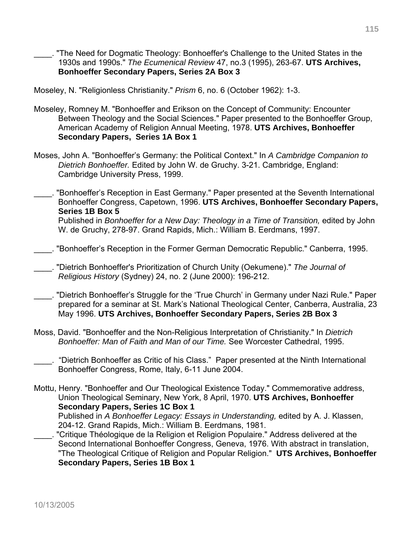"The Need for Dogmatic Theology: Bonhoeffer's Challenge to the United States in the 1930s and 1990s." *The Ecumenical Review* 47, no.3 (1995), 263-67. **UTS Archives, Bonhoeffer Secondary Papers, Series 2A Box 3**

Moseley, N. "Religionless Christianity." *Prism* 6, no. 6 (October 1962): 1-3.

- Moseley, Romney M. "Bonhoeffer and Erikson on the Concept of Community: Encounter Between Theology and the Social Sciences." Paper presented to the Bonhoeffer Group, American Academy of Religion Annual Meeting, 1978. **UTS Archives, Bonhoeffer Secondary Papers, Series 1A Box 1**
- Moses, John A. "Bonhoeffer's Germany: the Political Context." In *A Cambridge Companion to Dietrich Bonhoeffer.* Edited by John W. de Gruchy. 3-21. Cambridge, England: Cambridge University Press, 1999.
- \_\_\_\_. "Bonhoeffer's Reception in East Germany." Paper presented at the Seventh International Bonhoeffer Congress, Capetown, 1996. **UTS Archives, Bonhoeffer Secondary Papers, Series 1B Box 5**  Published in *Bonhoeffer for a New Day: Theology in a Time of Transition,* edited by John W. de Gruchy, 278-97. Grand Rapids, Mich.: William B. Eerdmans, 1997.
- \_\_\_\_. "Bonhoeffer's Reception in the Former German Democratic Republic." Canberra, 1995.

\_\_\_\_. "Dietrich Bonhoeffer's Prioritization of Church Unity (Oekumene)." *The Journal of Religious History* (Sydney) 24, no. 2 (June 2000): 196-212.

- \_\_\_\_. "Dietrich Bonhoeffer's Struggle for the 'True Church' in Germany under Nazi Rule." Paper prepared for a seminar at St. Mark's National Theological Center, Canberra, Australia, 23 May 1996. **UTS Archives, Bonhoeffer Secondary Papers, Series 2B Box 3**
- Moss, David. "Bonhoeffer and the Non-Religious Interpretation of Christianity." In *Dietrich Bonhoeffer: Man of Faith and Man of our Time.* See Worcester Cathedral, 1995.
- \_\_\_\_. "Dietrich Bonhoeffer as Critic of his Class." Paper presented at the Ninth International Bonhoeffer Congress, Rome, Italy, 6-11 June 2004.
- Mottu, Henry. "Bonhoeffer and Our Theological Existence Today." Commemorative address, Union Theological Seminary, New York, 8 April, 1970. **UTS Archives, Bonhoeffer Secondary Papers, Series 1C Box 1** Published in *A Bonhoeffer Legacy: Essays in Understanding,* edited by A. J. Klassen, 204-12. Grand Rapids, Mich.: William B. Eerdmans, 1981.
- \_\_\_\_. "Critique Théologique de la Religion et Religion Populaire." Address delivered at the Second International Bonhoeffer Congress, Geneva, 1976. With abstract in translation, "The Theological Critique of Religion and Popular Religion." **UTS Archives, Bonhoeffer Secondary Papers, Series 1B Box 1**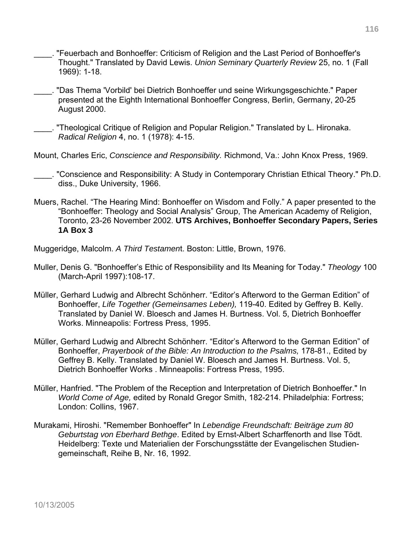- \_\_\_\_. "Feuerbach and Bonhoeffer: Criticism of Religion and the Last Period of Bonhoeffer's Thought." Translated by David Lewis. *Union Seminary Quarterly Review* 25, no. 1 (Fall 1969): 1-18.
- \_\_\_\_. "Das Thema 'Vorbild' bei Dietrich Bonhoeffer und seine Wirkungsgeschichte." Paper presented at the Eighth International Bonhoeffer Congress, Berlin, Germany, 20-25 August 2000.
- \_\_\_\_. "Theological Critique of Religion and Popular Religion." Translated by L. Hironaka. *Radical Religion* 4, no. 1 (1978): 4-15.
- Mount, Charles Eric, *Conscience and Responsibility.* Richmond, Va.: John Knox Press, 1969.
	- \_\_\_\_. "Conscience and Responsibility: A Study in Contemporary Christian Ethical Theory." Ph.D. diss., Duke University, 1966.
- Muers, Rachel. "The Hearing Mind: Bonhoeffer on Wisdom and Folly." A paper presented to the "Bonhoeffer: Theology and Social Analysis" Group, The American Academy of Religion, Toronto, 23-26 November 2002. **UTS Archives, Bonhoeffer Secondary Papers, Series 1A Box 3**
- Muggeridge, Malcolm. *A Third Testamen*t. Boston: Little, Brown, 1976.
- Muller, Denis G. "Bonhoeffer's Ethic of Responsibility and Its Meaning for Today." *Theology* 100 (March-April 1997):108-17.
- Müller, Gerhard Ludwig and Albrecht Schönherr. "Editor's Afterword to the German Edition" of Bonhoeffer, *Life Together (Gemeinsames Leben),* 119-40. Edited by Geffrey B. Kelly. Translated by Daniel W. Bloesch and James H. Burtness. Vol. 5, Dietrich Bonhoeffer Works. Minneapolis: Fortress Press, 1995.
- Müller, Gerhard Ludwig and Albrecht Schönherr. "Editor's Afterword to the German Edition" of Bonhoeffer, *Prayerbook of the Bible: An Introduction to the Psalms,* 178-81., Edited by Geffrey B. Kelly. Translated by Daniel W. Bloesch and James H. Burtness. Vol. 5, Dietrich Bonhoeffer Works . Minneapolis: Fortress Press, 1995.
- Müller, Hanfried. "The Problem of the Reception and Interpretation of Dietrich Bonhoeffer." In *World Come of Age,* edited by Ronald Gregor Smith, 182-214. Philadelphia: Fortress; London: Collins, 1967.
- Murakami, Hiroshi. "Remember Bonhoeffer" In *Lebendige Freundschaft: Beiträge zum 80 Geburtstag von Eberhard Bethge*. Edited by Ernst-Albert Scharffenorth and Ilse Tödt. Heidelberg: Texte und Materialien der Forschungsstätte der Evangelischen Studiengemeinschaft, Reihe B, Nr. 16, 1992.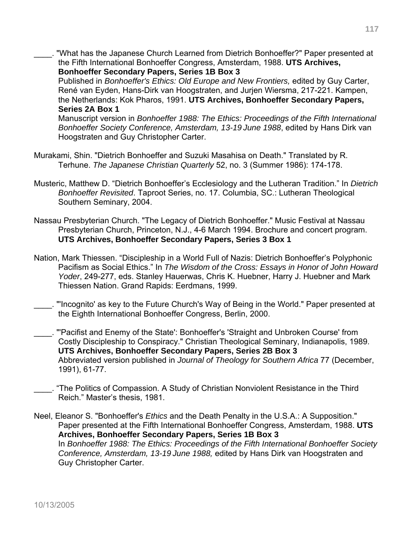\_\_\_\_. "What has the Japanese Church Learned from Dietrich Bonhoeffer?" Paper presented at the Fifth International Bonhoeffer Congress, Amsterdam, 1988. **UTS Archives, Bonhoeffer Secondary Papers, Series 1B Box 3** 

Published in *Bonhoeffer's Ethics: Old Europe and New Frontiers,* edited by Guy Carter, René van Eyden, Hans-Dirk van Hoogstraten, and Jurjen Wiersma, 217-221. Kampen, the Netherlands: Kok Pharos, 1991. **UTS Archives, Bonhoeffer Secondary Papers, Series 2A Box 1** 

Manuscript version in *Bonhoeffer 1988: The Ethics: Proceedings of the Fifth International Bonhoeffer Society Conference, Amsterdam, 13-19 June 1988*, edited by Hans Dirk van Hoogstraten and Guy Christopher Carter.

- Murakami, Shin. "Dietrich Bonhoeffer and Suzuki Masahisa on Death." Translated by R. Terhune. *The Japanese Christian Quarterly* 52, no. 3 (Summer 1986): 174-178.
- Musteric, Matthew D. "Dietrich Bonhoeffer's Ecclesiology and the Lutheran Tradition." In *Dietrich Bonhoeffer Revisited*. Taproot Series, no. 17. Columbia, SC.: Lutheran Theological Southern Seminary, 2004.
- Nassau Presbyterian Church. "The Legacy of Dietrich Bonhoeffer." Music Festival at Nassau Presbyterian Church, Princeton, N.J., 4-6 March 1994. Brochure and concert program. **UTS Archives, Bonhoeffer Secondary Papers, Series 3 Box 1**
- Nation, Mark Thiessen. "Discipleship in a World Full of Nazis: Dietrich Bonhoeffer's Polyphonic Pacifism as Social Ethics." In *The Wisdom of the Cross: Essays in Honor of John Howard Yoder*, 249-277, eds. Stanley Hauerwas, Chris K. Huebner, Harry J. Huebner and Mark Thiessen Nation. Grand Rapids: Eerdmans, 1999.
- \_\_\_\_. "'Incognito' as key to the Future Church's Way of Being in the World." Paper presented at the Eighth International Bonhoeffer Congress, Berlin, 2000.
- \_\_\_\_. "'Pacifist and Enemy of the State': Bonhoeffer's 'Straight and Unbroken Course' from Costly Discipleship to Conspiracy." Christian Theological Seminary, Indianapolis, 1989. **UTS Archives, Bonhoeffer Secondary Papers, Series 2B Box 3**  Abbreviated version published in *Journal of Theology for Southern Africa* 77 (December, 1991), 61-77.
- \_\_\_\_. "The Politics of Compassion. A Study of Christian Nonviolent Resistance in the Third Reich." Master's thesis, 1981.
- Neel, Eleanor S. "Bonhoeffer's *Ethics* and the Death Penalty in the U.S.A.: A Supposition." Paper presented at the Fifth International Bonhoeffer Congress, Amsterdam, 1988. **UTS Archives, Bonhoeffer Secondary Papers, Series 1B Box 3**  In *Bonhoeffer 1988: The Ethics: Proceedings of the Fifth International Bonhoeffer Society Conference, Amsterdam, 13-19 June 1988,* edited by Hans Dirk van Hoogstraten and Guy Christopher Carter.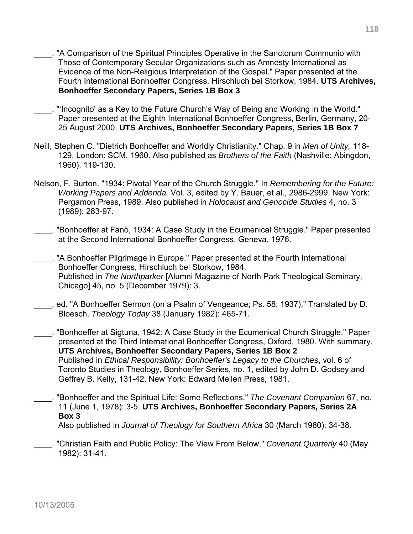- \_\_\_\_. "A Comparison of the Spiritual Principles Operative in the Sanctorum Communio with Those of Contemporary Secular Organizations such as Amnesty International as Evidence of the Non-Religious Interpretation of the Gospel." Paper presented at the Fourth International Bonhoeffer Congress, Hirschluch bei Storkow, 1984. **UTS Archives, Bonhoeffer Secondary Papers, Series 1B Box 3**
- \_\_\_\_. "'Incognito' as a Key to the Future Church's Way of Being and Working in the World." Paper presented at the Eighth International Bonhoeffer Congress, Berlin, Germany, 20- 25 August 2000. **UTS Archives, Bonhoeffer Secondary Papers, Series 1B Box 7**
- Neill, Stephen C. "Dietrich Bonhoeffer and Worldly Christianity." Chap. 9 in *Men of Unity,* 118- 129. London: SCM, 1960. Also published as *Brothers of the Faith* (Nashville: Abingdon, 1960), 119-130.
- Nelson, F. Burton. "1934: Pivotal Year of the Church Struggle." In *Remembering for the Future: Working Papers and Addenda.* Vol. 3, edited by Y. Bauer, et al., 2986-2999. New York: Pergamon Press, 1989. Also published in *Holocaust and Genocide Studies* 4, no. 3 (1989): 283-97.
- \_\_\_\_. "Bonhoeffer at Fanö, 1934: A Case Study in the Ecumenical Struggle." Paper presented at the Second International Bonhoeffer Congress, Geneva, 1976.
- . "A Bonhoeffer Pilgrimage in Europe." Paper presented at the Fourth International Bonhoeffer Congress, Hirschluch bei Storkow, 1984. Published in *The Northparker* [Alumni Magazine of North Park Theological Seminary, Chicago] 45, no. 5 (December 1979): 3.
- \_\_\_\_, ed. "A Bonhoeffer Sermon (on a Psalm of Vengeance; Ps. 58; 1937)." Translated by D. Bloesch. *Theology Today* 38 (January 1982): 465-71.
- \_\_\_\_. "Bonhoeffer at Sigtuna, 1942: A Case Study in the Ecumenical Church Struggle." Paper presented at the Third International Bonhoeffer Congress, Oxford, 1980. With summary. **UTS Archives, Bonhoeffer Secondary Papers, Series 1B Box 2**  Published in *Ethical Responsibility: Bonhoeffer's Legacy to the Churches*, vol. 6 of Toronto Studies in Theology, Bonhoeffer Series, no. 1, edited by John D. Godsey and Geffrey B. Kelly, 131-42. New York: Edward Mellen Press, 1981.
- \_\_\_\_. "Bonhoeffer and the Spiritual Life: Some Reflections." *The Covenant Companion* 67, no. 11 (June 1, 1978): 3-5. **UTS Archives, Bonhoeffer Secondary Papers, Series 2A Box 3**

Also published in *Journal of Theology for Southern Africa* 30 (March 1980): 34-38.

\_\_\_\_. "Christian Faith and Public Policy: The View From Below." *Covenant Quarterly* 40 (May 1982): 31-41.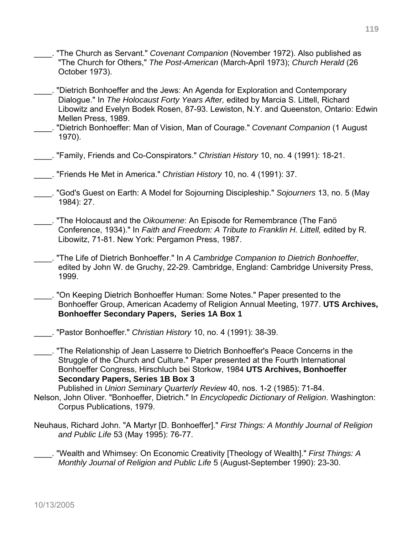- \_\_\_\_. "The Church as Servant." *Covenant Companion* (November 1972). Also published as "The Church for Others," *The Post-American* (March-April 1973); *Church Herald* (26 October 1973).
- \_\_\_\_. "Dietrich Bonhoeffer and the Jews: An Agenda for Exploration and Contemporary Dialogue." In *The Holocaust Forty Years After,* edited by Marcia S. Littell, Richard Libowitz and Evelyn Bodek Rosen, 87-93. Lewiston, N.Y. and Queenston, Ontario: Edwin Mellen Press, 1989.
- \_\_\_\_. "Dietrich Bonhoeffer: Man of Vision, Man of Courage." *Covenant Companion* (1 August 1970).
- \_\_\_\_. "Family, Friends and Co-Conspirators." *Christian History* 10, no. 4 (1991): 18-21.
- \_\_\_\_. "Friends He Met in America." *Christian History* 10, no. 4 (1991): 37.
- \_\_\_\_. "God's Guest on Earth: A Model for Sojourning Discipleship." *Sojourners* 13, no. 5 (May 1984): 27.
- \_\_\_\_. "The Holocaust and the *Oikoumene*: An Episode for Remembrance (The Fanö Conference, 1934)." In *Faith and Freedom: A Tribute to Franklin H. Littell,* edited by R. Libowitz, 71-81. New York: Pergamon Press, 1987.
- \_\_\_\_. "The Life of Dietrich Bonhoeffer." In *A Cambridge Companion to Dietrich Bonhoeffer,*  edited by John W. de Gruchy, 22-29. Cambridge, England: Cambridge University Press, 1999.
- . "On Keeping Dietrich Bonhoeffer Human: Some Notes." Paper presented to the Bonhoeffer Group, American Academy of Religion Annual Meeting, 1977. **UTS Archives, Bonhoeffer Secondary Papers, Series 1A Box 1**
- \_\_\_\_. "Pastor Bonhoeffer." *Christian History* 10, no. 4 (1991): 38-39.

\_\_\_\_. "The Relationship of Jean Lasserre to Dietrich Bonhoeffer's Peace Concerns in the Struggle of the Church and Culture." Paper presented at the Fourth International Bonhoeffer Congress, Hirschluch bei Storkow, 1984 **UTS Archives, Bonhoeffer Secondary Papers, Series 1B Box 3**

Published in *Union Seminary Quarterly Review* 40, nos. 1-2 (1985): 71-84.

- Nelson, John Oliver. "Bonhoeffer, Dietrich." In *Encyclopedic Dictionary of Religion*. Washington: Corpus Publications, 1979.
- Neuhaus, Richard John. "A Martyr [D. Bonhoeffer]." *First Things: A Monthly Journal of Religion and Public Life* 53 (May 1995): 76-77.
	- \_\_\_\_. "Wealth and Whimsey: On Economic Creativity [Theology of Wealth]." *First Things: A Monthly Journal of Religion and Public Life* 5 (August-September 1990): 23-30.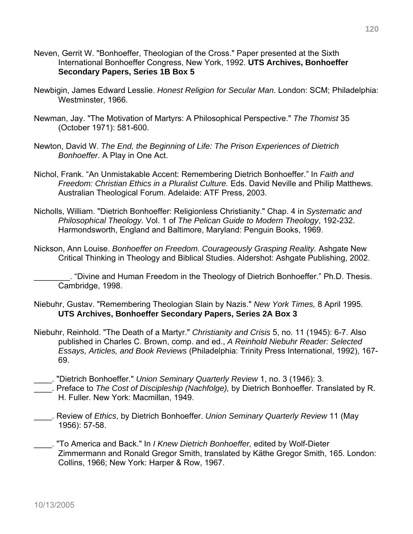- Neven, Gerrit W. "Bonhoeffer, Theologian of the Cross." Paper presented at the Sixth International Bonhoeffer Congress, New York, 1992. **UTS Archives, Bonhoeffer Secondary Papers, Series 1B Box 5**
- Newbigin, James Edward Lesslie. *Honest Religion for Secular Man*. London: SCM; Philadelphia: Westminster, 1966.
- Newman, Jay. "The Motivation of Martyrs: A Philosophical Perspective." *The Thomist* 35 (October 1971): 581-600.
- Newton, David W. *The End, the Beginning of Life: The Prison Experiences of Dietrich Bonhoeffer*. A Play in One Act.
- Nichol, Frank. "An Unmistakable Accent: Remembering Dietrich Bonhoeffer." In *Faith and Freedom: Christian Ethics in a Pluralist Culture.* Eds. David Neville and Philip Matthews. Australian Theological Forum. Adelaide: ATF Press, 2003.
- Nicholls, William. "Dietrich Bonhoeffer: Religionless Christianity." Chap. 4 in *Systematic and Philosophical Theology.* Vol. 1 of *The Pelican Guide to Modern Theology*, 192-232. Harmondsworth, England and Baltimore, Maryland: Penguin Books, 1969.
- Nickson, Ann Louise. *Bonhoeffer on Freedom. Courageously Grasping Reality.* Ashgate New Critical Thinking in Theology and Biblical Studies. Aldershot: Ashgate Publishing, 2002.

\_\_\_\_\_\_\_\_. "Divine and Human Freedom in the Theology of Dietrich Bonhoeffer." Ph.D. Thesis. Cambridge, 1998.

- Niebuhr, Gustav. "Remembering Theologian Slain by Nazis." *New York Times,* 8 April 1995. **UTS Archives, Bonhoeffer Secondary Papers, Series 2A Box 3**
- Niebuhr, Reinhold. "The Death of a Martyr." *Christianity and Crisis* 5, no. 11 (1945): 6-7. Also published in Charles C. Brown, comp. and ed., *A Reinhold Niebuhr Reader: Selected Essays, Articles, and Book Reviews* (Philadelphia: Trinity Press International, 1992), 167- 69.
- \_\_\_\_. "Dietrich Bonhoeffer." *Union Seminary Quarterly Review* 1, no. 3 (1946): 3.
- \_\_\_\_. Preface to *The Cost of Discipleship (Nachfolge),* by Dietrich Bonhoeffer. Translated by R. H. Fuller. New York: Macmillan, 1949.
- \_\_\_\_. Review of *Ethics*, by Dietrich Bonhoeffer. *Union Seminary Quarterly Review* 11 (May 1956): 57-58.
- \_\_\_\_. "To America and Back." In *I Knew Dietrich Bonhoeffer,* edited by Wolf-Dieter Zimmermann and Ronald Gregor Smith, translated by Käthe Gregor Smith, 165. London: Collins, 1966; New York: Harper & Row, 1967.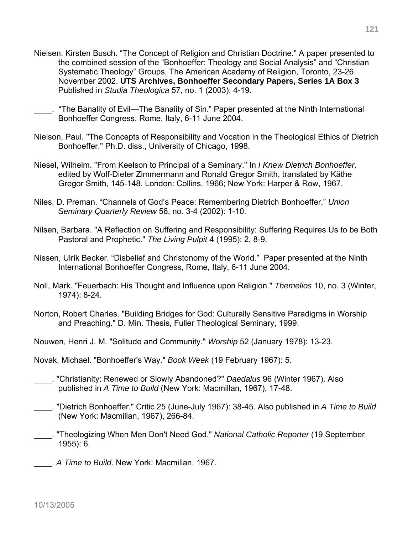- Nielsen, Kirsten Busch. "The Concept of Religion and Christian Doctrine." A paper presented to the combined session of the "Bonhoeffer: Theology and Social Analysis" and "Christian Systematic Theology" Groups, The American Academy of Religion, Toronto, 23-26 November 2002. **UTS Archives, Bonhoeffer Secondary Papers, Series 1A Box 3**  Published in *Studia Theologica* 57, no. 1 (2003): 4-19.
- \_\_\_\_. "The Banality of Evil—The Banality of Sin." Paper presented at the Ninth International Bonhoeffer Congress, Rome, Italy, 6-11 June 2004.
- Nielson, Paul. "The Concepts of Responsibility and Vocation in the Theological Ethics of Dietrich Bonhoeffer." Ph.D. diss., University of Chicago, 1998.
- Niesel, Wilhelm. "From Keelson to Principal of a Seminary." In *I Knew Dietrich Bonhoeffer,*  edited by Wolf-Dieter Zimmermann and Ronald Gregor Smith, translated by Käthe Gregor Smith, 145-148. London: Collins, 1966; New York: Harper & Row, 1967.
- Niles, D. Preman. "Channels of God's Peace: Remembering Dietrich Bonhoeffer." *Union Seminary Quarterly Review* 56, no. 3-4 (2002): 1-10.
- Nilsen, Barbara. "A Reflection on Suffering and Responsibility: Suffering Requires Us to be Both Pastoral and Prophetic." *The Living Pulpit* 4 (1995): 2, 8-9.
- Nissen, Ulrik Becker. "Disbelief and Christonomy of the World." Paper presented at the Ninth International Bonhoeffer Congress, Rome, Italy, 6-11 June 2004.
- Noll, Mark. "Feuerbach: His Thought and Influence upon Religion." *Themelios* 10, no. 3 (Winter, 1974): 8-24.
- Norton, Robert Charles. "Building Bridges for God: Culturally Sensitive Paradigms in Worship and Preaching." D. Min. Thesis, Fuller Theological Seminary, 1999.
- Nouwen, Henri J. M. "Solitude and Community." *Worship* 52 (January 1978): 13-23.
- Novak, Michael. "Bonhoeffer's Way." *Book Week* (19 February 1967): 5.
- \_\_\_\_. "Christianity: Renewed or Slowly Abandoned?" *Daedalus* 96 (Winter 1967). Also published in *A Time to Build* (New York: Macmillan, 1967), 17-48.
- \_\_\_\_. "Dietrich Bonhoeffer." Critic 25 (June-July 1967): 38-45. Also published in *A Time to Build*  (New York: Macmillan, 1967), 266-84.
- \_\_\_\_. "Theologizing When Men Don't Need God." *National Catholic Reporter* (19 September 1955): 6.
- \_\_\_\_. *A Time to Build*. New York: Macmillan, 1967.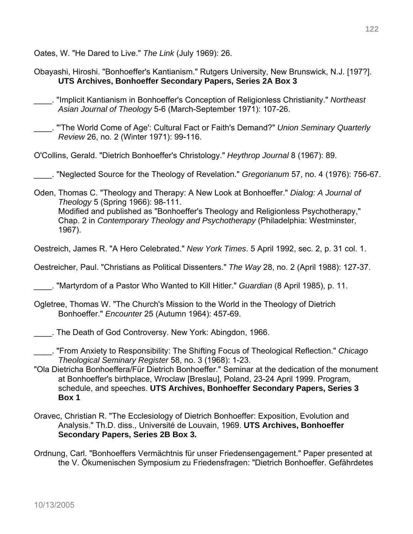Oates, W. "He Dared to Live." *The Link* (July 1969): 26.

- Obayashi, Hiroshi. "Bonhoeffer's Kantianism." Rutgers University, New Brunswick, N.J. [197?]. **UTS Archives, Bonhoeffer Secondary Papers, Series 2A Box 3**
- \_\_\_\_. "Implicit Kantianism in Bonhoeffer's Conception of Religionless Christianity." *Northeast Asian Journal of Theology* 5-6 (March-September 1971): 107-26.
	- \_\_\_\_. "'The World Come of Age': Cultural Fact or Faith's Demand?" *Union Seminary Quarterly Review* 26, no. 2 (Winter 1971): 99-116.
- O'Collins, Gerald. "Dietrich Bonhoeffer's Christology." *Heythrop Journal* 8 (1967): 89.
- \_\_\_\_. "Neglected Source for the Theology of Revelation." *Gregorianum* 57, no. 4 (1976): 756-67.
- Oden, Thomas C. "Theology and Therapy: A New Look at Bonhoeffer." *Dialog: A Journal of Theology* 5 (Spring 1966): 98-111. Modified and published as "Bonhoeffer's Theology and Religionless Psychotherapy," Chap. 2 in *Contemporary Theology and Psychotherapy* (Philadelphia: Westminster, 1967).
- Oestreich, James R. "A Hero Celebrated." *New York Times*. 5 April 1992, sec. 2, p. 31 col. 1.
- Oestreicher, Paul. "Christians as Political Dissenters." *The Way* 28, no. 2 (April 1988): 127-37.
- \_\_\_\_. "Martyrdom of a Pastor Who Wanted to Kill Hitler." *Guardian* (8 April 1985), p. 11.
- Ogletree, Thomas W. "The Church's Mission to the World in the Theology of Dietrich Bonhoeffer." *Encounter* 25 (Autumn 1964): 457-69.
- \_\_\_\_. The Death of God Controversy. New York: Abingdon, 1966.
- \_\_\_\_. "From Anxiety to Responsibility: The Shifting Focus of Theological Reflection." *Chicago Theological Seminary Register* 58, no. 3 (1968): 1-23.
- "Ola Dietricha Bonhoeffera/Für Dietrich Bonhoeffer." Seminar at the dedication of the monument at Bonhoeffer's birthplace, Wroclaw [Breslau], Poland, 23-24 April 1999. Program, schedule, and speeches. **UTS Archives, Bonhoeffer Secondary Papers, Series 3 Box 1**
- Oravec, Christian R. "The Ecclesiology of Dietrich Bonhoeffer: Exposition, Evolution and Analysis." Th.D. diss., Université de Louvain, 1969. **UTS Archives, Bonhoeffer Secondary Papers, Series 2B Box 3.**
- Ordnung, Carl. "Bonhoeffers Vermächtnis für unser Friedensengagement." Paper presented at the V. Ökumenischen Symposium zu Friedensfragen: "Dietrich Bonhoeffer. Gefährdetes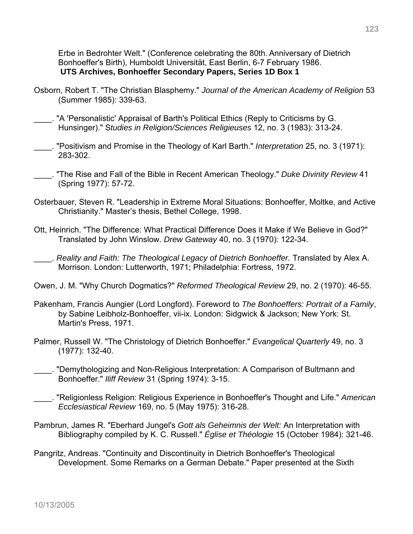Erbe in Bedrohter Welt." (Conference celebrating the 80th. Anniversary of Dietrich Bonhoeffer's Birth), Humboldt Universität, East Berlin, 6-7 February 1986. **UTS Archives, Bonhoeffer Secondary Papers, Series 1D Box 1**

- Osborn, Robert T. "The Christian Blasphemy." *Journal of the American Academy of Religion* 53 (Summer 1985): 339-63.
- \_\_\_\_. "A 'Personalistic' Appraisal of Barth's Political Ethics (Reply to Criticisms by G. Hunsinger)." S*tudies in Religion/Sciences Religieuses* 12, no. 3 (1983): 313-24.
- \_\_\_\_. "Positivism and Promise in the Theology of Karl Barth." *Interpretation* 25, no. 3 (1971): 283-302.
- \_\_\_\_. "The Rise and Fall of the Bible in Recent American Theology." *Duke Divinity Review* 41 (Spring 1977): 57-72.
- Osterbauer, Steven R. "Leadership in Extreme Moral Situations: Bonhoeffer, Moltke, and Active Christianity." Master's thesis, Bethel College, 1998.
- Ott, Heinrich. "The Difference: What Practical Difference Does it Make if We Believe in God?" Translated by John Winslow. *Drew Gateway* 40, no. 3 (1970): 122-34.
- \_\_\_\_. *Reality and Faith: The Theological Legacy of Dietrich Bonhoeffer.* Translated by Alex A. Morrison. London: Lutterworth, 1971; Philadelphia: Fortress, 1972.
- Owen, J. M. "Why Church Dogmatics?" *Reformed Theological Review* 29, no. 2 (1970): 46-55.
- Pakenham, Francis Aungier (Lord Longford). Foreword to *The Bonhoeffers: Portrait of a Family*, by Sabine Leibholz-Bonhoeffer, vii-ix. London: Sidgwick & Jackson; New York: St. Martin's Press, 1971.
- Palmer, Russell W. "The Christology of Dietrich Bonhoeffer." *Evangelical Quarterly* 49, no. 3 (1977): 132-40.
- \_\_\_\_. "Demythologizing and Non-Religious Interpretation: A Comparison of Bultmann and Bonhoeffer." *Iliff Review* 31 (Spring 1974): 3-15.
- \_\_\_\_. "Religionless Religion: Religious Experience in Bonhoeffer's Thought and Life." *American Ecclesiastical Review* 169, no. 5 (May 1975): 316-28.
- Pambrun, James R. "Eberhard Jungel's *Gott als Geheimnis der Welt:* An Interpretation with Bibliography compiled by K. C. Russell." *Église et Théologie* 15 (October 1984): 321-46.
- Pangritz, Andreas. "Continuity and Discontinuity in Dietrich Bonhoeffer's Theological Development. Some Remarks on a German Debate." Paper presented at the Sixth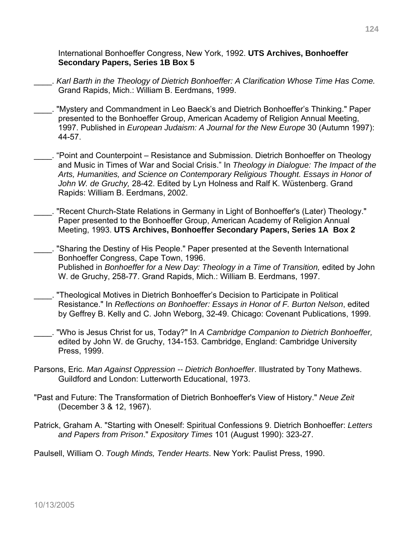International Bonhoeffer Congress, New York, 1992. **UTS Archives, Bonhoeffer Secondary Papers, Series 1B Box 5** 

- \_\_\_\_. *Karl Barth in the Theology of Dietrich Bonhoeffer: A Clarification Whose Time Has Come.* Grand Rapids, Mich.: William B. Eerdmans, 1999.
- \_\_\_\_. "Mystery and Commandment in Leo Baeck's and Dietrich Bonhoeffer's Thinking." Paper presented to the Bonhoeffer Group, American Academy of Religion Annual Meeting, 1997. Published in *European Judaism: A Journal for the New Europe* 30 (Autumn 1997): 44-57.
- \_\_\_\_. "Point and Counterpoint Resistance and Submission. Dietrich Bonhoeffer on Theology and Music in Times of War and Social Crisis." In *Theology in Dialogue: The Impact of the Arts, Humanities, and Science on Contemporary Religious Thought. Essays in Honor of John W. de Gruchy,* 28-42. Edited by Lyn Holness and Ralf K. Wüstenberg. Grand Rapids: William B. Eerdmans, 2002.
- \_\_\_\_. "Recent Church-State Relations in Germany in Light of Bonhoeffer's (Later) Theology." Paper presented to the Bonhoeffer Group, American Academy of Religion Annual Meeting, 1993. **UTS Archives, Bonhoeffer Secondary Papers, Series 1A Box 2**
- \_\_\_\_. "Sharing the Destiny of His People." Paper presented at the Seventh International Bonhoeffer Congress, Cape Town, 1996. Published in *Bonhoeffer for a New Day: Theology in a Time of Transition*, edited by John W. de Gruchy, 258-77. Grand Rapids, Mich.: William B. Eerdmans, 1997.
- \_\_\_\_. "Theological Motives in Dietrich Bonhoeffer's Decision to Participate in Political Resistance." In *Reflections on Bonhoeffer: Essays in Honor of F. Burton Nelson*, edited by Geffrey B. Kelly and C. John Weborg, 32-49. Chicago: Covenant Publications, 1999.
- \_\_\_\_. "Who is Jesus Christ for us, Today?" In *A Cambridge Companion to Dietrich Bonhoeffer,* edited by John W. de Gruchy, 134-153. Cambridge, England: Cambridge University Press, 1999.
- Parsons, Eric. *Man Against Oppression -- Dietrich Bonhoeffer*. Illustrated by Tony Mathews. Guildford and London: Lutterworth Educational, 1973.
- "Past and Future: The Transformation of Dietrich Bonhoeffer's View of History." *Neue Zeit*  (December 3 & 12, 1967).
- Patrick, Graham A. "Starting with Oneself: Spiritual Confessions 9. Dietrich Bonhoeffer: *Letters and Papers from Prison*." *Expository Times* 101 (August 1990): 323-27.

Paulsell, William O. *Tough Minds, Tender Hearts*. New York: Paulist Press, 1990.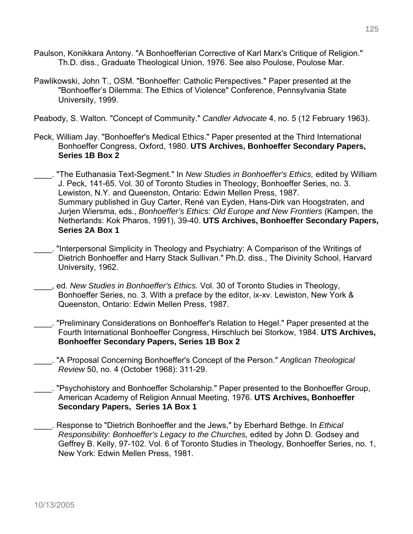- Paulson, Konikkara Antony. "A Bonhoefferian Corrective of Karl Marx's Critique of Religion." Th.D. diss., Graduate Theological Union, 1976. See also Poulose, Poulose Mar.
- Pawlikowski, John T., OSM. "Bonhoeffer: Catholic Perspectives." Paper presented at the "Bonhoeffer's Dilemma: The Ethics of Violence" Conference, Pennsylvania State University, 1999.

Peabody, S. Walton. "Concept of Community." *Candler Advocate* 4, no. 5 (12 February 1963).

- Peck, William Jay. "Bonhoeffer's Medical Ethics." Paper presented at the Third International Bonhoeffer Congress, Oxford, 1980. **UTS Archives, Bonhoeffer Secondary Papers, Series 1B Box 2**
- \_\_\_\_. "The Euthanasia Text-Segment." In *New Studies in Bonhoeffer's Ethics,* edited by William J. Peck, 141-65. Vol. 30 of Toronto Studies in Theology, Bonhoeffer Series, no. 3. Lewiston, N.Y. and Queenston, Ontario: Edwin Mellen Press, 1987. Summary published in Guy Carter, René van Eyden, Hans-Dirk van Hoogstraten, and Jurjen Wiersma, eds., *Bonhoeffer's Ethics: Old Europe and New Frontiers* (Kampen, the Netherlands: Kok Pharos, 1991), 39-40. **UTS Archives, Bonhoeffer Secondary Papers, Series 2A Box 1**
- \_\_\_\_. "Interpersonal Simplicity in Theology and Psychiatry: A Comparison of the Writings of Dietrich Bonhoeffer and Harry Stack Sullivan." Ph.D. diss., The Divinity School, Harvard University, 1962.
- \_\_\_\_, ed. *New Studies in Bonhoeffer's Ethics.* Vol. 30 of Toronto Studies in Theology, Bonhoeffer Series, no. 3. With a preface by the editor, ix-xv. Lewiston, New York & Queenston, Ontario: Edwin Mellen Press, 1987.
- \_\_\_\_. "Preliminary Considerations on Bonhoeffer's Relation to Hegel." Paper presented at the Fourth International Bonhoeffer Congress, Hirschluch bei Storkow, 1984. **UTS Archives, Bonhoeffer Secondary Papers, Series 1B Box 2**
- \_\_\_\_. "A Proposal Concerning Bonhoeffer's Concept of the Person." *Anglican Theological Review* 50, no. 4 (October 1968): 311-29.
- \_\_\_\_. "Psychohistory and Bonhoeffer Scholarship." Paper presented to the Bonhoeffer Group, American Academy of Religion Annual Meeting, 1976. **UTS Archives, Bonhoeffer Secondary Papers, Series 1A Box 1**
- \_\_\_\_. Response to "Dietrich Bonhoeffer and the Jews," by Eberhard Bethge. In *Ethical Responsibility: Bonhoeffer's Legacy to the Churches,* edited by John D. Godsey and Geffrey B. Kelly, 97-102. Vol. 6 of Toronto Studies in Theology, Bonhoeffer Series, no. 1, New York: Edwin Mellen Press, 1981.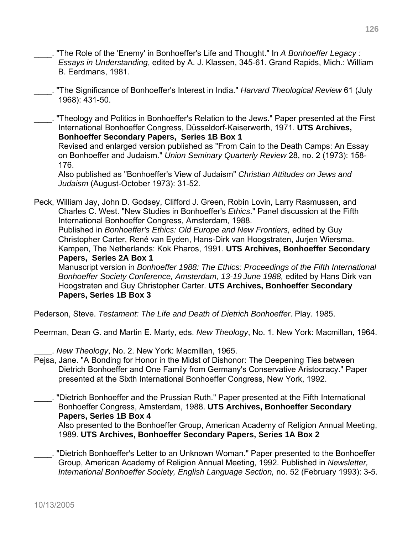- \_\_\_\_. "The Role of the 'Enemy' in Bonhoeffer's Life and Thought." In *A Bonhoeffer Legacy : Essays in Understanding*, edited by A. J. Klassen, 345-61. Grand Rapids, Mich.: William B. Eerdmans, 1981.
- \_\_\_\_. "The Significance of Bonhoeffer's Interest in India." *Harvard Theological Review* 61 (July 1968): 431-50.

\_\_\_\_. "Theology and Politics in Bonhoeffer's Relation to the Jews." Paper presented at the First International Bonhoeffer Congress, Düsseldorf-Kaiserwerth, 1971. **UTS Archives, Bonhoeffer Secondary Papers, Series 1B Box 1**  Revised and enlarged version published as "From Cain to the Death Camps: An Essay on Bonhoeffer and Judaism." *Union Seminary Quarterly Review* 28, no. 2 (1973): 158- 176.

Also published as "Bonhoeffer's View of Judaism" *Christian Attitudes on Jews and Judaism* (August-October 1973): 31-52.

Peck, William Jay, John D. Godsey, Clifford J. Green, Robin Lovin, Larry Rasmussen, and Charles C. West. "New Studies in Bonhoeffer's *Ethics*." Panel discussion at the Fifth International Bonhoeffer Congress, Amsterdam, 1988. Published in *Bonhoeffer's Ethics: Old Europe and New Frontiers,* edited by Guy Christopher Carter, René van Eyden, Hans-Dirk van Hoogstraten, Jurjen Wiersma. Kampen, The Netherlands: Kok Pharos, 1991. **UTS Archives, Bonhoeffer Secondary Papers, Series 2A Box 1**  Manuscript version in *Bonhoeffer 1988: The Ethics: Proceedings of the Fifth International Bonhoeffer Society Conference, Amsterdam, 13-19 June 1988,* edited by Hans Dirk van Hoogstraten and Guy Christopher Carter. **UTS Archives, Bonhoeffer Secondary**

**Papers, Series 1B Box 3** 

Pederson, Steve. *Testament: The Life and Death of Dietrich Bonhoeffer*. Play. 1985.

Peerman, Dean G. and Martin E. Marty, eds. *New Theology*, No. 1. New York: Macmillan, 1964.

\_\_\_\_. *New Theology*, No. 2. New York: Macmillan, 1965.

- Pejsa, Jane. "A Bonding for Honor in the Midst of Dishonor: The Deepening Ties between Dietrich Bonhoeffer and One Family from Germany's Conservative Aristocracy." Paper presented at the Sixth International Bonhoeffer Congress, New York, 1992.
- \_\_\_\_. "Dietrich Bonhoeffer and the Prussian Ruth." Paper presented at the Fifth International Bonhoeffer Congress, Amsterdam, 1988. **UTS Archives, Bonhoeffer Secondary Papers, Series 1B Box 4**

Also presented to the Bonhoeffer Group, American Academy of Religion Annual Meeting, 1989. **UTS Archives, Bonhoeffer Secondary Papers, Series 1A Box 2** 

\_\_\_\_. "Dietrich Bonhoeffer's Letter to an Unknown Woman." Paper presented to the Bonhoeffer Group, American Academy of Religion Annual Meeting, 1992. Published in *Newsletter, International Bonhoeffer Society, English Language Section,* no. 52 (February 1993): 3-5.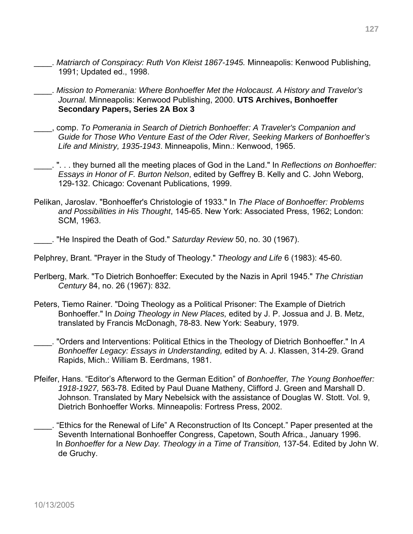- \_\_\_\_. *Matriarch of Conspiracy: Ruth Von Kleist 1867-1945.* Minneapolis: Kenwood Publishing, 1991; Updated ed., 1998.
- \_\_\_\_. *Mission to Pomerania: Where Bonhoeffer Met the Holocaust. A History and Travelor's Journal.* Minneapolis: Kenwood Publishing, 2000. **UTS Archives, Bonhoeffer Secondary Papers, Series 2A Box 3**
- \_\_\_\_, comp. *To Pomerania in Search of Dietrich Bonhoeffer: A Traveler's Companion and Guide for Those Who Venture East of the Oder River, Seeking Markers of Bonhoeffer's Life and Ministry, 1935-1943*. Minneapolis, Minn.: Kenwood, 1965.
- \_\_\_\_. ". . . they burned all the meeting places of God in the Land." In *Reflections on Bonhoeffer: Essays in Honor of F. Burton Nelson*, edited by Geffrey B. Kelly and C. John Weborg, 129-132. Chicago: Covenant Publications, 1999.
- Pelikan, Jaroslav. "Bonhoeffer's Christologie of 1933." In *The Place of Bonhoeffer: Problems and Possibilities in His Thought*, 145-65. New York: Associated Press, 1962; London: SCM, 1963.
- \_\_\_\_. "He Inspired the Death of God." *Saturday Review* 50, no. 30 (1967).
- Pelphrey, Brant. "Prayer in the Study of Theology." *Theology and Life* 6 (1983): 45-60.
- Perlberg, Mark. "To Dietrich Bonhoeffer: Executed by the Nazis in April 1945." *The Christian Century* 84, no. 26 (1967): 832.
- Peters, Tiemo Rainer. "Doing Theology as a Political Prisoner: The Example of Dietrich Bonhoeffer." In *Doing Theology in New Places,* edited by J. P. Jossua and J. B. Metz, translated by Francis McDonagh, 78-83. New York: Seabury, 1979.
- \_\_\_\_. "Orders and Interventions: Political Ethics in the Theology of Dietrich Bonhoeffer." In *A Bonhoeffer Legacy: Essays in Understanding,* edited by A. J. Klassen, 314-29. Grand Rapids, Mich.: William B. Eerdmans, 1981.
- Pfeifer, Hans. "Editor's Afterword to the German Edition" of *Bonhoeffer, The Young Bonhoeffer: 1918-1927,* 563-78. Edited by Paul Duane Matheny, Clifford J. Green and Marshall D. Johnson. Translated by Mary Nebelsick with the assistance of Douglas W. Stott. Vol. 9, Dietrich Bonhoeffer Works. Minneapolis: Fortress Press, 2002.
- \_\_\_\_. "Ethics for the Renewal of Life" A Reconstruction of Its Concept." Paper presented at the Seventh International Bonhoeffer Congress, Capetown, South Africa., January 1996. In *Bonhoeffer for a New Day. Theology in a Time of Transition,* 137-54. Edited by John W. de Gruchy.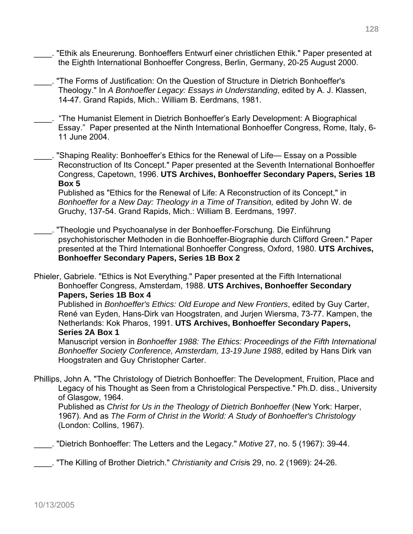- \_\_\_\_. "Ethik als Eneurerung. Bonhoeffers Entwurf einer christlichen Ethik." Paper presented at the Eighth International Bonhoeffer Congress, Berlin, Germany, 20-25 August 2000.
- "The Forms of Justification: On the Question of Structure in Dietrich Bonhoeffer's Theology." In *A Bonhoeffer Legacy: Essays in Understanding*, edited by A. J. Klassen, 14-47. Grand Rapids, Mich.: William B. Eerdmans, 1981.
- \_\_\_\_. "The Humanist Element in Dietrich Bonhoeffer's Early Development: A Biographical Essay." Paper presented at the Ninth International Bonhoeffer Congress, Rome, Italy, 6- 11 June 2004.
- . "Shaping Reality: Bonhoeffer's Ethics for the Renewal of Life— Essay on a Possible Reconstruction of Its Concept." Paper presented at the Seventh International Bonhoeffer Congress, Capetown, 1996. **UTS Archives, Bonhoeffer Secondary Papers, Series 1B Box 5**

Published as "Ethics for the Renewal of Life: A Reconstruction of its Concept," in *Bonhoeffer for a New Day: Theology in a Time of Transition,* edited by John W. de Gruchy, 137-54. Grand Rapids, Mich.: William B. Eerdmans, 1997.

\_\_\_\_. "Theologie und Psychoanalyse in der Bonhoeffer-Forschung. Die Einführung psychohistorischer Methoden in die Bonhoeffer-Biographie durch Clifford Green." Paper presented at the Third International Bonhoeffer Congress, Oxford, 1980. **UTS Archives, Bonhoeffer Secondary Papers, Series 1B Box 2** 

Phieler, Gabriele. "Ethics is Not Everything." Paper presented at the Fifth International Bonhoeffer Congress, Amsterdam, 1988. **UTS Archives, Bonhoeffer Secondary Papers, Series 1B Box 4** 

Published in *Bonhoeffer's Ethics: Old Europe and New Frontiers*, edited by Guy Carter, René van Eyden, Hans-Dirk van Hoogstraten, and Jurjen Wiersma, 73-77. Kampen, the Netherlands: Kok Pharos, 1991. **UTS Archives, Bonhoeffer Secondary Papers, Series 2A Box 1** 

Manuscript version in *Bonhoeffer 1988: The Ethics: Proceedings of the Fifth International Bonhoeffer Society Conference, Amsterdam, 13-19 June 1988*, edited by Hans Dirk van Hoogstraten and Guy Christopher Carter.

Phillips, John A. "The Christology of Dietrich Bonhoeffer: The Development, Fruition, Place and Legacy of his Thought as Seen from a Christological Perspective." Ph.D. diss., University of Glasgow, 1964. Published as *Christ for Us in the Theology of Dietrich Bonhoeffer* (New York: Harper,

1967). And as *The Form of Christ in the World: A Study of Bonhoeffer's Christology*  (London: Collins, 1967).

\_\_\_\_. "Dietrich Bonhoeffer: The Letters and the Legacy." *Motive* 27, no. 5 (1967): 39-44.

\_\_\_\_. "The Killing of Brother Dietrich." *Christianity and Crisi*s 29, no. 2 (1969): 24-26.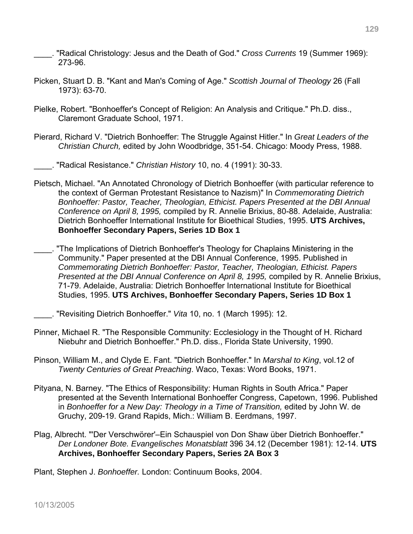\_\_\_\_. "Radical Christology: Jesus and the Death of God." *Cross Currents* 19 (Summer 1969): 273-96.

- Picken, Stuart D. B. "Kant and Man's Coming of Age." *Scottish Journal of Theology* 26 (Fall 1973): 63-70.
- Pielke, Robert. "Bonhoeffer's Concept of Religion: An Analysis and Critique." Ph.D. diss., Claremont Graduate School, 1971.
- Pierard, Richard V. "Dietrich Bonhoeffer: The Struggle Against Hitler." In *Great Leaders of the Christian Church,* edited by John Woodbridge, 351-54. Chicago: Moody Press, 1988.

\_\_\_\_. "Radical Resistance." *Christian History* 10, no. 4 (1991): 30-33.

Pietsch, Michael. "An Annotated Chronology of Dietrich Bonhoeffer (with particular reference to the context of German Protestant Resistance to Nazism)" In *Commemorating Dietrich Bonhoeffer: Pastor, Teacher, Theologian, Ethicist. Papers Presented at the DBI Annual Conference on April 8, 1995,* compiled by R. Annelie Brixius, 80-88. Adelaide, Australia: Dietrich Bonhoeffer International Institute for Bioethical Studies, 1995. **UTS Archives, Bonhoeffer Secondary Papers, Series 1D Box 1** 

\_\_\_\_. "The Implications of Dietrich Bonhoeffer's Theology for Chaplains Ministering in the Community." Paper presented at the DBI Annual Conference, 1995. Published in *Commemorating Dietrich Bonhoeffer: Pastor, Teacher, Theologian, Ethicist. Papers Presented at the DBI Annual Conference on April 8, 1995,* compiled by R. Annelie Brixius, 71-79. Adelaide, Australia: Dietrich Bonhoeffer International Institute for Bioethical Studies, 1995. **UTS Archives, Bonhoeffer Secondary Papers, Series 1D Box 1** 

\_\_\_\_. "Revisiting Dietrich Bonhoeffer." *Vita* 10, no. 1 (March 1995): 12.

- Pinner, Michael R. "The Responsible Community: Ecclesiology in the Thought of H. Richard Niebuhr and Dietrich Bonhoeffer." Ph.D. diss., Florida State University, 1990.
- Pinson, William M., and Clyde E. Fant. "Dietrich Bonhoeffer." In *Marshal to King*, vol.12 of *Twenty Centuries of Great Preaching*. Waco, Texas: Word Books, 1971.
- Pityana, N. Barney. "The Ethics of Responsibility: Human Rights in South Africa." Paper presented at the Seventh International Bonhoeffer Congress, Capetown, 1996. Published in *Bonhoeffer for a New Day: Theology in a Time of Transition,* edited by John W. de Gruchy, 209-19. Grand Rapids, Mich.: William B. Eerdmans, 1997.
- Plag, Albrecht. "'Der Verschwörer'–Ein Schauspiel von Don Shaw über Dietrich Bonhoeffer." *Der Londoner Bote. Evangelisches Monatsblatt* 396 34.12 (December 1981): 12-14. **UTS Archives, Bonhoeffer Secondary Papers, Series 2A Box 3**

Plant, Stephen J. *Bonhoeffer.* London: Continuum Books, 2004.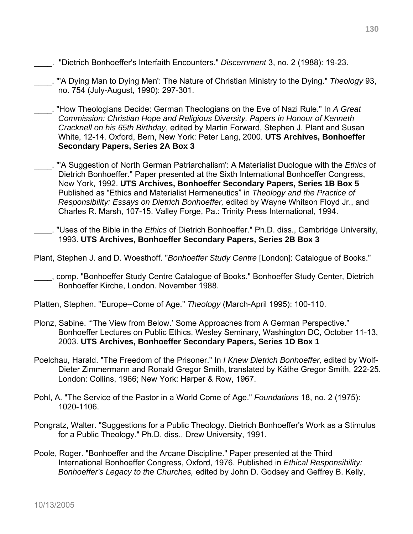- \_\_\_\_. "Dietrich Bonhoeffer's Interfaith Encounters." *Discernment* 3, no. 2 (1988): 19-23.
- \_\_\_\_. "'A Dying Man to Dying Men': The Nature of Christian Ministry to the Dying." *Theology* 93, no. 754 (July-August, 1990): 297-301.
- \_\_\_\_. "How Theologians Decide: German Theologians on the Eve of Nazi Rule." In *A Great Commission: Christian Hope and Religious Diversity. Papers in Honour of Kenneth Cracknell on his 65th Birthday*, edited by Martin Forward, Stephen J. Plant and Susan White, 12-14. Oxford, Bern, New York: Peter Lang, 2000. **UTS Archives, Bonhoeffer Secondary Papers, Series 2A Box 3**
- \_\_\_\_. "'A Suggestion of North German Patriarchalism': A Materialist Duologue with the *Ethics* of Dietrich Bonhoeffer." Paper presented at the Sixth International Bonhoeffer Congress, New York, 1992. **UTS Archives, Bonhoeffer Secondary Papers, Series 1B Box 5**  Published as "Ethics and Materialist Hermeneutics" in *Theology and the Practice of Responsibility: Essays on Dietrich Bonhoeffer,* edited by Wayne Whitson Floyd Jr., and Charles R. Marsh, 107-15. Valley Forge, Pa.: Trinity Press International, 1994.
- \_\_\_\_. "Uses of the Bible in the *Ethics* of Dietrich Bonhoeffer." Ph.D. diss., Cambridge University, 1993. **UTS Archives, Bonhoeffer Secondary Papers, Series 2B Box 3**
- Plant, Stephen J. and D. Woesthoff. "*Bonhoeffer Study Centre* [London]: Catalogue of Books."
- \_\_\_\_, comp. "Bonhoeffer Study Centre Catalogue of Books." Bonhoeffer Study Center, Dietrich Bonhoeffer Kirche, London. November 1988.
- Platten, Stephen. "Europe--Come of Age." *Theology* (March-April 1995): 100-110.
- Plonz, Sabine. "'The View from Below.' Some Approaches from A German Perspective." Bonhoeffer Lectures on Public Ethics, Wesley Seminary, Washington DC, October 11-13, 2003. **UTS Archives, Bonhoeffer Secondary Papers, Series 1D Box 1**
- Poelchau, Harald. "The Freedom of the Prisoner." In *I Knew Dietrich Bonhoeffer,* edited by Wolf-Dieter Zimmermann and Ronald Gregor Smith, translated by Käthe Gregor Smith, 222-25. London: Collins, 1966; New York: Harper & Row, 1967.
- Pohl, A. "The Service of the Pastor in a World Come of Age." *Foundations* 18, no. 2 (1975): 1020-1106.
- Pongratz, Walter. "Suggestions for a Public Theology. Dietrich Bonhoeffer's Work as a Stimulus for a Public Theology." Ph.D. diss., Drew University, 1991.
- Poole, Roger. "Bonhoeffer and the Arcane Discipline." Paper presented at the Third International Bonhoeffer Congress, Oxford, 1976. Published in *Ethical Responsibility: Bonhoeffer's Legacy to the Churches,* edited by John D. Godsey and Geffrey B. Kelly,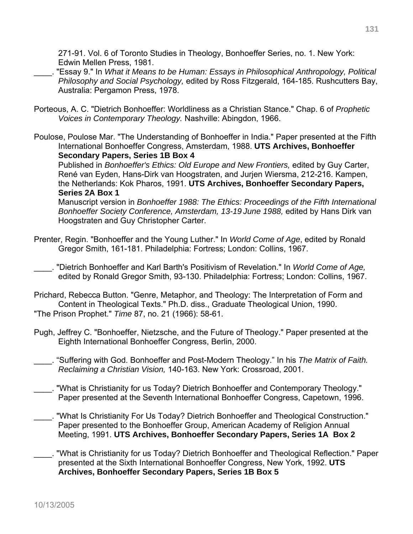271-91. Vol. 6 of Toronto Studies in Theology, Bonhoeffer Series, no. 1. New York: Edwin Mellen Press, 1981.

- \_\_\_\_. "Essay 9." In *What it Means to be Human: Essays in Philosophical Anthropology, Political Philosophy and Social Psychology,* edited by Ross Fitzgerald, 164-185. Rushcutters Bay, Australia: Pergamon Press, 1978.
- Porteous, A. C. "Dietrich Bonhoeffer: Worldliness as a Christian Stance." Chap. 6 of *Prophetic Voices in Contemporary Theology.* Nashville: Abingdon, 1966.
- Poulose, Poulose Mar. "The Understanding of Bonhoeffer in India." Paper presented at the Fifth International Bonhoeffer Congress, Amsterdam, 1988. **UTS Archives, Bonhoeffer Secondary Papers, Series 1B Box 4**

Published in *Bonhoeffer's Ethics: Old Europe and New Frontiers,* edited by Guy Carter, René van Eyden, Hans-Dirk van Hoogstraten, and Jurjen Wiersma, 212-216. Kampen, the Netherlands: Kok Pharos, 1991. **UTS Archives, Bonhoeffer Secondary Papers, Series 2A Box 1** 

Manuscript version in *Bonhoeffer 1988: The Ethics: Proceedings of the Fifth International Bonhoeffer Society Conference, Amsterdam, 13-19 June 1988,* edited by Hans Dirk van Hoogstraten and Guy Christopher Carter.

- Prenter, Regin. "Bonhoeffer and the Young Luther." In *World Come of Age*, edited by Ronald Gregor Smith, 161-181. Philadelphia: Fortress; London: Collins, 1967.
- \_\_\_\_. "Dietrich Bonhoeffer and Karl Barth's Positivism of Revelation." In *World Come of Age,* edited by Ronald Gregor Smith, 93-130. Philadelphia: Fortress; London: Collins, 1967.
- Prichard, Rebecca Button. "Genre, Metaphor, and Theology: The Interpretation of Form and Content in Theological Texts." Ph.D. diss., Graduate Theological Union, 1990. "The Prison Prophet." *Time* 87, no. 21 (1966): 58-61.
- Pugh, Jeffrey C. "Bonhoeffer, Nietzsche, and the Future of Theology." Paper presented at the Eighth International Bonhoeffer Congress, Berlin, 2000.
	- \_\_\_\_. "Suffering with God. Bonhoeffer and Post-Modern Theology." In his *The Matrix of Faith. Reclaiming a Christian Vision,* 140-163. New York: Crossroad, 2001.
- \_\_\_\_. "What is Christianity for us Today? Dietrich Bonhoeffer and Contemporary Theology." Paper presented at the Seventh International Bonhoeffer Congress, Capetown, 1996.
- \_\_\_\_. "What Is Christianity For Us Today? Dietrich Bonhoeffer and Theological Construction." Paper presented to the Bonhoeffer Group, American Academy of Religion Annual Meeting, 1991. **UTS Archives, Bonhoeffer Secondary Papers, Series 1A Box 2**
- \_\_\_\_. "What is Christianity for us Today? Dietrich Bonhoeffer and Theological Reflection." Paper presented at the Sixth International Bonhoeffer Congress, New York, 1992. **UTS Archives, Bonhoeffer Secondary Papers, Series 1B Box 5**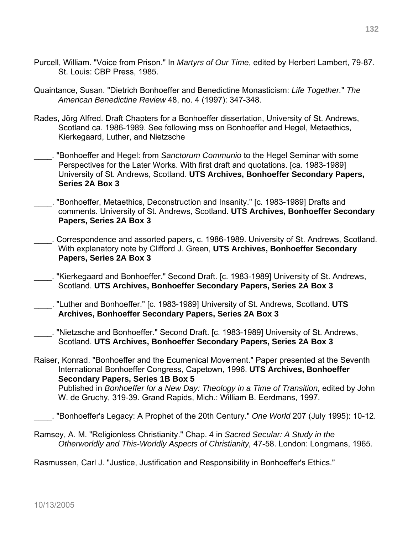- Purcell, William. "Voice from Prison." In *Martyrs of Our Time*, edited by Herbert Lambert, 79-87. St. Louis: CBP Press, 1985.
- Quaintance, Susan. "Dietrich Bonhoeffer and Benedictine Monasticism: *Life Together.*" *The American Benedictine Review* 48, no. 4 (1997): 347-348.
- Rades, Jörg Alfred. Draft Chapters for a Bonhoeffer dissertation, University of St. Andrews, Scotland ca. 1986-1989. See following mss on Bonhoeffer and Hegel, Metaethics, Kierkegaard, Luther, and Nietzsche
- \_\_\_\_. "Bonhoeffer and Hegel: from *Sanctorum Communio* to the Hegel Seminar with some Perspectives for the Later Works. With first draft and quotations. [ca. 1983-1989] University of St. Andrews, Scotland. **UTS Archives, Bonhoeffer Secondary Papers, Series 2A Box 3**
- \_\_\_\_. "Bonhoeffer, Metaethics, Deconstruction and Insanity." [c. 1983-1989] Drafts and comments. University of St. Andrews, Scotland. **UTS Archives, Bonhoeffer Secondary Papers, Series 2A Box 3**
- \_\_\_\_. Correspondence and assorted papers, c. 1986-1989. University of St. Andrews, Scotland. With explanatory note by Clifford J. Green, **UTS Archives, Bonhoeffer Secondary Papers, Series 2A Box 3**
- \_\_\_\_. "Kierkegaard and Bonhoeffer." Second Draft. [c. 1983-1989] University of St. Andrews, Scotland. **UTS Archives, Bonhoeffer Secondary Papers, Series 2A Box 3**
- \_\_\_\_. "Luther and Bonhoeffer." [c. 1983-1989] University of St. Andrews, Scotland. **UTS Archives, Bonhoeffer Secondary Papers, Series 2A Box 3**
- \_\_\_\_. "Nietzsche and Bonhoeffer." Second Draft. [c. 1983-1989] University of St. Andrews, Scotland. **UTS Archives, Bonhoeffer Secondary Papers, Series 2A Box 3**
- Raiser, Konrad. "Bonhoeffer and the Ecumenical Movement." Paper presented at the Seventh International Bonhoeffer Congress, Capetown, 1996. **UTS Archives, Bonhoeffer Secondary Papers, Series 1B Box 5**  Published in *Bonhoeffer for a New Day: Theology in a Time of Transition,* edited by John W. de Gruchy, 319-39. Grand Rapids, Mich.: William B. Eerdmans, 1997.
- \_\_\_\_. "Bonhoeffer's Legacy: A Prophet of the 20th Century." *One World* 207 (July 1995): 10-12.
- Ramsey, A. M. "Religionless Christianity." Chap. 4 in *Sacred Secular: A Study in the Otherworldly and This-Worldly Aspects of Christianity,* 47-58. London: Longmans, 1965.

Rasmussen, Carl J. "Justice, Justification and Responsibility in Bonhoeffer's Ethics."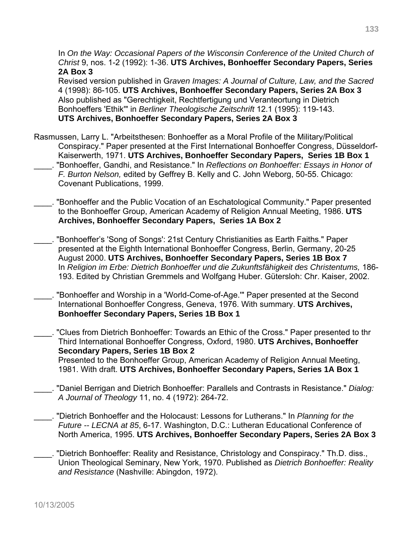In On the Way: Occasional Papers of the Wisconsin Conference of the United Church of *Christ* 9, nos. 1-2 (1992): 1-36. **UTS Archives, Bonhoeffer Secondary Papers, Series 2A Box 3**

Revised version published in G*raven Images: A Journal of Culture, Law, and the Sacred* 4 (1998): 86-105. **UTS Archives, Bonhoeffer Secondary Papers, Series 2A Box 3** Also published as "Gerechtigkeit, Rechtfertigung und Veranteortung in Dietrich Bonhoeffers 'Ethik'" in *Berliner Theologische Zeitschrift* 12.1 (1995): 119-143. **UTS Archives, Bonhoeffer Secondary Papers, Series 2A Box 3**

- Rasmussen, Larry L. "Arbeitsthesen: Bonhoeffer as a Moral Profile of the Military/Political Conspiracy." Paper presented at the First International Bonhoeffer Congress, Düsseldorf-Kaiserwerth, 1971. **UTS Archives, Bonhoeffer Secondary Papers, Series 1B Box 1** \_\_\_\_. "Bonhoeffer, Gandhi, and Resistance." In *Reflections on Bonhoeffer: Essays in Honor of F. Burton Nelson,* edited by Geffrey B. Kelly and C. John Weborg, 50-55. Chicago: Covenant Publications, 1999.
- \_\_\_\_. "Bonhoeffer and the Public Vocation of an Eschatological Community." Paper presented to the Bonhoeffer Group, American Academy of Religion Annual Meeting, 1986. **UTS Archives, Bonhoeffer Secondary Papers, Series 1A Box 2**
- \_\_\_\_. "Bonhoeffer's 'Song of Songs': 21st Century Christianities as Earth Faiths." Paper presented at the Eighth International Bonhoeffer Congress, Berlin, Germany, 20-25 August 2000. **UTS Archives, Bonhoeffer Secondary Papers, Series 1B Box 7**  In *Religion im Erbe: Dietrich Bonhoeffer und die Zukunftsfähigkeit des Christentums,* 186- 193. Edited by Christian Gremmels and Wolfgang Huber. Gütersloh: Chr. Kaiser, 2002.
- "Bonhoeffer and Worship in a 'World-Come-of-Age."" Paper presented at the Second International Bonhoeffer Congress, Geneva, 1976. With summary. **UTS Archives, Bonhoeffer Secondary Papers, Series 1B Box 1**

\_\_\_\_. "Clues from Dietrich Bonhoeffer: Towards an Ethic of the Cross." Paper presented to thr Third International Bonhoeffer Congress, Oxford, 1980. **UTS Archives, Bonhoeffer Secondary Papers, Series 1B Box 2** Presented to the Bonhoeffer Group, American Academy of Religion Annual Meeting,

1981. With draft. **UTS Archives, Bonhoeffer Secondary Papers, Series 1A Box 1**

\_\_\_\_. "Daniel Berrigan and Dietrich Bonhoeffer: Parallels and Contrasts in Resistance." *Dialog: A Journal of Theology* 11, no. 4 (1972): 264-72.

\_\_\_\_. "Dietrich Bonhoeffer and the Holocaust: Lessons for Lutherans." In *Planning for the Future -- LECNA at 85*, 6-17. Washington, D.C.: Lutheran Educational Conference of North America, 1995. **UTS Archives, Bonhoeffer Secondary Papers, Series 2A Box 3**

\_\_\_\_. "Dietrich Bonhoeffer: Reality and Resistance, Christology and Conspiracy." Th.D. diss., Union Theological Seminary, New York, 1970. Published as *Dietrich Bonhoeffer: Reality and Resistance* (Nashville: Abingdon, 1972).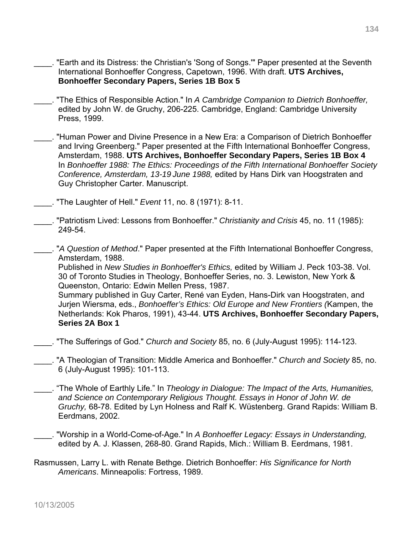- \_\_\_\_. "Earth and its Distress: the Christian's 'Song of Songs.'" Paper presented at the Seventh International Bonhoeffer Congress, Capetown, 1996. With draft. **UTS Archives, Bonhoeffer Secondary Papers, Series 1B Box 5**
- \_\_\_\_. "The Ethics of Responsible Action." In *A Cambridge Companion to Dietrich Bonhoeffer,*  edited by John W. de Gruchy, 206-225. Cambridge, England: Cambridge University Press, 1999.
- \_\_\_\_. "Human Power and Divine Presence in a New Era: a Comparison of Dietrich Bonhoeffer and Irving Greenberg." Paper presented at the Fifth International Bonhoeffer Congress, Amsterdam, 1988. **UTS Archives, Bonhoeffer Secondary Papers, Series 1B Box 4**  In *Bonhoeffer 1988: The Ethics: Proceedings of the Fifth International Bonhoeffer Society Conference, Amsterdam, 13-19 June 1988,* edited by Hans Dirk van Hoogstraten and Guy Christopher Carter. Manuscript.
- \_\_\_\_. "The Laughter of Hell." *Event* 11, no. 8 (1971): 8-11.
- \_\_\_\_. "Patriotism Lived: Lessons from Bonhoeffer." *Christianity and Crisis* 45, no. 11 (1985): 249-54.
- \_\_\_\_. "*A Question of Method*." Paper presented at the Fifth International Bonhoeffer Congress, Amsterdam, 1988.

 Published in *New Studies in Bonhoeffer's Ethics,* edited by William J. Peck 103-38. Vol. 30 of Toronto Studies in Theology, Bonhoeffer Series, no. 3. Lewiston, New York & Queenston, Ontario: Edwin Mellen Press, 1987.

Summary published in Guy Carter, René van Eyden, Hans-Dirk van Hoogstraten, and Jurjen Wiersma, eds., *Bonhoeffer's Ethics: Old Europe and New Frontiers (*Kampen, the Netherlands: Kok Pharos, 1991), 43-44. **UTS Archives, Bonhoeffer Secondary Papers, Series 2A Box 1** 

\_\_\_\_. "The Sufferings of God." *Church and Society* 85, no. 6 (July-August 1995): 114-123.

- \_\_\_\_. "A Theologian of Transition: Middle America and Bonhoeffer." *Church and Society* 85, no. 6 (July-August 1995): 101-113.
- \_\_\_\_. "The Whole of Earthly Life." In *Theology in Dialogue: The Impact of the Arts, Humanities, and Science on Contemporary Religious Thought. Essays in Honor of John W. de Gruchy,* 68-78. Edited by Lyn Holness and Ralf K. Wüstenberg. Grand Rapids: William B. Eerdmans, 2002.
- \_\_\_\_. "Worship in a World-Come-of-Age." In *A Bonhoeffer Legacy: Essays in Understanding,*  edited by A. J. Klassen, 268-80. Grand Rapids, Mich.: William B. Eerdmans, 1981.
- Rasmussen, Larry L. with Renate Bethge. Dietrich Bonhoeffer: *His Significance for North Americans*. Minneapolis: Fortress, 1989.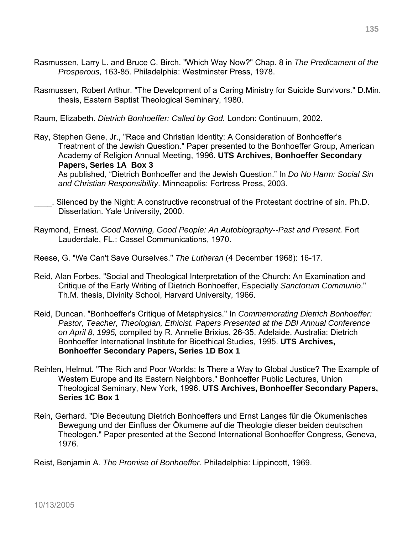- Rasmussen, Larry L. and Bruce C. Birch. "Which Way Now?" Chap. 8 in *The Predicament of the Prosperous,* 163-85. Philadelphia: Westminster Press, 1978.
- Rasmussen, Robert Arthur. "The Development of a Caring Ministry for Suicide Survivors." D.Min. thesis, Eastern Baptist Theological Seminary, 1980.
- Raum, Elizabeth. *Dietrich Bonhoeffer: Called by God.* London: Continuum, 2002.
- Ray, Stephen Gene, Jr., "Race and Christian Identity: A Consideration of Bonhoeffer's Treatment of the Jewish Question." Paper presented to the Bonhoeffer Group, American Academy of Religion Annual Meeting, 1996. **UTS Archives, Bonhoeffer Secondary Papers, Series 1A Box 3**  As published, "Dietrich Bonhoeffer and the Jewish Question." In *Do No Harm: Social Sin and Christian Responsibility*. Minneapolis: Fortress Press, 2003.
- \_\_\_\_. Silenced by the Night: A constructive reconstrual of the Protestant doctrine of sin. Ph.D. Dissertation. Yale University, 2000.
- Raymond, Ernest. *Good Morning, Good People: An Autobiography--Past and Present.* Fort Lauderdale, FL.: Cassel Communications, 1970.
- Reese, G. "We Can't Save Ourselves." *The Lutheran* (4 December 1968): 16-17.
- Reid, Alan Forbes. "Social and Theological Interpretation of the Church: An Examination and Critique of the Early Writing of Dietrich Bonhoeffer, Especially *Sanctorum Communio*." Th.M. thesis, Divinity School, Harvard University, 1966.
- Reid, Duncan. "Bonhoeffer's Critique of Metaphysics." In *Commemorating Dietrich Bonhoeffer: Pastor, Teacher, Theologian, Ethicist. Papers Presented at the DBI Annual Conference on April 8, 1995,* compiled by R. Annelie Brixius, 26-35. Adelaide, Australia: Dietrich Bonhoeffer International Institute for Bioethical Studies, 1995. **UTS Archives, Bonhoeffer Secondary Papers, Series 1D Box 1**
- Reihlen, Helmut. "The Rich and Poor Worlds: Is There a Way to Global Justice? The Example of Western Europe and its Eastern Neighbors." Bonhoeffer Public Lectures, Union Theological Seminary, New York, 1996. **UTS Archives, Bonhoeffer Secondary Papers, Series 1C Box 1**
- Rein, Gerhard. "Die Bedeutung Dietrich Bonhoeffers und Ernst Langes für die Ökumenisches Bewegung und der Einfluss der Ökumene auf die Theologie dieser beiden deutschen Theologen." Paper presented at the Second International Bonhoeffer Congress, Geneva, 1976.
- Reist, Benjamin A. *The Promise of Bonhoeffer.* Philadelphia: Lippincott, 1969.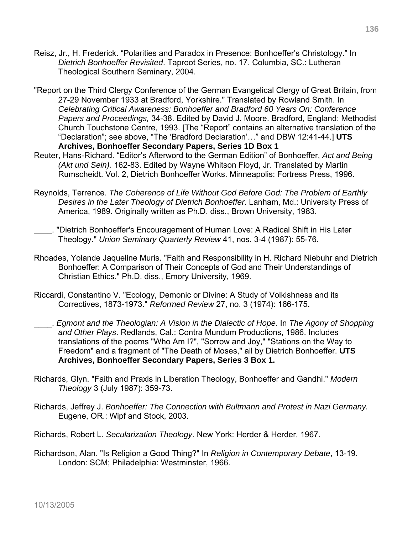- Reisz, Jr., H. Frederick. "Polarities and Paradox in Presence: Bonhoeffer's Christology." In *Dietrich Bonhoeffer Revisited*. Taproot Series, no. 17. Columbia, SC.: Lutheran Theological Southern Seminary, 2004.
- "Report on the Third Clergy Conference of the German Evangelical Clergy of Great Britain, from 27-29 November 1933 at Bradford, Yorkshire." Translated by Rowland Smith. In *Celebrating Critical Awareness: Bonhoeffer and Bradford 60 Years On: Conference Papers and Proceedings,* 34-38. Edited by David J. Moore. Bradford, England: Methodist Church Touchstone Centre, 1993. [The "Report" contains an alternative translation of the "Declaration"; see above, "The 'Bradford Declaration'…" and DBW 12:41-44.] **UTS Archives, Bonhoeffer Secondary Papers, Series 1D Box 1**
- Reuter, Hans-Richard. "Editor's Afterword to the German Edition" of Bonhoeffer, *Act and Being (Akt und Sein).* 162-83. Edited by Wayne Whitson Floyd, Jr. Translated by Martin Rumscheidt. Vol. 2, Dietrich Bonhoeffer Works. Minneapolis: Fortress Press, 1996.
- Reynolds, Terrence. *The Coherence of Life Without God Before God: The Problem of Earthly Desires in the Later Theology of Dietrich Bonhoeffer*. Lanham, Md.: University Press of America, 1989. Originally written as Ph.D. diss., Brown University, 1983.
	- \_\_\_\_. "Dietrich Bonhoeffer's Encouragement of Human Love: A Radical Shift in His Later Theology." *Union Seminary Quarterly Review* 41, nos. 3-4 (1987): 55-76.
- Rhoades, Yolande Jaqueline Muris. "Faith and Responsibility in H. Richard Niebuhr and Dietrich Bonhoeffer: A Comparison of Their Concepts of God and Their Understandings of Christian Ethics." Ph.D. diss., Emory University, 1969.
- Riccardi, Constantino V. "Ecology, Demonic or Divine: A Study of Volkishness and its Correctives, 1873-1973." *Reformed Review* 27, no. 3 (1974): 166-175.
- \_\_\_\_. *Egmont and the Theologian: A Vision in the Dialectic of Hope.* In *The Agony of Shopping and Other Plays*. Redlands, Cal.: Contra Mundum Productions, 1986. Includes translations of the poems "Who Am I?", "Sorrow and Joy," "Stations on the Way to Freedom" and a fragment of "The Death of Moses," all by Dietrich Bonhoeffer. **UTS Archives, Bonhoeffer Secondary Papers, Series 3 Box 1.**
- Richards, Glyn. "Faith and Praxis in Liberation Theology, Bonhoeffer and Gandhi." *Modern Theology* 3 (July 1987): 359-73.
- Richards, Jeffrey J. *Bonhoeffer: The Connection with Bultmann and Protest in Nazi Germany.* Eugene, OR.: Wipf and Stock, 2003.
- Richards, Robert L. *Secularization Theology*. New York: Herder & Herder, 1967.
- Richardson, Alan. "Is Religion a Good Thing?" In *Religion in Contemporary Debate*, 13-19. London: SCM; Philadelphia: Westminster, 1966.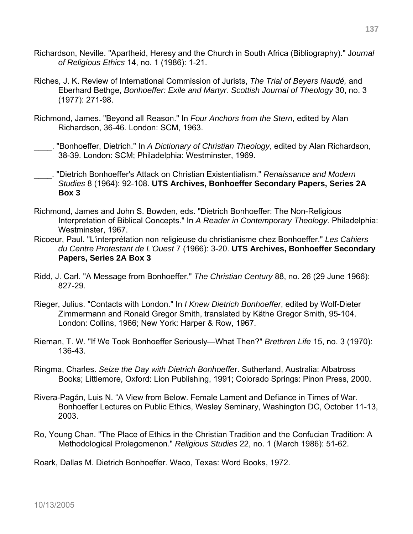- Richardson, Neville. "Apartheid, Heresy and the Church in South Africa (Bibliography)." J*ournal of Religious Ethics* 14, no. 1 (1986): 1-21.
- Riches, J. K. Review of International Commission of Jurists, *The Trial of Beyers Naudé,* and Eberhard Bethge, *Bonhoeffer: Exile and Martyr. Scottish Journal of Theology* 30, no. 3 (1977): 271-98.
- Richmond, James. "Beyond all Reason." In *Four Anchors from the Stern*, edited by Alan Richardson, 36-46. London: SCM, 1963.
- \_\_\_\_. "Bonhoeffer, Dietrich." In *A Dictionary of Christian Theology*, edited by Alan Richardson, 38-39. London: SCM; Philadelphia: Westminster, 1969.
- \_\_\_\_. "Dietrich Bonhoeffer's Attack on Christian Existentialism." *Renaissance and Modern Studies* 8 (1964): 92-108. **UTS Archives, Bonhoeffer Secondary Papers, Series 2A Box 3**
- Richmond, James and John S. Bowden, eds. "Dietrich Bonhoeffer: The Non-Religious Interpretation of Biblical Concepts." In *A Reader in Contemporary Theology*. Philadelphia: Westminster, 1967.
- Ricoeur, Paul. "L'interprétation non religieuse du christianisme chez Bonhoeffer." *Les Cahiers du Centre Protestant de L'Ouest* 7 (1966): 3-20. **UTS Archives, Bonhoeffer Secondary Papers, Series 2A Box 3**
- Ridd, J. Carl. "A Message from Bonhoeffer." *The Christian Century* 88, no. 26 (29 June 1966): 827-29.
- Rieger, Julius. "Contacts with London." In *I Knew Dietrich Bonhoeffer*, edited by Wolf-Dieter Zimmermann and Ronald Gregor Smith, translated by Käthe Gregor Smith, 95-104. London: Collins, 1966; New York: Harper & Row, 1967.
- Rieman, T. W. "If We Took Bonhoeffer Seriously—What Then?" *Brethren Life* 15, no. 3 (1970): 136-43.
- Ringma, Charles. *Seize the Day with Dietrich Bonhoeffe*r. Sutherland, Australia: Albatross Books; Littlemore, Oxford: Lion Publishing, 1991; Colorado Springs: Pinon Press, 2000.
- Rivera-Pagán, Luis N. "A View from Below. Female Lament and Defiance in Times of War. Bonhoeffer Lectures on Public Ethics, Wesley Seminary, Washington DC, October 11-13, 2003.
- Ro, Young Chan. "The Place of Ethics in the Christian Tradition and the Confucian Tradition: A Methodological Prolegomenon." *Religious Studies* 22, no. 1 (March 1986): 51-62.

Roark, Dallas M. Dietrich Bonhoeffer. Waco, Texas: Word Books, 1972.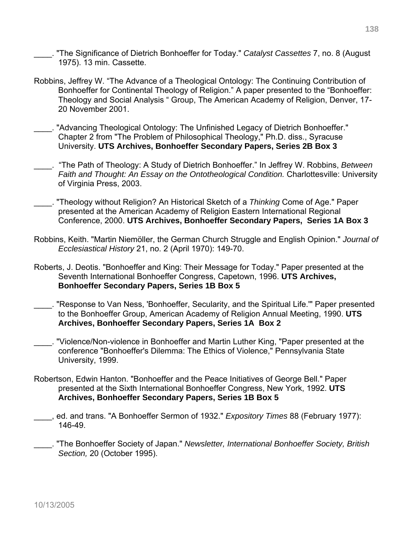\_\_\_\_. "The Significance of Dietrich Bonhoeffer for Today." *Catalyst Cassettes* 7, no. 8 (August 1975). 13 min. Cassette.

- Robbins, Jeffrey W. "The Advance of a Theological Ontology: The Continuing Contribution of Bonhoeffer for Continental Theology of Religion." A paper presented to the "Bonhoeffer: Theology and Social Analysis " Group, The American Academy of Religion, Denver, 17- 20 November 2001.
- \_\_\_\_. "Advancing Theological Ontology: The Unfinished Legacy of Dietrich Bonhoeffer." Chapter 2 from "The Problem of Philosophical Theology," Ph.D. diss., Syracuse University. **UTS Archives, Bonhoeffer Secondary Papers, Series 2B Box 3**
- \_\_\_\_. "The Path of Theology: A Study of Dietrich Bonhoeffer." In Jeffrey W. Robbins, *Between Faith and Thought: An Essay on the Ontotheological Condition.* Charlottesville: University of Virginia Press, 2003.
- \_\_\_\_. "Theology without Religion? An Historical Sketch of a *Thinking* Come of Age." Paper presented at the American Academy of Religion Eastern International Regional Conference, 2000. **UTS Archives, Bonhoeffer Secondary Papers, Series 1A Box 3**
- Robbins, Keith. "Martin Niemöller, the German Church Struggle and English Opinion." *Journal of Ecclesiastical History* 21, no. 2 (April 1970): 149-70.
- Roberts, J. Deotis. "Bonhoeffer and King: Their Message for Today." Paper presented at the Seventh International Bonhoeffer Congress, Capetown, 1996. **UTS Archives, Bonhoeffer Secondary Papers, Series 1B Box 5**
- \_\_\_\_. "Response to Van Ness, 'Bonhoeffer, Secularity, and the Spiritual Life.'" Paper presented to the Bonhoeffer Group, American Academy of Religion Annual Meeting, 1990. **UTS Archives, Bonhoeffer Secondary Papers, Series 1A Box 2**
- \_\_\_\_. "Violence/Non-violence in Bonhoeffer and Martin Luther King, "Paper presented at the conference "Bonhoeffer's Dilemma: The Ethics of Violence," Pennsylvania State University, 1999.
- Robertson, Edwin Hanton. "Bonhoeffer and the Peace Initiatives of George Bell." Paper presented at the Sixth International Bonhoeffer Congress, New York, 1992. **UTS Archives, Bonhoeffer Secondary Papers, Series 1B Box 5**
- \_\_\_\_, ed. and trans. "A Bonhoeffer Sermon of 1932." *Expository Times* 88 (February 1977): 146-49.
	- \_\_\_\_. "The Bonhoeffer Society of Japan." *Newsletter, International Bonhoeffer Society, British Section,* 20 (October 1995).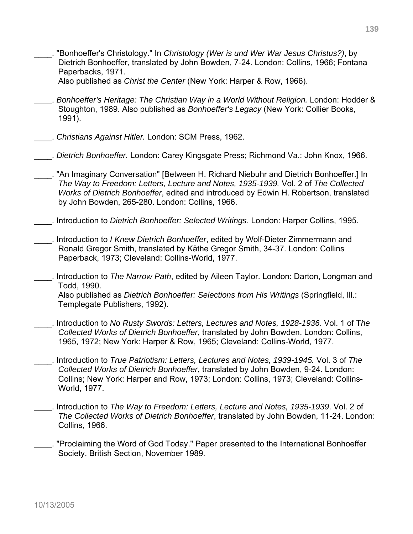\_\_\_\_. "Bonhoeffer's Christology." In *Christology (Wer is und Wer War Jesus Christus?)*, by Dietrich Bonhoeffer, translated by John Bowden, 7-24. London: Collins, 1966; Fontana Paperbacks, 1971.

Also published as *Christ the Center* (New York: Harper & Row, 1966).

- \_\_\_\_. *Bonhoeffer's Heritage: The Christian Way in a World Without Religion.* London: Hodder & Stoughton, 1989. Also published as *Bonhoeffer's Legacy* (New York: Collier Books, 1991).
- \_\_\_\_. *Christians Against Hitler.* London: SCM Press, 1962.
- \_\_\_\_. *Dietrich Bonhoeffer.* London: Carey Kingsgate Press; Richmond Va.: John Knox, 1966.
- . "An Imaginary Conversation" [Between H. Richard Niebuhr and Dietrich Bonhoeffer.] In *The Way to Freedom: Letters, Lecture and Notes, 1935-1939.* Vol. 2 of *The Collected Works of Dietrich Bonhoeffer*, edited and introduced by Edwin H. Robertson, translated by John Bowden, 265-280. London: Collins, 1966.
- \_\_\_\_. Introduction to *Dietrich Bonhoeffer: Selected Writings*. London: Harper Collins, 1995.
- \_\_\_\_. Introduction to *I Knew Dietrich Bonhoeffer*, edited by Wolf-Dieter Zimmermann and Ronald Gregor Smith, translated by Käthe Gregor Smith, 34-37. London: Collins Paperback, 1973; Cleveland: Collins-World, 1977.
- \_\_\_\_. Introduction to *The Narrow Path*, edited by Aileen Taylor. London: Darton, Longman and Todd, 1990.

Also published as *Dietrich Bonhoeffer: Selections from His Writings* (Springfield, Ill.: Templegate Publishers, 1992).

- \_\_\_\_. Introduction to *No Rusty Swords: Letters, Lectures and Notes, 1928-1936.* Vol. 1 of T*he Collected Works of Dietrich Bonhoeffer*, translated by John Bowden. London: Collins, 1965, 1972; New York: Harper & Row, 1965; Cleveland: Collins-World, 1977.
- \_\_\_\_. Introduction to *True Patriotism: Letters, Lectures and Notes, 1939-1945.* Vol. 3 of *The Collected Works of Dietrich Bonhoeffer*, translated by John Bowden, 9-24. London: Collins; New York: Harper and Row, 1973; London: Collins, 1973; Cleveland: Collins-World, 1977.
- \_\_\_\_. Introduction to *The Way to Freedom: Letters, Lecture and Notes, 1935-1939*. Vol. 2 of *The Collected Works of Dietrich Bonhoeffer*, translated by John Bowden, 11-24. London: Collins, 1966.
- \_\_\_\_. "Proclaiming the Word of God Today." Paper presented to the International Bonhoeffer Society, British Section, November 1989.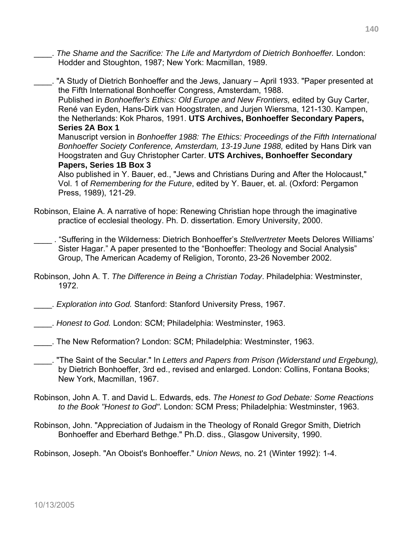- \_\_\_\_. *The Shame and the Sacrifice: The Life and Martyrdom of Dietrich Bonhoeffer.* London: Hodder and Stoughton, 1987; New York: Macmillan, 1989.
- . "A Study of Dietrich Bonhoeffer and the Jews, January April 1933. "Paper presented at the Fifth International Bonhoeffer Congress, Amsterdam, 1988. Published in *Bonhoeffer's Ethics: Old Europe and New Frontiers,* edited by Guy Carter, René van Eyden, Hans-Dirk van Hoogstraten, and Jurjen Wiersma, 121-130. Kampen, the Netherlands: Kok Pharos, 1991. **UTS Archives, Bonhoeffer Secondary Papers, Series 2A Box 1**  Manuscript version in *Bonhoeffer 1988: The Ethics: Proceedings of the Fifth International Bonhoeffer Society Conference, Amsterdam, 13-19 June 1988,* edited by Hans Dirk van Hoogstraten and Guy Christopher Carter. **UTS Archives, Bonhoeffer Secondary Papers, Series 1B Box 3**  Also published in Y. Bauer, ed., "Jews and Christians During and After the Holocaust,"

Vol. 1 of *Remembering for the Future*, edited by Y. Bauer, et. al. (Oxford: Pergamon Press, 1989), 121-29.

- Robinson, Elaine A. A narrative of hope: Renewing Christian hope through the imaginative practice of ecclesial theology. Ph. D. dissertation. Emory University, 2000.
- \_\_\_\_ . "Suffering in the Wilderness: Dietrich Bonhoeffer's *Stellvertreter* Meets Delores Williams' Sister Hagar." A paper presented to the "Bonhoeffer: Theology and Social Analysis" Group, The American Academy of Religion, Toronto, 23-26 November 2002.
- Robinson, John A. T. *The Difference in Being a Christian Today*. Philadelphia: Westminster, 1972.
- \_\_\_\_. *Exploration into God.* Stanford: Stanford University Press, 1967.
- \_\_\_\_. *Honest to God.* London: SCM; Philadelphia: Westminster, 1963.
- \_\_\_\_. The New Reformation? London: SCM; Philadelphia: Westminster, 1963.
- \_\_\_\_. "The Saint of the Secular." In *Letters and Papers from Prison (Widerstand und Ergebung),* by Dietrich Bonhoeffer, 3rd ed., revised and enlarged. London: Collins, Fontana Books; New York, Macmillan, 1967.
- Robinson, John A. T. and David L. Edwards, eds. *The Honest to God Debate: Some Reactions to the Book "Honest to God"*. London: SCM Press; Philadelphia: Westminster, 1963.
- Robinson, John. "Appreciation of Judaism in the Theology of Ronald Gregor Smith, Dietrich Bonhoeffer and Eberhard Bethge." Ph.D. diss., Glasgow University, 1990.

Robinson, Joseph. "An Oboist's Bonhoeffer." *Union News,* no. 21 (Winter 1992): 1-4.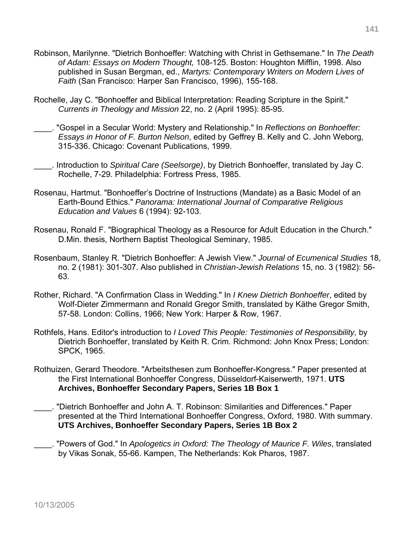- Robinson, Marilynne. "Dietrich Bonhoeffer: Watching with Christ in Gethsemane." In *The Death of Adam: Essays on Modern Thought,* 108-125. Boston: Houghton Mifflin, 1998. Also published in Susan Bergman, ed., *Martyrs: Contemporary Writers on Modern Lives of Faith* (San Francisco: Harper San Francisco, 1996), 155-168.
- Rochelle, Jay C. "Bonhoeffer and Biblical Interpretation: Reading Scripture in the Spirit." *Currents in Theology and Mission* 22, no. 2 (April 1995): 85-95.
- \_\_\_\_. "Gospel in a Secular World: Mystery and Relationship." In *Reflections on Bonhoeffer: Essays in Honor of F. Burton Nelson*, edited by Geffrey B. Kelly and C. John Weborg, 315-336. Chicago: Covenant Publications, 1999.
- \_\_\_\_. Introduction to *Spiritual Care (Seelsorge)*, by Dietrich Bonhoeffer, translated by Jay C. Rochelle, 7-29. Philadelphia: Fortress Press, 1985.
- Rosenau, Hartmut. "Bonhoeffer's Doctrine of Instructions (Mandate) as a Basic Model of an Earth-Bound Ethics." *Panorama: International Journal of Comparative Religious Education and Values* 6 (1994): 92-103.
- Rosenau, Ronald F. "Biographical Theology as a Resource for Adult Education in the Church." D.Min. thesis, Northern Baptist Theological Seminary, 1985.
- Rosenbaum, Stanley R. "Dietrich Bonhoeffer: A Jewish View." *Journal of Ecumenical Studies* 18, no. 2 (1981): 301-307. Also published in *Christian-Jewish Relations* 15, no. 3 (1982): 56- 63.
- Rother, Richard. "A Confirmation Class in Wedding." In *I Knew Dietrich Bonhoeffer*, edited by Wolf-Dieter Zimmermann and Ronald Gregor Smith, translated by Käthe Gregor Smith, 57-58. London: Collins, 1966; New York: Harper & Row, 1967.
- Rothfels, Hans. Editor's introduction to *I Loved This People: Testimonies of Responsibility,* by Dietrich Bonhoeffer, translated by Keith R. Crim. Richmond: John Knox Press; London: SPCK, 1965.
- Rothuizen, Gerard Theodore. "Arbeitsthesen zum Bonhoeffer-Kongress." Paper presented at the First International Bonhoeffer Congress, Düsseldorf-Kaiserwerth, 1971. **UTS Archives, Bonhoeffer Secondary Papers, Series 1B Box 1**
- \_\_\_\_. "Dietrich Bonhoeffer and John A. T. Robinson: Similarities and Differences." Paper presented at the Third International Bonhoeffer Congress, Oxford, 1980. With summary. **UTS Archives, Bonhoeffer Secondary Papers, Series 1B Box 2**
- \_\_\_\_. "Powers of God." In *Apologetics in Oxford: The Theology of Maurice F. Wiles*, translated by Vikas Sonak, 55-66. Kampen, The Netherlands: Kok Pharos, 1987.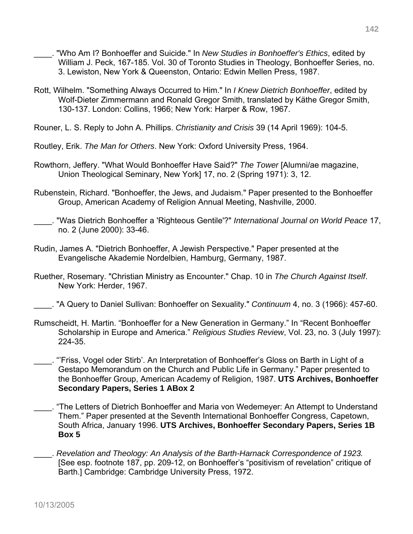- \_\_\_\_. "Who Am I? Bonhoeffer and Suicide." In *New Studies in Bonhoeffer's Ethics*, edited by William J. Peck, 167-185. Vol. 30 of Toronto Studies in Theology, Bonhoeffer Series, no. 3. Lewiston, New York & Queenston, Ontario: Edwin Mellen Press, 1987.
- Rott, Wilhelm. "Something Always Occurred to Him." In *I Knew Dietrich Bonhoeffer*, edited by Wolf-Dieter Zimmermann and Ronald Gregor Smith, translated by Käthe Gregor Smith, 130-137. London: Collins, 1966; New York: Harper & Row, 1967.
- Rouner, L. S. Reply to John A. Phillips. *Christianity and Crisis* 39 (14 April 1969): 104-5.
- Routley, Erik. *The Man for Others*. New York: Oxford University Press, 1964.
- Rowthorn, Jeffery. "What Would Bonhoeffer Have Said?" *The Tower* [Alumni/ae magazine, Union Theological Seminary, New York] 17, no. 2 (Spring 1971): 3, 12.
- Rubenstein, Richard. "Bonhoeffer, the Jews, and Judaism." Paper presented to the Bonhoeffer Group, American Academy of Religion Annual Meeting, Nashville, 2000.
- \_\_\_\_. "Was Dietrich Bonhoeffer a 'Righteous Gentile'?" *International Journal on World Peace* 17, no. 2 (June 2000): 33-46.
- Rudin, James A. "Dietrich Bonhoeffer, A Jewish Perspective." Paper presented at the Evangelische Akademie Nordelbien, Hamburg, Germany, 1987.
- Ruether, Rosemary. "Christian Ministry as Encounter." Chap. 10 in *The Church Against Itself*. New York: Herder, 1967.
- \_\_\_\_. "A Query to Daniel Sullivan: Bonhoeffer on Sexuality." *Continuum* 4, no. 3 (1966): 457-60.
- Rumscheidt, H. Martin. "Bonhoeffer for a New Generation in Germany." In "Recent Bonhoeffer Scholarship in Europe and America." *Religious Studies Review*, Vol. 23, no. 3 (July 1997): 224-35.
- \_\_\_\_. "'Friss, Vogel oder Stirb'. An Interpretation of Bonhoeffer's Gloss on Barth in Light of a Gestapo Memorandum on the Church and Public Life in Germany." Paper presented to the Bonhoeffer Group, American Academy of Religion, 1987. **UTS Archives, Bonhoeffer Secondary Papers, Series 1 ABox 2**
- \_\_\_\_. "The Letters of Dietrich Bonhoeffer and Maria von Wedemeyer: An Attempt to Understand Them." Paper presented at the Seventh International Bonhoeffer Congress, Capetown, South Africa, January 1996. **UTS Archives, Bonhoeffer Secondary Papers, Series 1B Box 5**
- \_\_\_\_. *Revelation and Theology: An Analysis of the Barth-Harnack Correspondence of 1923.* [See esp. footnote 187, pp. 209-12, on Bonhoeffer's "positivism of revelation" critique of Barth.] Cambridge: Cambridge University Press, 1972.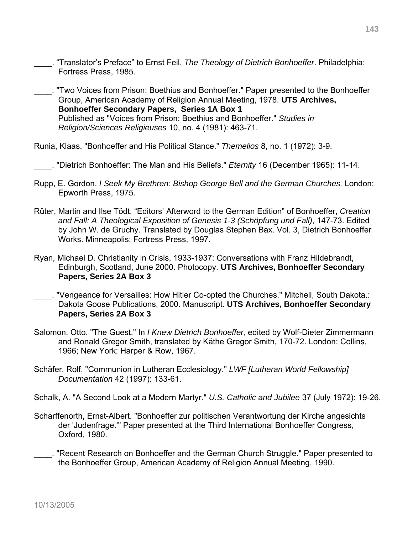- \_\_\_\_. "Translator's Preface" to Ernst Feil, *The Theology of Dietrich Bonhoeffer*. Philadelphia: Fortress Press, 1985.
- \_\_\_\_. "Two Voices from Prison: Boethius and Bonhoeffer." Paper presented to the Bonhoeffer Group, American Academy of Religion Annual Meeting, 1978. **UTS Archives, Bonhoeffer Secondary Papers, Series 1A Box 1**  Published as "Voices from Prison: Boethius and Bonhoeffer." *Studies in Religion/Sciences Religieuses* 10, no. 4 (1981): 463-71.

Runia, Klaas. "Bonhoeffer and His Political Stance." *Themelios* 8, no. 1 (1972): 3-9.

\_\_\_\_. "Dietrich Bonhoeffer: The Man and His Beliefs." *Eternity* 16 (December 1965): 11-14.

- Rupp, E. Gordon. *I Seek My Brethren: Bishop George Bell and the German Churches.* London: Epworth Press, 1975.
- Rüter, Martin and Ilse Tödt. "Editors' Afterword to the German Edition" of Bonhoeffer, *Creation and Fall: A Theological Exposition of Genesis 1-3 (Schöpfung und Fall)*, 147-73. Edited by John W. de Gruchy. Translated by Douglas Stephen Bax. Vol. 3, Dietrich Bonhoeffer Works. Minneapolis: Fortress Press, 1997.
- Ryan, Michael D. Christianity in Crisis, 1933-1937: Conversations with Franz Hildebrandt, Edinburgh, Scotland, June 2000. Photocopy. **UTS Archives, Bonhoeffer Secondary Papers, Series 2A Box 3**
- \_\_\_\_. "Vengeance for Versailles: How Hitler Co-opted the Churches." Mitchell, South Dakota.: Dakota Goose Publications, 2000. Manuscript. **UTS Archives, Bonhoeffer Secondary Papers, Series 2A Box 3**
- Salomon, Otto. "The Guest." In *I Knew Dietrich Bonhoeffer,* edited by Wolf-Dieter Zimmermann and Ronald Gregor Smith, translated by Käthe Gregor Smith, 170-72. London: Collins, 1966; New York: Harper & Row, 1967.
- Schäfer, Rolf. "Communion in Lutheran Ecclesiology." *LWF [Lutheran World Fellowship] Documentation* 42 (1997): 133-61.

Schalk, A. "A Second Look at a Modern Martyr." *U.S. Catholic and Jubilee* 37 (July 1972): 19-26.

- Scharffenorth, Ernst-Albert. "Bonhoeffer zur politischen Verantwortung der Kirche angesichts der 'Judenfrage.'" Paper presented at the Third International Bonhoeffer Congress, Oxford, 1980.
- \_\_\_\_. "Recent Research on Bonhoeffer and the German Church Struggle." Paper presented to the Bonhoeffer Group, American Academy of Religion Annual Meeting, 1990.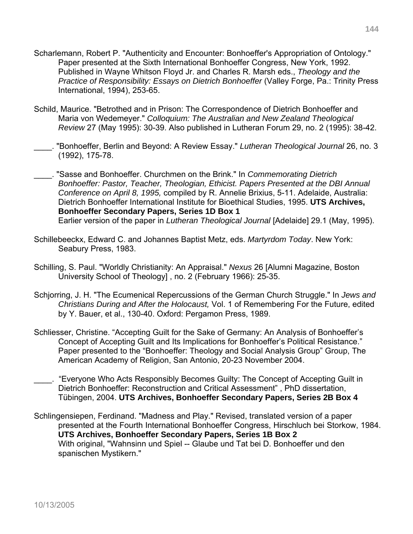- Scharlemann, Robert P. "Authenticity and Encounter: Bonhoeffer's Appropriation of Ontology." Paper presented at the Sixth International Bonhoeffer Congress, New York, 1992. Published in Wayne Whitson Floyd Jr. and Charles R. Marsh eds., *Theology and the Practice of Responsibility: Essays on Dietrich Bonhoeffer* (Valley Forge, Pa.: Trinity Press International, 1994), 253-65.
- Schild, Maurice. "Betrothed and in Prison: The Correspondence of Dietrich Bonhoeffer and Maria von Wedemeyer." *Colloquium: The Australian and New Zealand Theological Review* 27 (May 1995): 30-39. Also published in Lutheran Forum 29, no. 2 (1995): 38-42.
- \_\_\_\_. "Bonhoeffer, Berlin and Beyond: A Review Essay." *Lutheran Theological Journal* 26, no. 3 (1992), 175-78.

\_\_\_\_. "Sasse and Bonhoeffer. Churchmen on the Brink." In *Commemorating Dietrich Bonhoeffer: Pastor, Teacher, Theologian, Ethicist. Papers Presented at the DBI Annual Conference on April 8, 1995,* compiled by R. Annelie Brixius, 5-11. Adelaide, Australia: Dietrich Bonhoeffer International Institute for Bioethical Studies, 1995. **UTS Archives, Bonhoeffer Secondary Papers, Series 1D Box 1** Earlier version of the paper in *Lutheran Theological Journal* [Adelaide] 29.1 (May, 1995).

- Schillebeeckx, Edward C. and Johannes Baptist Metz, eds. *Martyrdom Today*. New York: Seabury Press, 1983.
- Schilling, S. Paul. "Worldly Christianity: An Appraisal." *Nexus* 26 [Alumni Magazine, Boston University School of Theology] , no. 2 (February 1966): 25-35.
- Schjorring, J. H. "The Ecumenical Repercussions of the German Church Struggle." In *Jews and Christians During and After the Holocaust,* Vol. 1 of Remembering For the Future, edited by Y. Bauer, et al., 130-40. Oxford: Pergamon Press, 1989.
- Schliesser, Christine. "Accepting Guilt for the Sake of Germany: An Analysis of Bonhoeffer's Concept of Accepting Guilt and Its Implications for Bonhoeffer's Political Resistance." Paper presented to the "Bonhoeffer: Theology and Social Analysis Group" Group, The American Academy of Religion, San Antonio, 20-23 November 2004.
- \_\_\_\_. "Everyone Who Acts Responsibly Becomes Guilty: The Concept of Accepting Guilt in Dietrich Bonhoeffer: Reconstruction and Critical Assessment" , PhD dissertation, Tübingen, 2004. **UTS Archives, Bonhoeffer Secondary Papers, Series 2B Box 4**
- Schlingensiepen, Ferdinand. "Madness and Play." Revised, translated version of a paper presented at the Fourth International Bonhoeffer Congress, Hirschluch bei Storkow, 1984. **UTS Archives, Bonhoeffer Secondary Papers, Series 1B Box 2**  With original, "Wahnsinn und Spiel -- Glaube und Tat bei D. Bonhoeffer und den spanischen Mystikern."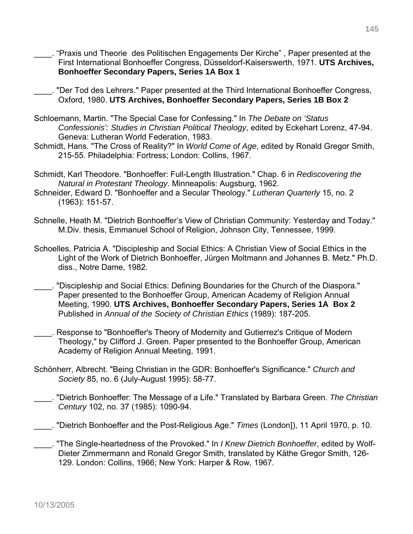- \_\_\_\_. "Praxis und Theorie des Politischen Engagements Der Kirche" , Paper presented at the First International Bonhoeffer Congress, Düsseldorf-Kaiserswerth, 1971. **UTS Archives, Bonhoeffer Secondary Papers, Series 1A Box 1**
- \_\_\_\_. "Der Tod des Lehrers." Paper presented at the Third International Bonhoeffer Congress, Oxford, 1980. **UTS Archives, Bonhoeffer Secondary Papers, Series 1B Box 2**
- Schloemann, Martin. "The Special Case for Confessing." In *The Debate on 'Status Confessionis': Studies in Christian Political Theology*, edited by Eckehart Lorenz, 47-94. Geneva: Lutheran World Federation, 1983.
- Schmidt, Hans. "The Cross of Reality?" In *World Come of Age*, edited by Ronald Gregor Smith, 215-55. Philadelphia: Fortress; London: Collins, 1967.
- Schmidt, Karl Theodore. "Bonhoeffer: Full-Length Illustration." Chap. 6 in *Rediscovering the Natural in Protestant Theology*. Minneapolis: Augsburg, 1962.
- Schneider, Edward D. "Bonhoeffer and a Secular Theology." *Lutheran Quarterly* 15, no. 2 (1963): 151-57.
- Schnelle, Heath M. "Dietrich Bonhoeffer's View of Christian Community: Yesterday and Today." M.Div. thesis, Emmanuel School of Religion, Johnson City, Tennessee, 1999.
- Schoelles, Patricia A. "Discipleship and Social Ethics: A Christian View of Social Ethics in the Light of the Work of Dietrich Bonhoeffer, Jürgen Moltmann and Johannes B. Metz." Ph.D. diss., Notre Dame, 1982.
- \_\_\_\_. "Discipleship and Social Ethics: Defining Boundaries for the Church of the Diaspora." Paper presented to the Bonhoeffer Group, American Academy of Religion Annual Meeting, 1990. **UTS Archives, Bonhoeffer Secondary Papers, Series 1A Box 2**  Published in *Annual of the Society of Christian Ethics* (1989): 187-205.
- \_\_\_\_. Response to "Bonhoeffer's Theory of Modernity and Gutierrez's Critique of Modern Theology," by Clifford J. Green. Paper presented to the Bonhoeffer Group, American Academy of Religion Annual Meeting, 1991.
- Schönherr, Albrecht. "Being Christian in the GDR: Bonhoeffer's Significance." *Church and Society* 85, no. 6 (July-August 1995): 58-77.
- \_\_\_\_. "Dietrich Bonhoeffer: The Message of a Life." Translated by Barbara Green. *The Christian Century* 102, no. 37 (1985): 1090-94.
- \_\_\_\_. "Dietrich Bonhoeffer and the Post-Religious Age." *Times* (London]), 11 April 1970, p. 10.
- \_\_\_\_. "The Single-heartedness of the Provoked." In *I Knew Dietrich Bonhoeffer*, edited by Wolf-Dieter Zimmermann and Ronald Gregor Smith, translated by Käthe Gregor Smith, 126- 129. London: Collins, 1966; New York: Harper & Row, 1967.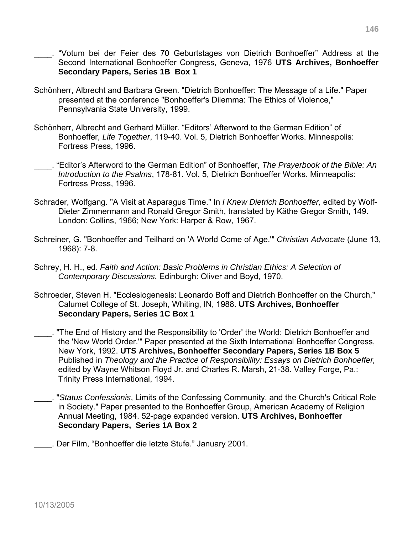- \_\_\_\_. "Votum bei der Feier des 70 Geburtstages von Dietrich Bonhoeffer" Address at the Second International Bonhoeffer Congress, Geneva, 1976 **UTS Archives, Bonhoeffer Secondary Papers, Series 1B Box 1**
- Schönherr, Albrecht and Barbara Green. "Dietrich Bonhoeffer: The Message of a Life." Paper presented at the conference "Bonhoeffer's Dilemma: The Ethics of Violence," Pennsylvania State University, 1999.
- Schönherr, Albrecht and Gerhard Müller. "Editors' Afterword to the German Edition" of Bonhoeffer, *Life Together*, 119-40. Vol. 5, Dietrich Bonhoeffer Works. Minneapolis: Fortress Press, 1996.
- \_\_\_\_. "Editor's Afterword to the German Edition" of Bonhoeffer, *The Prayerbook of the Bible: An Introduction to the Psalms*, 178-81. Vol. 5, Dietrich Bonhoeffer Works. Minneapolis: Fortress Press, 1996.
- Schrader, Wolfgang. "A Visit at Asparagus Time." In *I Knew Dietrich Bonhoeffer,* edited by Wolf-Dieter Zimmermann and Ronald Gregor Smith, translated by Käthe Gregor Smith, 149. London: Collins, 1966; New York: Harper & Row, 1967.
- Schreiner, G. "Bonhoeffer and Teilhard on 'A World Come of Age.'" *Christian Advocate* (June 13, 1968): 7-8.
- Schrey, H. H., ed. *Faith and Action: Basic Problems in Christian Ethics: A Selection of Contemporary Discussions.* Edinburgh: Oliver and Boyd, 1970.
- Schroeder, Steven H. "Ecclesiogenesis: Leonardo Boff and Dietrich Bonhoeffer on the Church," Calumet College of St. Joseph, Whiting, IN, 1988. **UTS Archives, Bonhoeffer Secondary Papers, Series 1C Box 1**
- \_\_\_\_. "The End of History and the Responsibility to 'Order' the World: Dietrich Bonhoeffer and the 'New World Order.'" Paper presented at the Sixth International Bonhoeffer Congress, New York, 1992. **UTS Archives, Bonhoeffer Secondary Papers, Series 1B Box 5**  Published in *Theology and the Practice of Responsibility: Essays on Dietrich Bonhoeffer,* edited by Wayne Whitson Floyd Jr. and Charles R. Marsh, 21-38. Valley Forge, Pa.: Trinity Press International, 1994.
- \_\_\_\_. "*Status Confessionis*, Limits of the Confessing Community, and the Church's Critical Role in Society." Paper presented to the Bonhoeffer Group, American Academy of Religion Annual Meeting, 1984. 52-page expanded version. **UTS Archives, Bonhoeffer Secondary Papers, Series 1A Box 2**
- \_\_\_\_. Der Film, "Bonhoeffer die letzte Stufe." January 2001.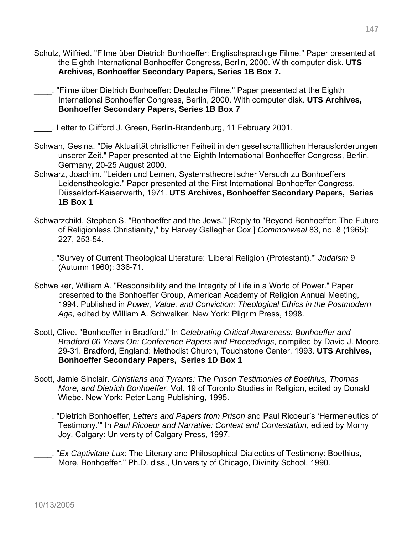- Schulz, Wilfried. "Filme über Dietrich Bonhoeffer: Englischsprachige Filme." Paper presented at the Eighth International Bonhoeffer Congress, Berlin, 2000. With computer disk. **UTS Archives, Bonhoeffer Secondary Papers, Series 1B Box 7.**
- \_\_\_\_. "Filme über Dietrich Bonhoeffer: Deutsche Filme." Paper presented at the Eighth International Bonhoeffer Congress, Berlin, 2000. With computer disk. **UTS Archives, Bonhoeffer Secondary Papers, Series 1B Box 7**
- \_\_\_\_. Letter to Clifford J. Green, Berlin-Brandenburg, 11 February 2001.
- Schwan, Gesina. "Die Aktualität christlicher Feiheit in den gesellschaftlichen Herausforderungen unserer Zeit." Paper presented at the Eighth International Bonhoeffer Congress, Berlin, Germany, 20-25 August 2000.
- Schwarz, Joachim. "Leiden und Lernen, Systemstheoretischer Versuch zu Bonhoeffers Leidenstheologie." Paper presented at the First International Bonhoeffer Congress, Düsseldorf-Kaiserwerth, 1971. **UTS Archives, Bonhoeffer Secondary Papers, Series 1B Box 1**
- Schwarzchild, Stephen S. "Bonhoeffer and the Jews." [Reply to "Beyond Bonhoeffer: The Future of Religionless Christianity," by Harvey Gallagher Cox.] *Commonweal* 83, no. 8 (1965): 227, 253-54.
- \_\_\_\_. "Survey of Current Theological Literature: 'Liberal Religion (Protestant).'" *Judaism* 9 (Autumn 1960): 336-71.
- Schweiker, William A. "Responsibility and the Integrity of Life in a World of Power." Paper presented to the Bonhoeffer Group, American Academy of Religion Annual Meeting, 1994. Published in *Power, Value, and Conviction: Theological Ethics in the Postmodern Age,* edited by William A. Schweiker. New York: Pilgrim Press, 1998.
- Scott, Clive. "Bonhoeffer in Bradford." In C*elebrating Critical Awareness: Bonhoeffer and Bradford 60 Years On: Conference Papers and Proceedings*, compiled by David J. Moore, 29-31. Bradford, England: Methodist Church, Touchstone Center, 1993. **UTS Archives, Bonhoeffer Secondary Papers, Series 1D Box 1**
- Scott, Jamie Sinclair. *Christians and Tyrants: The Prison Testimonies of Boethius, Thomas More, and Dietrich Bonhoeffer.* Vol. 19 of Toronto Studies in Religion, edited by Donald Wiebe. New York: Peter Lang Publishing, 1995.
- \_\_\_\_. "Dietrich Bonhoeffer, *Letters and Papers from Prison* and Paul Ricoeur's 'Hermeneutics of Testimony.'" In *Paul Ricoeur and Narrative: Context and Contestation*, edited by Morny Joy. Calgary: University of Calgary Press, 1997.
- \_\_\_\_. "*Ex Captivitate Lux*: The Literary and Philosophical Dialectics of Testimony: Boethius, More, Bonhoeffer." Ph.D. diss., University of Chicago, Divinity School, 1990.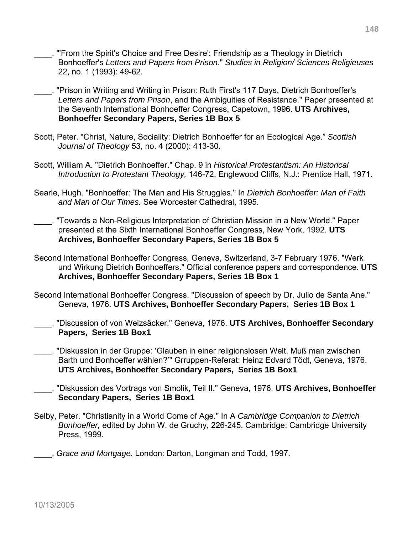- \_\_\_\_. "'From the Spirit's Choice and Free Desire': Friendship as a Theology in Dietrich Bonhoeffer's *Letters and Papers from Prison*." *Studies in Religion/ Sciences Religieuses*  22, no. 1 (1993): 49-62.
- \_\_\_\_. "Prison in Writing and Writing in Prison: Ruth First's 117 Days, Dietrich Bonhoeffer's *Letters and Papers from Prison*, and the Ambiguities of Resistance." Paper presented at the Seventh International Bonhoeffer Congress, Capetown, 1996. **UTS Archives, Bonhoeffer Secondary Papers, Series 1B Box 5**
- Scott, Peter. "Christ, Nature, Sociality: Dietrich Bonhoeffer for an Ecological Age." *Scottish Journal of Theology* 53, no. 4 (2000): 413-30.
- Scott, William A. "Dietrich Bonhoeffer." Chap. 9 in *Historical Protestantism: An Historical Introduction to Protestant Theology,* 146-72. Englewood Cliffs, N.J.: Prentice Hall, 1971.
- Searle, Hugh. "Bonhoeffer: The Man and His Struggles." In *Dietrich Bonhoeffer: Man of Faith and Man of Our Times.* See Worcester Cathedral, 1995.
- \_\_\_\_. "Towards a Non-Religious Interpretation of Christian Mission in a New World." Paper presented at the Sixth International Bonhoeffer Congress, New York, 1992. **UTS Archives, Bonhoeffer Secondary Papers, Series 1B Box 5**
- Second International Bonhoeffer Congress, Geneva, Switzerland, 3-7 February 1976. "Werk und Wirkung Dietrich Bonhoeffers." Official conference papers and correspondence. **UTS Archives, Bonhoeffer Secondary Papers, Series 1B Box 1**
- Second International Bonhoeffer Congress. "Discussion of speech by Dr. Julio de Santa Ane." Geneva, 1976. **UTS Archives, Bonhoeffer Secondary Papers, Series 1B Box 1**
- \_\_\_\_. "Discussion of von Weizsäcker." Geneva, 1976. **UTS Archives, Bonhoeffer Secondary Papers, Series 1B Box1**
- \_\_\_\_. "Diskussion in der Gruppe: 'Glauben in einer religionslosen Welt. Muß man zwischen Barth und Bonhoeffer wählen?'" Grruppen-Referat: Heinz Edvard Tödt, Geneva, 1976. **UTS Archives, Bonhoeffer Secondary Papers, Series 1B Box1**
- \_\_\_\_. "Diskussion des Vortrags von Smolik, Teil II." Geneva, 1976. **UTS Archives, Bonhoeffer Secondary Papers, Series 1B Box1**
- Selby, Peter. "Christianity in a World Come of Age." In A *Cambridge Companion to Dietrich Bonhoeffer,* edited by John W. de Gruchy, 226-245. Cambridge: Cambridge University Press, 1999.
- \_\_\_\_. *Grace and Mortgage*. London: Darton, Longman and Todd, 1997.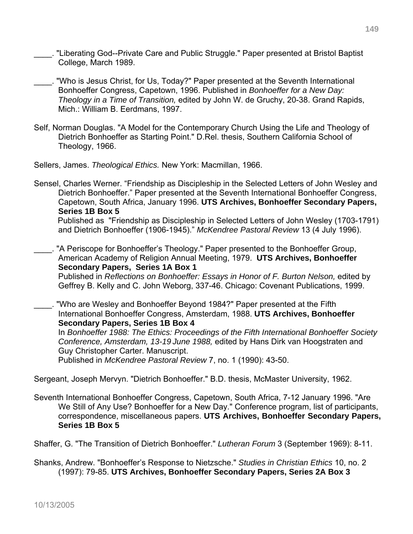- \_\_\_\_. "Liberating God--Private Care and Public Struggle." Paper presented at Bristol Baptist College, March 1989.
- "Who is Jesus Christ, for Us, Today?" Paper presented at the Seventh International Bonhoeffer Congress, Capetown, 1996. Published in *Bonhoeffer for a New Day: Theology in a Time of Transition,* edited by John W. de Gruchy, 20-38. Grand Rapids, Mich.: William B. Eerdmans, 1997.
- Self, Norman Douglas. "A Model for the Contemporary Church Using the Life and Theology of Dietrich Bonhoeffer as Starting Point." D.Rel. thesis, Southern California School of Theology, 1966.

Sellers, James. *Theological Ethics.* New York: Macmillan, 1966.

Sensel, Charles Werner. "Friendship as Discipleship in the Selected Letters of John Wesley and Dietrich Bonhoeffer." Paper presented at the Seventh International Bonhoeffer Congress, Capetown, South Africa, January 1996. **UTS Archives, Bonhoeffer Secondary Papers, Series 1B Box 5** 

 Published as "Friendship as Discipleship in Selected Letters of John Wesley (1703-1791) and Dietrich Bonhoeffer (1906-1945)." *McKendree Pastoral Review* 13 (4 July 1996).

. "A Periscope for Bonhoeffer's Theology." Paper presented to the Bonhoeffer Group, American Academy of Religion Annual Meeting, 1979. **UTS Archives, Bonhoeffer Secondary Papers, Series 1A Box 1**  Published in *Reflections on Bonhoeffer: Essays in Honor of F. Burton Nelson,* edited by Geffrey B. Kelly and C. John Weborg, 337-46. Chicago: Covenant Publications, 1999.

\_\_\_\_. "Who are Wesley and Bonhoeffer Beyond 1984?" Paper presented at the Fifth International Bonhoeffer Congress, Amsterdam, 1988. **UTS Archives, Bonhoeffer Secondary Papers, Series 1B Box 4** 

In *Bonhoeffer 1988: The Ethics: Proceedings of the Fifth International Bonhoeffer Society Conference, Amsterdam, 13-19 June 1988,* edited by Hans Dirk van Hoogstraten and Guy Christopher Carter. Manuscript.

Published in *McKendree Pastoral Review* 7, no. 1 (1990): 43-50.

Sergeant, Joseph Mervyn. "Dietrich Bonhoeffer." B.D. thesis, McMaster University, 1962.

Seventh International Bonhoeffer Congress, Capetown, South Africa, 7-12 January 1996. "Are We Still of Any Use? Bonhoeffer for a New Day." Conference program, list of participants, correspondence, miscellaneous papers. **UTS Archives, Bonhoeffer Secondary Papers, Series 1B Box 5** 

Shaffer, G. "The Transition of Dietrich Bonhoeffer." *Lutheran Forum* 3 (September 1969): 8-11.

Shanks, Andrew. "Bonhoeffer's Response to Nietzsche." *Studies in Christian Ethics* 10, no. 2 (1997): 79-85. **UTS Archives, Bonhoeffer Secondary Papers, Series 2A Box 3**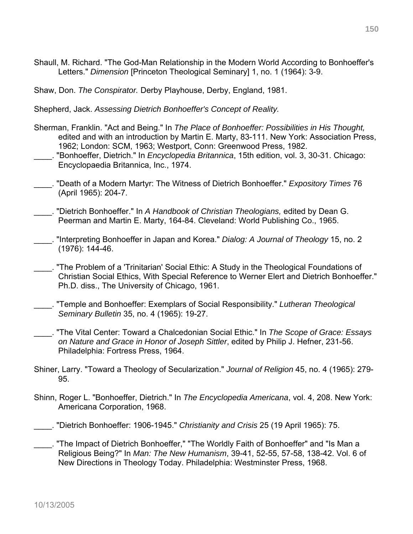- Shaull, M. Richard. "The God-Man Relationship in the Modern World According to Bonhoeffer's Letters." *Dimension* [Princeton Theological Seminary] 1, no. 1 (1964): 3-9.
- Shaw, Don. *The Conspirator.* Derby Playhouse, Derby, England, 1981.

Shepherd, Jack. *Assessing Dietrich Bonhoeffer's Concept of Reality.*

- Sherman, Franklin. "Act and Being." In *The Place of Bonhoeffer: Possibilities in His Thought,*  edited and with an introduction by Martin E. Marty, 83-111. New York: Association Press, 1962; London: SCM, 1963; Westport, Conn: Greenwood Press, 1982.
- \_\_\_\_. "Bonhoeffer, Dietrich." In *Encyclopedia Britannica*, 15th edition, vol. 3, 30-31. Chicago: Encyclopaedia Britannica, Inc., 1974.
- \_\_\_\_. "Death of a Modern Martyr: The Witness of Dietrich Bonhoeffer." *Expository Times* 76 (April 1965): 204-7.
- \_\_\_\_. "Dietrich Bonhoeffer." In *A Handbook of Christian Theologians,* edited by Dean G. Peerman and Martin E. Marty, 164-84. Cleveland: World Publishing Co., 1965.
- \_\_\_\_. "Interpreting Bonhoeffer in Japan and Korea." *Dialog: A Journal of Theology* 15, no. 2 (1976): 144-46.
- \_\_\_\_. "The Problem of a 'Trinitarian' Social Ethic: A Study in the Theological Foundations of Christian Social Ethics, With Special Reference to Werner Elert and Dietrich Bonhoeffer." Ph.D. diss., The University of Chicago, 1961.
- \_\_\_\_. "Temple and Bonhoeffer: Exemplars of Social Responsibility." *Lutheran Theological Seminary Bulletin* 35, no. 4 (1965): 19-27.
- \_\_\_\_. "The Vital Center: Toward a Chalcedonian Social Ethic." In *The Scope of Grace: Essays on Nature and Grace in Honor of Joseph Sittler*, edited by Philip J. Hefner, 231-56. Philadelphia: Fortress Press, 1964.
- Shiner, Larry. "Toward a Theology of Secularization." *Journal of Religion* 45, no. 4 (1965): 279- 95.
- Shinn, Roger L. "Bonhoeffer, Dietrich." In *The Encyclopedia Americana*, vol. 4, 208. New York: Americana Corporation, 1968.
- \_\_\_\_. "Dietrich Bonhoeffer: 1906-1945." *Christianity and Crisis* 25 (19 April 1965): 75.
- \_\_\_\_. "The Impact of Dietrich Bonhoeffer," "The Worldly Faith of Bonhoeffer" and "Is Man a Religious Being?" In *Man: The New Humanism*, 39-41, 52-55, 57-58, 138-42. Vol. 6 of New Directions in Theology Today. Philadelphia: Westminster Press, 1968.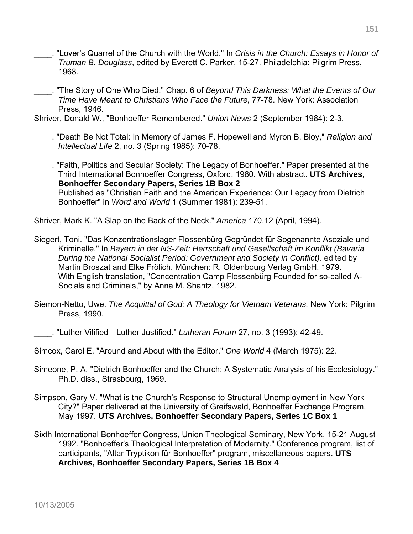- \_\_\_\_. "Lover's Quarrel of the Church with the World." In *Crisis in the Church: Essays in Honor of Truman B. Douglass*, edited by Everett C. Parker, 15-27. Philadelphia: Pilgrim Press, 1968.
- \_\_\_\_. "The Story of One Who Died." Chap. 6 of *Beyond This Darkness: What the Events of Our Time Have Meant to Christians Who Face the Future,* 77-78. New York: Association Press, 1946.

Shriver, Donald W., "Bonhoeffer Remembered." *Union News* 2 (September 1984): 2-3.

\_\_\_\_. "Death Be Not Total: In Memory of James F. Hopewell and Myron B. Bloy," *Religion and Intellectual Life* 2, no. 3 (Spring 1985): 70-78.

\_\_\_\_. "Faith, Politics and Secular Society: The Legacy of Bonhoeffer." Paper presented at the Third International Bonhoeffer Congress, Oxford, 1980. With abstract. **UTS Archives, Bonhoeffer Secondary Papers, Series 1B Box 2**  Published as "Christian Faith and the American Experience: Our Legacy from Dietrich Bonhoeffer" in *Word and World* 1 (Summer 1981): 239-51.

Shriver, Mark K. "A Slap on the Back of the Neck." *America* 170.12 (April, 1994).

- Siegert, Toni. "Das Konzentrationslager Flossenbürg Gegründet für Sogenannte Asoziale und Kriminelle." In *Bayern in der NS-Zeit: Herrschaft und Gesellschaft im Konflikt (Bavaria During the National Socialist Period: Government and Society in Conflict),* edited by Martin Broszat and Elke Frölich. München: R. Oldenbourg Verlag GmbH, 1979. With English translation, "Concentration Camp Flossenbürg Founded for so-called A-Socials and Criminals," by Anna M. Shantz, 1982.
- Siemon-Netto, Uwe. *The Acquittal of God: A Theology for Vietnam Veterans.* New York: Pilgrim Press, 1990.

\_\_\_\_. "Luther Vilified—Luther Justified." *Lutheran Forum* 27, no. 3 (1993): 42-49.

Simcox, Carol E. "Around and About with the Editor." *One World* 4 (March 1975): 22.

- Simeone, P. A. "Dietrich Bonhoeffer and the Church: A Systematic Analysis of his Ecclesiology." Ph.D. diss., Strasbourg, 1969.
- Simpson, Gary V. "What is the Church's Response to Structural Unemployment in New York City?" Paper delivered at the University of Greifswald, Bonhoeffer Exchange Program, May 1997. **UTS Archives, Bonhoeffer Secondary Papers, Series 1C Box 1**
- Sixth International Bonhoeffer Congress, Union Theological Seminary, New York, 15-21 August 1992. "Bonhoeffer's Theological Interpretation of Modernity." Conference program, list of participants, "Altar Tryptikon für Bonhoeffer" program, miscellaneous papers. **UTS Archives, Bonhoeffer Secondary Papers, Series 1B Box 4**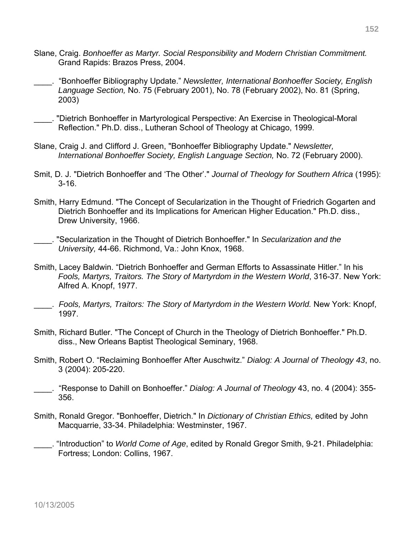- Slane, Craig. *Bonhoeffer as Martyr. Social Responsibility and Modern Christian Commitment.*  Grand Rapids: Brazos Press, 2004.
- \_\_\_\_. "Bonhoeffer Bibliography Update." *Newsletter, International Bonhoeffer Society, English Language Section,* No. 75 (February 2001), No. 78 (February 2002), No. 81 (Spring, 2003)
- \_\_\_\_. "Dietrich Bonhoeffer in Martyrological Perspective: An Exercise in Theological-Moral Reflection." Ph.D. diss., Lutheran School of Theology at Chicago, 1999.
- Slane, Craig J. and Clifford J. Green, "Bonhoeffer Bibliography Update." *Newsletter, International Bonhoeffer Society, English Language Section,* No. 72 (February 2000).
- Smit, D. J. "Dietrich Bonhoeffer and 'The Other'." *Journal of Theology for Southern Africa* (1995): 3-16.
- Smith, Harry Edmund. "The Concept of Secularization in the Thought of Friedrich Gogarten and Dietrich Bonhoeffer and its Implications for American Higher Education." Ph.D. diss., Drew University, 1966.
- \_\_\_\_. "Secularization in the Thought of Dietrich Bonhoeffer." In *Secularization and the University,* 44-66. Richmond, Va.: John Knox, 1968.
- Smith, Lacey Baldwin. "Dietrich Bonhoeffer and German Efforts to Assassinate Hitler." In his *Fools, Martyrs, Traitors. The Story of Martyrdom in the Western World*, 316-37. New York: Alfred A. Knopf, 1977.
- \_\_\_\_. *Fools, Martyrs, Traitors: The Story of Martyrdom in the Western World.* New York: Knopf, 1997.
- Smith, Richard Butler. "The Concept of Church in the Theology of Dietrich Bonhoeffer." Ph.D. diss., New Orleans Baptist Theological Seminary, 1968.
- Smith, Robert O. "Reclaiming Bonhoeffer After Auschwitz." *Dialog: A Journal of Theology 43*, no. 3 (2004): 205-220.
- \_\_\_\_. "Response to Dahill on Bonhoeffer." *Dialog: A Journal of Theology* 43, no. 4 (2004): 355- 356.
- Smith, Ronald Gregor. "Bonhoeffer, Dietrich." In *Dictionary of Christian Ethics,* edited by John Macquarrie, 33-34. Philadelphia: Westminster, 1967.
- \_\_\_\_. "Introduction" to *World Come of Age*, edited by Ronald Gregor Smith, 9-21. Philadelphia: Fortress; London: Collins, 1967.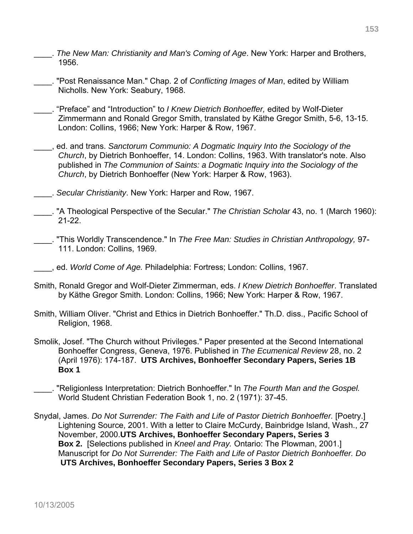- \_\_\_\_. *The New Man: Christianity and Man's Coming of Age*. New York: Harper and Brothers, 1956.
- \_\_\_\_. "Post Renaissance Man." Chap. 2 of *Conflicting Images of Man*, edited by William Nicholls. New York: Seabury, 1968.
- \_\_\_\_. "Preface" and "Introduction" to *I Knew Dietrich Bonhoeffer,* edited by Wolf-Dieter Zimmermann and Ronald Gregor Smith, translated by Käthe Gregor Smith, 5-6, 13-15. London: Collins, 1966; New York: Harper & Row, 1967.
- \_\_\_\_, ed. and trans. *Sanctorum Communio: A Dogmatic Inquiry Into the Sociology of the Church*, by Dietrich Bonhoeffer, 14. London: Collins, 1963. With translator's note. Also published in *The Communion of Saints: a Dogmatic Inquiry into the Sociology of the Church*, by Dietrich Bonhoeffer (New York: Harper & Row, 1963).
- \_\_\_\_. *Secular Christianity*. New York: Harper and Row, 1967.
- \_\_\_\_. "A Theological Perspective of the Secular." *The Christian Scholar* 43, no. 1 (March 1960): 21-22.
- \_\_\_\_. "This Worldly Transcendence." In *The Free Man: Studies in Christian Anthropology,* 97- 111. London: Collins, 1969.
- \_\_\_\_, ed. *World Come of Age.* Philadelphia: Fortress; London: Collins, 1967.
- Smith, Ronald Gregor and Wolf-Dieter Zimmerman, eds. *I Knew Dietrich Bonhoeffer*. Translated by Käthe Gregor Smith. London: Collins, 1966; New York: Harper & Row, 1967.
- Smith, William Oliver. "Christ and Ethics in Dietrich Bonhoeffer." Th.D. diss., Pacific School of Religion, 1968.
- Smolik, Josef. "The Church without Privileges." Paper presented at the Second International Bonhoeffer Congress, Geneva, 1976. Published in *The Ecumenical Review* 28, no. 2 (April 1976): 174-187. **UTS Archives, Bonhoeffer Secondary Papers, Series 1B Box 1**
- \_\_\_\_. "Religionless Interpretation: Dietrich Bonhoeffer." In *The Fourth Man and the Gospel.*  World Student Christian Federation Book 1, no. 2 (1971): 37-45.
- Snydal, James. *Do Not Surrender: The Faith and Life of Pastor Dietrich Bonhoeffer.* [Poetry.] Lightening Source, 2001. With a letter to Claire McCurdy, Bainbridge Island, Wash., 27 November, 2000.**UTS Archives, Bonhoeffer Secondary Papers, Series 3 Box 2.** [Selections published in *Kneel and Pray.* Ontario: The Plowman, 2001.] Manuscript for *Do Not Surrender: The Faith and Life of Pastor Dietrich Bonhoeffer. Do*  **UTS Archives, Bonhoeffer Secondary Papers, Series 3 Box 2**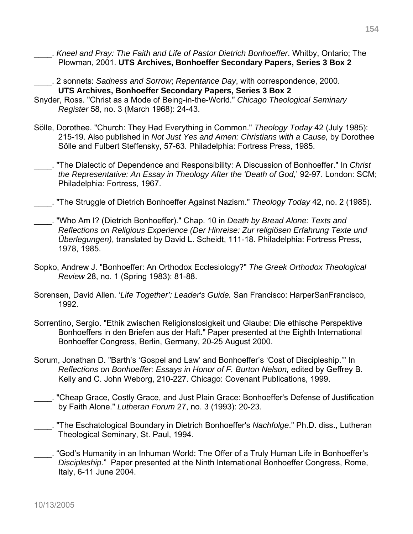- \_\_\_\_. *Kneel and Pray: The Faith and Life of Pastor Dietrich Bonhoeffer*. Whitby, Ontario; The Plowman, 2001. **UTS Archives, Bonhoeffer Secondary Papers, Series 3 Box 2**
- \_\_\_\_. 2 sonnets: *Sadness and Sorrow*; *Repentance Day*, with correspondence, 2000. **UTS Archives, Bonhoeffer Secondary Papers, Series 3 Box 2**
- Snyder, Ross. "Christ as a Mode of Being-in-the-World." *Chicago Theological Seminary Register* 58, no. 3 (March 1968): 24-43.
- Sölle, Dorothee. "Church: They Had Everything in Common." *Theology Today* 42 (July 1985): 215-19. Also published in *Not Just Yes and Amen: Christians with a Cause,* by Dorothee Sölle and Fulbert Steffensky, 57-63. Philadelphia: Fortress Press, 1985.
- \_\_\_\_. "The Dialectic of Dependence and Responsibility: A Discussion of Bonhoeffer." In *Christ the Representative: An Essay in Theology After the 'Death of God,*' 92-97. London: SCM; Philadelphia: Fortress, 1967.
- \_\_\_\_. "The Struggle of Dietrich Bonhoeffer Against Nazism." *Theology Today* 42, no. 2 (1985).
- \_\_\_\_. "Who Am I? (Dietrich Bonhoeffer)." Chap. 10 in *Death by Bread Alone: Texts and Reflections on Religious Experience (Der Hinreise: Zur religiösen Erfahrung Texte und Überlegungen)*, translated by David L. Scheidt, 111-18. Philadelphia: Fortress Press, 1978, 1985.
- Sopko, Andrew J. "Bonhoeffer: An Orthodox Ecclesiology?" *The Greek Orthodox Theological Review* 28, no. 1 (Spring 1983): 81-88.
- Sorensen, David Allen. '*Life Together': Leader's Guide.* San Francisco: HarperSanFrancisco, 1992.
- Sorrentino, Sergio. "Ethik zwischen Religionslosigkeit und Glaube: Die ethische Perspektive Bonhoeffers in den Briefen aus der Haft." Paper presented at the Eighth International Bonhoeffer Congress, Berlin, Germany, 20-25 August 2000.
- Sorum, Jonathan D. "Barth's 'Gospel and Law' and Bonhoeffer's 'Cost of Discipleship.'" In *Reflections on Bonhoeffer: Essays in Honor of F. Burton Nelson,* edited by Geffrey B. Kelly and C. John Weborg, 210-227. Chicago: Covenant Publications, 1999.
- \_\_\_\_. "Cheap Grace, Costly Grace, and Just Plain Grace: Bonhoeffer's Defense of Justification by Faith Alone." *Lutheran Forum* 27, no. 3 (1993): 20-23.
- \_\_\_\_. "The Eschatological Boundary in Dietrich Bonhoeffer's *Nachfolge*." Ph.D. diss., Lutheran Theological Seminary, St. Paul, 1994.
- \_\_\_\_. "God's Humanity in an Inhuman World: The Offer of a Truly Human Life in Bonhoeffer's *Discipleship*." Paper presented at the Ninth International Bonhoeffer Congress, Rome, Italy, 6-11 June 2004.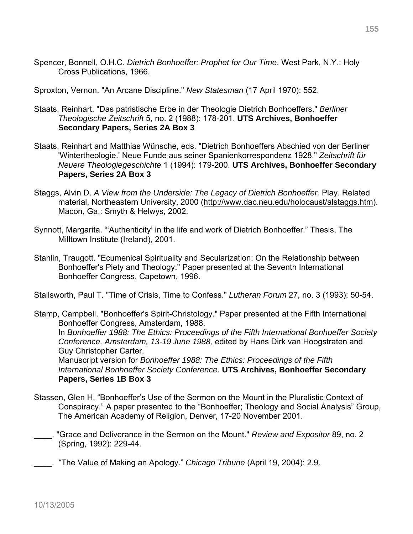Spencer, Bonnell, O.H.C. *Dietrich Bonhoeffer: Prophet for Our Time*. West Park, N.Y.: Holy Cross Publications, 1966.

Sproxton, Vernon. "An Arcane Discipline." *New Statesman* (17 April 1970): 552.

- Staats, Reinhart. "Das patristische Erbe in der Theologie Dietrich Bonhoeffers." *Berliner Theologische Zeitschrift* 5, no. 2 (1988): 178-201. **UTS Archives, Bonhoeffer Secondary Papers, Series 2A Box 3**
- Staats, Reinhart and Matthias Wünsche, eds. "Dietrich Bonhoeffers Abschied von der Berliner 'Wintertheologie.' Neue Funde aus seiner Spanienkorrespondenz 1928." *Zeitschrift für Neuere Theologiegeschichte* 1 (1994): 179-200. **UTS Archives, Bonhoeffer Secondary Papers, Series 2A Box 3**
- Staggs, Alvin D. *A View from the Underside: The Legacy of Dietrich Bonhoeffer.* Play. Related material, Northeastern University, 2000 (http://www.dac.neu.edu/holocaust/alstaggs.htm). Macon, Ga.: Smyth & Helwys, 2002.
- Synnott, Margarita. "'Authenticity' in the life and work of Dietrich Bonhoeffer." Thesis, The Milltown Institute (Ireland), 2001.
- Stahlin, Traugott. "Ecumenical Spirituality and Secularization: On the Relationship between Bonhoeffer's Piety and Theology." Paper presented at the Seventh International Bonhoeffer Congress, Capetown, 1996.

Stallsworth, Paul T. "Time of Crisis, Time to Confess." *Lutheran Forum* 27, no. 3 (1993): 50-54.

Stamp, Campbell. "Bonhoeffer's Spirit-Christology." Paper presented at the Fifth International Bonhoeffer Congress, Amsterdam, 1988. In *Bonhoeffer 1988: The Ethics: Proceedings of the Fifth International Bonhoeffer Society Conference, Amsterdam, 13-19 June 1988,* edited by Hans Dirk van Hoogstraten and Guy Christopher Carter. Manuscript version for *Bonhoeffer 1988: The Ethics: Proceedings of the Fifth* 

*International Bonhoeffer Society Conference.* **UTS Archives, Bonhoeffer Secondary Papers, Series 1B Box 3** 

- Stassen, Glen H. "Bonhoeffer's Use of the Sermon on the Mount in the Pluralistic Context of Conspiracy." A paper presented to the "Bonhoeffer; Theology and Social Analysis" Group, The American Academy of Religion, Denver, 17-20 November 2001.
- \_\_\_\_. "Grace and Deliverance in the Sermon on the Mount." *Review and Expositor* 89, no. 2 (Spring, 1992): 229-44.

\_\_\_\_. "The Value of Making an Apology." *Chicago Tribune* (April 19, 2004): 2.9.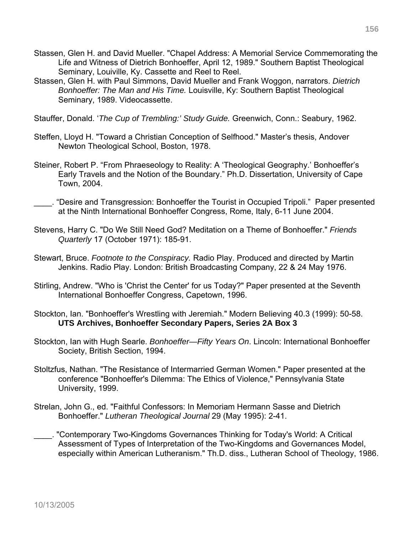- Stassen, Glen H. and David Mueller. "Chapel Address: A Memorial Service Commemorating the Life and Witness of Dietrich Bonhoeffer, April 12, 1989." Southern Baptist Theological Seminary, Louiville, Ky. Cassette and Reel to Reel.
- Stassen, Glen H. with Paul Simmons, David Mueller and Frank Woggon, narrators. *Dietrich Bonhoeffer: The Man and His Time.* Louisville, Ky: Southern Baptist Theological Seminary, 1989. Videocassette.
- Stauffer, Donald. '*The Cup of Trembling:' Study Guide.* Greenwich, Conn.: Seabury, 1962.
- Steffen, Lloyd H. "Toward a Christian Conception of Selfhood." Master's thesis, Andover Newton Theological School, Boston, 1978.
- Steiner, Robert P. "From Phraeseology to Reality: A 'Theological Geography.' Bonhoeffer's Early Travels and the Notion of the Boundary." Ph.D. Dissertation, University of Cape Town, 2004.
- \_\_\_\_. "Desire and Transgression: Bonhoeffer the Tourist in Occupied Tripoli." Paper presented at the Ninth International Bonhoeffer Congress, Rome, Italy, 6-11 June 2004.
- Stevens, Harry C. "Do We Still Need God? Meditation on a Theme of Bonhoeffer." *Friends Quarterly* 17 (October 1971): 185-91.
- Stewart, Bruce. *Footnote to the Conspiracy.* Radio Play. Produced and directed by Martin Jenkins. Radio Play. London: British Broadcasting Company, 22 & 24 May 1976.
- Stirling, Andrew. "Who is 'Christ the Center' for us Today?" Paper presented at the Seventh International Bonhoeffer Congress, Capetown, 1996.
- Stockton, Ian. "Bonhoeffer's Wrestling with Jeremiah." Modern Believing 40.3 (1999): 50-58. **UTS Archives, Bonhoeffer Secondary Papers, Series 2A Box 3**
- Stockton, Ian with Hugh Searle. *Bonhoeffer—Fifty Years On*. Lincoln: International Bonhoeffer Society, British Section, 1994.
- Stoltzfus, Nathan. "The Resistance of Intermarried German Women." Paper presented at the conference "Bonhoeffer's Dilemma: The Ethics of Violence," Pennsylvania State University, 1999.
- Strelan, John G., ed. "Faithful Confessors: In Memoriam Hermann Sasse and Dietrich Bonhoeffer." *Lutheran Theological Journal* 29 (May 1995): 2-41.
- \_\_\_\_. "Contemporary Two-Kingdoms Governances Thinking for Today's World: A Critical Assessment of Types of Interpretation of the Two-Kingdoms and Governances Model, especially within American Lutheranism." Th.D. diss., Lutheran School of Theology, 1986.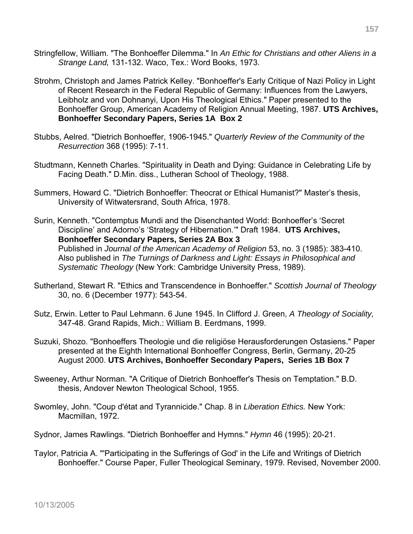- Stringfellow, William. "The Bonhoeffer Dilemma." In *An Ethic for Christians and other Aliens in a Strange Land,* 131-132. Waco, Tex.: Word Books, 1973.
- Strohm, Christoph and James Patrick Kelley. "Bonhoeffer's Early Critique of Nazi Policy in Light of Recent Research in the Federal Republic of Germany: Influences from the Lawyers, Leibholz and von Dohnanyi, Upon His Theological Ethics." Paper presented to the Bonhoeffer Group, American Academy of Religion Annual Meeting, 1987. **UTS Archives, Bonhoeffer Secondary Papers, Series 1A Box 2**
- Stubbs, Aelred. "Dietrich Bonhoeffer, 1906-1945." *Quarterly Review of the Community of the Resurrection* 368 (1995): 7-11.
- Studtmann, Kenneth Charles. "Spirituality in Death and Dying: Guidance in Celebrating Life by Facing Death." D.Min. diss., Lutheran School of Theology, 1988.
- Summers, Howard C. "Dietrich Bonhoeffer: Theocrat or Ethical Humanist?" Master's thesis, University of Witwatersrand, South Africa, 1978.
- Surin, Kenneth. "Contemptus Mundi and the Disenchanted World: Bonhoeffer's 'Secret Discipline' and Adorno's 'Strategy of Hibernation.'" Draft 1984. **UTS Archives, Bonhoeffer Secondary Papers, Series 2A Box 3** Published in *Journal of the American Academy of Religion* 53, no. 3 (1985): 383-410. Also published in *The Turnings of Darkness and Light: Essays in Philosophical and Systematic Theology* (New York: Cambridge University Press, 1989).
- Sutherland, Stewart R. "Ethics and Transcendence in Bonhoeffer." *Scottish Journal of Theology*  30, no. 6 (December 1977): 543-54.
- Sutz, Erwin. Letter to Paul Lehmann. 6 June 1945. In Clifford J. Green, *A Theology of Sociality,* 347-48. Grand Rapids, Mich.: William B. Eerdmans, 1999.
- Suzuki, Shozo. "Bonhoeffers Theologie und die religiöse Herausforderungen Ostasiens." Paper presented at the Eighth International Bonhoeffer Congress, Berlin, Germany, 20-25 August 2000. **UTS Archives, Bonhoeffer Secondary Papers, Series 1B Box 7**
- Sweeney, Arthur Norman. "A Critique of Dietrich Bonhoeffer's Thesis on Temptation." B.D. thesis, Andover Newton Theological School, 1955.
- Swomley, John. "Coup d'état and Tyrannicide." Chap. 8 in *Liberation Ethics.* New York: Macmillan, 1972.
- Sydnor, James Rawlings. "Dietrich Bonhoeffer and Hymns." *Hymn* 46 (1995): 20-21.
- Taylor, Patricia A. "'Participating in the Sufferings of God' in the Life and Writings of Dietrich Bonhoeffer." Course Paper, Fuller Theological Seminary, 1979. Revised, November 2000.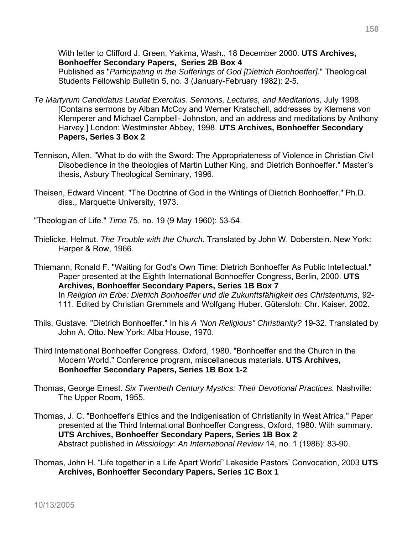With letter to Clifford J. Green, Yakima, Wash., 18 December 2000. **UTS Archives, Bonhoeffer Secondary Papers, Series 2B Box 4**

 Published as "*Participating in the Sufferings of God [Dietrich Bonhoeffer].*" Theological Students Fellowship Bulletin 5, no. 3 (January-February 1982): 2-5.

- *Te Martyrum Candidatus Laudat Exercitus. Sermons, Lectures, and Meditations,* July 1998. [Contains sermons by Alban McCoy and Werner Kratschell, addresses by Klemens von Klemperer and Michael Campbell- Johnston, and an address and meditations by Anthony Harvey.] London: Westminster Abbey, 1998. **UTS Archives, Bonhoeffer Secondary Papers, Series 3 Box 2**
- Tennison, Allen. "What to do with the Sword: The Appropriateness of Violence in Christian Civil Disobedience in the theologies of Martin Luther King, and Dietrich Bonhoeffer." Master's thesis, Asbury Theological Seminary, 1996.
- Theisen, Edward Vincent. "The Doctrine of God in the Writings of Dietrich Bonhoeffer." Ph.D. diss., Marquette University, 1973.
- "Theologian of Life." *Time* 75, no. 19 (9 May 1960): 53-54.
- Thielicke, Helmut. *The Trouble with the Church*. Translated by John W. Doberstein. New York: Harper & Row, 1966.
- Thiemann, Ronald F. "Waiting for God's Own Time: Dietrich Bonhoeffer As Public Intellectual." Paper presented at the Eighth International Bonhoeffer Congress, Berlin, 2000. **UTS Archives, Bonhoeffer Secondary Papers, Series 1B Box 7**  In *Religion im Erbe: Dietrich Bonhoeffer und die Zukunftsfähigkeit des Christentums,* 92- 111. Edited by Christian Gremmels and Wolfgang Huber. Gütersloh: Chr. Kaiser, 2002.
- Thils, Gustave. "Dietrich Bonhoeffer." In his *A "Non Religious" Christianity?* 19-32. Translated by John A. Otto. New York: Alba House, 1970.
- Third International Bonhoeffer Congress, Oxford, 1980. "Bonhoeffer and the Church in the Modern World." Conference program, miscellaneous materials. **UTS Archives, Bonhoeffer Secondary Papers, Series 1B Box 1-2**
- Thomas, George Ernest. *Six Twentieth Century Mystics: Their Devotional Practices.* Nashville: The Upper Room, 1955.
- Thomas, J. C. "Bonhoeffer's Ethics and the Indigenisation of Christianity in West Africa." Paper presented at the Third International Bonhoeffer Congress, Oxford, 1980. With summary. **UTS Archives, Bonhoeffer Secondary Papers, Series 1B Box 2**  Abstract published in *Missiology: An International Review* 14, no. 1 (1986): 83-90.
- Thomas, John H. "Life together in a Life Apart World" Lakeside Pastors' Convocation, 2003 **UTS Archives, Bonhoeffer Secondary Papers, Series 1C Box 1**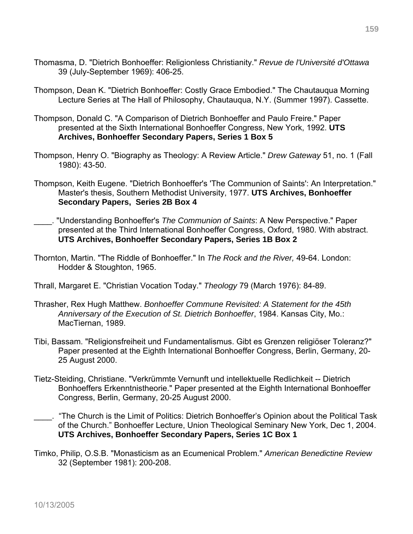- Thomasma, D. "Dietrich Bonhoeffer: Religionless Christianity." *Revue de l'Université d'Ottawa* 39 (July-September 1969): 406-25.
- Thompson, Dean K. "Dietrich Bonhoeffer: Costly Grace Embodied." The Chautauqua Morning Lecture Series at The Hall of Philosophy, Chautauqua, N.Y. (Summer 1997). Cassette.
- Thompson, Donald C. "A Comparison of Dietrich Bonhoeffer and Paulo Freire." Paper presented at the Sixth International Bonhoeffer Congress, New York, 1992. **UTS Archives, Bonhoeffer Secondary Papers, Series 1 Box 5**
- Thompson, Henry O. "Biography as Theology: A Review Article." *Drew Gateway* 51, no. 1 (Fall 1980): 43-50.
- Thompson, Keith Eugene. "Dietrich Bonhoeffer's 'The Communion of Saints': An Interpretation." Master's thesis, Southern Methodist University, 1977. **UTS Archives, Bonhoeffer Secondary Papers, Series 2B Box 4**
- \_\_\_\_. "Understanding Bonhoeffer's *The Communion of Saints*: A New Perspective." Paper presented at the Third International Bonhoeffer Congress, Oxford, 1980. With abstract. **UTS Archives, Bonhoeffer Secondary Papers, Series 1B Box 2**
- Thornton, Martin. "The Riddle of Bonhoeffer." In *The Rock and the River,* 49-64. London: Hodder & Stoughton, 1965.
- Thrall, Margaret E. "Christian Vocation Today." *Theology* 79 (March 1976): 84-89.
- Thrasher, Rex Hugh Matthew. *Bonhoeffer Commune Revisited: A Statement for the 45th Anniversary of the Execution of St. Dietrich Bonhoeffer*, 1984. Kansas City, Mo.: MacTiernan, 1989.
- Tibi, Bassam. "Religionsfreiheit und Fundamentalismus. Gibt es Grenzen religiöser Toleranz?" Paper presented at the Eighth International Bonhoeffer Congress, Berlin, Germany, 20- 25 August 2000.
- Tietz-Steiding, Christiane. "Verkrümmte Vernunft und intellektuelle Redlichkeit -- Dietrich Bonhoeffers Erkenntnistheorie." Paper presented at the Eighth International Bonhoeffer Congress, Berlin, Germany, 20-25 August 2000.
- \_\_\_\_. "The Church is the Limit of Politics: Dietrich Bonhoeffer's Opinion about the Political Task of the Church." Bonhoeffer Lecture, Union Theological Seminary New York, Dec 1, 2004. **UTS Archives, Bonhoeffer Secondary Papers, Series 1C Box 1**
- Timko, Philip, O.S.B. "Monasticism as an Ecumenical Problem." *American Benedictine Review*  32 (September 1981): 200-208.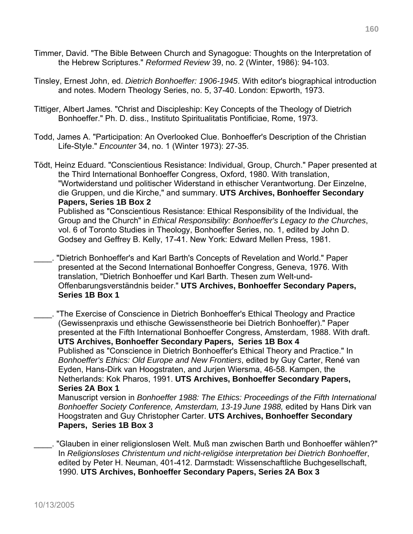- Timmer, David. "The Bible Between Church and Synagogue: Thoughts on the Interpretation of the Hebrew Scriptures." *Reformed Review* 39, no. 2 (Winter, 1986): 94-103.
- Tinsley, Ernest John, ed. *Dietrich Bonhoeffer: 1906-1945*. With editor's biographical introduction and notes. Modern Theology Series, no. 5, 37-40. London: Epworth, 1973.
- Tittiger, Albert James. "Christ and Discipleship: Key Concepts of the Theology of Dietrich Bonhoeffer." Ph. D. diss., Instituto Spiritualitatis Pontificiae, Rome, 1973.
- Todd, James A. "Participation: An Overlooked Clue. Bonhoeffer's Description of the Christian Life-Style." *Encounter* 34, no. 1 (Winter 1973): 27-35.
- Tödt, Heinz Eduard. "Conscientious Resistance: Individual, Group, Church." Paper presented at the Third International Bonhoeffer Congress, Oxford, 1980. With translation, "Wortwiderstand und politischer Widerstand in ethischer Verantwortung. Der Einzelne, die Gruppen, und die Kirche," and summary. **UTS Archives, Bonhoeffer Secondary Papers, Series 1B Box 2**  Published as "Conscientious Resistance: Ethical Responsibility of the Individual, the

Group and the Church" in *Ethical Responsibility: Bonhoeffer's Legacy to the Churches*, vol. 6 of Toronto Studies in Theology, Bonhoeffer Series, no. 1, edited by John D. Godsey and Geffrey B. Kelly, 17-41. New York: Edward Mellen Press, 1981.

\_\_\_\_. "Dietrich Bonhoeffer's and Karl Barth's Concepts of Revelation and World." Paper presented at the Second International Bonhoeffer Congress, Geneva, 1976. With translation, "Dietrich Bonhoeffer und Karl Barth. Thesen zum Welt-und-Offenbarungsverständnis beider." **UTS Archives, Bonhoeffer Secondary Papers, Series 1B Box 1** 

\_\_\_\_. "The Exercise of Conscience in Dietrich Bonhoeffer's Ethical Theology and Practice (Gewissenpraxis und ethische Gewissenstheorie bei Dietrich Bonhoeffer)." Paper presented at the Fifth International Bonhoeffer Congress, Amsterdam, 1988. With draft. **UTS Archives, Bonhoeffer Secondary Papers, Series 1B Box 4**  Published as "Conscience in Dietrich Bonhoeffer's Ethical Theory and Practice." In *Bonhoeffer's Ethics: Old Europe and New Frontiers*, edited by Guy Carter, René van Eyden, Hans-Dirk van Hoogstraten, and Jurjen Wiersma, 46-58. Kampen, the Netherlands: Kok Pharos, 1991. **UTS Archives, Bonhoeffer Secondary Papers, Series 2A Box 1**  Manuscript version in *Bonhoeffer 1988: The Ethics: Proceedings of the Fifth International* 

*Bonhoeffer Society Conference, Amsterdam, 13-19 June 1988,* edited by Hans Dirk van Hoogstraten and Guy Christopher Carter. **UTS Archives, Bonhoeffer Secondary Papers, Series 1B Box 3**

\_\_\_\_. "Glauben in einer religionslosen Welt. Muß man zwischen Barth und Bonhoeffer wählen?" In *Religionsloses Christentum und nicht-religiöse interpretation bei Dietrich Bonhoeffer*, edited by Peter H. Neuman, 401-412. Darmstadt: Wissenschaftliche Buchgesellschaft, 1990. **UTS Archives, Bonhoeffer Secondary Papers, Series 2A Box 3**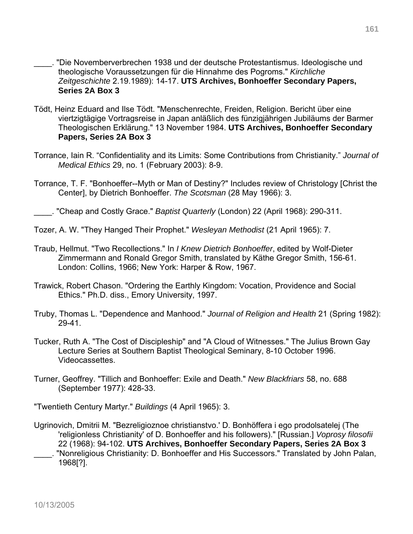- \_\_\_\_. "Die Novemberverbrechen 1938 und der deutsche Protestantismus. Ideologische und theologische Voraussetzungen für die Hinnahme des Pogroms." *Kirchliche Zeitgeschichte* 2.19.1989): 14-17. **UTS Archives, Bonhoeffer Secondary Papers, Series 2A Box 3**
- Tödt, Heinz Eduard and Ilse Tödt. "Menschenrechte, Freiden, Religion. Bericht über eine viertzigtägige Vortragsreise in Japan anläßlich des fünzigjährigen Jubiläums der Barmer Theologischen Erklärung." 13 November 1984. **UTS Archives, Bonhoeffer Secondary Papers, Series 2A Box 3**
- Torrance, Iain R. "Confidentiality and its Limits: Some Contributions from Christianity." *Journal of Medical Ethics* 29, no. 1 (February 2003): 8-9.
- Torrance, T. F. "Bonhoeffer--Myth or Man of Destiny?" Includes review of Christology [Christ the Center], by Dietrich Bonhoeffer. *The Scotsman* (28 May 1966): 3.
- \_\_\_\_. "Cheap and Costly Grace." *Baptist Quarterly* (London) 22 (April 1968): 290-311.
- Tozer, A. W. "They Hanged Their Prophet." *Wesleyan Methodist* (21 April 1965): 7.
- Traub, Hellmut. "Two Recollections." In *I Knew Dietrich Bonhoeffer*, edited by Wolf-Dieter Zimmermann and Ronald Gregor Smith, translated by Käthe Gregor Smith, 156-61. London: Collins, 1966; New York: Harper & Row, 1967.
- Trawick, Robert Chason. "Ordering the Earthly Kingdom: Vocation, Providence and Social Ethics." Ph.D. diss., Emory University, 1997.
- Truby, Thomas L. "Dependence and Manhood." *Journal of Religion and Health* 21 (Spring 1982): 29-41.
- Tucker, Ruth A. "The Cost of Discipleship" and "A Cloud of Witnesses." The Julius Brown Gay Lecture Series at Southern Baptist Theological Seminary, 8-10 October 1996. Videocassettes.
- Turner, Geoffrey. "Tillich and Bonhoeffer: Exile and Death." *New Blackfriars* 58, no. 688 (September 1977): 428-33.

"Twentieth Century Martyr." *Buildings* (4 April 1965): 3.

Ugrinovich, Dmitrii M. "Bezreligioznoe christianstvo.' D. Bonhöffera i ego prodolsatelej (The 'religionless Christianity' of D. Bonhoeffer and his followers)." [Russian.] *Voprosy filosofii* 22 (1968): 94-102. **UTS Archives, Bonhoeffer Secondary Papers, Series 2A Box 3** \_\_\_\_. "Nonreligious Christianity: D. Bonhoeffer and His Successors." Translated by John Palan, 1968[?].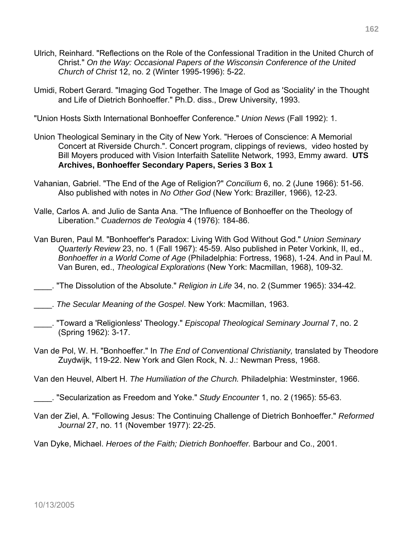- Ulrich, Reinhard. "Reflections on the Role of the Confessional Tradition in the United Church of Christ." *On the Way: Occasional Papers of the Wisconsin Conference of the United Church of Christ* 12, no. 2 (Winter 1995-1996): 5-22.
- Umidi, Robert Gerard. "Imaging God Together. The Image of God as 'Sociality' in the Thought and Life of Dietrich Bonhoeffer." Ph.D. diss., Drew University, 1993.

"Union Hosts Sixth International Bonhoeffer Conference." *Union News* (Fall 1992): 1.

- Union Theological Seminary in the City of New York. "Heroes of Conscience: A Memorial Concert at Riverside Church.". Concert program, clippings of reviews, video hosted by Bill Moyers produced with Vision Interfaith Satellite Network, 1993, Emmy award. **UTS Archives, Bonhoeffer Secondary Papers, Series 3 Box 1**
- Vahanian, Gabriel. "The End of the Age of Religion?" *Concilium* 6, no. 2 (June 1966): 51-56. Also published with notes in *No Other God* (New York: Braziller, 1966), 12-23.
- Valle, Carlos A. and Julio de Santa Ana. "The Influence of Bonhoeffer on the Theology of Liberation." *Cuadernos de Teologia* 4 (1976): 184-86.
- Van Buren, Paul M. "Bonhoeffer's Paradox: Living With God Without God." *Union Seminary Quarterly Review* 23, no. 1 (Fall 1967): 45-59. Also published in Peter Vorkink, II, ed., *Bonhoeffer in a World Come of Age* (Philadelphia: Fortress, 1968), 1-24. And in Paul M. Van Buren, ed., *Theological Explorations* (New York: Macmillan, 1968), 109-32.

\_\_\_\_. "The Dissolution of the Absolute." *Religion in Life* 34, no. 2 (Summer 1965): 334-42.

\_\_\_\_. *The Secular Meaning of the Gospel*. New York: Macmillan, 1963.

- \_\_\_\_. "Toward a 'Religionless' Theology." *Episcopal Theological Seminary Journal* 7, no. 2 (Spring 1962): 3-17.
- Van de Pol, W. H. "Bonhoeffer." In *The End of Conventional Christianity,* translated by Theodore Zuydwijk, 119-22. New York and Glen Rock, N. J.: Newman Press, 1968.

Van den Heuvel, Albert H. *The Humiliation of the Church.* Philadelphia: Westminster, 1966.

\_\_\_\_. "Secularization as Freedom and Yoke." *Study Encounter* 1, no. 2 (1965): 55-63.

Van der Ziel, A. "Following Jesus: The Continuing Challenge of Dietrich Bonhoeffer." *Reformed Journal* 27, no. 11 (November 1977): 22-25.

Van Dyke, Michael. *Heroes of the Faith; Dietrich Bonhoeffer.* Barbour and Co., 2001.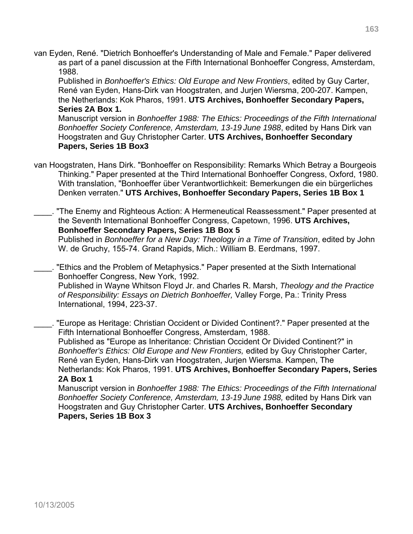van Eyden, René. "Dietrich Bonhoeffer's Understanding of Male and Female." Paper delivered as part of a panel discussion at the Fifth International Bonhoeffer Congress, Amsterdam, 1988.

 Published in *Bonhoeffer's Ethics: Old Europe and New Frontiers*, edited by Guy Carter, René van Eyden, Hans-Dirk van Hoogstraten, and Jurjen Wiersma, 200-207. Kampen, the Netherlands: Kok Pharos, 1991. **UTS Archives, Bonhoeffer Secondary Papers, Series 2A Box 1.** 

Manuscript version in *Bonhoeffer 1988: The Ethics: Proceedings of the Fifth International Bonhoeffer Society Conference, Amsterdam, 13-19 June 1988*, edited by Hans Dirk van Hoogstraten and Guy Christopher Carter. **UTS Archives, Bonhoeffer Secondary Papers, Series 1B Box3**

- van Hoogstraten, Hans Dirk. "Bonhoeffer on Responsibility: Remarks Which Betray a Bourgeois Thinking." Paper presented at the Third International Bonhoeffer Congress, Oxford, 1980. With translation, "Bonhoeffer über Verantwortlichkeit: Bemerkungen die ein bürgerliches Denken verraten." **UTS Archives, Bonhoeffer Secondary Papers, Series 1B Box 1**
- \_\_\_\_. "The Enemy and Righteous Action: A Hermeneutical Reassessment." Paper presented at the Seventh International Bonhoeffer Congress, Capetown, 1996. **UTS Archives, Bonhoeffer Secondary Papers, Series 1B Box 5**

 Published in *Bonhoeffer for a New Day: Theology in a Time of Transition*, edited by John W. de Gruchy, 155-74. Grand Rapids, Mich.: William B. Eerdmans, 1997.

\_\_\_\_. "Ethics and the Problem of Metaphysics." Paper presented at the Sixth International Bonhoeffer Congress, New York, 1992.

Published in Wayne Whitson Floyd Jr. and Charles R. Marsh, *Theology and the Practice of Responsibility: Essays on Dietrich Bonhoeffer,* Valley Forge, Pa.: Trinity Press International, 1994, 223-37.

\_\_\_\_. "Europe as Heritage: Christian Occident or Divided Continent?." Paper presented at the Fifth International Bonhoeffer Congress, Amsterdam, 1988. Published as "Europe as Inheritance: Christian Occident Or Divided Continent?" in *Bonhoeffer's Ethics: Old Europe and New Frontiers,* edited by Guy Christopher Carter, René van Eyden, Hans-Dirk van Hoogstraten, Jurjen Wiersma. Kampen, The Netherlands: Kok Pharos, 1991. **UTS Archives, Bonhoeffer Secondary Papers, Series 2A Box 1** 

Manuscript version in *Bonhoeffer 1988: The Ethics: Proceedings of the Fifth International Bonhoeffer Society Conference, Amsterdam, 13-19 June 1988,* edited by Hans Dirk van Hoogstraten and Guy Christopher Carter. **UTS Archives, Bonhoeffer Secondary Papers, Series 1B Box 3**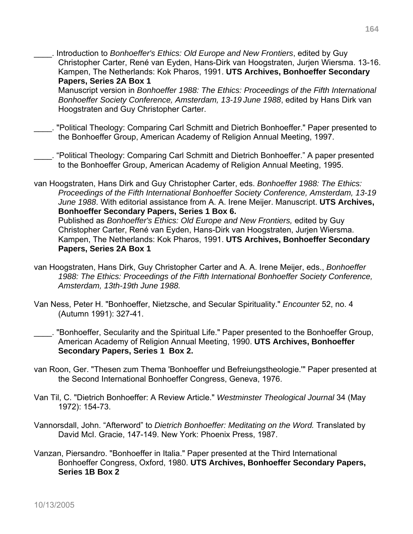\_\_\_\_. Introduction to *Bonhoeffer's Ethics: Old Europe and New Frontiers*, edited by Guy Christopher Carter, René van Eyden, Hans-Dirk van Hoogstraten, Jurjen Wiersma. 13-16. Kampen, The Netherlands: Kok Pharos, 1991. **UTS Archives, Bonhoeffer Secondary Papers, Series 2A Box 1** 

Manuscript version in *Bonhoeffer 1988: The Ethics: Proceedings of the Fifth International Bonhoeffer Society Conference, Amsterdam, 13-19 June 1988*, edited by Hans Dirk van Hoogstraten and Guy Christopher Carter.

- \_\_\_\_. "Political Theology: Comparing Carl Schmitt and Dietrich Bonhoeffer." Paper presented to the Bonhoeffer Group, American Academy of Religion Annual Meeting, 1997.
- \_\_\_\_. "Political Theology: Comparing Carl Schmitt and Dietrich Bonhoeffer." A paper presented to the Bonhoeffer Group, American Academy of Religion Annual Meeting, 1995.
- van Hoogstraten, Hans Dirk and Guy Christopher Carter, eds. *Bonhoeffer 1988: The Ethics: Proceedings of the Fifth International Bonhoeffer Society Conference, Amsterdam, 13-19 June 1988*. With editorial assistance from A. A. Irene Meijer. Manuscript. **UTS Archives, Bonhoeffer Secondary Papers, Series 1 Box 6.**

 Published as *Bonhoeffer's Ethics: Old Europe and New Frontiers,* edited by Guy Christopher Carter, René van Eyden, Hans-Dirk van Hoogstraten, Jurjen Wiersma. Kampen, The Netherlands: Kok Pharos, 1991. **UTS Archives, Bonhoeffer Secondary Papers, Series 2A Box 1** 

- van Hoogstraten, Hans Dirk, Guy Christopher Carter and A. A. Irene Meijer, eds., *Bonhoeffer 1988: The Ethics: Proceedings of the Fifth International Bonhoeffer Society Conference, Amsterdam, 13th-19th June 1988.*
- Van Ness, Peter H. "Bonhoeffer, Nietzsche, and Secular Spirituality." *Encounter* 52, no. 4 (Autumn 1991): 327-41.
- \_\_\_\_. "Bonhoeffer, Secularity and the Spiritual Life." Paper presented to the Bonhoeffer Group, American Academy of Religion Annual Meeting, 1990. **UTS Archives, Bonhoeffer Secondary Papers, Series 1 Box 2.**
- van Roon, Ger. "Thesen zum Thema 'Bonhoeffer und Befreiungstheologie.'" Paper presented at the Second International Bonhoeffer Congress, Geneva, 1976.
- Van Til, C. "Dietrich Bonhoeffer: A Review Article." *Westminster Theological Journal* 34 (May 1972): 154-73.
- Vannorsdall, John. "Afterword" to *Dietrich Bonhoeffer: Meditating on the Word.* Translated by David McI. Gracie, 147-149. New York: Phoenix Press, 1987.
- Vanzan, Piersandro. "Bonhoeffer in Italia." Paper presented at the Third International Bonhoeffer Congress, Oxford, 1980. **UTS Archives, Bonhoeffer Secondary Papers, Series 1B Box 2**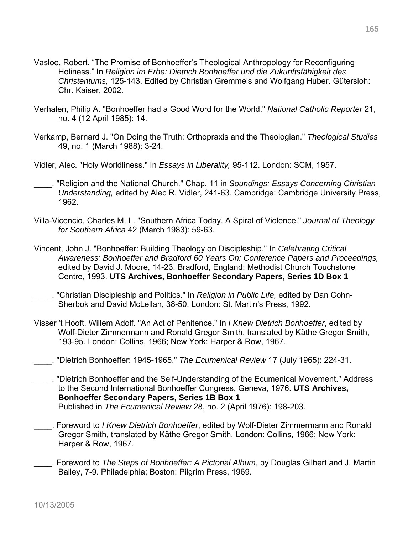- Vasloo, Robert. "The Promise of Bonhoeffer's Theological Anthropology for Reconfiguring Holiness." In *Religion im Erbe: Dietrich Bonhoeffer und die Zukunftsfähigkeit des Christentums,* 125-143. Edited by Christian Gremmels and Wolfgang Huber. Gütersloh: Chr. Kaiser, 2002.
- Verhalen, Philip A. "Bonhoeffer had a Good Word for the World." *National Catholic Reporter* 21, no. 4 (12 April 1985): 14.
- Verkamp, Bernard J. "On Doing the Truth: Orthopraxis and the Theologian." *Theological Studies*  49, no. 1 (March 1988): 3-24.
- Vidler, Alec. "Holy Worldliness." In *Essays in Liberality,* 95-112. London: SCM, 1957.
	- \_\_\_\_. "Religion and the National Church." Chap. 11 in *Soundings: Essays Concerning Christian Understanding,* edited by Alec R. Vidler, 241-63. Cambridge: Cambridge University Press, 1962.
- Villa-Vicencio, Charles M. L. "Southern Africa Today. A Spiral of Violence." *Journal of Theology for Southern Africa* 42 (March 1983): 59-63.
- Vincent, John J. "Bonhoeffer: Building Theology on Discipleship." In *Celebrating Critical Awareness: Bonhoeffer and Bradford 60 Years On: Conference Papers and Proceedings,* edited by David J. Moore, 14-23. Bradford, England: Methodist Church Touchstone Centre, 1993. **UTS Archives, Bonhoeffer Secondary Papers, Series 1D Box 1**
- \_\_\_\_. "Christian Discipleship and Politics." In *Religion in Public Life,* edited by Dan Cohn-Sherbok and David McLellan, 38-50. London: St. Martin's Press, 1992.
- Visser 't Hooft, Willem Adolf. "An Act of Penitence." In *I Knew Dietrich Bonhoeffer*, edited by Wolf-Dieter Zimmermann and Ronald Gregor Smith, translated by Käthe Gregor Smith, 193-95. London: Collins, 1966; New York: Harper & Row, 1967.
- \_\_\_\_. "Dietrich Bonhoeffer: 1945-1965." *The Ecumenical Review* 17 (July 1965): 224-31.
- \_\_\_\_. "Dietrich Bonhoeffer and the Self-Understanding of the Ecumenical Movement." Address to the Second International Bonhoeffer Congress, Geneva, 1976. **UTS Archives, Bonhoeffer Secondary Papers, Series 1B Box 1**  Published in *The Ecumenical Review* 28, no. 2 (April 1976): 198-203.
- \_\_\_\_. Foreword to *I Knew Dietrich Bonhoeffer*, edited by Wolf-Dieter Zimmermann and Ronald Gregor Smith, translated by Käthe Gregor Smith. London: Collins, 1966; New York: Harper & Row, 1967.
- \_\_\_\_. Foreword to *The Steps of Bonhoeffer: A Pictorial Album*, by Douglas Gilbert and J. Martin Bailey, 7-9. Philadelphia; Boston: Pilgrim Press, 1969.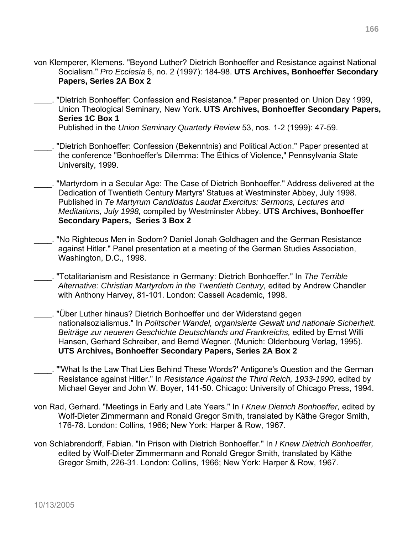- von Klemperer, Klemens. "Beyond Luther? Dietrich Bonhoeffer and Resistance against National Socialism." *Pro Ecclesia* 6, no. 2 (1997): 184-98. **UTS Archives, Bonhoeffer Secondary Papers, Series 2A Box 2**
- \_\_\_\_. "Dietrich Bonhoeffer: Confession and Resistance." Paper presented on Union Day 1999, Union Theological Seminary, New York. **UTS Archives, Bonhoeffer Secondary Papers, Series 1C Box 1**  Published in the *Union Seminary Quarterly Review* 53, nos. 1-2 (1999): 47-59.
- \_\_\_\_. "Dietrich Bonhoeffer: Confession (Bekenntnis) and Political Action." Paper presented at the conference "Bonhoeffer's Dilemma: The Ethics of Violence," Pennsylvania State University, 1999.
- \_\_\_\_. "Martyrdom in a Secular Age: The Case of Dietrich Bonhoeffer." Address delivered at the Dedication of Twentieth Century Martyrs' Statues at Westminster Abbey, July 1998. Published in *Te Martyrum Candidatus Laudat Exercitus: Sermons, Lectures and Meditations, July 1998,* compiled by Westminster Abbey. **UTS Archives, Bonhoeffer Secondary Papers, Series 3 Box 2**
- \_\_\_\_. "No Righteous Men in Sodom? Daniel Jonah Goldhagen and the German Resistance against Hitler." Panel presentation at a meeting of the German Studies Association, Washington, D.C., 1998.
- \_\_\_\_. "Totalitarianism and Resistance in Germany: Dietrich Bonhoeffer." In *The Terrible*  Alternative: Christian Martyrdom in the Twentieth Century, edited by Andrew Chandler with Anthony Harvey, 81-101. London: Cassell Academic, 1998.
- \_\_\_\_. "Über Luther hinaus? Dietrich Bonhoeffer und der Widerstand gegen nationalsozialismus." In *Politscher Wandel, organisierte Gewalt und nationale Sicherheit. Beiträge zur neueren Geschichte Deutschlands und Frankreichs,* edited by Ernst Willi Hansen, Gerhard Schreiber, and Bernd Wegner. (Munich: Oldenbourg Verlag, 1995). **UTS Archives, Bonhoeffer Secondary Papers, Series 2A Box 2**
- \_\_\_\_. "'What Is the Law That Lies Behind These Words?' Antigone's Question and the German Resistance against Hitler." In *Resistance Against the Third Reich, 1933-1990,* edited by Michael Geyer and John W. Boyer, 141-50. Chicago: University of Chicago Press, 1994.
- von Rad, Gerhard. "Meetings in Early and Late Years." In *I Knew Dietrich Bonhoeffer,* edited by Wolf-Dieter Zimmermann and Ronald Gregor Smith, translated by Käthe Gregor Smith, 176-78. London: Collins, 1966; New York: Harper & Row, 1967.
- von Schlabrendorff, Fabian. "In Prison with Dietrich Bonhoeffer." In *I Knew Dietrich Bonhoeffer,* edited by Wolf-Dieter Zimmermann and Ronald Gregor Smith, translated by Käthe Gregor Smith, 226-31. London: Collins, 1966; New York: Harper & Row, 1967.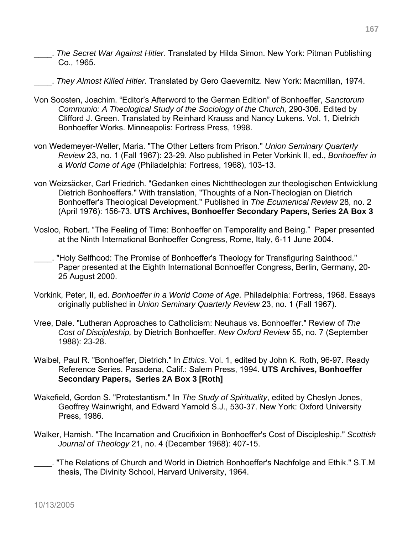- \_\_\_\_. *The Secret War Against Hitler.* Translated by Hilda Simon. New York: Pitman Publishing Co., 1965.
- \_\_\_\_. *They Almost Killed Hitler.* Translated by Gero Gaevernitz. New York: Macmillan, 1974.
- Von Soosten, Joachim. "Editor's Afterword to the German Edition" of Bonhoeffer, *Sanctorum Communio: A Theological Study of the Sociology of the Church,* 290-306. Edited by Clifford J. Green. Translated by Reinhard Krauss and Nancy Lukens. Vol. 1, Dietrich Bonhoeffer Works. Minneapolis: Fortress Press, 1998.
- von Wedemeyer-Weller, Maria. "The Other Letters from Prison." *Union Seminary Quarterly Review* 23, no. 1 (Fall 1967): 23-29. Also published in Peter Vorkink II, ed., *Bonhoeffer in a World Come of Age* (Philadelphia: Fortress, 1968), 103-13.
- von Weizsäcker, Carl Friedrich. "Gedanken eines Nichttheologen zur theologischen Entwicklung Dietrich Bonhoeffers." With translation, "Thoughts of a Non-Theologian on Dietrich Bonhoeffer's Theological Development." Published in *The Ecumenical Review* 28, no. 2 (April 1976): 156-73. **UTS Archives, Bonhoeffer Secondary Papers, Series 2A Box 3**
- Vosloo, Robert. "The Feeling of Time: Bonhoeffer on Temporality and Being." Paper presented at the Ninth International Bonhoeffer Congress, Rome, Italy, 6-11 June 2004.
- \_\_\_\_. "Holy Selfhood: The Promise of Bonhoeffer's Theology for Transfiguring Sainthood." Paper presented at the Eighth International Bonhoeffer Congress, Berlin, Germany, 20- 25 August 2000.
- Vorkink, Peter, II, ed. *Bonhoeffer in a World Come of Age.* Philadelphia: Fortress, 1968. Essays originally published in *Union Seminary Quarterly Review* 23, no. 1 (Fall 1967).
- Vree, Dale. "Lutheran Approaches to Catholicism: Neuhaus vs. Bonhoeffer." Review of *The Cost of Discipleship,* by Dietrich Bonhoeffer. *New Oxford Review* 55, no. 7 (September 1988): 23-28.
- Waibel, Paul R. "Bonhoeffer, Dietrich." In *Ethics*. Vol. 1, edited by John K. Roth, 96-97. Ready Reference Series. Pasadena, Calif.: Salem Press, 1994. **UTS Archives, Bonhoeffer Secondary Papers, Series 2A Box 3 [Roth]**
- Wakefield, Gordon S. "Protestantism." In *The Study of Spirituality*, edited by Cheslyn Jones, Geoffrey Wainwright, and Edward Yarnold S.J., 530-37. New York: Oxford University Press, 1986.
- Walker, Hamish. "The Incarnation and Crucifixion in Bonhoeffer's Cost of Discipleship." *Scottish Journal of Theology* 21, no. 4 (December 1968): 407-15.
- \_\_\_\_. "The Relations of Church and World in Dietrich Bonhoeffer's Nachfolge and Ethik." S.T.M thesis, The Divinity School, Harvard University, 1964.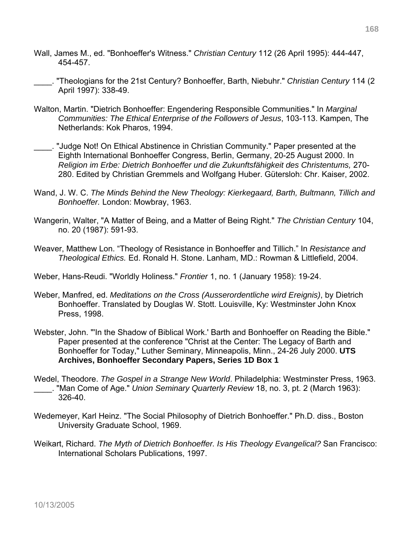- Wall, James M., ed. "Bonhoeffer's Witness." *Christian Century* 112 (26 April 1995): 444-447, 454-457.
- \_\_\_\_. "Theologians for the 21st Century? Bonhoeffer, Barth, Niebuhr." *Christian Century* 114 (2 April 1997): 338-49.
- Walton, Martin. "Dietrich Bonhoeffer: Engendering Responsible Communities." In *Marginal Communities: The Ethical Enterprise of the Followers of Jesus*, 103-113. Kampen, The Netherlands: Kok Pharos, 1994.
- \_\_\_\_. "Judge Not! On Ethical Abstinence in Christian Community." Paper presented at the Eighth International Bonhoeffer Congress, Berlin, Germany, 20-25 August 2000. In *Religion im Erbe: Dietrich Bonhoeffer und die Zukunftsfähigkeit des Christentums,* 270- 280. Edited by Christian Gremmels and Wolfgang Huber. Gütersloh: Chr. Kaiser, 2002.
- Wand, J. W. C. *The Minds Behind the New Theology: Kierkegaard, Barth, Bultmann, Tillich and Bonhoeffer.* London: Mowbray, 1963.
- Wangerin, Walter, "A Matter of Being, and a Matter of Being Right." *The Christian Century* 104, no. 20 (1987): 591-93.
- Weaver, Matthew Lon. "Theology of Resistance in Bonhoeffer and Tillich." In *Resistance and Theological Ethics.* Ed. Ronald H. Stone. Lanham, MD.: Rowman & Littlefield, 2004.

Weber, Hans-Reudi. "Worldly Holiness." *Frontier* 1, no. 1 (January 1958): 19-24.

- Weber, Manfred, ed. *Meditations on the Cross (Ausserordentliche wird Ereignis)*, by Dietrich Bonhoeffer. Translated by Douglas W. Stott. Louisville, Ky: Westminster John Knox Press, 1998.
- Webster, John. "'In the Shadow of Biblical Work.' Barth and Bonhoeffer on Reading the Bible." Paper presented at the conference "Christ at the Center: The Legacy of Barth and Bonhoeffer for Today," Luther Seminary, Minneapolis, Minn., 24-26 July 2000. **UTS Archives, Bonhoeffer Secondary Papers, Series 1D Box 1**
- Wedel, Theodore. *The Gospel in a Strange New World*. Philadelphia: Westminster Press, 1963. \_\_\_\_. "Man Come of Age." *Union Seminary Quarterly Review* 18, no. 3, pt. 2 (March 1963): 326-40.
- Wedemeyer, Karl Heinz. "The Social Philosophy of Dietrich Bonhoeffer." Ph.D. diss., Boston University Graduate School, 1969.
- Weikart, Richard. *The Myth of Dietrich Bonhoeffer. Is His Theology Evangelical?* San Francisco: International Scholars Publications, 1997.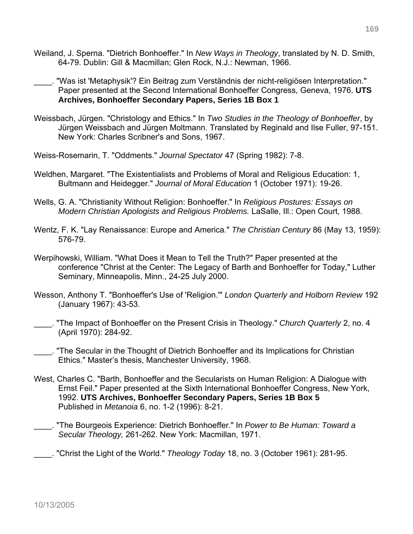- Weiland, J. Sperna. "Dietrich Bonhoeffer." In *New Ways in Theology*, translated by N. D. Smith, 64-79. Dublin: Gill & Macmillan; Glen Rock, N.J.: Newman, 1966.
	- \_\_\_\_. "Was ist 'Metaphysik'? Ein Beitrag zum Verständnis der nicht-religiösen Interpretation." Paper presented at the Second International Bonhoeffer Congress, Geneva, 1976. **UTS Archives, Bonhoeffer Secondary Papers, Series 1B Box 1**
- Weissbach, Jürgen. "Christology and Ethics." In *Two Studies in the Theology of Bonhoeffer*, by Jürgen Weissbach and Jürgen Moltmann. Translated by Reginald and Ilse Fuller, 97-151. New York: Charles Scribner's and Sons, 1967.
- Weiss-Rosemarin, T. "Oddments." *Journal Spectator* 47 (Spring 1982): 7-8.
- Weldhen, Margaret. "The Existentialists and Problems of Moral and Religious Education: 1, Bultmann and Heidegger." *Journal of Moral Education* 1 (October 1971): 19-26.
- Wells, G. A. "Christianity Without Religion: Bonhoeffer." In *Religious Postures: Essays on Modern Christian Apologists and Religious Problems.* LaSalle, Ill.: Open Court, 1988.
- Wentz, F. K. "Lay Renaissance: Europe and America." *The Christian Century* 86 (May 13, 1959): 576-79.
- Werpihowski, William. "What Does it Mean to Tell the Truth?" Paper presented at the conference "Christ at the Center: The Legacy of Barth and Bonhoeffer for Today," Luther Seminary, Minneapolis, Minn., 24-25 July 2000.
- Wesson, Anthony T. "Bonhoeffer's Use of 'Religion.'" *London Quarterly and Holborn Review* 192 (January 1967): 43-53.
- \_\_\_\_. "The Impact of Bonhoeffer on the Present Crisis in Theology." *Church Quarterly* 2, no. 4 (April 1970): 284-92.
- \_\_\_\_. "The Secular in the Thought of Dietrich Bonhoeffer and its Implications for Christian Ethics." Master's thesis, Manchester University, 1968.
- West, Charles C. "Barth, Bonhoeffer and the Secularists on Human Religion: A Dialogue with Ernst Feil." Paper presented at the Sixth International Bonhoeffer Congress, New York, 1992. **UTS Archives, Bonhoeffer Secondary Papers, Series 1B Box 5** Published in *Metanoia* 6, no. 1-2 (1996): 8-21.
- \_\_\_\_. "The Bourgeois Experience: Dietrich Bonhoeffer." In *Power to Be Human: Toward a Secular Theology,* 261-262. New York: Macmillan, 1971.

\_\_\_\_. "Christ the Light of the World." *Theology Today* 18, no. 3 (October 1961): 281-95.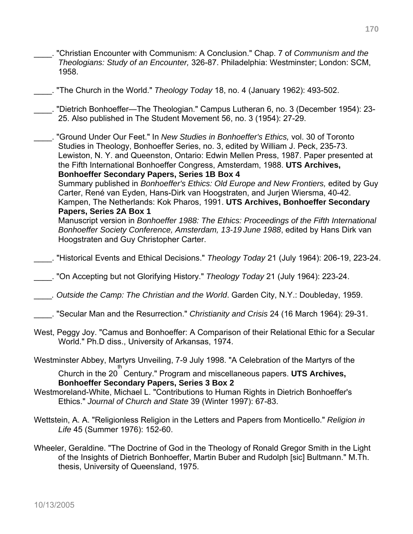\_\_\_\_. "Christian Encounter with Communism: A Conclusion." Chap. 7 of *Communism and the Theologians: Study of an Encounter,* 326-87. Philadelphia: Westminster; London: SCM, 1958. \_\_\_\_. "The Church in the World." *Theology Today* 18, no. 4 (January 1962): 493-502. \_\_\_\_. "Dietrich Bonhoeffer—The Theologian." Campus Lutheran 6, no. 3 (December 1954): 23- 25. Also published in The Student Movement 56, no. 3 (1954): 27-29. \_\_\_\_. "Ground Under Our Feet." In *New Studies in Bonhoeffer's Ethics,* vol. 30 of Toronto Studies in Theology, Bonhoeffer Series, no. 3, edited by William J. Peck, 235-73. Lewiston, N. Y. and Queenston, Ontario: Edwin Mellen Press, 1987. Paper presented at the Fifth International Bonhoeffer Congress, Amsterdam, 1988. **UTS Archives, Bonhoeffer Secondary Papers, Series 1B Box 4**  Summary published in *Bonhoeffer's Ethics: Old Europe and New Frontiers,* edited by Guy Carter, René van Eyden, Hans-Dirk van Hoogstraten, and Jurjen Wiersma, 40-42. Kampen, The Netherlands: Kok Pharos, 1991. **UTS Archives, Bonhoeffer Secondary Papers, Series 2A Box 1**  Manuscript version in *Bonhoeffer 1988: The Ethics: Proceedings of the Fifth International Bonhoeffer Society Conference, Amsterdam, 13-19 June 1988*, edited by Hans Dirk van Hoogstraten and Guy Christopher Carter. \_\_\_\_. "Historical Events and Ethical Decisions." *Theology Today* 21 (July 1964): 206-19, 223-24. \_\_\_\_. "On Accepting but not Glorifying History." *Theology Today* 21 (July 1964): 223-24. \_\_\_\_*. Outside the Camp: The Christian and the World*. Garden City, N.Y.: Doubleday, 1959. \_\_\_\_. "Secular Man and the Resurrection." *Christianity and Crisis* 24 (16 March 1964): 29-31. West, Peggy Joy. "Camus and Bonhoeffer: A Comparison of their Relational Ethic for a Secular World." Ph.D diss., University of Arkansas, 1974. Westminster Abbey, Martyrs Unveiling, 7-9 July 1998. "A Celebration of the Martyrs of the Church in the 20 th Century." Program and miscellaneous papers. **UTS Archives, Bonhoeffer Secondary Papers, Series 3 Box 2** Westmoreland-White, Michael L. "Contributions to Human Rights in Dietrich Bonhoeffer's Ethics." *Journal of Church and State* 39 (Winter 1997): 67-83. Wettstein, A. A. "Religionless Religion in the Letters and Papers from Monticello." *Religion in Life* 45 (Summer 1976): 152-60. Wheeler, Geraldine. "The Doctrine of God in the Theology of Ronald Gregor Smith in the Light of the Insights of Dietrich Bonhoeffer, Martin Buber and Rudolph [sic] Bultmann." M.Th.

thesis, University of Queensland, 1975.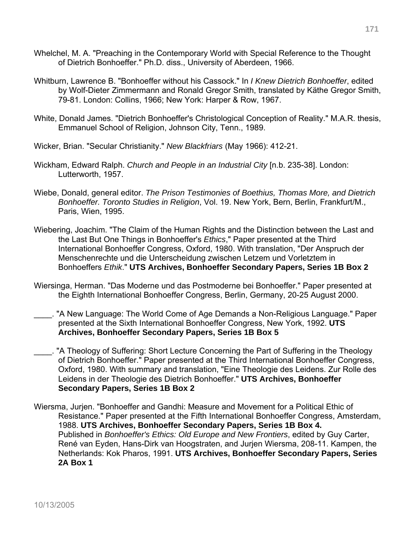- Whelchel, M. A. "Preaching in the Contemporary World with Special Reference to the Thought of Dietrich Bonhoeffer." Ph.D. diss., University of Aberdeen, 1966.
- Whitburn, Lawrence B. "Bonhoeffer without his Cassock." In *I Knew Dietrich Bonhoeffer*, edited by Wolf-Dieter Zimmermann and Ronald Gregor Smith, translated by Käthe Gregor Smith, 79-81. London: Collins, 1966; New York: Harper & Row, 1967.
- White, Donald James. "Dietrich Bonhoeffer's Christological Conception of Reality." M.A.R. thesis, Emmanuel School of Religion, Johnson City, Tenn., 1989.
- Wicker, Brian. "Secular Christianity." *New Blackfriars* (May 1966): 412-21.
- Wickham, Edward Ralph. *Church and People in an Industrial City* [n.b. 235-38]. London: Lutterworth, 1957.
- Wiebe, Donald, general editor. *The Prison Testimonies of Boethius, Thomas More, and Dietrich Bonhoeffer. Toronto Studies in Religion*, Vol. 19. New York, Bern, Berlin, Frankfurt/M., Paris, Wien, 1995.
- Wiebering, Joachim. "The Claim of the Human Rights and the Distinction between the Last and the Last But One Things in Bonhoeffer's *Ethics*," Paper presented at the Third International Bonhoeffer Congress, Oxford, 1980. With translation, "Der Anspruch der Menschenrechte und die Unterscheidung zwischen Letzem und Vorletztem in Bonhoeffers *Ethik*." **UTS Archives, Bonhoeffer Secondary Papers, Series 1B Box 2**
- Wiersinga, Herman. "Das Moderne und das Postmoderne bei Bonhoeffer." Paper presented at the Eighth International Bonhoeffer Congress, Berlin, Germany, 20-25 August 2000.
- . "A New Language: The World Come of Age Demands a Non-Religious Language." Paper presented at the Sixth International Bonhoeffer Congress, New York, 1992. **UTS Archives, Bonhoeffer Secondary Papers, Series 1B Box 5**
- \_\_\_\_. "A Theology of Suffering: Short Lecture Concerning the Part of Suffering in the Theology of Dietrich Bonhoeffer." Paper presented at the Third International Bonhoeffer Congress, Oxford, 1980. With summary and translation, "Eine Theologie des Leidens. Zur Rolle des Leidens in der Theologie des Dietrich Bonhoeffer." **UTS Archives, Bonhoeffer Secondary Papers, Series 1B Box 2**
- Wiersma, Jurjen. "Bonhoeffer and Gandhi: Measure and Movement for a Political Ethic of Resistance." Paper presented at the Fifth International Bonhoeffer Congress, Amsterdam, 1988. **UTS Archives, Bonhoeffer Secondary Papers, Series 1B Box 4.**  Published in *Bonhoeffer's Ethics: Old Europe and New Frontiers*, edited by Guy Carter, René van Eyden, Hans-Dirk van Hoogstraten, and Jurjen Wiersma, 208-11. Kampen, the Netherlands: Kok Pharos, 1991. **UTS Archives, Bonhoeffer Secondary Papers, Series 2A Box 1**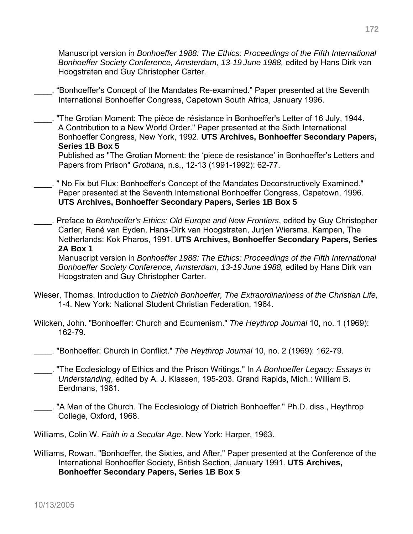Manuscript version in *Bonhoeffer 1988: The Ethics: Proceedings of the Fifth International Bonhoeffer Society Conference, Amsterdam, 13-19 June 1988,* edited by Hans Dirk van Hoogstraten and Guy Christopher Carter.

\_\_\_\_. "Bonhoeffer's Concept of the Mandates Re-examined." Paper presented at the Seventh International Bonhoeffer Congress, Capetown South Africa, January 1996.

\_\_\_\_. "The Grotian Moment: The pièce de résistance in Bonhoeffer's Letter of 16 July, 1944. A Contribution to a New World Order." Paper presented at the Sixth International Bonhoeffer Congress, New York, 1992. **UTS Archives, Bonhoeffer Secondary Papers, Series 1B Box 5** 

Published as "The Grotian Moment: the 'piece de resistance' in Bonhoeffer's Letters and Papers from Prison" *Grotiana*, n.s., 12-13 (1991-1992): 62-77.

\_\_\_\_. " No Fix but Flux: Bonhoeffer's Concept of the Mandates Deconstructively Examined." Paper presented at the Seventh International Bonhoeffer Congress, Capetown, 1996. **UTS Archives, Bonhoeffer Secondary Papers, Series 1B Box 5**

\_\_\_\_. Preface to *Bonhoeffer's Ethics: Old Europe and New Frontiers*, edited by Guy Christopher Carter, René van Eyden, Hans-Dirk van Hoogstraten, Jurjen Wiersma. Kampen, The Netherlands: Kok Pharos, 1991. **UTS Archives, Bonhoeffer Secondary Papers, Series 2A Box 1** 

Manuscript version in *Bonhoeffer 1988: The Ethics: Proceedings of the Fifth International Bonhoeffer Society Conference, Amsterdam, 13-19 June 1988,* edited by Hans Dirk van Hoogstraten and Guy Christopher Carter.

- Wieser, Thomas. Introduction to *Dietrich Bonhoeffer, The Extraordinariness of the Christian Life,* 1-4. New York: National Student Christian Federation, 1964.
- Wilcken, John. "Bonhoeffer: Church and Ecumenism." *The Heythrop Journal* 10, no. 1 (1969): 162-79.
- \_\_\_\_. "Bonhoeffer: Church in Conflict." *The Heythrop Journal* 10, no. 2 (1969): 162-79.
- \_\_\_\_. "The Ecclesiology of Ethics and the Prison Writings." In *A Bonhoeffer Legacy: Essays in Understanding*, edited by A. J. Klassen, 195-203. Grand Rapids, Mich.: William B. Eerdmans, 1981.
- . "A Man of the Church. The Ecclesiology of Dietrich Bonhoeffer." Ph.D. diss., Heythrop College, Oxford, 1968.

Williams, Colin W. *Faith in a Secular Age*. New York: Harper, 1963.

Williams, Rowan. "Bonhoeffer, the Sixties, and After." Paper presented at the Conference of the International Bonhoeffer Society, British Section, January 1991. **UTS Archives, Bonhoeffer Secondary Papers, Series 1B Box 5**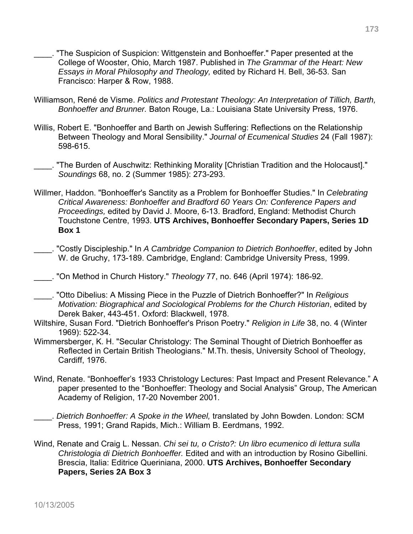- "The Suspicion of Suspicion: Wittgenstein and Bonhoeffer." Paper presented at the College of Wooster, Ohio, March 1987. Published in *The Grammar of the Heart: New Essays in Moral Philosophy and Theology,* edited by Richard H. Bell, 36-53. San Francisco: Harper & Row, 1988.
- Williamson, René de Visme. *Politics and Protestant Theology: An Interpretation of Tillich, Barth, Bonhoeffer and Brunner.* Baton Rouge, La.: Louisiana State University Press, 1976.
- Willis, Robert E. "Bonhoeffer and Barth on Jewish Suffering: Reflections on the Relationship Between Theology and Moral Sensibility." *Journal of Ecumenical Studies* 24 (Fall 1987): 598-615.
	- \_\_\_\_. "The Burden of Auschwitz: Rethinking Morality [Christian Tradition and the Holocaust]." *Soundings* 68, no. 2 (Summer 1985): 273-293.
- Willmer, Haddon. "Bonhoeffer's Sanctity as a Problem for Bonhoeffer Studies." In *Celebrating Critical Awareness: Bonhoeffer and Bradford 60 Years On: Conference Papers and Proceedings,* edited by David J. Moore, 6-13. Bradford, England: Methodist Church Touchstone Centre, 1993. **UTS Archives, Bonhoeffer Secondary Papers, Series 1D Box 1**
- \_\_\_\_. "Costly Discipleship." In *A Cambridge Companion to Dietrich Bonhoeffer*, edited by John W. de Gruchy, 173-189. Cambridge, England: Cambridge University Press, 1999.
- \_\_\_\_. "On Method in Church History." *Theology* 77, no. 646 (April 1974): 186-92.
- \_\_\_\_. "Otto Dibelius: A Missing Piece in the Puzzle of Dietrich Bonhoeffer?" In *Religious Motivation: Biographical and Sociological Problems for the Church Historian*, edited by Derek Baker, 443-451. Oxford: Blackwell, 1978.
- Wiltshire, Susan Ford. "Dietrich Bonhoeffer's Prison Poetry." *Religion in Life* 38, no. 4 (Winter 1969): 522-34.
- Wimmersberger, K. H. "Secular Christology: The Seminal Thought of Dietrich Bonhoeffer as Reflected in Certain British Theologians." M.Th. thesis, University School of Theology, Cardiff, 1976.
- Wind, Renate. "Bonhoeffer's 1933 Christology Lectures: Past Impact and Present Relevance." A paper presented to the "Bonhoeffer: Theology and Social Analysis" Group, The American Academy of Religion, 17-20 November 2001.
- \_\_\_\_. *Dietrich Bonhoeffer: A Spoke in the Wheel,* translated by John Bowden. London: SCM Press, 1991; Grand Rapids, Mich.: William B. Eerdmans, 1992.
- Wind, Renate and Craig L. Nessan. *Chi sei tu, o Cristo?: Un libro ecumenico di lettura sulla Christologia di Dietrich Bonhoeffer.* Edited and with an introduction by Rosino Gibellini. Brescia, Italia: Editrice Queriniana, 2000. **UTS Archives, Bonhoeffer Secondary Papers, Series 2A Box 3**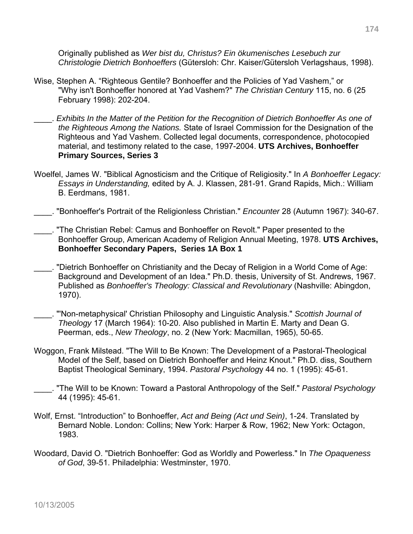Originally published as *Wer bist du, Christus? Ein ökumenisches Lesebuch zur Christologie Dietrich Bonhoeffers* (Gütersloh: Chr. Kaiser/Gütersloh Verlagshaus, 1998).

- Wise, Stephen A. "Righteous Gentile? Bonhoeffer and the Policies of Yad Vashem," or "Why isn't Bonhoeffer honored at Yad Vashem?" *The Christian Century* 115, no. 6 (25 February 1998): 202-204.
- \_\_\_\_. *Exhibits In the Matter of the Petition for the Recognition of Dietrich Bonhoeffer As one of the Righteous Among the Nations.* State of Israel Commission for the Designation of the Righteous and Yad Vashem. Collected legal documents, correspondence, photocopied material, and testimony related to the case, 1997-2004. **UTS Archives, Bonhoeffer Primary Sources, Series 3**
- Woelfel, James W. "Biblical Agnosticism and the Critique of Religiosity." In *A Bonhoeffer Legacy: Essays in Understanding,* edited by A. J. Klassen, 281-91. Grand Rapids, Mich.: William B. Eerdmans, 1981.

\_\_\_\_. "Bonhoeffer's Portrait of the Religionless Christian." *Encounter* 28 (Autumn 1967): 340-67.

- \_\_\_\_. "The Christian Rebel: Camus and Bonhoeffer on Revolt." Paper presented to the Bonhoeffer Group, American Academy of Religion Annual Meeting, 1978. **UTS Archives, Bonhoeffer Secondary Papers, Series 1A Box 1**
- \_\_\_\_. "Dietrich Bonhoeffer on Christianity and the Decay of Religion in a World Come of Age: Background and Development of an Idea." Ph.D. thesis, University of St. Andrews, 1967. Published as *Bonhoeffer's Theology: Classical and Revolutionary* (Nashville: Abingdon, 1970).
- \_\_\_\_. "'Non-metaphysical' Christian Philosophy and Linguistic Analysis." *Scottish Journal of Theology* 17 (March 1964): 10-20. Also published in Martin E. Marty and Dean G. Peerman, eds., *New Theology*, no. 2 (New York: Macmillan, 1965), 50-65.
- Woggon, Frank Milstead. "The Will to Be Known: The Development of a Pastoral-Theological Model of the Self, based on Dietrich Bonhoeffer and Heinz Knout." Ph.D. diss, Southern Baptist Theological Seminary, 1994. *Pastoral Psycholog*y 44 no. 1 (1995): 45-61.
- \_\_\_\_. "The Will to be Known: Toward a Pastoral Anthropology of the Self." *Pastoral Psychology* 44 (1995): 45-61.
- Wolf, Ernst. "Introduction" to Bonhoeffer, *Act and Being (Act und Sein)*, 1-24. Translated by Bernard Noble. London: Collins; New York: Harper & Row, 1962; New York: Octagon, 1983.
- Woodard, David O. "Dietrich Bonhoeffer: God as Worldly and Powerless." In *The Opaqueness of God*, 39-51. Philadelphia: Westminster, 1970.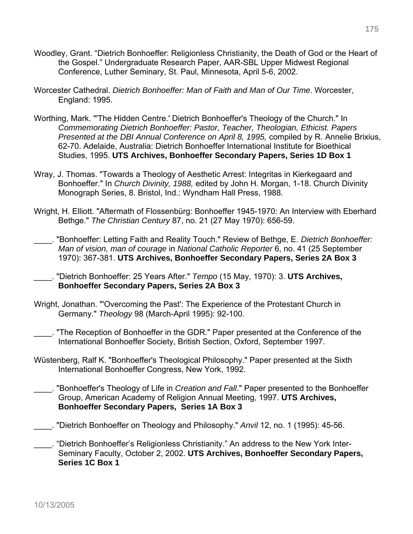- Woodley, Grant. "Dietrich Bonhoeffer: Religionless Christianity, the Death of God or the Heart of the Gospel." Undergraduate Research Paper, AAR-SBL Upper Midwest Regional Conference, Luther Seminary, St. Paul, Minnesota, April 5-6, 2002.
- Worcester Cathedral. *Dietrich Bonhoeffer: Man of Faith and Man of Our Time*. Worcester, England: 1995.
- Worthing, Mark. "'The Hidden Centre.' Dietrich Bonhoeffer's Theology of the Church." In *Commemorating Dietrich Bonhoeffer: Pastor, Teacher, Theologian, Ethicist. Papers Presented at the DBI Annual Conference on April 8, 1995,* compiled by R. Annelie Brixius, 62-70. Adelaide, Australia: Dietrich Bonhoeffer International Institute for Bioethical Studies, 1995. **UTS Archives, Bonhoeffer Secondary Papers, Series 1D Box 1**
- Wray, J. Thomas. "Towards a Theology of Aesthetic Arrest: Integritas in Kierkegaard and Bonhoeffer." In *Church Divinity, 1988,* edited by John H. Morgan, 1-18. Church Divinity Monograph Series, 8. Bristol, Ind.: Wyndham Hall Press, 1988.
- Wright, H. Elliott. "Aftermath of Flossenbürg: Bonhoeffer 1945-1970: An Interview with Eberhard Bethge." *The Christian Century* 87, no. 21 (27 May 1970): 656-59.
- \_\_\_\_. "Bonhoeffer: Letting Faith and Reality Touch." Review of Bethge, E. *Dietrich Bonhoeffer: Man of vision, man of courage* in *National Catholic Reporter* 6, no. 41 (25 September 1970): 367-381. **UTS Archives, Bonhoeffer Secondary Papers, Series 2A Box 3**
	- \_\_\_\_. "Dietrich Bonhoeffer: 25 Years After." *Tempo* (15 May, 1970): 3. **UTS Archives, Bonhoeffer Secondary Papers, Series 2A Box 3**
- Wright, Jonathan. "'Overcoming the Past': The Experience of the Protestant Church in Germany." *Theology* 98 (March-April 1995): 92-100.
	- \_\_\_\_. "The Reception of Bonhoeffer in the GDR." Paper presented at the Conference of the International Bonhoeffer Society, British Section, Oxford, September 1997.
- Wüstenberg, Ralf K. "Bonhoeffer's Theological Philosophy." Paper presented at the Sixth International Bonhoeffer Congress, New York, 1992.
- \_\_\_\_. "Bonhoeffer's Theology of Life in *Creation and Fall*." Paper presented to the Bonhoeffer Group, American Academy of Religion Annual Meeting, 1997. **UTS Archives, Bonhoeffer Secondary Papers, Series 1A Box 3**
- \_\_\_\_. "Dietrich Bonhoeffer on Theology and Philosophy." *Anvil* 12, no. 1 (1995): 45-56.
- \_\_\_\_. "Dietrich Bonhoeffer's Religionless Christianity." An address to the New York Inter-Seminary Faculty, October 2, 2002. **UTS Archives, Bonhoeffer Secondary Papers, Series 1C Box 1**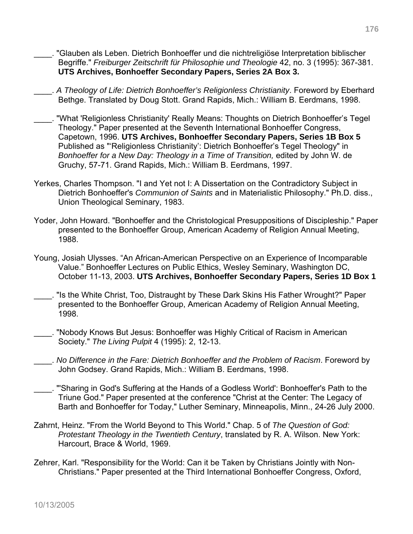- \_\_\_\_. "Glauben als Leben. Dietrich Bonhoeffer und die nichtreligiöse Interpretation biblischer Begriffe." *Freiburger Zeitschrift für Philosophie und Theologie* 42, no. 3 (1995): 367-381. **UTS Archives, Bonhoeffer Secondary Papers, Series 2A Box 3.**
- \_\_\_\_. *A Theology of Life: Dietrich Bonhoeffer's Religionless Christianity*. Foreword by Eberhard Bethge. Translated by Doug Stott. Grand Rapids, Mich.: William B. Eerdmans, 1998.
- \_\_\_\_. "What 'Religionless Christianity' Really Means: Thoughts on Dietrich Bonhoeffer's Tegel Theology." Paper presented at the Seventh International Bonhoeffer Congress, Capetown, 1996. **UTS Archives, Bonhoeffer Secondary Papers, Series 1B Box 5** Published as "'Religionless Christianity': Dietrich Bonhoeffer's Tegel Theology" in *Bonhoeffer for a New Day: Theology in a Time of Transition,* edited by John W. de Gruchy, 57-71. Grand Rapids, Mich.: William B. Eerdmans, 1997.
- Yerkes, Charles Thompson. "I and Yet not I: A Dissertation on the Contradictory Subject in Dietrich Bonhoeffer's *Communion of Saints* and in Materialistic Philosophy." Ph.D. diss., Union Theological Seminary, 1983.
- Yoder, John Howard. "Bonhoeffer and the Christological Presuppositions of Discipleship." Paper presented to the Bonhoeffer Group, American Academy of Religion Annual Meeting, 1988.
- Young, Josiah Ulysses. "An African-American Perspective on an Experience of Incomparable Value." Bonhoeffer Lectures on Public Ethics, Wesley Seminary, Washington DC, October 11-13, 2003. **UTS Archives, Bonhoeffer Secondary Papers, Series 1D Box 1**
- \_\_\_\_. "Is the White Christ, Too, Distraught by These Dark Skins His Father Wrought?" Paper presented to the Bonhoeffer Group, American Academy of Religion Annual Meeting, 1998.
- \_\_\_\_. "Nobody Knows But Jesus: Bonhoeffer was Highly Critical of Racism in American Society." *The Living Pulpit* 4 (1995): 2, 12-13.
- \_\_\_\_. *No Difference in the Fare: Dietrich Bonhoeffer and the Problem of Racism*. Foreword by John Godsey. Grand Rapids, Mich.: William B. Eerdmans, 1998.
- \_\_\_\_. "'Sharing in God's Suffering at the Hands of a Godless World': Bonhoeffer's Path to the Triune God." Paper presented at the conference "Christ at the Center: The Legacy of Barth and Bonhoeffer for Today," Luther Seminary, Minneapolis, Minn., 24-26 July 2000.
- Zahrnt, Heinz. "From the World Beyond to This World." Chap. 5 of *The Question of God: Protestant Theology in the Twentieth Century*, translated by R. A. Wilson. New York: Harcourt, Brace & World, 1969.
- Zehrer, Karl. "Responsibility for the World: Can it be Taken by Christians Jointly with Non-Christians." Paper presented at the Third International Bonhoeffer Congress, Oxford,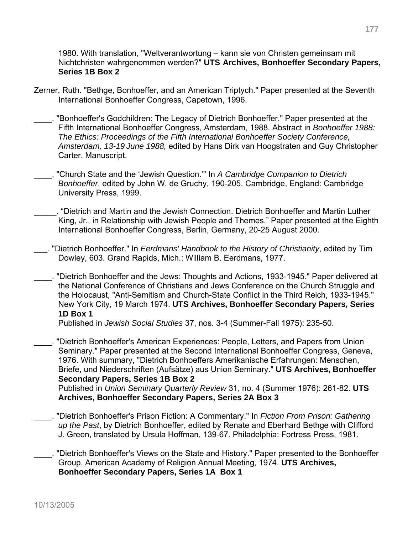1980. With translation, "Weltverantwortung – kann sie von Christen gemeinsam mit Nichtchristen wahrgenommen werden?" **UTS Archives, Bonhoeffer Secondary Papers, Series 1B Box 2**

- Zerner, Ruth. "Bethge, Bonhoeffer, and an American Triptych." Paper presented at the Seventh International Bonhoeffer Congress, Capetown, 1996.
- \_\_\_\_. "Bonhoeffer's Godchildren: The Legacy of Dietrich Bonhoeffer." Paper presented at the Fifth International Bonhoeffer Congress, Amsterdam, 1988. Abstract in *Bonhoeffer 1988: The Ethics: Proceedings of the Fifth International Bonhoeffer Society Conference, Amsterdam, 13-19 June 1988,* edited by Hans Dirk van Hoogstraten and Guy Christopher Carter. Manuscript.
- \_\_\_\_. "Church State and the 'Jewish Question.'" In *A Cambridge Companion to Dietrich Bonhoeffer*, edited by John W. de Gruchy, 190-205. Cambridge, England: Cambridge University Press, 1999.
	- \_\_\_\_\_. "Dietrich and Martin and the Jewish Connection. Dietrich Bonhoeffer and Martin Luther King, Jr., in Relationship with Jewish People and Themes." Paper presented at the Eighth International Bonhoeffer Congress, Berlin, Germany, 20-25 August 2000.
- \_\_\_. "Dietrich Bonhoeffer." In *Eerdmans' Handbook to the History of Christianity*, edited by Tim Dowley, 603. Grand Rapids, Mich.: William B. Eerdmans, 1977.
- \_\_\_\_. "Dietrich Bonhoeffer and the Jews: Thoughts and Actions, 1933-1945." Paper delivered at the National Conference of Christians and Jews Conference on the Church Struggle and the Holocaust, "Anti-Semitism and Church-State Conflict in the Third Reich, 1933-1945." New York City, 19 March 1974. **UTS Archives, Bonhoeffer Secondary Papers, Series 1D Box 1**

Published in *Jewish Social Studies* 37, nos. 3-4 (Summer-Fall 1975): 235-50.

\_\_\_\_. "Dietrich Bonhoeffer's American Experiences: People, Letters, and Papers from Union Seminary." Paper presented at the Second International Bonhoeffer Congress, Geneva, 1976. With summary, "Dietrich Bonhoeffers Amerikanische Erfahrungen: Menschen, Briefe, und Niederschriften (Aufsätze) aus Union Seminary." **UTS Archives, Bonhoeffer Secondary Papers, Series 1B Box 2** 

Published in *Union Seminary Quarterly Review* 31, no. 4 (Summer 1976): 261-82. **UTS Archives, Bonhoeffer Secondary Papers, Series 2A Box 3** 

- \_\_\_\_. "Dietrich Bonhoeffer's Prison Fiction: A Commentary." In *Fiction From Prison: Gathering up the Past*, by Dietrich Bonhoeffer, edited by Renate and Eberhard Bethge with Clifford J. Green, translated by Ursula Hoffman, 139-67. Philadelphia: Fortress Press, 1981.
- \_\_\_\_. "Dietrich Bonhoeffer's Views on the State and History." Paper presented to the Bonhoeffer Group, American Academy of Religion Annual Meeting, 1974. **UTS Archives, Bonhoeffer Secondary Papers, Series 1A Box 1**